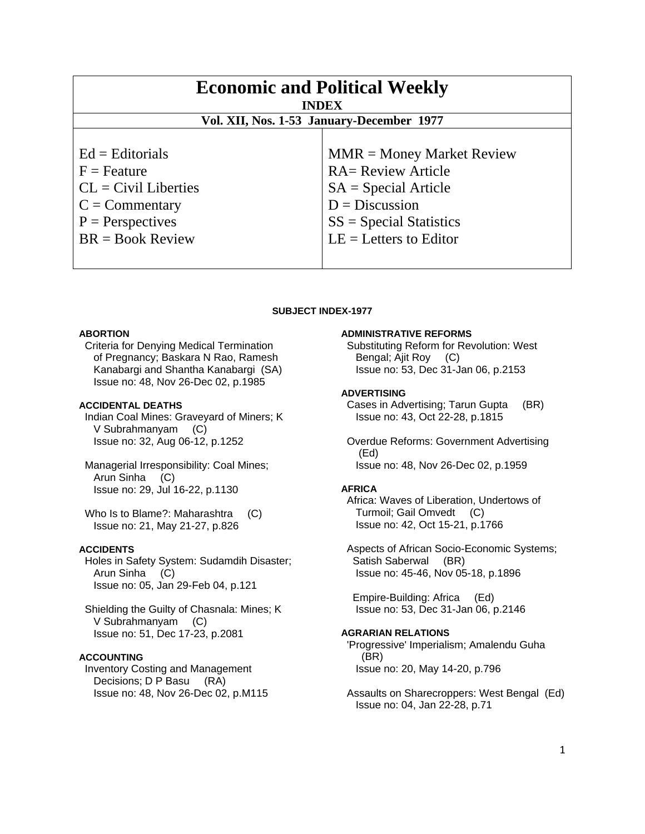| <b>Economic and Political Weekly</b><br><b>INDEX</b><br>Vol. XII, Nos. 1-53 January-December 1977 |                             |
|---------------------------------------------------------------------------------------------------|-----------------------------|
| $Ed =$ Editorials                                                                                 | $MMR = Money Market Review$ |
| $F =$ Feature                                                                                     | <b>RA= Review Article</b>   |
| $CL = Civil Libraries$                                                                            | $SA = Special Article$      |
| $C = \text{Commentary}$                                                                           | $D = Discussion$            |
| $P =$ Perspectives                                                                                | $SS = Special Statistics$   |
| $BR = Book Review$                                                                                | $LE = Letters to Editor$    |

## **SUBJECT INDEX-1977**

## **ABORTION**

 Criteria for Denying Medical Termination of Pregnancy; Baskara N Rao, Ramesh Kanabargi and Shantha Kanabargi (SA) Issue no: 48, Nov 26-Dec 02, p.1985

# **ACCIDENTAL DEATHS**

 Indian Coal Mines: Graveyard of Miners; K V Subrahmanyam (C) Issue no: 32, Aug 06-12, p.1252

 Managerial Irresponsibility: Coal Mines; Arun Sinha (C) Issue no: 29, Jul 16-22, p.1130

Who Is to Blame?: Maharashtra (C) Issue no: 21, May 21-27, p.826

# **ACCIDENTS**

 Holes in Safety System: Sudamdih Disaster; Arun Sinha (C) Issue no: 05, Jan 29-Feb 04, p.121

 Shielding the Guilty of Chasnala: Mines; K V Subrahmanyam (C) Issue no: 51, Dec 17-23, p.2081

# **ACCOUNTING**

 Inventory Costing and Management Decisions; D P Basu (RA) Issue no: 48, Nov 26-Dec 02, p.M115

#### **ADMINISTRATIVE REFORMS**

 Substituting Reform for Revolution: West Bengal; Ajit Roy (C) Issue no: 53, Dec 31-Jan 06, p.2153

## **ADVERTISING**

 Cases in Advertising; Tarun Gupta (BR) Issue no: 43, Oct 22-28, p.1815

 Overdue Reforms: Government Advertising (Ed) Issue no: 48, Nov 26-Dec 02, p.1959

# **AFRICA**

 Africa: Waves of Liberation, Undertows of Turmoil; Gail Omvedt (C) Issue no: 42, Oct 15-21, p.1766

 Aspects of African Socio-Economic Systems; Satish Saberwal (BR) Issue no: 45-46, Nov 05-18, p.1896

 Empire-Building: Africa (Ed) Issue no: 53, Dec 31-Jan 06, p.2146

# **AGRARIAN RELATIONS**

 'Progressive' Imperialism; Amalendu Guha (BR) Issue no: 20, May 14-20, p.796

 Assaults on Sharecroppers: West Bengal (Ed) Issue no: 04, Jan 22-28, p.71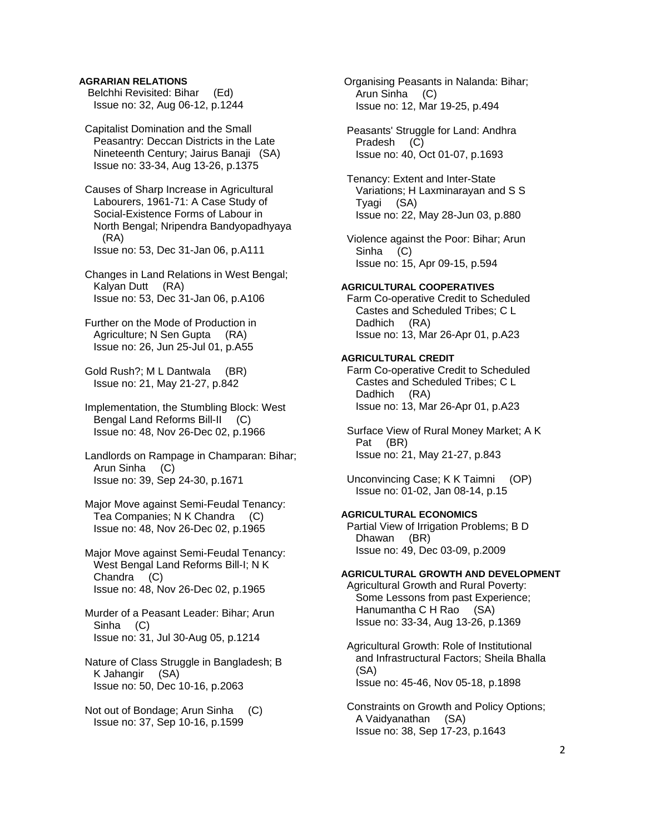# **AGRARIAN RELATIONS**

 Belchhi Revisited: Bihar (Ed) Issue no: 32, Aug 06-12, p.1244

 Capitalist Domination and the Small Peasantry: Deccan Districts in the Late Nineteenth Century; Jairus Banaji (SA) Issue no: 33-34, Aug 13-26, p.1375

 Causes of Sharp Increase in Agricultural Labourers, 1961-71: A Case Study of Social-Existence Forms of Labour in North Bengal; Nripendra Bandyopadhyaya (RA) Issue no: 53, Dec 31-Jan 06, p.A111

 Changes in Land Relations in West Bengal; Kalyan Dutt (RA) Issue no: 53, Dec 31-Jan 06, p.A106

 Further on the Mode of Production in Agriculture; N Sen Gupta (RA) Issue no: 26, Jun 25-Jul 01, p.A55

 Gold Rush?; M L Dantwala (BR) Issue no: 21, May 21-27, p.842

 Implementation, the Stumbling Block: West Bengal Land Reforms Bill-II (C) Issue no: 48, Nov 26-Dec 02, p.1966

 Landlords on Rampage in Champaran: Bihar; Arun Sinha (C) Issue no: 39, Sep 24-30, p.1671

 Major Move against Semi-Feudal Tenancy: Tea Companies; N K Chandra (C) Issue no: 48, Nov 26-Dec 02, p.1965

 Major Move against Semi-Feudal Tenancy: West Bengal Land Reforms Bill-I; N K Chandra (C) Issue no: 48, Nov 26-Dec 02, p.1965

 Murder of a Peasant Leader: Bihar; Arun Sinha (C) Issue no: 31, Jul 30-Aug 05, p.1214

 Nature of Class Struggle in Bangladesh; B K Jahangir (SA) Issue no: 50, Dec 10-16, p.2063

 Not out of Bondage; Arun Sinha (C) Issue no: 37, Sep 10-16, p.1599

 Organising Peasants in Nalanda: Bihar; Arun Sinha (C) Issue no: 12, Mar 19-25, p.494

 Peasants' Struggle for Land: Andhra Pradesh (C) Issue no: 40, Oct 01-07, p.1693

 Tenancy: Extent and Inter-State Variations; H Laxminarayan and S S Tyagi (SA) Issue no: 22, May 28-Jun 03, p.880

 Violence against the Poor: Bihar; Arun Sinha (C) Issue no: 15, Apr 09-15, p.594

#### **AGRICULTURAL COOPERATIVES**

 Farm Co-operative Credit to Scheduled Castes and Scheduled Tribes; C L Dadhich (RA) Issue no: 13, Mar 26-Apr 01, p.A23

## **AGRICULTURAL CREDIT**

 Farm Co-operative Credit to Scheduled Castes and Scheduled Tribes; C L Dadhich (RA) Issue no: 13, Mar 26-Apr 01, p.A23

 Surface View of Rural Money Market; A K Pat (BR) Issue no: 21, May 21-27, p.843

 Unconvincing Case; K K Taimni (OP) Issue no: 01-02, Jan 08-14, p.15

# **AGRICULTURAL ECONOMICS**

 Partial View of Irrigation Problems; B D Dhawan (BR) Issue no: 49, Dec 03-09, p.2009

## **AGRICULTURAL GROWTH AND DEVELOPMENT**

 Agricultural Growth and Rural Poverty: Some Lessons from past Experience; Hanumantha C H Rao (SA) Issue no: 33-34, Aug 13-26, p.1369

 Agricultural Growth: Role of Institutional and Infrastructural Factors; Sheila Bhalla (SA) Issue no: 45-46, Nov 05-18, p.1898

 Constraints on Growth and Policy Options; A Vaidyanathan (SA) Issue no: 38, Sep 17-23, p.1643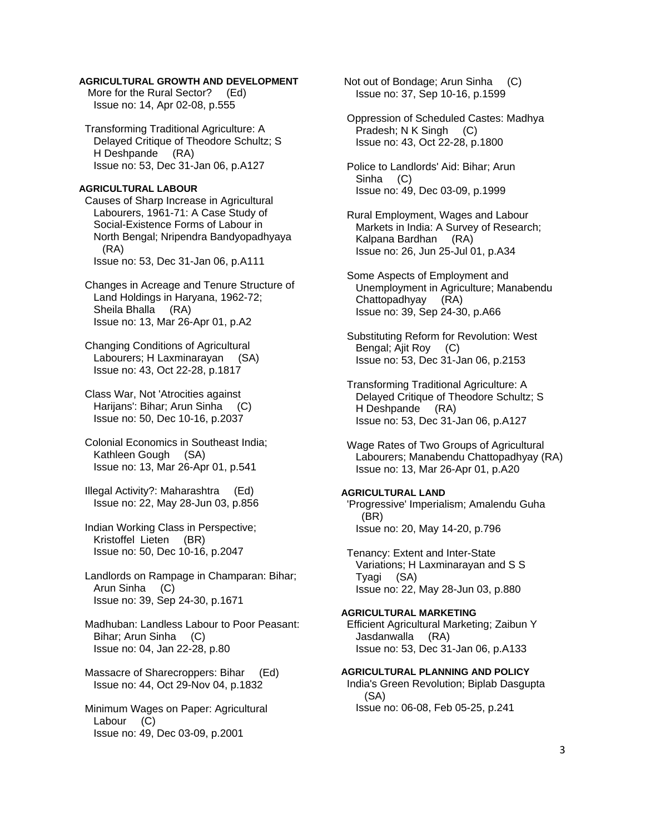# **AGRICULTURAL GROWTH AND DEVELOPMENT**

More for the Rural Sector? (Ed) Issue no: 14, Apr 02-08, p.555

 Transforming Traditional Agriculture: A Delayed Critique of Theodore Schultz; S H Deshpande (RA) Issue no: 53, Dec 31-Jan 06, p.A127

### **AGRICULTURAL LABOUR**

 Causes of Sharp Increase in Agricultural Labourers, 1961-71: A Case Study of Social-Existence Forms of Labour in North Bengal; Nripendra Bandyopadhyaya (RA) Issue no: 53, Dec 31-Jan 06, p.A111

 Changes in Acreage and Tenure Structure of Land Holdings in Haryana, 1962-72; Sheila Bhalla (RA) Issue no: 13, Mar 26-Apr 01, p.A2

 Changing Conditions of Agricultural Labourers; H Laxminarayan (SA) Issue no: 43, Oct 22-28, p.1817

 Class War, Not 'Atrocities against Harijans': Bihar; Arun Sinha (C) Issue no: 50, Dec 10-16, p.2037

 Colonial Economics in Southeast India; Kathleen Gough (SA) Issue no: 13, Mar 26-Apr 01, p.541

 Illegal Activity?: Maharashtra (Ed) Issue no: 22, May 28-Jun 03, p.856

 Indian Working Class in Perspective; Kristoffel Lieten (BR) Issue no: 50, Dec 10-16, p.2047

 Landlords on Rampage in Champaran: Bihar; Arun Sinha (C) Issue no: 39, Sep 24-30, p.1671

 Madhuban: Landless Labour to Poor Peasant: Bihar; Arun Sinha (C) Issue no: 04, Jan 22-28, p.80

 Massacre of Sharecroppers: Bihar (Ed) Issue no: 44, Oct 29-Nov 04, p.1832

 Minimum Wages on Paper: Agricultural Labour (C) Issue no: 49, Dec 03-09, p.2001

 Not out of Bondage; Arun Sinha (C) Issue no: 37, Sep 10-16, p.1599

 Oppression of Scheduled Castes: Madhya Pradesh; N K Singh (C) Issue no: 43, Oct 22-28, p.1800

 Police to Landlords' Aid: Bihar; Arun Sinha (C) Issue no: 49, Dec 03-09, p.1999

 Rural Employment, Wages and Labour Markets in India: A Survey of Research; Kalpana Bardhan (RA) Issue no: 26, Jun 25-Jul 01, p.A34

 Some Aspects of Employment and Unemployment in Agriculture; Manabendu Chattopadhyay (RA) Issue no: 39, Sep 24-30, p.A66

 Substituting Reform for Revolution: West Bengal; Ajit Roy (C) Issue no: 53, Dec 31-Jan 06, p.2153

 Transforming Traditional Agriculture: A Delayed Critique of Theodore Schultz; S H Deshpande (RA) Issue no: 53, Dec 31-Jan 06, p.A127

 Wage Rates of Two Groups of Agricultural Labourers; Manabendu Chattopadhyay (RA) Issue no: 13, Mar 26-Apr 01, p.A20

# **AGRICULTURAL LAND**

 'Progressive' Imperialism; Amalendu Guha (BR) Issue no: 20, May 14-20, p.796

 Tenancy: Extent and Inter-State Variations; H Laxminarayan and S S Tyagi (SA) Issue no: 22, May 28-Jun 03, p.880

# **AGRICULTURAL MARKETING**

 Efficient Agricultural Marketing; Zaibun Y Jasdanwalla (RA) Issue no: 53, Dec 31-Jan 06, p.A133

# **AGRICULTURAL PLANNING AND POLICY**  India's Green Revolution; Biplab Dasgupta (SA)

Issue no: 06-08, Feb 05-25, p.241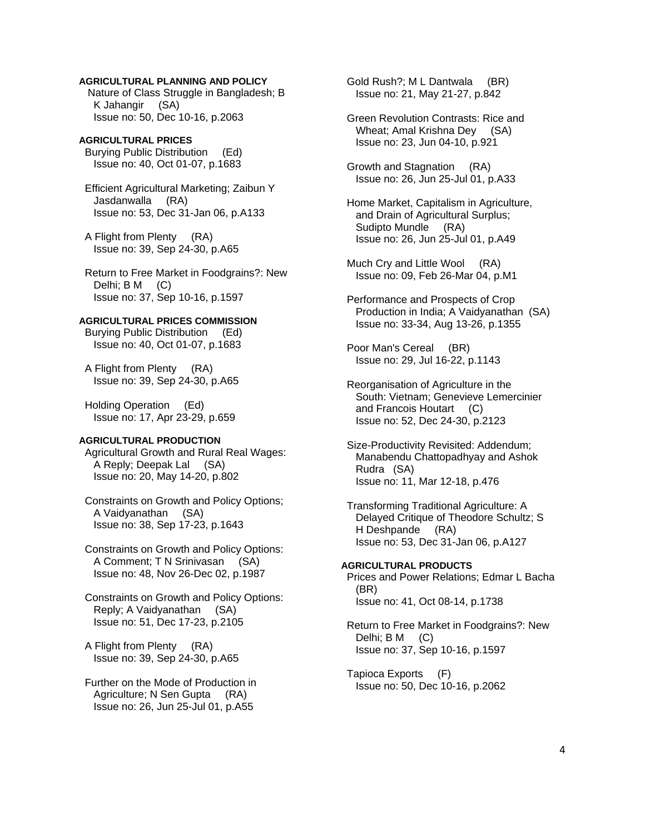# **AGRICULTURAL PLANNING AND POLICY**

 Nature of Class Struggle in Bangladesh; B K Jahangir (SA) Issue no: 50, Dec 10-16, p.2063

# **AGRICULTURAL PRICES**

 Burying Public Distribution (Ed) Issue no: 40, Oct 01-07, p.1683

 Efficient Agricultural Marketing; Zaibun Y Jasdanwalla (RA) Issue no: 53, Dec 31-Jan 06, p.A133

 A Flight from Plenty (RA) Issue no: 39, Sep 24-30, p.A65

 Return to Free Market in Foodgrains?: New Delhi; B M (C) Issue no: 37, Sep 10-16, p.1597

# **AGRICULTURAL PRICES COMMISSION**

 Burying Public Distribution (Ed) Issue no: 40, Oct 01-07, p.1683

 A Flight from Plenty (RA) Issue no: 39, Sep 24-30, p.A65

 Holding Operation (Ed) Issue no: 17, Apr 23-29, p.659

# **AGRICULTURAL PRODUCTION**

 Agricultural Growth and Rural Real Wages: A Reply; Deepak Lal (SA) Issue no: 20, May 14-20, p.802

 Constraints on Growth and Policy Options; A Vaidyanathan (SA) Issue no: 38, Sep 17-23, p.1643

 Constraints on Growth and Policy Options: A Comment; T N Srinivasan (SA) Issue no: 48, Nov 26-Dec 02, p.1987

 Constraints on Growth and Policy Options: Reply; A Vaidyanathan (SA) Issue no: 51, Dec 17-23, p.2105

 A Flight from Plenty (RA) Issue no: 39, Sep 24-30, p.A65

 Further on the Mode of Production in Agriculture; N Sen Gupta (RA) Issue no: 26, Jun 25-Jul 01, p.A55

 Gold Rush?; M L Dantwala (BR) Issue no: 21, May 21-27, p.842

 Green Revolution Contrasts: Rice and Wheat; Amal Krishna Dey (SA) Issue no: 23, Jun 04-10, p.921

 Growth and Stagnation (RA) Issue no: 26, Jun 25-Jul 01, p.A33

 Home Market, Capitalism in Agriculture, and Drain of Agricultural Surplus; Sudipto Mundle (RA) Issue no: 26, Jun 25-Jul 01, p.A49

 Much Cry and Little Wool (RA) Issue no: 09, Feb 26-Mar 04, p.M1

 Performance and Prospects of Crop Production in India; A Vaidyanathan (SA) Issue no: 33-34, Aug 13-26, p.1355

 Poor Man's Cereal (BR) Issue no: 29, Jul 16-22, p.1143

 Reorganisation of Agriculture in the South: Vietnam; Genevieve Lemercinier and Francois Houtart (C) Issue no: 52, Dec 24-30, p.2123

- Size-Productivity Revisited: Addendum; Manabendu Chattopadhyay and Ashok Rudra (SA) Issue no: 11, Mar 12-18, p.476
- Transforming Traditional Agriculture: A Delayed Critique of Theodore Schultz; S H Deshpande (RA) Issue no: 53, Dec 31-Jan 06, p.A127

**AGRICULTURAL PRODUCTS**  Prices and Power Relations; Edmar L Bacha (BR) Issue no: 41, Oct 08-14, p.1738

 Return to Free Market in Foodgrains?: New Delhi; B M (C) Issue no: 37, Sep 10-16, p.1597

 Tapioca Exports (F) Issue no: 50, Dec 10-16, p.2062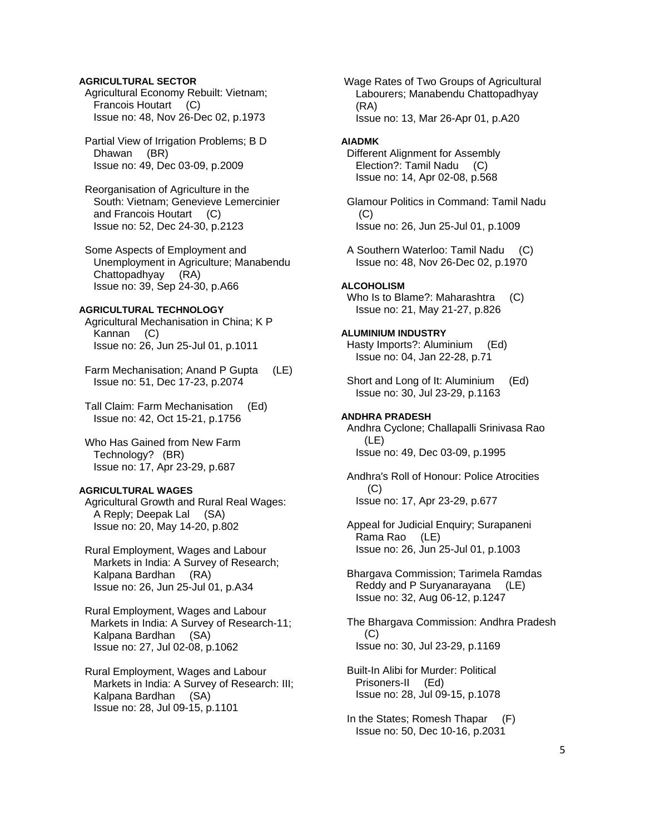# **AGRICULTURAL SECTOR**

 Agricultural Economy Rebuilt: Vietnam; Francois Houtart (C) Issue no: 48, Nov 26-Dec 02, p.1973

 Partial View of Irrigation Problems; B D Dhawan (BR) Issue no: 49, Dec 03-09, p.2009

 Reorganisation of Agriculture in the South: Vietnam; Genevieve Lemercinier and Francois Houtart (C) Issue no: 52, Dec 24-30, p.2123

 Some Aspects of Employment and Unemployment in Agriculture; Manabendu Chattopadhyay (RA) Issue no: 39, Sep 24-30, p.A66

# **AGRICULTURAL TECHNOLOGY**

 Agricultural Mechanisation in China; K P Kannan (C) Issue no: 26, Jun 25-Jul 01, p.1011

Farm Mechanisation; Anand P Gupta (LE) Issue no: 51, Dec 17-23, p.2074

 Tall Claim: Farm Mechanisation (Ed) Issue no: 42, Oct 15-21, p.1756

 Who Has Gained from New Farm Technology? (BR) Issue no: 17, Apr 23-29, p.687

#### **AGRICULTURAL WAGES**

 Agricultural Growth and Rural Real Wages: A Reply; Deepak Lal (SA) Issue no: 20, May 14-20, p.802

 Rural Employment, Wages and Labour Markets in India: A Survey of Research; Kalpana Bardhan (RA) Issue no: 26, Jun 25-Jul 01, p.A34

 Rural Employment, Wages and Labour Markets in India: A Survey of Research-11; Kalpana Bardhan (SA) Issue no: 27, Jul 02-08, p.1062

 Rural Employment, Wages and Labour Markets in India: A Survey of Research: III; Kalpana Bardhan (SA) Issue no: 28, Jul 09-15, p.1101

 Wage Rates of Two Groups of Agricultural Labourers; Manabendu Chattopadhyay (RA) Issue no: 13, Mar 26-Apr 01, p.A20

#### **AIADMK**

 Different Alignment for Assembly Election?: Tamil Nadu (C) Issue no: 14, Apr 02-08, p.568

 Glamour Politics in Command: Tamil Nadu  $(C)$ Issue no: 26, Jun 25-Jul 01, p.1009

 A Southern Waterloo: Tamil Nadu (C) Issue no: 48, Nov 26-Dec 02, p.1970

## **ALCOHOLISM**

Who Is to Blame?: Maharashtra (C) Issue no: 21, May 21-27, p.826

#### **ALUMINIUM INDUSTRY**

 Hasty Imports?: Aluminium (Ed) Issue no: 04, Jan 22-28, p.71

Short and Long of It: Aluminium (Ed) Issue no: 30, Jul 23-29, p.1163

#### **ANDHRA PRADESH**

 Andhra Cyclone; Challapalli Srinivasa Rao (LE) Issue no: 49, Dec 03-09, p.1995

 Andhra's Roll of Honour: Police Atrocities  $(C)$ Issue no: 17, Apr 23-29, p.677

 Appeal for Judicial Enquiry; Surapaneni Rama Rao (LE) Issue no: 26, Jun 25-Jul 01, p.1003

 Bhargava Commission; Tarimela Ramdas Reddy and P Suryanarayana (LE) Issue no: 32, Aug 06-12, p.1247

 The Bhargava Commission: Andhra Pradesh (C) Issue no: 30, Jul 23-29, p.1169

 Built-In Alibi for Murder: Political Prisoners-II (Ed) Issue no: 28, Jul 09-15, p.1078

 In the States; Romesh Thapar (F) Issue no: 50, Dec 10-16, p.2031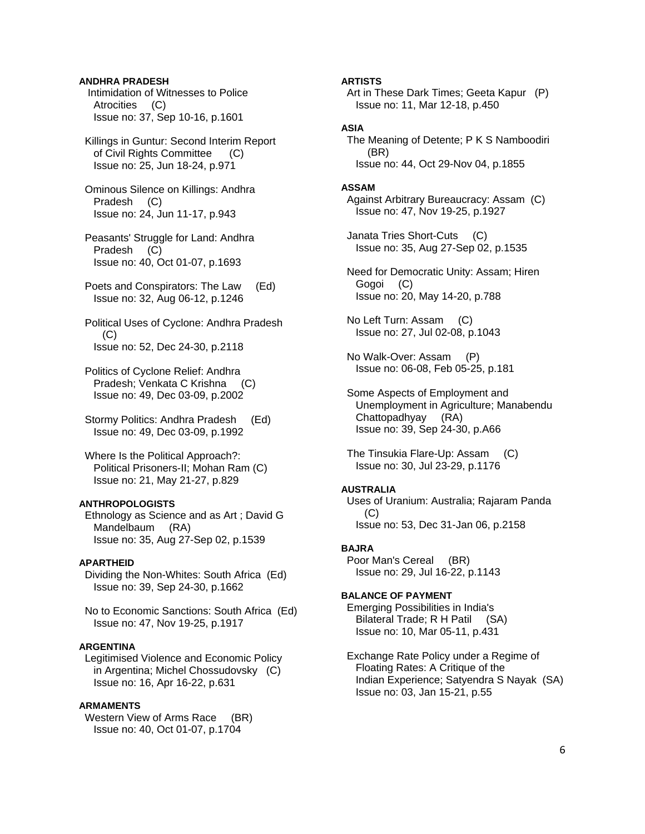# **ANDHRA PRADESH**

 Intimidation of Witnesses to Police Atrocities (C) Issue no: 37, Sep 10-16, p.1601

 Killings in Guntur: Second Interim Report of Civil Rights Committee (C) Issue no: 25, Jun 18-24, p.971

 Ominous Silence on Killings: Andhra Pradesh (C) Issue no: 24, Jun 11-17, p.943

 Peasants' Struggle for Land: Andhra Pradesh (C) Issue no: 40, Oct 01-07, p.1693

 Poets and Conspirators: The Law (Ed) Issue no: 32, Aug 06-12, p.1246

 Political Uses of Cyclone: Andhra Pradesh (C) Issue no: 52, Dec 24-30, p.2118

 Politics of Cyclone Relief: Andhra Pradesh; Venkata C Krishna (C) Issue no: 49, Dec 03-09, p.2002

 Stormy Politics: Andhra Pradesh (Ed) Issue no: 49, Dec 03-09, p.1992

 Where Is the Political Approach?: Political Prisoners-II; Mohan Ram (C) Issue no: 21, May 21-27, p.829

# **ANTHROPOLOGISTS**

 Ethnology as Science and as Art ; David G Mandelbaum (RA) Issue no: 35, Aug 27-Sep 02, p.1539

# **APARTHEID**

 Dividing the Non-Whites: South Africa (Ed) Issue no: 39, Sep 24-30, p.1662

 No to Economic Sanctions: South Africa (Ed) Issue no: 47, Nov 19-25, p.1917

## **ARGENTINA**

 Legitimised Violence and Economic Policy in Argentina; Michel Chossudovsky (C) Issue no: 16, Apr 16-22, p.631

# **ARMAMENTS**

Western View of Arms Race (BR) Issue no: 40, Oct 01-07, p.1704

#### **ARTISTS**

 Art in These Dark Times; Geeta Kapur (P) Issue no: 11, Mar 12-18, p.450

# **ASIA**

 The Meaning of Detente; P K S Namboodiri (BR) Issue no: 44, Oct 29-Nov 04, p.1855

## **ASSAM**

 Against Arbitrary Bureaucracy: Assam (C) Issue no: 47, Nov 19-25, p.1927

 Janata Tries Short-Cuts (C) Issue no: 35, Aug 27-Sep 02, p.1535

 Need for Democratic Unity: Assam; Hiren Gogoi (C) Issue no: 20, May 14-20, p.788

 No Left Turn: Assam (C) Issue no: 27, Jul 02-08, p.1043

 No Walk-Over: Assam (P) Issue no: 06-08, Feb 05-25, p.181

 Some Aspects of Employment and Unemployment in Agriculture; Manabendu Chattopadhyay (RA) Issue no: 39, Sep 24-30, p.A66

 The Tinsukia Flare-Up: Assam (C) Issue no: 30, Jul 23-29, p.1176

## **AUSTRALIA**

 Uses of Uranium: Australia; Rajaram Panda (C) Issue no: 53, Dec 31-Jan 06, p.2158

#### **BAJRA**

 Poor Man's Cereal (BR) Issue no: 29, Jul 16-22, p.1143

# **BALANCE OF PAYMENT**

 Emerging Possibilities in India's Bilateral Trade; R H Patil (SA) Issue no: 10, Mar 05-11, p.431

 Exchange Rate Policy under a Regime of Floating Rates: A Critique of the Indian Experience; Satyendra S Nayak (SA) Issue no: 03, Jan 15-21, p.55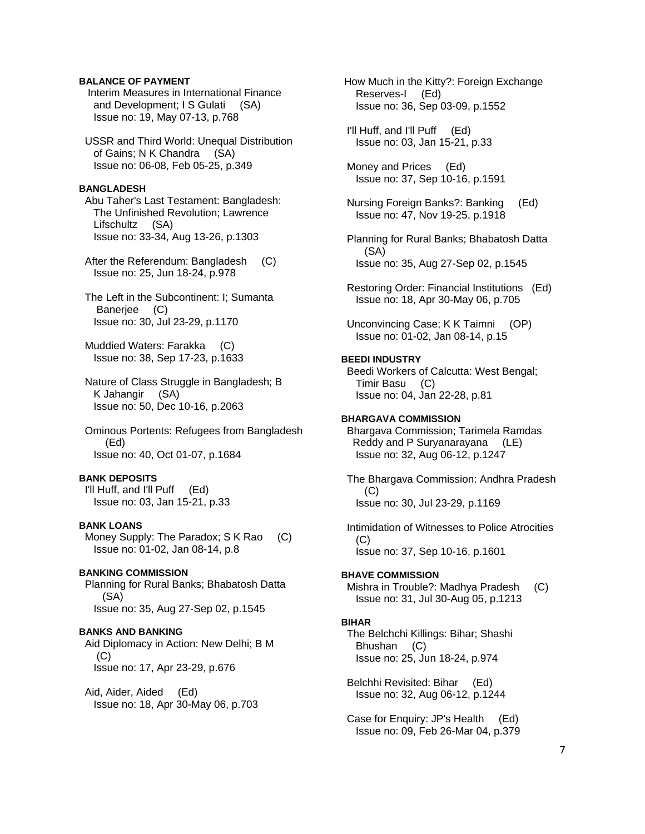# **BALANCE OF PAYMENT**

 Interim Measures in International Finance and Development; I S Gulati (SA) Issue no: 19, May 07-13, p.768

 USSR and Third World: Unequal Distribution of Gains; N K Chandra (SA) Issue no: 06-08, Feb 05-25, p.349

## **BANGLADESH**

 Abu Taher's Last Testament: Bangladesh: The Unfinished Revolution; Lawrence Lifschultz (SA) Issue no: 33-34, Aug 13-26, p.1303

 After the Referendum: Bangladesh (C) Issue no: 25, Jun 18-24, p.978

 The Left in the Subcontinent: I; Sumanta Banerjee (C) Issue no: 30, Jul 23-29, p.1170

 Muddied Waters: Farakka (C) Issue no: 38, Sep 17-23, p.1633

 Nature of Class Struggle in Bangladesh; B K Jahangir (SA) Issue no: 50, Dec 10-16, p.2063

 Ominous Portents: Refugees from Bangladesh (Ed) Issue no: 40, Oct 01-07, p.1684

#### **BANK DEPOSITS**

 I'll Huff, and I'll Puff (Ed) Issue no: 03, Jan 15-21, p.33

## **BANK LOANS**

 Money Supply: The Paradox; S K Rao (C) Issue no: 01-02, Jan 08-14, p.8

# **BANKING COMMISSION**

 Planning for Rural Banks; Bhabatosh Datta (SA) Issue no: 35, Aug 27-Sep 02, p.1545

# **BANKS AND BANKING**

 Aid Diplomacy in Action: New Delhi; B M (C) Issue no: 17, Apr 23-29, p.676

 Aid, Aider, Aided (Ed) Issue no: 18, Apr 30-May 06, p.703  How Much in the Kitty?: Foreign Exchange Reserves-I (Ed) Issue no: 36, Sep 03-09, p.1552

 I'll Huff, and I'll Puff (Ed) Issue no: 03, Jan 15-21, p.33

 Money and Prices (Ed) Issue no: 37, Sep 10-16, p.1591

 Nursing Foreign Banks?: Banking (Ed) Issue no: 47, Nov 19-25, p.1918

 Planning for Rural Banks; Bhabatosh Datta (SA) Issue no: 35, Aug 27-Sep 02, p.1545

 Restoring Order: Financial Institutions (Ed) Issue no: 18, Apr 30-May 06, p.705

 Unconvincing Case; K K Taimni (OP) Issue no: 01-02, Jan 08-14, p.15

## **BEEDI INDUSTRY**

 Beedi Workers of Calcutta: West Bengal; Timir Basu (C) Issue no: 04, Jan 22-28, p.81

# **BHARGAVA COMMISSION**

 Bhargava Commission; Tarimela Ramdas Reddy and P Suryanarayana (LE) Issue no: 32, Aug 06-12, p.1247

 The Bhargava Commission: Andhra Pradesh (C) Issue no: 30, Jul 23-29, p.1169

 Intimidation of Witnesses to Police Atrocities (C) Issue no: 37, Sep 10-16, p.1601

#### **BHAVE COMMISSION**

 Mishra in Trouble?: Madhya Pradesh (C) Issue no: 31, Jul 30-Aug 05, p.1213

#### **BIHAR**

 The Belchchi Killings: Bihar; Shashi Bhushan (C) Issue no: 25, Jun 18-24, p.974

 Belchhi Revisited: Bihar (Ed) Issue no: 32, Aug 06-12, p.1244

 Case for Enquiry: JP's Health (Ed) Issue no: 09, Feb 26-Mar 04, p.379

7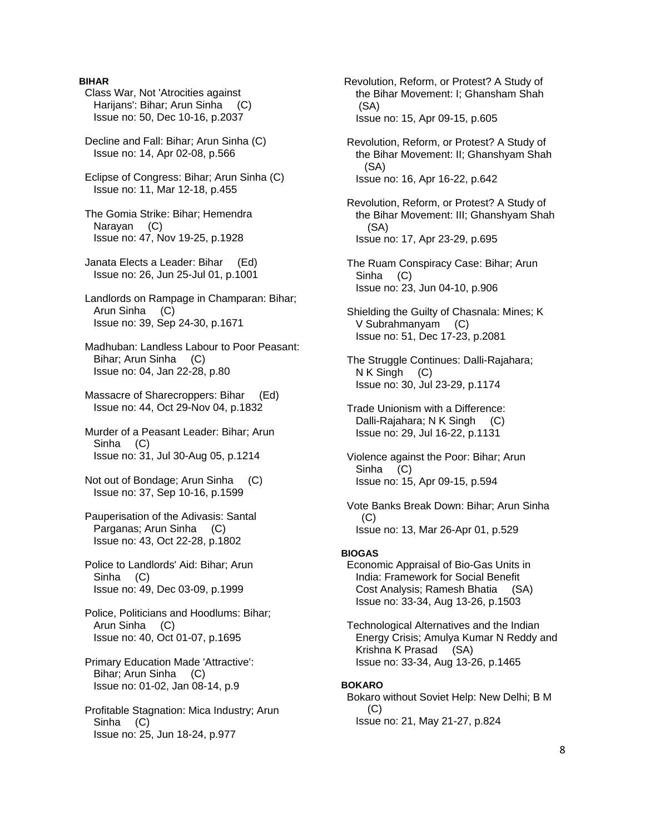# **BIHAR**

- Class War, Not 'Atrocities against Harijans': Bihar; Arun Sinha (C) Issue no: 50, Dec 10-16, p.2037
- Decline and Fall: Bihar; Arun Sinha (C) Issue no: 14, Apr 02-08, p.566
- Eclipse of Congress: Bihar; Arun Sinha (C) Issue no: 11, Mar 12-18, p.455
- The Gomia Strike: Bihar; Hemendra Narayan (C) Issue no: 47, Nov 19-25, p.1928
- Janata Elects a Leader: Bihar (Ed) Issue no: 26, Jun 25-Jul 01, p.1001
- Landlords on Rampage in Champaran: Bihar; Arun Sinha (C) Issue no: 39, Sep 24-30, p.1671
- Madhuban: Landless Labour to Poor Peasant: Bihar; Arun Sinha (C) Issue no: 04, Jan 22-28, p.80
- Massacre of Sharecroppers: Bihar (Ed) Issue no: 44, Oct 29-Nov 04, p.1832
- Murder of a Peasant Leader: Bihar; Arun Sinha (C) Issue no: 31, Jul 30-Aug 05, p.1214
- Not out of Bondage; Arun Sinha (C) Issue no: 37, Sep 10-16, p.1599
- Pauperisation of the Adivasis: Santal Parganas; Arun Sinha (C) Issue no: 43, Oct 22-28, p.1802
- Police to Landlords' Aid: Bihar; Arun Sinha (C) Issue no: 49, Dec 03-09, p.1999
- Police, Politicians and Hoodlums: Bihar; Arun Sinha (C) Issue no: 40, Oct 01-07, p.1695
- Primary Education Made 'Attractive': Bihar; Arun Sinha (C) Issue no: 01-02, Jan 08-14, p.9
- Profitable Stagnation: Mica Industry; Arun Sinha (C) Issue no: 25, Jun 18-24, p.977
- Revolution, Reform, or Protest? A Study of the Bihar Movement: I; Ghansham Shah (SA) Issue no: 15, Apr 09-15, p.605
- Revolution, Reform, or Protest? A Study of the Bihar Movement: II; Ghanshyam Shah (SA) Issue no: 16, Apr 16-22, p.642
- Revolution, Reform, or Protest? A Study of the Bihar Movement: III; Ghanshyam Shah (SA) Issue no: 17, Apr 23-29, p.695
- The Ruam Conspiracy Case: Bihar; Arun Sinha (C) Issue no: 23, Jun 04-10, p.906
- Shielding the Guilty of Chasnala: Mines; K V Subrahmanyam (C) Issue no: 51, Dec 17-23, p.2081
- The Struggle Continues: Dalli-Rajahara; N K Singh (C) Issue no: 30, Jul 23-29, p.1174
- Trade Unionism with a Difference: Dalli-Rajahara; N K Singh (C) Issue no: 29, Jul 16-22, p.1131
- Violence against the Poor: Bihar; Arun Sinha (C) Issue no: 15, Apr 09-15, p.594
- Vote Banks Break Down: Bihar; Arun Sinha  $(C)$ Issue no: 13, Mar 26-Apr 01, p.529

## **BIOGAS**

- Economic Appraisal of Bio-Gas Units in India: Framework for Social Benefit Cost Analysis; Ramesh Bhatia (SA) Issue no: 33-34, Aug 13-26, p.1503
- Technological Alternatives and the Indian Energy Crisis; Amulya Kumar N Reddy and Krishna K Prasad (SA) Issue no: 33-34, Aug 13-26, p.1465

# **BOKARO**

 Bokaro without Soviet Help: New Delhi; B M  $(C)$ Issue no: 21, May 21-27, p.824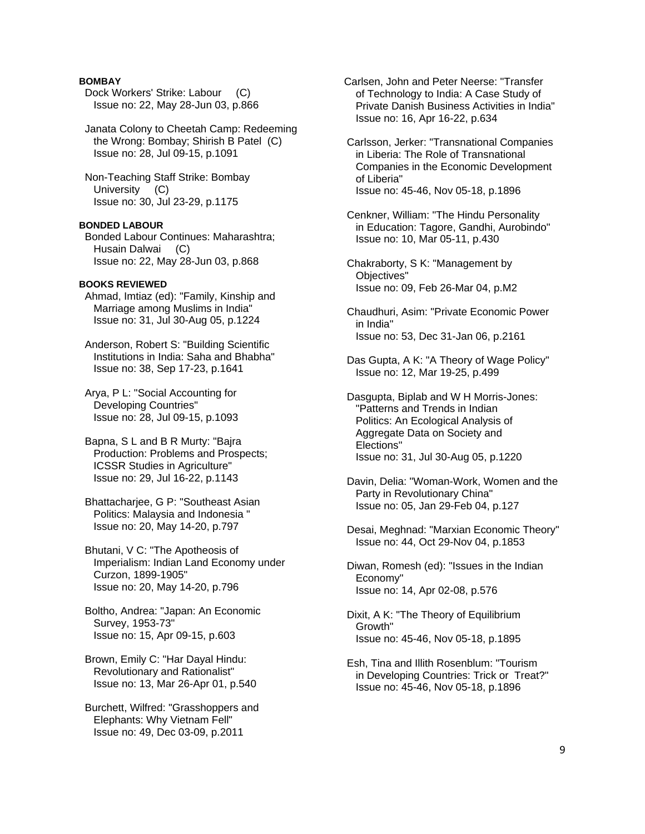# **BOMBAY**

Dock Workers' Strike: Labour (C) Issue no: 22, May 28-Jun 03, p.866

 Janata Colony to Cheetah Camp: Redeeming the Wrong: Bombay; Shirish B Patel (C) Issue no: 28, Jul 09-15, p.1091

 Non-Teaching Staff Strike: Bombay University (C) Issue no: 30, Jul 23-29, p.1175

# **BONDED LABOUR**

 Bonded Labour Continues: Maharashtra; Husain Dalwai (C) Issue no: 22, May 28-Jun 03, p.868

# **BOOKS REVIEWED**

 Ahmad, Imtiaz (ed): "Family, Kinship and Marriage among Muslims in India" Issue no: 31, Jul 30-Aug 05, p.1224

 Anderson, Robert S: "Building Scientific Institutions in India: Saha and Bhabha" Issue no: 38, Sep 17-23, p.1641

 Arya, P L: "Social Accounting for Developing Countries" Issue no: 28, Jul 09-15, p.1093

 Bapna, S L and B R Murty: "Bajra Production: Problems and Prospects; ICSSR Studies in Agriculture" Issue no: 29, Jul 16-22, p.1143

 Bhattacharjee, G P: "Southeast Asian Politics: Malaysia and Indonesia " Issue no: 20, May 14-20, p.797

 Bhutani, V C: "The Apotheosis of Imperialism: Indian Land Economy under Curzon, 1899-1905" Issue no: 20, May 14-20, p.796

 Boltho, Andrea: "Japan: An Economic Survey, 1953-73" Issue no: 15, Apr 09-15, p.603

 Brown, Emily C: "Har Dayal Hindu: Revolutionary and Rationalist" Issue no: 13, Mar 26-Apr 01, p.540

 Burchett, Wilfred: "Grasshoppers and Elephants: Why Vietnam Fell" Issue no: 49, Dec 03-09, p.2011

 Carlsen, John and Peter Neerse: "Transfer of Technology to India: A Case Study of Private Danish Business Activities in India" Issue no: 16, Apr 16-22, p.634

 Carlsson, Jerker: "Transnational Companies in Liberia: The Role of Transnational Companies in the Economic Development of Liberia" Issue no: 45-46, Nov 05-18, p.1896

 Cenkner, William: "The Hindu Personality in Education: Tagore, Gandhi, Aurobindo" Issue no: 10, Mar 05-11, p.430

 Chakraborty, S K: "Management by Objectives" Issue no: 09, Feb 26-Mar 04, p.M2

 Chaudhuri, Asim: "Private Economic Power in India" Issue no: 53, Dec 31-Jan 06, p.2161

 Das Gupta, A K: "A Theory of Wage Policy" Issue no: 12, Mar 19-25, p.499

 Dasgupta, Biplab and W H Morris-Jones: "Patterns and Trends in Indian Politics: An Ecological Analysis of Aggregate Data on Society and Elections" Issue no: 31, Jul 30-Aug 05, p.1220

 Davin, Delia: "Woman-Work, Women and the Party in Revolutionary China" Issue no: 05, Jan 29-Feb 04, p.127

 Desai, Meghnad: "Marxian Economic Theory" Issue no: 44, Oct 29-Nov 04, p.1853

 Diwan, Romesh (ed): "Issues in the Indian Economy" Issue no: 14, Apr 02-08, p.576

 Dixit, A K: "The Theory of Equilibrium Growth" Issue no: 45-46, Nov 05-18, p.1895

 Esh, Tina and Illith Rosenblum: "Tourism in Developing Countries: Trick or Treat?" Issue no: 45-46, Nov 05-18, p.1896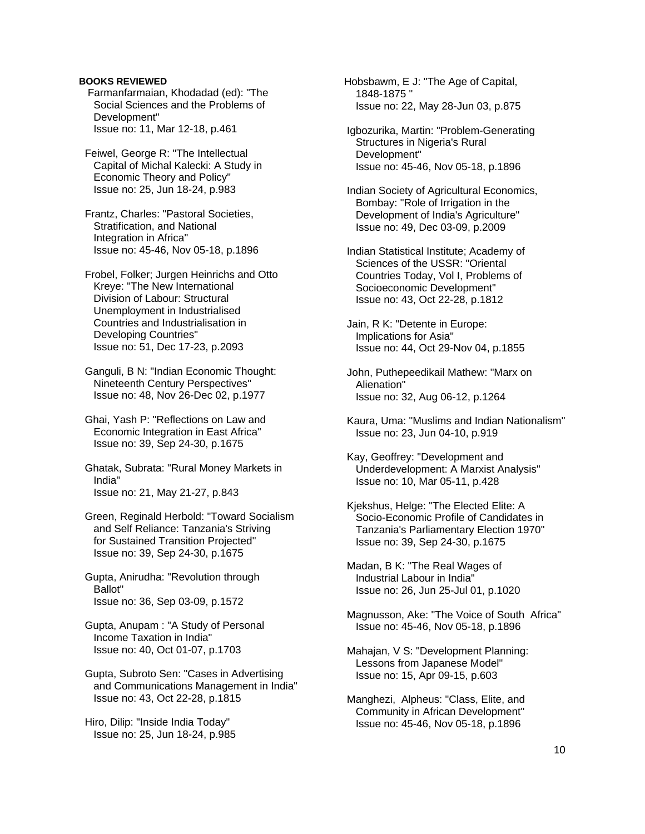# **BOOKS REVIEWED**

 Farmanfarmaian, Khodadad (ed): "The Social Sciences and the Problems of Development" Issue no: 11, Mar 12-18, p.461

 Feiwel, George R: "The Intellectual Capital of Michal Kalecki: A Study in Economic Theory and Policy" Issue no: 25, Jun 18-24, p.983

 Frantz, Charles: "Pastoral Societies, Stratification, and National Integration in Africa" Issue no: 45-46, Nov 05-18, p.1896

 Frobel, Folker; Jurgen Heinrichs and Otto Kreye: "The New International Division of Labour: Structural Unemployment in Industrialised Countries and Industrialisation in Developing Countries" Issue no: 51, Dec 17-23, p.2093

 Ganguli, B N: "Indian Economic Thought: Nineteenth Century Perspectives" Issue no: 48, Nov 26-Dec 02, p.1977

 Ghai, Yash P: "Reflections on Law and Economic Integration in East Africa" Issue no: 39, Sep 24-30, p.1675

 Ghatak, Subrata: "Rural Money Markets in India" Issue no: 21, May 21-27, p.843

 Green, Reginald Herbold: "Toward Socialism and Self Reliance: Tanzania's Striving for Sustained Transition Projected" Issue no: 39, Sep 24-30, p.1675

 Gupta, Anirudha: "Revolution through Ballot" Issue no: 36, Sep 03-09, p.1572

 Gupta, Anupam : "A Study of Personal Income Taxation in India" Issue no: 40, Oct 01-07, p.1703

 Gupta, Subroto Sen: "Cases in Advertising and Communications Management in India" Issue no: 43, Oct 22-28, p.1815

 Hiro, Dilip: "Inside India Today" Issue no: 25, Jun 18-24, p.985  Hobsbawm, E J: "The Age of Capital, 1848-1875 " Issue no: 22, May 28-Jun 03, p.875

 Igbozurika, Martin: "Problem-Generating Structures in Nigeria's Rural Development" Issue no: 45-46, Nov 05-18, p.1896

 Indian Society of Agricultural Economics, Bombay: "Role of Irrigation in the Development of India's Agriculture" Issue no: 49, Dec 03-09, p.2009

 Indian Statistical Institute; Academy of Sciences of the USSR: "Oriental Countries Today, Vol I, Problems of Socioeconomic Development" Issue no: 43, Oct 22-28, p.1812

 Jain, R K: "Detente in Europe: Implications for Asia" Issue no: 44, Oct 29-Nov 04, p.1855

 John, Puthepeedikail Mathew: "Marx on Alienation" Issue no: 32, Aug 06-12, p.1264

 Kaura, Uma: "Muslims and Indian Nationalism" Issue no: 23, Jun 04-10, p.919

 Kay, Geoffrey: "Development and Underdevelopment: A Marxist Analysis" Issue no: 10, Mar 05-11, p.428

 Kjekshus, Helge: "The Elected Elite: A Socio-Economic Profile of Candidates in Tanzania's Parliamentary Election 1970" Issue no: 39, Sep 24-30, p.1675

 Madan, B K: "The Real Wages of Industrial Labour in India" Issue no: 26, Jun 25-Jul 01, p.1020

 Magnusson, Ake: "The Voice of South Africa" Issue no: 45-46, Nov 05-18, p.1896

 Mahajan, V S: "Development Planning: Lessons from Japanese Model" Issue no: 15, Apr 09-15, p.603

 Manghezi, Alpheus: "Class, Elite, and Community in African Development" Issue no: 45-46, Nov 05-18, p.1896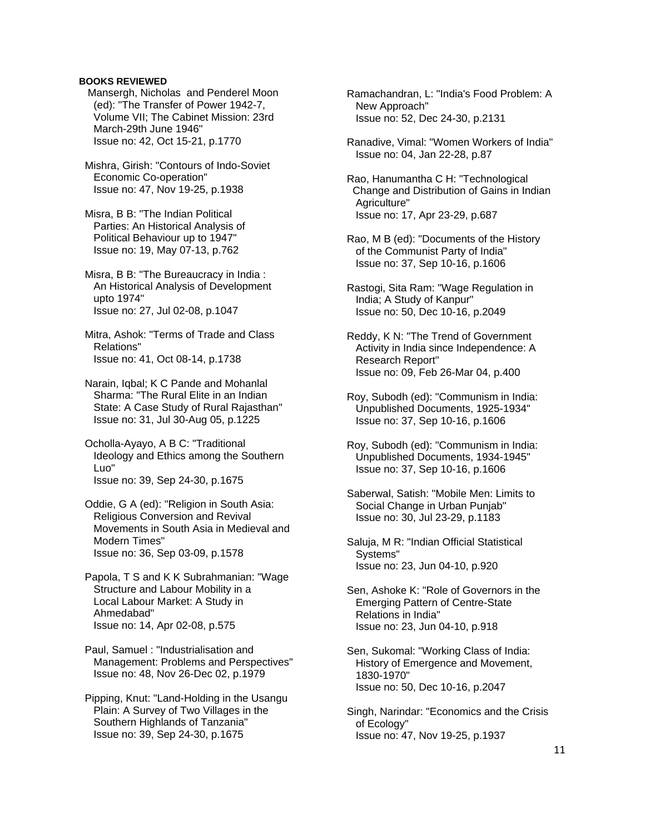# **BOOKS REVIEWED**

 Mansergh, Nicholas and Penderel Moon (ed): "The Transfer of Power 1942-7, Volume VII; The Cabinet Mission: 23rd March-29th June 1946" Issue no: 42, Oct 15-21, p.1770

 Mishra, Girish: "Contours of Indo-Soviet Economic Co-operation" Issue no: 47, Nov 19-25, p.1938

 Misra, B B: "The Indian Political Parties: An Historical Analysis of Political Behaviour up to 1947" Issue no: 19, May 07-13, p.762

 Misra, B B: "The Bureaucracy in India : An Historical Analysis of Development upto 1974" Issue no: 27, Jul 02-08, p.1047

 Mitra, Ashok: "Terms of Trade and Class Relations" Issue no: 41, Oct 08-14, p.1738

 Narain, Iqbal; K C Pande and Mohanlal Sharma: "The Rural Elite in an Indian State: A Case Study of Rural Rajasthan" Issue no: 31, Jul 30-Aug 05, p.1225

 Ocholla-Ayayo, A B C: "Traditional Ideology and Ethics among the Southern Luo" Issue no: 39, Sep 24-30, p.1675

 Oddie, G A (ed): "Religion in South Asia: Religious Conversion and Revival Movements in South Asia in Medieval and Modern Times" Issue no: 36, Sep 03-09, p.1578

 Papola, T S and K K Subrahmanian: "Wage Structure and Labour Mobility in a Local Labour Market: A Study in Ahmedabad" Issue no: 14, Apr 02-08, p.575

 Paul, Samuel : "Industrialisation and Management: Problems and Perspectives" Issue no: 48, Nov 26-Dec 02, p.1979

 Pipping, Knut: "Land-Holding in the Usangu Plain: A Survey of Two Villages in the Southern Highlands of Tanzania" Issue no: 39, Sep 24-30, p.1675

 Ramachandran, L: "India's Food Problem: A New Approach" Issue no: 52, Dec 24-30, p.2131

 Ranadive, Vimal: "Women Workers of India" Issue no: 04, Jan 22-28, p.87

 Rao, Hanumantha C H: "Technological Change and Distribution of Gains in Indian Agriculture" Issue no: 17, Apr 23-29, p.687

 Rao, M B (ed): "Documents of the History of the Communist Party of India" Issue no: 37, Sep 10-16, p.1606

 Rastogi, Sita Ram: "Wage Regulation in India; A Study of Kanpur" Issue no: 50, Dec 10-16, p.2049

 Reddy, K N: "The Trend of Government Activity in India since Independence: A Research Report" Issue no: 09, Feb 26-Mar 04, p.400

 Roy, Subodh (ed): "Communism in India: Unpublished Documents, 1925-1934" Issue no: 37, Sep 10-16, p.1606

 Roy, Subodh (ed): "Communism in India: Unpublished Documents, 1934-1945" Issue no: 37, Sep 10-16, p.1606

 Saberwal, Satish: "Mobile Men: Limits to Social Change in Urban Punjab" Issue no: 30, Jul 23-29, p.1183

 Saluja, M R: "Indian Official Statistical Systems" Issue no: 23, Jun 04-10, p.920

 Sen, Ashoke K: "Role of Governors in the Emerging Pattern of Centre-State Relations in India" Issue no: 23, Jun 04-10, p.918

 Sen, Sukomal: "Working Class of India: History of Emergence and Movement, 1830-1970" Issue no: 50, Dec 10-16, p.2047

 Singh, Narindar: "Economics and the Crisis of Ecology" Issue no: 47, Nov 19-25, p.1937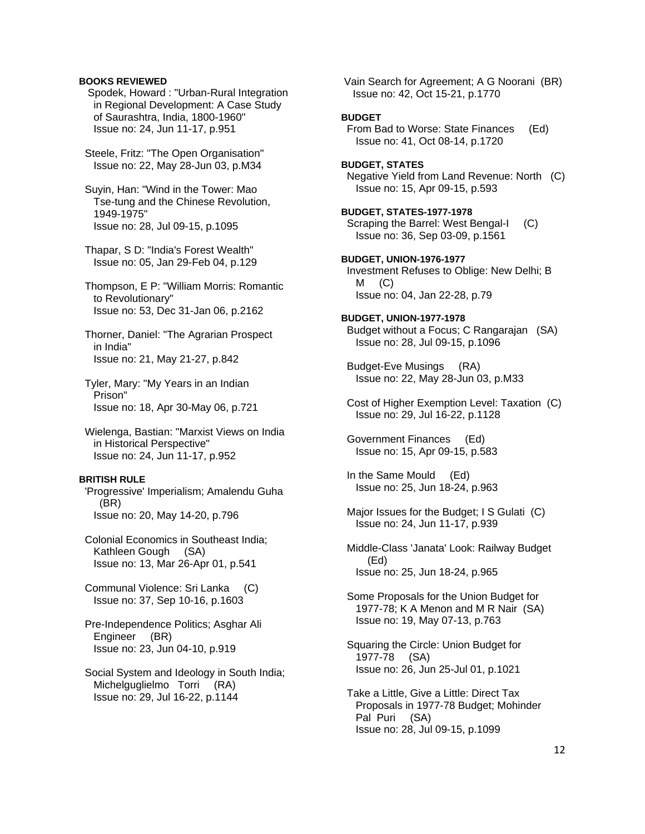# **BOOKS REVIEWED**

 Spodek, Howard : "Urban-Rural Integration in Regional Development: A Case Study of Saurashtra, India, 1800-1960" Issue no: 24, Jun 11-17, p.951

 Steele, Fritz: "The Open Organisation" Issue no: 22, May 28-Jun 03, p.M34

 Suyin, Han: "Wind in the Tower: Mao Tse-tung and the Chinese Revolution, 1949-1975" Issue no: 28, Jul 09-15, p.1095

 Thapar, S D: "India's Forest Wealth" Issue no: 05, Jan 29-Feb 04, p.129

 Thompson, E P: "William Morris: Romantic to Revolutionary" Issue no: 53, Dec 31-Jan 06, p.2162

 Thorner, Daniel: "The Agrarian Prospect in India" Issue no: 21, May 21-27, p.842

 Tyler, Mary: "My Years in an Indian Prison" Issue no: 18, Apr 30-May 06, p.721

 Wielenga, Bastian: "Marxist Views on India in Historical Perspective" Issue no: 24, Jun 11-17, p.952

### **BRITISH RULE**

 'Progressive' Imperialism; Amalendu Guha (BR) Issue no: 20, May 14-20, p.796

- Colonial Economics in Southeast India; Kathleen Gough (SA) Issue no: 13, Mar 26-Apr 01, p.541
- Communal Violence: Sri Lanka (C) Issue no: 37, Sep 10-16, p.1603
- Pre-Independence Politics; Asghar Ali Engineer (BR) Issue no: 23, Jun 04-10, p.919
- Social System and Ideology in South India; Michelguglielmo Torri (RA) Issue no: 29, Jul 16-22, p.1144

 Vain Search for Agreement; A G Noorani (BR) Issue no: 42, Oct 15-21, p.1770

# **BUDGET**

 From Bad to Worse: State Finances (Ed) Issue no: 41, Oct 08-14, p.1720

**BUDGET, STATES**  Negative Yield from Land Revenue: North (C) Issue no: 15, Apr 09-15, p.593

**BUDGET, STATES-1977-1978**  Scraping the Barrel: West Bengal-I (C) Issue no: 36, Sep 03-09, p.1561

**BUDGET, UNION-1976-1977**  Investment Refuses to Oblige: New Delhi; B  $M$   $(C)$ Issue no: 04, Jan 22-28, p.79

- **BUDGET, UNION-1977-1978**  Budget without a Focus; C Rangarajan (SA) Issue no: 28, Jul 09-15, p.1096
- Budget-Eve Musings (RA) Issue no: 22, May 28-Jun 03, p.M33
- Cost of Higher Exemption Level: Taxation (C) Issue no: 29, Jul 16-22, p.1128

 Government Finances (Ed) Issue no: 15, Apr 09-15, p.583

 In the Same Mould (Ed) Issue no: 25, Jun 18-24, p.963

- Major Issues for the Budget; I S Gulati (C) Issue no: 24, Jun 11-17, p.939
- Middle-Class 'Janata' Look: Railway Budget (Ed) Issue no: 25, Jun 18-24, p.965
- Some Proposals for the Union Budget for 1977-78; K A Menon and M R Nair (SA) Issue no: 19, May 07-13, p.763
- Squaring the Circle: Union Budget for 1977-78 (SA) Issue no: 26, Jun 25-Jul 01, p.1021
- Take a Little, Give a Little: Direct Tax Proposals in 1977-78 Budget; Mohinder Pal Puri (SA) Issue no: 28, Jul 09-15, p.1099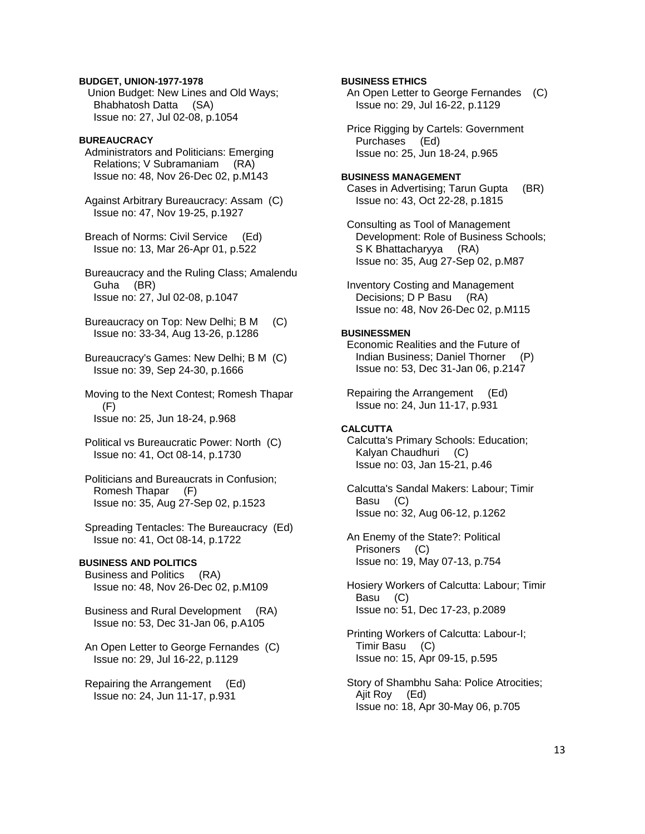## **BUDGET, UNION-1977-1978**

 Union Budget: New Lines and Old Ways; Bhabhatosh Datta (SA) Issue no: 27, Jul 02-08, p.1054

# **BUREAUCRACY**

 Administrators and Politicians: Emerging Relations; V Subramaniam (RA) Issue no: 48, Nov 26-Dec 02, p.M143

 Against Arbitrary Bureaucracy: Assam (C) Issue no: 47, Nov 19-25, p.1927

 Breach of Norms: Civil Service (Ed) Issue no: 13, Mar 26-Apr 01, p.522

 Bureaucracy and the Ruling Class; Amalendu Guha (BR) Issue no: 27, Jul 02-08, p.1047

 Bureaucracy on Top: New Delhi; B M (C) Issue no: 33-34, Aug 13-26, p.1286

 Bureaucracy's Games: New Delhi; B M (C) Issue no: 39, Sep 24-30, p.1666

 Moving to the Next Contest; Romesh Thapar (F) Issue no: 25, Jun 18-24, p.968

- Political vs Bureaucratic Power: North (C) Issue no: 41, Oct 08-14, p.1730
- Politicians and Bureaucrats in Confusion; Romesh Thapar (F) Issue no: 35, Aug 27-Sep 02, p.1523
- Spreading Tentacles: The Bureaucracy (Ed) Issue no: 41, Oct 08-14, p.1722

# **BUSINESS AND POLITICS**

 Business and Politics (RA) Issue no: 48, Nov 26-Dec 02, p.M109

- Business and Rural Development (RA) Issue no: 53, Dec 31-Jan 06, p.A105
- An Open Letter to George Fernandes (C) Issue no: 29, Jul 16-22, p.1129
- Repairing the Arrangement (Ed) Issue no: 24, Jun 11-17, p.931

# **BUSINESS ETHICS**

 An Open Letter to George Fernandes (C) Issue no: 29, Jul 16-22, p.1129

 Price Rigging by Cartels: Government Purchases (Ed) Issue no: 25, Jun 18-24, p.965

## **BUSINESS MANAGEMENT**  Cases in Advertising; Tarun Gupta (BR) Issue no: 43, Oct 22-28, p.1815

 Consulting as Tool of Management Development: Role of Business Schools; S K Bhattacharyya (RA) Issue no: 35, Aug 27-Sep 02, p.M87

 Inventory Costing and Management Decisions; D P Basu (RA) Issue no: 48, Nov 26-Dec 02, p.M115

## **BUSINESSMEN**

 Economic Realities and the Future of Indian Business; Daniel Thorner (P) Issue no: 53, Dec 31-Jan 06, p.2147

 Repairing the Arrangement (Ed) Issue no: 24, Jun 11-17, p.931

# **CALCUTTA**

 Calcutta's Primary Schools: Education; Kalyan Chaudhuri (C) Issue no: 03, Jan 15-21, p.46

 Calcutta's Sandal Makers: Labour; Timir Basu (C) Issue no: 32, Aug 06-12, p.1262

 An Enemy of the State?: Political Prisoners (C) Issue no: 19, May 07-13, p.754

 Hosiery Workers of Calcutta: Labour; Timir Basu (C) Issue no: 51, Dec 17-23, p.2089

 Printing Workers of Calcutta: Labour-I; Timir Basu (C) Issue no: 15, Apr 09-15, p.595

 Story of Shambhu Saha: Police Atrocities; Ajit Roy (Ed) Issue no: 18, Apr 30-May 06, p.705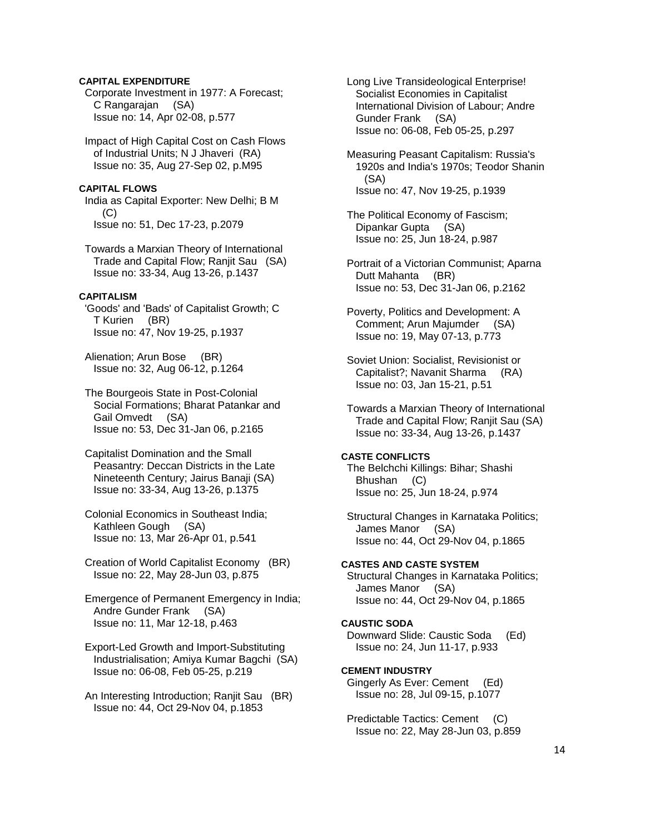# **CAPITAL EXPENDITURE**

 Corporate Investment in 1977: A Forecast; C Rangarajan (SA) Issue no: 14, Apr 02-08, p.577

 Impact of High Capital Cost on Cash Flows of Industrial Units; N J Jhaveri (RA) Issue no: 35, Aug 27-Sep 02, p.M95

## **CAPITAL FLOWS**

 India as Capital Exporter: New Delhi; B M  $(C)$ Issue no: 51, Dec 17-23, p.2079

 Towards a Marxian Theory of International Trade and Capital Flow; Ranjit Sau (SA) Issue no: 33-34, Aug 13-26, p.1437

# **CAPITALISM**

 'Goods' and 'Bads' of Capitalist Growth; C T Kurien (BR) Issue no: 47, Nov 19-25, p.1937

 Alienation; Arun Bose (BR) Issue no: 32, Aug 06-12, p.1264

 The Bourgeois State in Post-Colonial Social Formations; Bharat Patankar and Gail Omvedt (SA) Issue no: 53, Dec 31-Jan 06, p.2165

 Capitalist Domination and the Small Peasantry: Deccan Districts in the Late Nineteenth Century; Jairus Banaji (SA) Issue no: 33-34, Aug 13-26, p.1375

 Colonial Economics in Southeast India; Kathleen Gough (SA) Issue no: 13, Mar 26-Apr 01, p.541

 Creation of World Capitalist Economy (BR) Issue no: 22, May 28-Jun 03, p.875

 Emergence of Permanent Emergency in India; Andre Gunder Frank (SA) Issue no: 11, Mar 12-18, p.463

 Export-Led Growth and Import-Substituting Industrialisation; Amiya Kumar Bagchi (SA) Issue no: 06-08, Feb 05-25, p.219

 An Interesting Introduction; Ranjit Sau (BR) Issue no: 44, Oct 29-Nov 04, p.1853

 Long Live Transideological Enterprise! Socialist Economies in Capitalist International Division of Labour; Andre Gunder Frank (SA) Issue no: 06-08, Feb 05-25, p.297

 Measuring Peasant Capitalism: Russia's 1920s and India's 1970s; Teodor Shanin (SA) Issue no: 47, Nov 19-25, p.1939

 The Political Economy of Fascism; Dipankar Gupta (SA) Issue no: 25, Jun 18-24, p.987

 Portrait of a Victorian Communist; Aparna Dutt Mahanta (BR) Issue no: 53, Dec 31-Jan 06, p.2162

 Poverty, Politics and Development: A Comment; Arun Majumder (SA) Issue no: 19, May 07-13, p.773

 Soviet Union: Socialist, Revisionist or Capitalist?; Navanit Sharma (RA) Issue no: 03, Jan 15-21, p.51

 Towards a Marxian Theory of International Trade and Capital Flow; Ranjit Sau (SA) Issue no: 33-34, Aug 13-26, p.1437

## **CASTE CONFLICTS**

 The Belchchi Killings: Bihar; Shashi Bhushan (C) Issue no: 25, Jun 18-24, p.974

 Structural Changes in Karnataka Politics; James Manor (SA) Issue no: 44, Oct 29-Nov 04, p.1865

# **CASTES AND CASTE SYSTEM**

 Structural Changes in Karnataka Politics; James Manor (SA) Issue no: 44, Oct 29-Nov 04, p.1865

# **CAUSTIC SODA**

 Downward Slide: Caustic Soda (Ed) Issue no: 24, Jun 11-17, p.933

## **CEMENT INDUSTRY**

 Gingerly As Ever: Cement (Ed) Issue no: 28, Jul 09-15, p.1077

 Predictable Tactics: Cement (C) Issue no: 22, May 28-Jun 03, p.859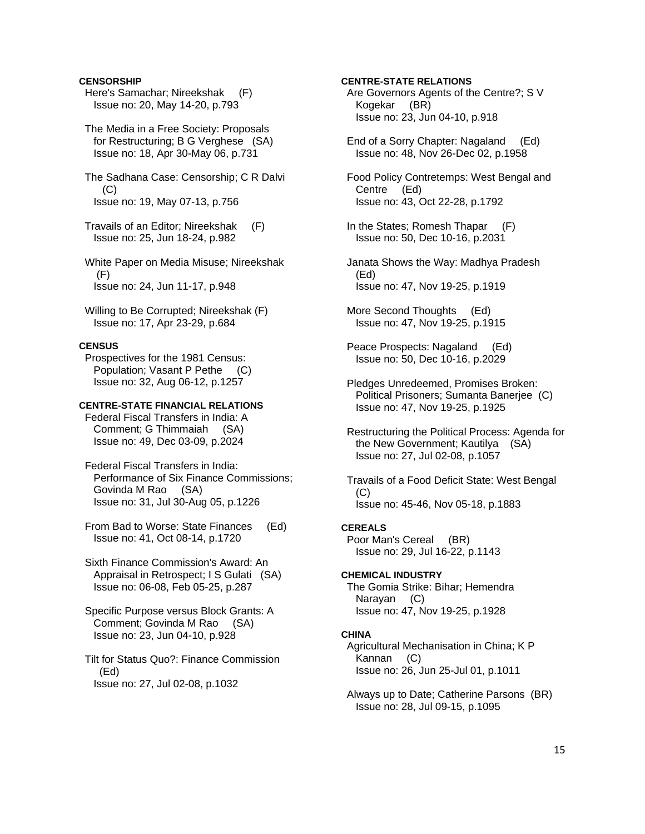# **CENSORSHIP**

- Here's Samachar; Nireekshak (F) Issue no: 20, May 14-20, p.793
- The Media in a Free Society: Proposals for Restructuring; B G Verghese (SA) Issue no: 18, Apr 30-May 06, p.731
- The Sadhana Case: Censorship; C R Dalvi (C) Issue no: 19, May 07-13, p.756
- Travails of an Editor; Nireekshak (F) Issue no: 25, Jun 18-24, p.982
- White Paper on Media Misuse; Nireekshak (F) Issue no: 24, Jun 11-17, p.948
- Willing to Be Corrupted; Nireekshak (F) Issue no: 17, Apr 23-29, p.684

# **CENSUS**

 Prospectives for the 1981 Census: Population; Vasant P Pethe (C) Issue no: 32, Aug 06-12, p.1257

# **CENTRE-STATE FINANCIAL RELATIONS**

 Federal Fiscal Transfers in India: A Comment; G Thimmaiah (SA) Issue no: 49, Dec 03-09, p.2024

- Federal Fiscal Transfers in India: Performance of Six Finance Commissions; Govinda M Rao (SA) Issue no: 31, Jul 30-Aug 05, p.1226
- From Bad to Worse: State Finances (Ed) Issue no: 41, Oct 08-14, p.1720
- Sixth Finance Commission's Award: An Appraisal in Retrospect; I S Gulati (SA) Issue no: 06-08, Feb 05-25, p.287
- Specific Purpose versus Block Grants: A Comment; Govinda M Rao (SA) Issue no: 23, Jun 04-10, p.928
- Tilt for Status Quo?: Finance Commission (Ed) Issue no: 27, Jul 02-08, p.1032

# **CENTRE-STATE RELATIONS**

- Are Governors Agents of the Centre?; S V Kogekar (BR) Issue no: 23, Jun 04-10, p.918
- End of a Sorry Chapter: Nagaland (Ed) Issue no: 48, Nov 26-Dec 02, p.1958
- Food Policy Contretemps: West Bengal and Centre (Ed) Issue no: 43, Oct 22-28, p.1792
- In the States; Romesh Thapar (F) Issue no: 50, Dec 10-16, p.2031
- Janata Shows the Way: Madhya Pradesh (Ed) Issue no: 47, Nov 19-25, p.1919
- More Second Thoughts (Ed) Issue no: 47, Nov 19-25, p.1915
- Peace Prospects: Nagaland (Ed) Issue no: 50, Dec 10-16, p.2029
- Pledges Unredeemed, Promises Broken: Political Prisoners; Sumanta Banerjee (C) Issue no: 47, Nov 19-25, p.1925
- Restructuring the Political Process: Agenda for the New Government; Kautilya (SA) Issue no: 27, Jul 02-08, p.1057
- Travails of a Food Deficit State: West Bengal (C) Issue no: 45-46, Nov 05-18, p.1883

## **CEREALS**

 Poor Man's Cereal (BR) Issue no: 29, Jul 16-22, p.1143

#### **CHEMICAL INDUSTRY**

 The Gomia Strike: Bihar; Hemendra Narayan (C) Issue no: 47, Nov 19-25, p.1928

#### **CHINA**

 Agricultural Mechanisation in China; K P Kannan (C) Issue no: 26, Jun 25-Jul 01, p.1011

 Always up to Date; Catherine Parsons (BR) Issue no: 28, Jul 09-15, p.1095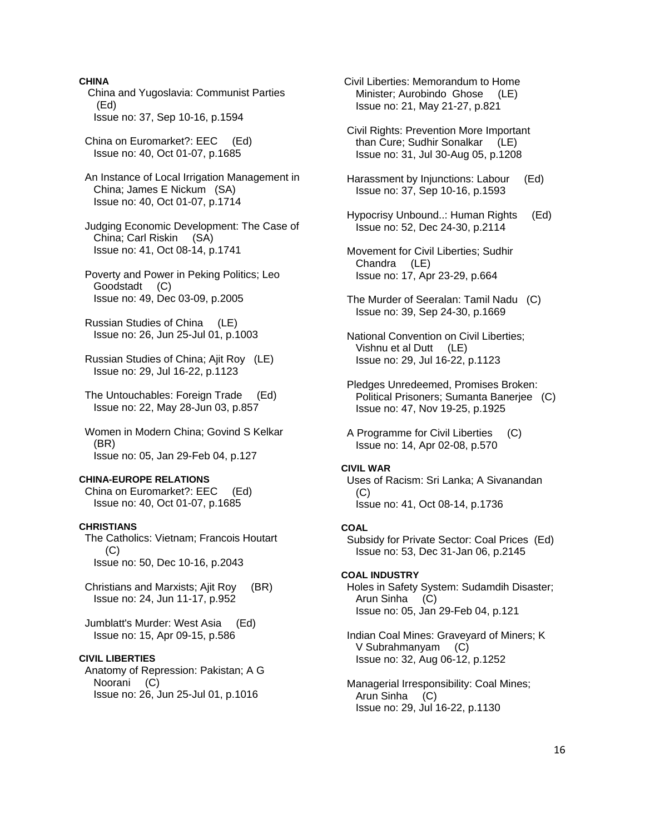## **CHINA**

 China and Yugoslavia: Communist Parties (Ed) Issue no: 37, Sep 10-16, p.1594

 China on Euromarket?: EEC (Ed) Issue no: 40, Oct 01-07, p.1685

 An Instance of Local Irrigation Management in China; James E Nickum (SA) Issue no: 40, Oct 01-07, p.1714

 Judging Economic Development: The Case of China; Carl Riskin (SA) Issue no: 41, Oct 08-14, p.1741

 Poverty and Power in Peking Politics; Leo Goodstadt (C) Issue no: 49, Dec 03-09, p.2005

 Russian Studies of China (LE) Issue no: 26, Jun 25-Jul 01, p.1003

 Russian Studies of China; Ajit Roy (LE) Issue no: 29, Jul 16-22, p.1123

 The Untouchables: Foreign Trade (Ed) Issue no: 22, May 28-Jun 03, p.857

 Women in Modern China; Govind S Kelkar (BR) Issue no: 05, Jan 29-Feb 04, p.127

### **CHINA-EUROPE RELATIONS**

 China on Euromarket?: EEC (Ed) Issue no: 40, Oct 01-07, p.1685

# **CHRISTIANS**

 The Catholics: Vietnam; Francois Houtart (C) Issue no: 50, Dec 10-16, p.2043

 Christians and Marxists; Ajit Roy (BR) Issue no: 24, Jun 11-17, p.952

 Jumblatt's Murder: West Asia (Ed) Issue no: 15, Apr 09-15, p.586

#### **CIVIL LIBERTIES**

 Anatomy of Repression: Pakistan; A G Noorani (C) Issue no: 26, Jun 25-Jul 01, p.1016

 Civil Liberties: Memorandum to Home Minister; Aurobindo Ghose (LE) Issue no: 21, May 21-27, p.821

 Civil Rights: Prevention More Important than Cure; Sudhir Sonalkar (LE) Issue no: 31, Jul 30-Aug 05, p.1208

 Harassment by Injunctions: Labour (Ed) Issue no: 37, Sep 10-16, p.1593

 Hypocrisy Unbound..: Human Rights (Ed) Issue no: 52, Dec 24-30, p.2114

 Movement for Civil Liberties; Sudhir Chandra (LE) Issue no: 17, Apr 23-29, p.664

- The Murder of Seeralan: Tamil Nadu (C) Issue no: 39, Sep 24-30, p.1669
- National Convention on Civil Liberties; Vishnu et al Dutt (LE) Issue no: 29, Jul 16-22, p.1123
- Pledges Unredeemed, Promises Broken: Political Prisoners; Sumanta Banerjee (C) Issue no: 47, Nov 19-25, p.1925

 A Programme for Civil Liberties (C) Issue no: 14, Apr 02-08, p.570

# **CIVIL WAR**

 Uses of Racism: Sri Lanka; A Sivanandan  $(C)$ Issue no: 41, Oct 08-14, p.1736

#### **COAL**

 Subsidy for Private Sector: Coal Prices (Ed) Issue no: 53, Dec 31-Jan 06, p.2145

#### **COAL INDUSTRY**

 Holes in Safety System: Sudamdih Disaster; Arun Sinha (C) Issue no: 05, Jan 29-Feb 04, p.121

 Indian Coal Mines: Graveyard of Miners; K V Subrahmanyam (C) Issue no: 32, Aug 06-12, p.1252

 Managerial Irresponsibility: Coal Mines; Arun Sinha (C) Issue no: 29, Jul 16-22, p.1130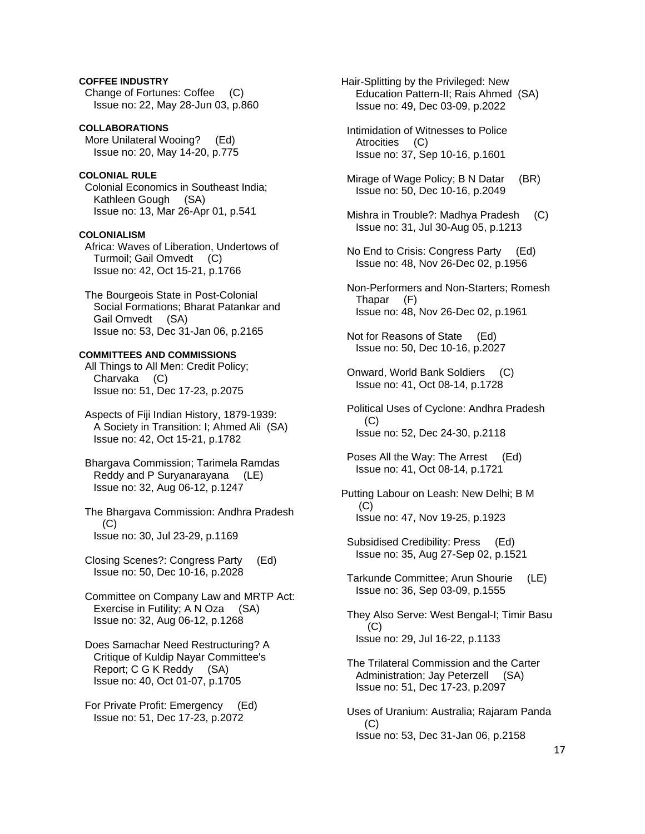# **COFFEE INDUSTRY**

 Change of Fortunes: Coffee (C) Issue no: 22, May 28-Jun 03, p.860

# **COLLABORATIONS**

 More Unilateral Wooing? (Ed) Issue no: 20, May 14-20, p.775

#### **COLONIAL RULE**

 Colonial Economics in Southeast India; Kathleen Gough (SA) Issue no: 13, Mar 26-Apr 01, p.541

#### **COLONIALISM**

 Africa: Waves of Liberation, Undertows of Turmoil; Gail Omvedt (C) Issue no: 42, Oct 15-21, p.1766

 The Bourgeois State in Post-Colonial Social Formations; Bharat Patankar and Gail Omvedt (SA) Issue no: 53, Dec 31-Jan 06, p.2165

## **COMMITTEES AND COMMISSIONS**

 All Things to All Men: Credit Policy; Charvaka (C) Issue no: 51, Dec 17-23, p.2075

 Aspects of Fiji Indian History, 1879-1939: A Society in Transition: I; Ahmed Ali (SA) Issue no: 42, Oct 15-21, p.1782

 Bhargava Commission; Tarimela Ramdas Reddy and P Suryanarayana (LE) Issue no: 32, Aug 06-12, p.1247

 The Bhargava Commission: Andhra Pradesh (C) Issue no: 30, Jul 23-29, p.1169

 Closing Scenes?: Congress Party (Ed) Issue no: 50, Dec 10-16, p.2028

 Committee on Company Law and MRTP Act: Exercise in Futility; A N Oza (SA) Issue no: 32, Aug 06-12, p.1268

 Does Samachar Need Restructuring? A Critique of Kuldip Nayar Committee's Report; C G K Reddy (SA) Issue no: 40, Oct 01-07, p.1705

 For Private Profit: Emergency (Ed) Issue no: 51, Dec 17-23, p.2072

Hair-Splitting by the Privileged: New Education Pattern-II; Rais Ahmed (SA) Issue no: 49, Dec 03-09, p.2022

 Intimidation of Witnesses to Police Atrocities (C) Issue no: 37, Sep 10-16, p.1601

Mirage of Wage Policy; B N Datar (BR) Issue no: 50, Dec 10-16, p.2049

- Mishra in Trouble?: Madhya Pradesh (C) Issue no: 31, Jul 30-Aug 05, p.1213
- No End to Crisis: Congress Party (Ed) Issue no: 48, Nov 26-Dec 02, p.1956
- Non-Performers and Non-Starters; Romesh Thapar (F) Issue no: 48, Nov 26-Dec 02, p.1961

 Not for Reasons of State (Ed) Issue no: 50, Dec 10-16, p.2027

 Onward, World Bank Soldiers (C) Issue no: 41, Oct 08-14, p.1728

 Political Uses of Cyclone: Andhra Pradesh (C) Issue no: 52, Dec 24-30, p.2118

 Poses All the Way: The Arrest (Ed) Issue no: 41, Oct 08-14, p.1721

Putting Labour on Leash: New Delhi; B M  $(C)$ Issue no: 47, Nov 19-25, p.1923

 Subsidised Credibility: Press (Ed) Issue no: 35, Aug 27-Sep 02, p.1521

 Tarkunde Committee; Arun Shourie (LE) Issue no: 36, Sep 03-09, p.1555

 They Also Serve: West Bengal-I; Timir Basu (C) Issue no: 29, Jul 16-22, p.1133

 The Trilateral Commission and the Carter Administration; Jay Peterzell (SA) Issue no: 51, Dec 17-23, p.2097

 Uses of Uranium: Australia; Rajaram Panda (C) Issue no: 53, Dec 31-Jan 06, p.2158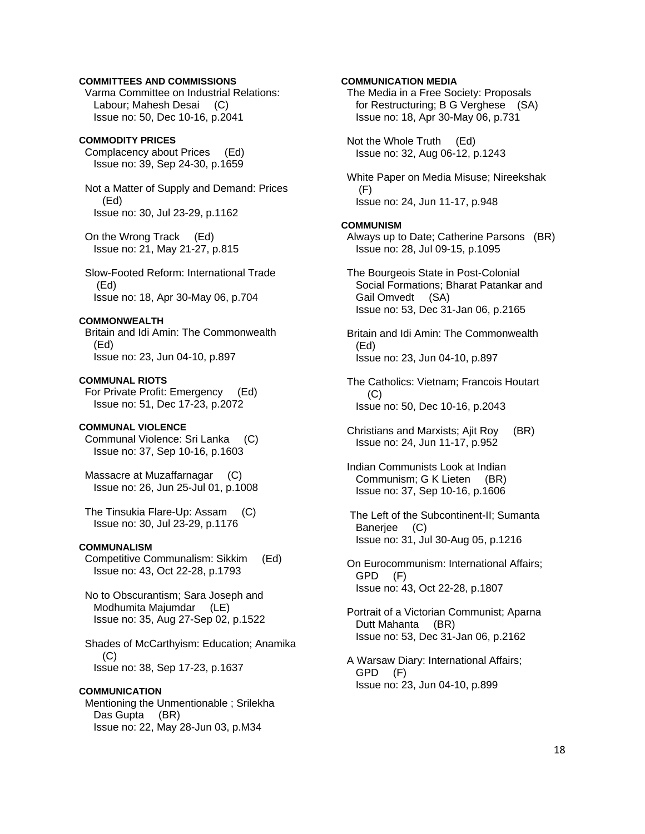# **COMMITTEES AND COMMISSIONS**

 Varma Committee on Industrial Relations: Labour; Mahesh Desai (C) Issue no: 50, Dec 10-16, p.2041

# **COMMODITY PRICES**

 Complacency about Prices (Ed) Issue no: 39, Sep 24-30, p.1659

 Not a Matter of Supply and Demand: Prices (Ed) Issue no: 30, Jul 23-29, p.1162

 On the Wrong Track (Ed) Issue no: 21, May 21-27, p.815

 Slow-Footed Reform: International Trade (Ed) Issue no: 18, Apr 30-May 06, p.704

# **COMMONWEALTH**

 Britain and Idi Amin: The Commonwealth (Ed) Issue no: 23, Jun 04-10, p.897

**COMMUNAL RIOTS**  For Private Profit: Emergency (Ed) Issue no: 51, Dec 17-23, p.2072

# **COMMUNAL VIOLENCE**

 Communal Violence: Sri Lanka (C) Issue no: 37, Sep 10-16, p.1603

 Massacre at Muzaffarnagar (C) Issue no: 26, Jun 25-Jul 01, p.1008

 The Tinsukia Flare-Up: Assam (C) Issue no: 30, Jul 23-29, p.1176

#### **COMMUNALISM**

 Competitive Communalism: Sikkim (Ed) Issue no: 43, Oct 22-28, p.1793

 No to Obscurantism; Sara Joseph and Modhumita Majumdar (LE) Issue no: 35, Aug 27-Sep 02, p.1522

 Shades of McCarthyism: Education; Anamika (C) Issue no: 38, Sep 17-23, p.1637

#### **COMMUNICATION**

 Mentioning the Unmentionable ; Srilekha Das Gupta (BR) Issue no: 22, May 28-Jun 03, p.M34

## **COMMUNICATION MEDIA**

 The Media in a Free Society: Proposals for Restructuring; B G Verghese (SA) Issue no: 18, Apr 30-May 06, p.731

 Not the Whole Truth (Ed) Issue no: 32, Aug 06-12, p.1243

 White Paper on Media Misuse; Nireekshak (F) Issue no: 24, Jun 11-17, p.948

#### **COMMUNISM**

 Always up to Date; Catherine Parsons (BR) Issue no: 28, Jul 09-15, p.1095

 The Bourgeois State in Post-Colonial Social Formations; Bharat Patankar and Gail Omvedt (SA) Issue no: 53, Dec 31-Jan 06, p.2165

 Britain and Idi Amin: The Commonwealth (Ed) Issue no: 23, Jun 04-10, p.897

 The Catholics: Vietnam; Francois Houtart (C) Issue no: 50, Dec 10-16, p.2043

 Christians and Marxists; Ajit Roy (BR) Issue no: 24, Jun 11-17, p.952

 Indian Communists Look at Indian Communism; G K Lieten (BR) Issue no: 37, Sep 10-16, p.1606

 The Left of the Subcontinent-II; Sumanta Banerjee (C) Issue no: 31, Jul 30-Aug 05, p.1216

 On Eurocommunism: International Affairs; GPD (F) Issue no: 43, Oct 22-28, p.1807

 Portrait of a Victorian Communist; Aparna Dutt Mahanta (BR) Issue no: 53, Dec 31-Jan 06, p.2162

 A Warsaw Diary: International Affairs; GPD (F) Issue no: 23, Jun 04-10, p.899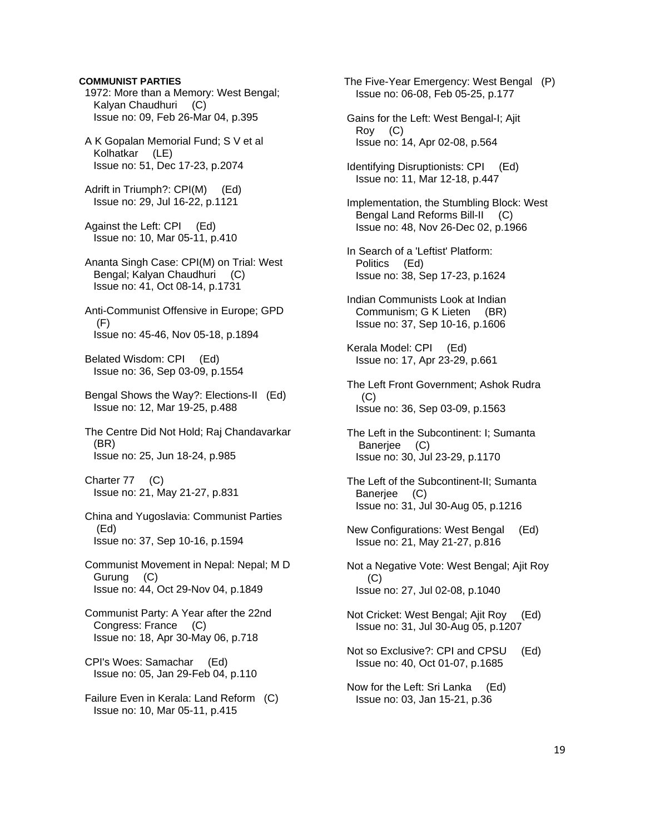# **COMMUNIST PARTIES**

 1972: More than a Memory: West Bengal; Kalyan Chaudhuri (C) Issue no: 09, Feb 26-Mar 04, p.395

 A K Gopalan Memorial Fund; S V et al Kolhatkar (LE) Issue no: 51, Dec 17-23, p.2074

 Adrift in Triumph?: CPI(M) (Ed) Issue no: 29, Jul 16-22, p.1121

 Against the Left: CPI (Ed) Issue no: 10, Mar 05-11, p.410

 Ananta Singh Case: CPI(M) on Trial: West Bengal; Kalyan Chaudhuri (C) Issue no: 41, Oct 08-14, p.1731

 Anti-Communist Offensive in Europe; GPD  $(F)$ Issue no: 45-46, Nov 05-18, p.1894

 Belated Wisdom: CPI (Ed) Issue no: 36, Sep 03-09, p.1554

 Bengal Shows the Way?: Elections-II (Ed) Issue no: 12, Mar 19-25, p.488

 The Centre Did Not Hold; Raj Chandavarkar (BR) Issue no: 25, Jun 18-24, p.985

 Charter 77 (C) Issue no: 21, May 21-27, p.831

 China and Yugoslavia: Communist Parties (Ed) Issue no: 37, Sep 10-16, p.1594

 Communist Movement in Nepal: Nepal; M D Gurung (C) Issue no: 44, Oct 29-Nov 04, p.1849

 Communist Party: A Year after the 22nd Congress: France (C) Issue no: 18, Apr 30-May 06, p.718

 CPI's Woes: Samachar (Ed) Issue no: 05, Jan 29-Feb 04, p.110

 Failure Even in Kerala: Land Reform (C) Issue no: 10, Mar 05-11, p.415

 The Five-Year Emergency: West Bengal (P) Issue no: 06-08, Feb 05-25, p.177

 Gains for the Left: West Bengal-I; Ajit Roy (C) Issue no: 14, Apr 02-08, p.564

 Identifying Disruptionists: CPI (Ed) Issue no: 11, Mar 12-18, p.447

 Implementation, the Stumbling Block: West Bengal Land Reforms Bill-II (C) Issue no: 48, Nov 26-Dec 02, p.1966

 In Search of a 'Leftist' Platform: Politics (Ed) Issue no: 38, Sep 17-23, p.1624

 Indian Communists Look at Indian Communism; G K Lieten (BR) Issue no: 37, Sep 10-16, p.1606

 Kerala Model: CPI (Ed) Issue no: 17, Apr 23-29, p.661

 The Left Front Government; Ashok Rudra  $(C)$ Issue no: 36, Sep 03-09, p.1563

 The Left in the Subcontinent: I; Sumanta Banerjee (C) Issue no: 30, Jul 23-29, p.1170

 The Left of the Subcontinent-II; Sumanta Banerjee (C) Issue no: 31, Jul 30-Aug 05, p.1216

 New Configurations: West Bengal (Ed) Issue no: 21, May 21-27, p.816

 Not a Negative Vote: West Bengal; Ajit Roy (C) Issue no: 27, Jul 02-08, p.1040

 Not Cricket: West Bengal; Ajit Roy (Ed) Issue no: 31, Jul 30-Aug 05, p.1207

 Not so Exclusive?: CPI and CPSU (Ed) Issue no: 40, Oct 01-07, p.1685

 Now for the Left: Sri Lanka (Ed) Issue no: 03, Jan 15-21, p.36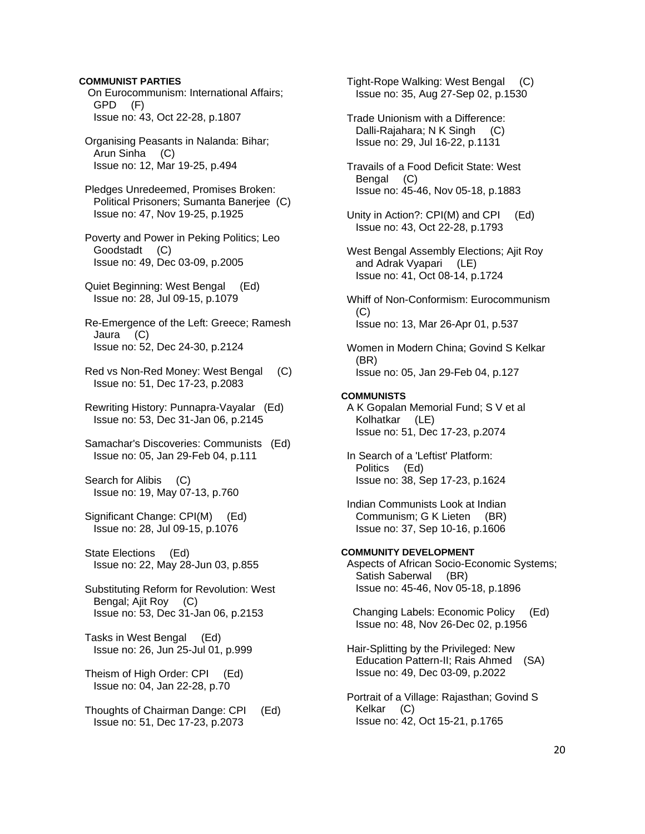# **COMMUNIST PARTIES**

 On Eurocommunism: International Affairs; GPD (F) Issue no: 43, Oct 22-28, p.1807

 Organising Peasants in Nalanda: Bihar; Arun Sinha (C) Issue no: 12, Mar 19-25, p.494

 Pledges Unredeemed, Promises Broken: Political Prisoners; Sumanta Banerjee (C) Issue no: 47, Nov 19-25, p.1925

 Poverty and Power in Peking Politics; Leo Goodstadt (C) Issue no: 49, Dec 03-09, p.2005

 Quiet Beginning: West Bengal (Ed) Issue no: 28, Jul 09-15, p.1079

 Re-Emergence of the Left: Greece; Ramesh Jaura (C) Issue no: 52, Dec 24-30, p.2124

 Red vs Non-Red Money: West Bengal (C) Issue no: 51, Dec 17-23, p.2083

 Rewriting History: Punnapra-Vayalar (Ed) Issue no: 53, Dec 31-Jan 06, p.2145

 Samachar's Discoveries: Communists (Ed) Issue no: 05, Jan 29-Feb 04, p.111

 Search for Alibis (C) Issue no: 19, May 07-13, p.760

 Significant Change: CPI(M) (Ed) Issue no: 28, Jul 09-15, p.1076

 State Elections (Ed) Issue no: 22, May 28-Jun 03, p.855

 Substituting Reform for Revolution: West Bengal; Ajit Roy (C) Issue no: 53, Dec 31-Jan 06, p.2153

 Tasks in West Bengal (Ed) Issue no: 26, Jun 25-Jul 01, p.999

 Theism of High Order: CPI (Ed) Issue no: 04, Jan 22-28, p.70

 Thoughts of Chairman Dange: CPI (Ed) Issue no: 51, Dec 17-23, p.2073

 Tight-Rope Walking: West Bengal (C) Issue no: 35, Aug 27-Sep 02, p.1530

 Trade Unionism with a Difference: Dalli-Rajahara; N K Singh (C) Issue no: 29, Jul 16-22, p.1131

 Travails of a Food Deficit State: West Bengal (C) Issue no: 45-46, Nov 05-18, p.1883

 Unity in Action?: CPI(M) and CPI (Ed) Issue no: 43, Oct 22-28, p.1793

 West Bengal Assembly Elections; Ajit Roy and Adrak Vyapari (LE) Issue no: 41, Oct 08-14, p.1724

 Whiff of Non-Conformism: Eurocommunism (C) Issue no: 13, Mar 26-Apr 01, p.537

 Women in Modern China; Govind S Kelkar (BR) Issue no: 05, Jan 29-Feb 04, p.127

#### **COMMUNISTS**

 A K Gopalan Memorial Fund; S V et al Kolhatkar (LE) Issue no: 51, Dec 17-23, p.2074

 In Search of a 'Leftist' Platform: Politics (Ed) Issue no: 38, Sep 17-23, p.1624

 Indian Communists Look at Indian Communism; G K Lieten (BR) Issue no: 37, Sep 10-16, p.1606

# **COMMUNITY DEVELOPMENT**

 Aspects of African Socio-Economic Systems; Satish Saberwal (BR) Issue no: 45-46, Nov 05-18, p.1896

 Changing Labels: Economic Policy (Ed) Issue no: 48, Nov 26-Dec 02, p.1956

 Hair-Splitting by the Privileged: New Education Pattern-II; Rais Ahmed (SA) Issue no: 49, Dec 03-09, p.2022

 Portrait of a Village: Rajasthan; Govind S Kelkar (C) Issue no: 42, Oct 15-21, p.1765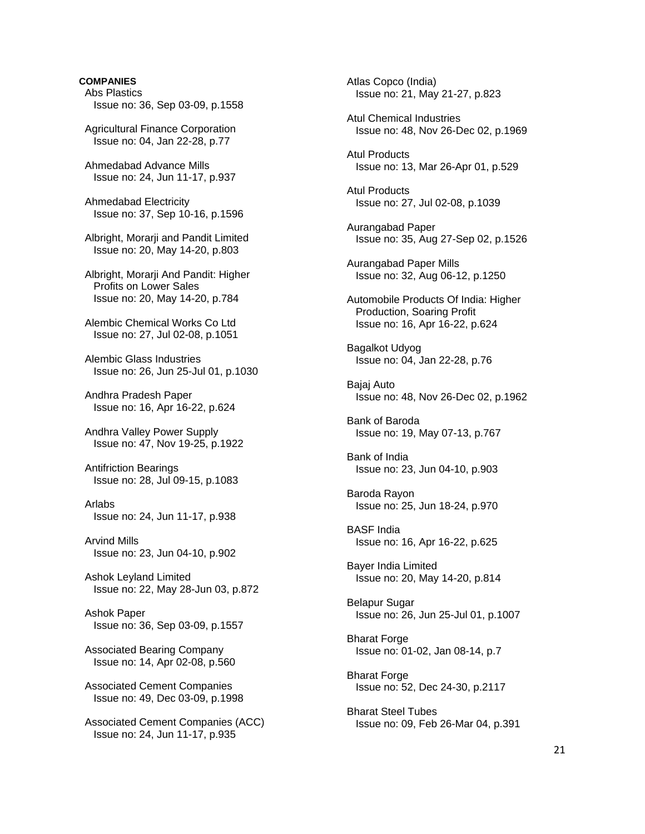# **COMPANIES**  Abs Plastics Issue no: 36, Sep 03-09, p.1558 Agricultural Finance Corporation Issue no: 04, Jan 22-28, p.77 Ahmedabad Advance Mills Issue no: 24, Jun 11-17, p.937 Ahmedabad Electricity Issue no: 37, Sep 10-16, p.1596 Albright, Morarji and Pandit Limited Issue no: 20, May 14-20, p.803 Albright, Morarji And Pandit: Higher Profits on Lower Sales Issue no: 20, May 14-20, p.784 Alembic Chemical Works Co Ltd Issue no: 27, Jul 02-08, p.1051 Alembic Glass Industries Issue no: 26, Jun 25-Jul 01, p.1030 Andhra Pradesh Paper Issue no: 16, Apr 16-22, p.624 Andhra Valley Power Supply Issue no: 47, Nov 19-25, p.1922 Antifriction Bearings Issue no: 28, Jul 09-15, p.1083 Arlabs Issue no: 24, Jun 11-17, p.938 Arvind Mills Issue no: 23, Jun 04-10, p.902 Ashok Leyland Limited Issue no: 22, May 28-Jun 03, p.872 Ashok Paper Issue no: 36, Sep 03-09, p.1557 Associated Bearing Company Issue no: 14, Apr 02-08, p.560 Associated Cement Companies Issue no: 49, Dec 03-09, p.1998

 Associated Cement Companies (ACC) Issue no: 24, Jun 11-17, p.935

 Atlas Copco (India) Issue no: 21, May 21-27, p.823

 Atul Chemical Industries Issue no: 48, Nov 26-Dec 02, p.1969

 Atul Products Issue no: 13, Mar 26-Apr 01, p.529

 Atul Products Issue no: 27, Jul 02-08, p.1039

 Aurangabad Paper Issue no: 35, Aug 27-Sep 02, p.1526

 Aurangabad Paper Mills Issue no: 32, Aug 06-12, p.1250

 Automobile Products Of India: Higher Production, Soaring Profit Issue no: 16, Apr 16-22, p.624

 Bagalkot Udyog Issue no: 04, Jan 22-28, p.76

 Bajaj Auto Issue no: 48, Nov 26-Dec 02, p.1962

 Bank of Baroda Issue no: 19, May 07-13, p.767

 Bank of India Issue no: 23, Jun 04-10, p.903

 Baroda Rayon Issue no: 25, Jun 18-24, p.970

 BASF India Issue no: 16, Apr 16-22, p.625

 Bayer India Limited Issue no: 20, May 14-20, p.814

 Belapur Sugar Issue no: 26, Jun 25-Jul 01, p.1007

 Bharat Forge Issue no: 01-02, Jan 08-14, p.7

 Bharat Forge Issue no: 52, Dec 24-30, p.2117

 Bharat Steel Tubes Issue no: 09, Feb 26-Mar 04, p.391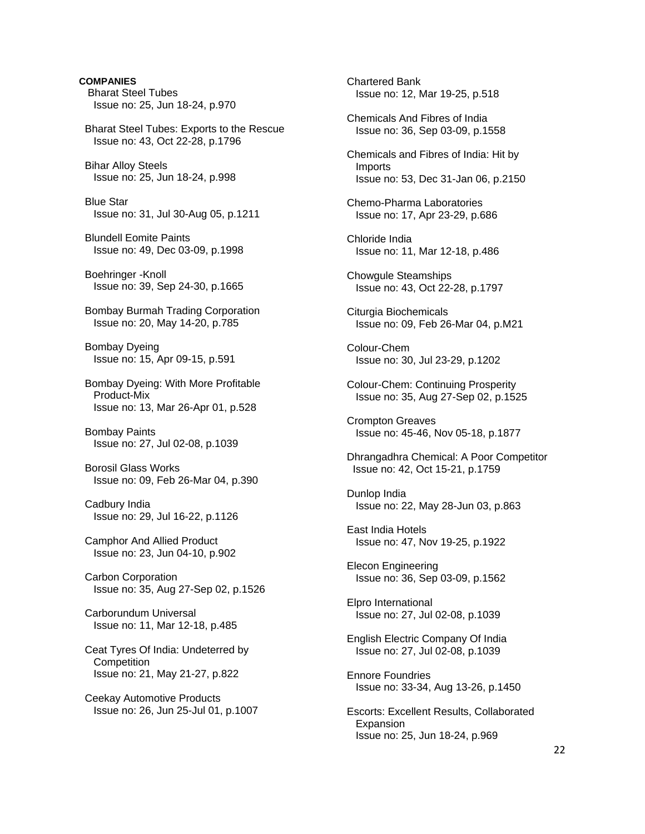**COMPANIES**  Bharat Steel Tubes Issue no: 25, Jun 18-24, p.970 Bharat Steel Tubes: Exports to the Rescue Issue no: 43, Oct 22-28, p.1796 Bihar Alloy Steels Issue no: 25, Jun 18-24, p.998 Blue Star Issue no: 31, Jul 30-Aug 05, p.1211 Blundell Eomite Paints Issue no: 49, Dec 03-09, p.1998 Boehringer -Knoll Issue no: 39, Sep 24-30, p.1665 Bombay Burmah Trading Corporation Issue no: 20, May 14-20, p.785 Bombay Dyeing Issue no: 15, Apr 09-15, p.591 Bombay Dyeing: With More Profitable Product-Mix Issue no: 13, Mar 26-Apr 01, p.528 Bombay Paints Issue no: 27, Jul 02-08, p.1039 Borosil Glass Works Issue no: 09, Feb 26-Mar 04, p.390 Cadbury India Issue no: 29, Jul 16-22, p.1126 Camphor And Allied Product Issue no: 23, Jun 04-10, p.902 Carbon Corporation Issue no: 35, Aug 27-Sep 02, p.1526 Carborundum Universal Issue no: 11, Mar 12-18, p.485 Ceat Tyres Of India: Undeterred by **Competition**  Issue no: 21, May 21-27, p.822 Ceekay Automotive Products Issue no: 26, Jun 25-Jul 01, p.1007

 Chartered Bank Issue no: 12, Mar 19-25, p.518 Chemicals And Fibres of India Issue no: 36, Sep 03-09, p.1558 Chemicals and Fibres of India: Hit by Imports Issue no: 53, Dec 31-Jan 06, p.2150 Chemo-Pharma Laboratories Issue no: 17, Apr 23-29, p.686 Chloride India Issue no: 11, Mar 12-18, p.486 Chowgule Steamships Issue no: 43, Oct 22-28, p.1797 Citurgia Biochemicals Issue no: 09, Feb 26-Mar 04, p.M21 Colour-Chem Issue no: 30, Jul 23-29, p.1202 Colour-Chem: Continuing Prosperity Issue no: 35, Aug 27-Sep 02, p.1525 Crompton Greaves Issue no: 45-46, Nov 05-18, p.1877 Dhrangadhra Chemical: A Poor Competitor Issue no: 42, Oct 15-21, p.1759 Dunlop India Issue no: 22, May 28-Jun 03, p.863 East India Hotels Issue no: 47, Nov 19-25, p.1922 Elecon Engineering Issue no: 36, Sep 03-09, p.1562 Elpro International Issue no: 27, Jul 02-08, p.1039 English Electric Company Of India Issue no: 27, Jul 02-08, p.1039 Ennore Foundries Issue no: 33-34, Aug 13-26, p.1450 Escorts: Excellent Results, Collaborated Expansion Issue no: 25, Jun 18-24, p.969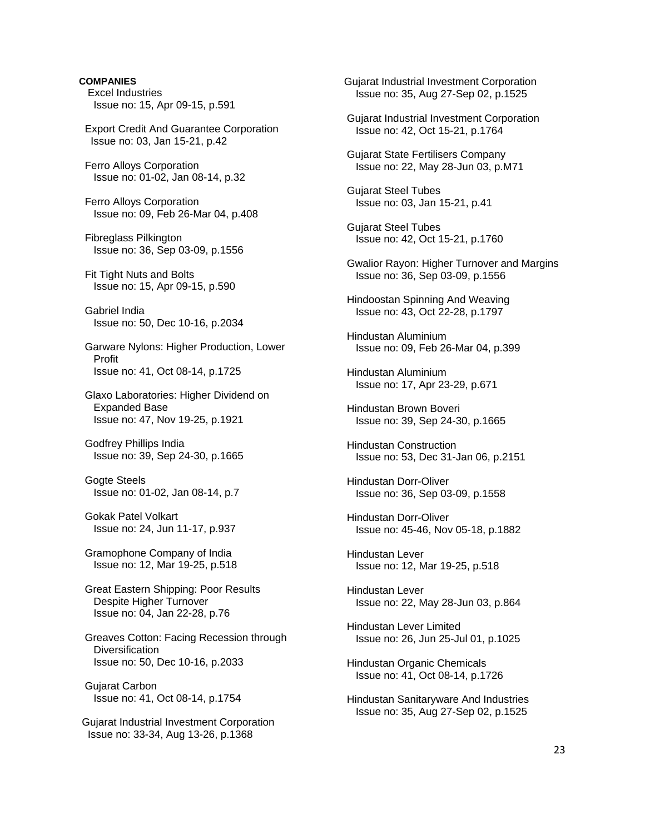# **COMPANIES**  Excel Industries Issue no: 15, Apr 09-15, p.591 Export Credit And Guarantee Corporation Issue no: 03, Jan 15-21, p.42 Ferro Alloys Corporation Issue no: 01-02, Jan 08-14, p.32 Ferro Alloys Corporation Issue no: 09, Feb 26-Mar 04, p.408 Fibreglass Pilkington Issue no: 36, Sep 03-09, p.1556 Fit Tight Nuts and Bolts Issue no: 15, Apr 09-15, p.590 Gabriel India Issue no: 50, Dec 10-16, p.2034 Garware Nylons: Higher Production, Lower Profit Issue no: 41, Oct 08-14, p.1725 Glaxo Laboratories: Higher Dividend on Expanded Base Issue no: 47, Nov 19-25, p.1921 Godfrey Phillips India Issue no: 39, Sep 24-30, p.1665 Gogte Steels Issue no: 01-02, Jan 08-14, p.7 Gokak Patel Volkart Issue no: 24, Jun 11-17, p.937 Gramophone Company of India Issue no: 12, Mar 19-25, p.518 Great Eastern Shipping: Poor Results Despite Higher Turnover Issue no: 04, Jan 22-28, p.76 Greaves Cotton: Facing Recession through **Diversification**  Issue no: 50, Dec 10-16, p.2033 Gujarat Carbon Issue no: 41, Oct 08-14, p.1754 Gujarat Industrial Investment Corporation Issue no: 33-34, Aug 13-26, p.1368

 Gujarat Industrial Investment Corporation Issue no: 35, Aug 27-Sep 02, p.1525

 Gujarat Industrial Investment Corporation Issue no: 42, Oct 15-21, p.1764

 Gujarat State Fertilisers Company Issue no: 22, May 28-Jun 03, p.M71

 Gujarat Steel Tubes Issue no: 03, Jan 15-21, p.41

 Gujarat Steel Tubes Issue no: 42, Oct 15-21, p.1760

 Gwalior Rayon: Higher Turnover and Margins Issue no: 36, Sep 03-09, p.1556

 Hindoostan Spinning And Weaving Issue no: 43, Oct 22-28, p.1797

 Hindustan Aluminium Issue no: 09, Feb 26-Mar 04, p.399

 Hindustan Aluminium Issue no: 17, Apr 23-29, p.671

 Hindustan Brown Boveri Issue no: 39, Sep 24-30, p.1665

 Hindustan Construction Issue no: 53, Dec 31-Jan 06, p.2151

 Hindustan Dorr-Oliver Issue no: 36, Sep 03-09, p.1558

 Hindustan Dorr-Oliver Issue no: 45-46, Nov 05-18, p.1882

 Hindustan Lever Issue no: 12, Mar 19-25, p.518

 Hindustan Lever Issue no: 22, May 28-Jun 03, p.864

 Hindustan Lever Limited Issue no: 26, Jun 25-Jul 01, p.1025

 Hindustan Organic Chemicals Issue no: 41, Oct 08-14, p.1726

 Hindustan Sanitaryware And Industries Issue no: 35, Aug 27-Sep 02, p.1525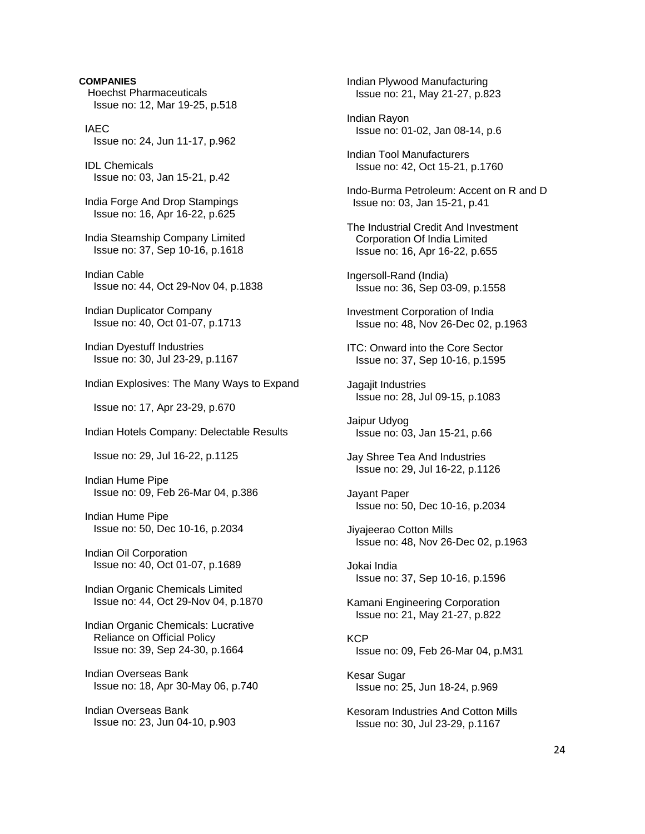**COMPANIES**  Hoechst Pharmaceuticals Issue no: 12, Mar 19-25, p.518 IAEC Issue no: 24, Jun 11-17, p.962 IDL Chemicals Issue no: 03, Jan 15-21, p.42 India Forge And Drop Stampings Issue no: 16, Apr 16-22, p.625 India Steamship Company Limited Issue no: 37, Sep 10-16, p.1618 Indian Cable Issue no: 44, Oct 29-Nov 04, p.1838 Indian Duplicator Company Issue no: 40, Oct 01-07, p.1713 Indian Dyestuff Industries Issue no: 30, Jul 23-29, p.1167 Indian Explosives: The Many Ways to Expand Issue no: 17, Apr 23-29, p.670 Indian Hotels Company: Delectable Results Issue no: 29, Jul 16-22, p.1125 Indian Hume Pipe Issue no: 09, Feb 26-Mar 04, p.386 Indian Hume Pipe Issue no: 50, Dec 10-16, p.2034 Indian Oil Corporation Issue no: 40, Oct 01-07, p.1689 Indian Organic Chemicals Limited Issue no: 44, Oct 29-Nov 04, p.1870 Indian Organic Chemicals: Lucrative Reliance on Official Policy Issue no: 39, Sep 24-30, p.1664 Indian Overseas Bank Issue no: 18, Apr 30-May 06, p.740 Indian Overseas Bank Issue no: 23, Jun 04-10, p.903

 Indian Plywood Manufacturing Issue no: 21, May 21-27, p.823 Indian Rayon Issue no: 01-02, Jan 08-14, p.6 Indian Tool Manufacturers Issue no: 42, Oct 15-21, p.1760 Indo-Burma Petroleum: Accent on R and D Issue no: 03, Jan 15-21, p.41 The Industrial Credit And Investment Corporation Of India Limited Issue no: 16, Apr 16-22, p.655 Ingersoll-Rand (India) Issue no: 36, Sep 03-09, p.1558 Investment Corporation of India Issue no: 48, Nov 26-Dec 02, p.1963 ITC: Onward into the Core Sector Issue no: 37, Sep 10-16, p.1595 Jagajit Industries Issue no: 28, Jul 09-15, p.1083 Jaipur Udyog Issue no: 03, Jan 15-21, p.66 Jay Shree Tea And Industries Issue no: 29, Jul 16-22, p.1126 Jayant Paper Issue no: 50, Dec 10-16, p.2034 Jiyajeerao Cotton Mills Issue no: 48, Nov 26-Dec 02, p.1963 Jokai India Issue no: 37, Sep 10-16, p.1596 Kamani Engineering Corporation Issue no: 21, May 21-27, p.822 **KCP**  Issue no: 09, Feb 26-Mar 04, p.M31 Kesar Sugar Issue no: 25, Jun 18-24, p.969 Kesoram Industries And Cotton Mills Issue no: 30, Jul 23-29, p.1167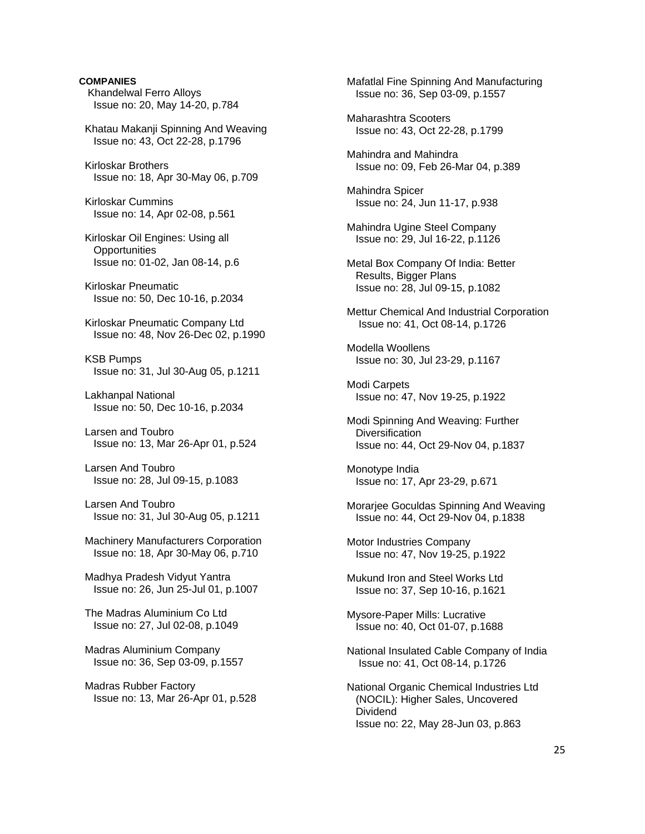Khandelwal Ferro Alloys Issue no: 20, May 14-20, p.784 Khatau Makanji Spinning And Weaving Issue no: 43, Oct 22-28, p.1796 Kirloskar Brothers Issue no: 18, Apr 30-May 06, p.709 Kirloskar Cummins Issue no: 14, Apr 02-08, p.561 Kirloskar Oil Engines: Using all **Opportunities**  Issue no: 01-02, Jan 08-14, p.6 Kirloskar Pneumatic Issue no: 50, Dec 10-16, p.2034 Kirloskar Pneumatic Company Ltd Issue no: 48, Nov 26-Dec 02, p.1990 KSB Pumps Issue no: 31, Jul 30-Aug 05, p.1211 Lakhanpal National Issue no: 50, Dec 10-16, p.2034 Larsen and Toubro Issue no: 13, Mar 26-Apr 01, p.524 Larsen And Toubro Issue no: 28, Jul 09-15, p.1083 Larsen And Toubro Issue no: 31, Jul 30-Aug 05, p.1211 Machinery Manufacturers Corporation Issue no: 18, Apr 30-May 06, p.710 Madhya Pradesh Vidyut Yantra Issue no: 26, Jun 25-Jul 01, p.1007 The Madras Aluminium Co Ltd Issue no: 27, Jul 02-08, p.1049 Madras Aluminium Company Issue no: 36, Sep 03-09, p.1557 Madras Rubber Factory Issue no: 13, Mar 26-Apr 01, p.528

**COMPANIES** 

 Mafatlal Fine Spinning And Manufacturing Issue no: 36, Sep 03-09, p.1557

 Maharashtra Scooters Issue no: 43, Oct 22-28, p.1799

 Mahindra and Mahindra Issue no: 09, Feb 26-Mar 04, p.389

 Mahindra Spicer Issue no: 24, Jun 11-17, p.938

 Mahindra Ugine Steel Company Issue no: 29, Jul 16-22, p.1126

 Metal Box Company Of India: Better Results, Bigger Plans Issue no: 28, Jul 09-15, p.1082

 Mettur Chemical And Industrial Corporation Issue no: 41, Oct 08-14, p.1726

 Modella Woollens Issue no: 30, Jul 23-29, p.1167

 Modi Carpets Issue no: 47, Nov 19-25, p.1922

 Modi Spinning And Weaving: Further **Diversification** Issue no: 44, Oct 29-Nov 04, p.1837

 Monotype India Issue no: 17, Apr 23-29, p.671

 Morarjee Goculdas Spinning And Weaving Issue no: 44, Oct 29-Nov 04, p.1838

 Motor Industries Company Issue no: 47, Nov 19-25, p.1922

 Mukund Iron and Steel Works Ltd Issue no: 37, Sep 10-16, p.1621

 Mysore-Paper Mills: Lucrative Issue no: 40, Oct 01-07, p.1688

 National Insulated Cable Company of India Issue no: 41, Oct 08-14, p.1726

 National Organic Chemical Industries Ltd (NOCIL): Higher Sales, Uncovered Dividend Issue no: 22, May 28-Jun 03, p.863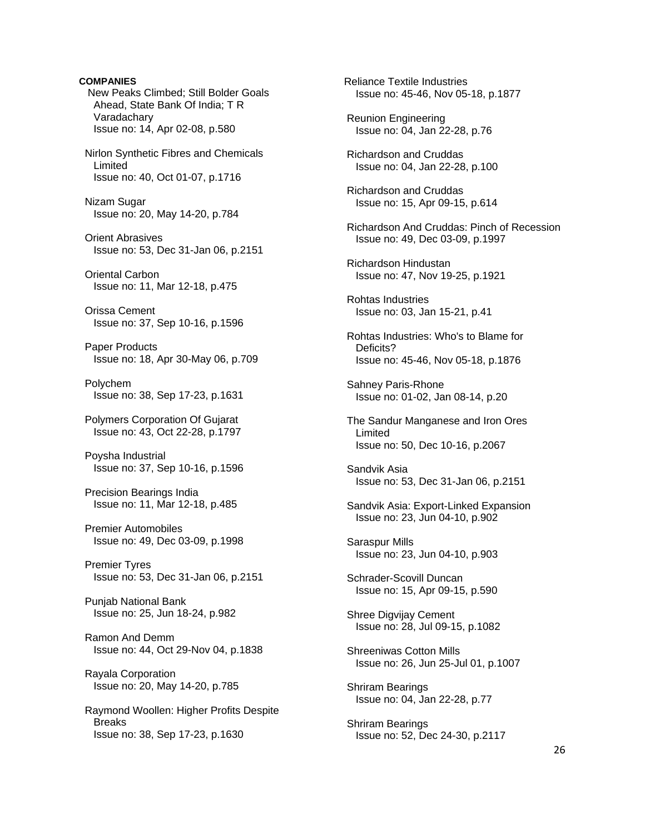**COMPANIES**  New Peaks Climbed; Still Bolder Goals Ahead, State Bank Of India; T R Varadachary Issue no: 14, Apr 02-08, p.580 Nirlon Synthetic Fibres and Chemicals Limited Issue no: 40, Oct 01-07, p.1716 Nizam Sugar Issue no: 20, May 14-20, p.784 Orient Abrasives Issue no: 53, Dec 31-Jan 06, p.2151 Oriental Carbon Issue no: 11, Mar 12-18, p.475 Orissa Cement Issue no: 37, Sep 10-16, p.1596 Paper Products Issue no: 18, Apr 30-May 06, p.709 Polychem Issue no: 38, Sep 17-23, p.1631 Polymers Corporation Of Gujarat Issue no: 43, Oct 22-28, p.1797 Poysha Industrial Issue no: 37, Sep 10-16, p.1596 Precision Bearings India Issue no: 11, Mar 12-18, p.485 Premier Automobiles Issue no: 49, Dec 03-09, p.1998 Premier Tyres Issue no: 53, Dec 31-Jan 06, p.2151 Punjab National Bank Issue no: 25, Jun 18-24, p.982 Ramon And Demm Issue no: 44, Oct 29-Nov 04, p.1838 Rayala Corporation Issue no: 20, May 14-20, p.785 Raymond Woollen: Higher Profits Despite Breaks Issue no: 38, Sep 17-23, p.1630

 Reliance Textile Industries Issue no: 45-46, Nov 05-18, p.1877 Reunion Engineering Issue no: 04, Jan 22-28, p.76 Richardson and Cruddas Issue no: 04, Jan 22-28, p.100 Richardson and Cruddas Issue no: 15, Apr 09-15, p.614 Richardson And Cruddas: Pinch of Recession Issue no: 49, Dec 03-09, p.1997 Richardson Hindustan Issue no: 47, Nov 19-25, p.1921 Rohtas Industries Issue no: 03, Jan 15-21, p.41 Rohtas Industries: Who's to Blame for Deficits? Issue no: 45-46, Nov 05-18, p.1876 Sahney Paris-Rhone Issue no: 01-02, Jan 08-14, p.20 The Sandur Manganese and Iron Ores Limited Issue no: 50, Dec 10-16, p.2067 Sandvik Asia Issue no: 53, Dec 31-Jan 06, p.2151 Sandvik Asia: Export-Linked Expansion Issue no: 23, Jun 04-10, p.902 Saraspur Mills Issue no: 23, Jun 04-10, p.903 Schrader-Scovill Duncan Issue no: 15, Apr 09-15, p.590 Shree Digvijay Cement Issue no: 28, Jul 09-15, p.1082 Shreeniwas Cotton Mills Issue no: 26, Jun 25-Jul 01, p.1007 Shriram Bearings Issue no: 04, Jan 22-28, p.77 Shriram Bearings Issue no: 52, Dec 24-30, p.2117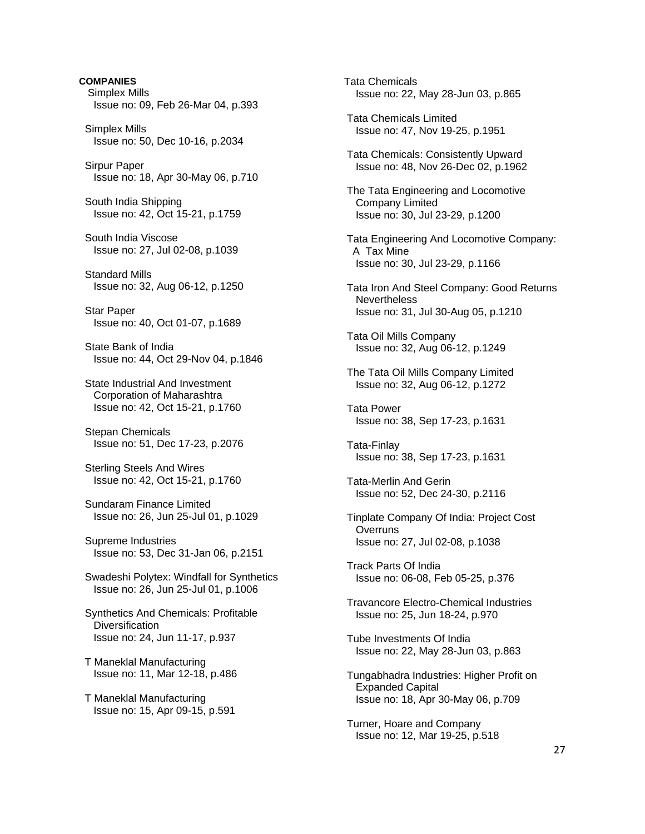**COMPANIES**  Simplex Mills Issue no: 09, Feb 26-Mar 04, p.393 Simplex Mills Issue no: 50, Dec 10-16, p.2034 Sirpur Paper Issue no: 18, Apr 30-May 06, p.710 South India Shipping Issue no: 42, Oct 15-21, p.1759 South India Viscose Issue no: 27, Jul 02-08, p.1039 Standard Mills Issue no: 32, Aug 06-12, p.1250 Star Paper Issue no: 40, Oct 01-07, p.1689 State Bank of India Issue no: 44, Oct 29-Nov 04, p.1846 State Industrial And Investment Corporation of Maharashtra Issue no: 42, Oct 15-21, p.1760 Stepan Chemicals Issue no: 51, Dec 17-23, p.2076 Sterling Steels And Wires Issue no: 42, Oct 15-21, p.1760 Sundaram Finance Limited Issue no: 26, Jun 25-Jul 01, p.1029 Supreme Industries Issue no: 53, Dec 31-Jan 06, p.2151 Swadeshi Polytex: Windfall for Synthetics Issue no: 26, Jun 25-Jul 01, p.1006 Synthetics And Chemicals: Profitable **Diversification**  Issue no: 24, Jun 11-17, p.937 T Maneklal Manufacturing Issue no: 11, Mar 12-18, p.486 T Maneklal Manufacturing Issue no: 15, Apr 09-15, p.591

 Tata Chemicals Issue no: 22, May 28-Jun 03, p.865 Tata Chemicals Limited Issue no: 47, Nov 19-25, p.1951 Tata Chemicals: Consistently Upward Issue no: 48, Nov 26-Dec 02, p.1962 The Tata Engineering and Locomotive Company Limited Issue no: 30, Jul 23-29, p.1200 Tata Engineering And Locomotive Company: A Tax Mine Issue no: 30, Jul 23-29, p.1166 Tata Iron And Steel Company: Good Returns **Nevertheless**  Issue no: 31, Jul 30-Aug 05, p.1210 Tata Oil Mills Company Issue no: 32, Aug 06-12, p.1249 The Tata Oil Mills Company Limited Issue no: 32, Aug 06-12, p.1272 Tata Power Issue no: 38, Sep 17-23, p.1631 Tata-Finlay Issue no: 38, Sep 17-23, p.1631 Tata-Merlin And Gerin Issue no: 52, Dec 24-30, p.2116 Tinplate Company Of India: Project Cost **Overruns**  Issue no: 27, Jul 02-08, p.1038 Track Parts Of India Issue no: 06-08, Feb 05-25, p.376 Travancore Electro-Chemical Industries Issue no: 25, Jun 18-24, p.970 Tube Investments Of India Issue no: 22, May 28-Jun 03, p.863 Tungabhadra Industries: Higher Profit on Expanded Capital Issue no: 18, Apr 30-May 06, p.709 Turner, Hoare and Company Issue no: 12, Mar 19-25, p.518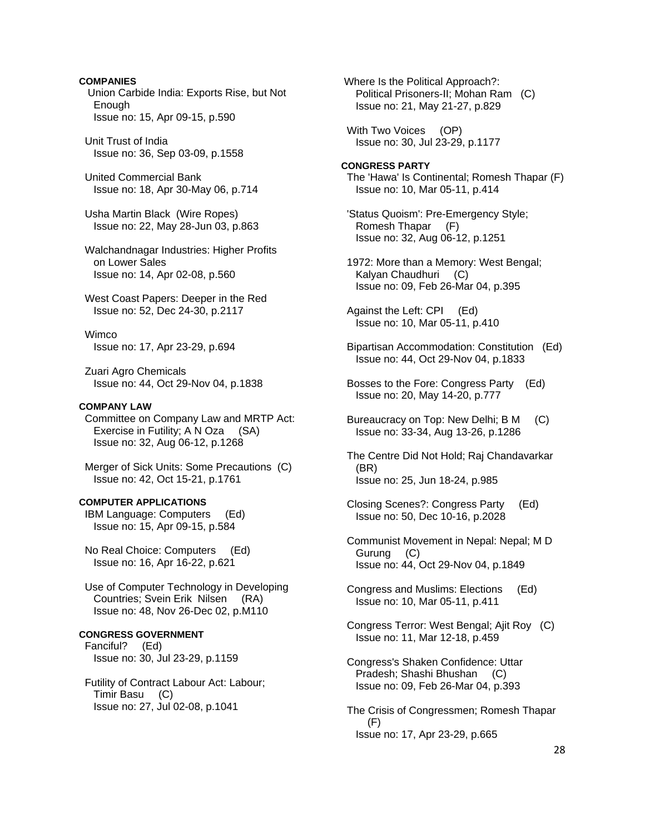# **COMPANIES**

 Union Carbide India: Exports Rise, but Not Enough Issue no: 15, Apr 09-15, p.590

 Unit Trust of India Issue no: 36, Sep 03-09, p.1558

 United Commercial Bank Issue no: 18, Apr 30-May 06, p.714

 Usha Martin Black (Wire Ropes) Issue no: 22, May 28-Jun 03, p.863

 Walchandnagar Industries: Higher Profits on Lower Sales Issue no: 14, Apr 02-08, p.560

 West Coast Papers: Deeper in the Red Issue no: 52, Dec 24-30, p.2117

 Wimco Issue no: 17, Apr 23-29, p.694

 Zuari Agro Chemicals Issue no: 44, Oct 29-Nov 04, p.1838

# **COMPANY LAW**

 Committee on Company Law and MRTP Act: Exercise in Futility; A N Oza (SA) Issue no: 32, Aug 06-12, p.1268

 Merger of Sick Units: Some Precautions (C) Issue no: 42, Oct 15-21, p.1761

# **COMPUTER APPLICATIONS**

 IBM Language: Computers (Ed) Issue no: 15, Apr 09-15, p.584

 No Real Choice: Computers (Ed) Issue no: 16, Apr 16-22, p.621

 Use of Computer Technology in Developing Countries; Svein Erik Nilsen (RA) Issue no: 48, Nov 26-Dec 02, p.M110

# **CONGRESS GOVERNMENT**

 Fanciful? (Ed) Issue no: 30, Jul 23-29, p.1159

 Futility of Contract Labour Act: Labour; Timir Basu (C) Issue no: 27, Jul 02-08, p.1041

 Where Is the Political Approach?: Political Prisoners-II; Mohan Ram (C) Issue no: 21, May 21-27, p.829

 With Two Voices (OP) Issue no: 30, Jul 23-29, p.1177

# **CONGRESS PARTY**  The 'Hawa' Is Continental; Romesh Thapar (F) Issue no: 10, Mar 05-11, p.414

- 'Status Quoism': Pre-Emergency Style; Romesh Thapar (F) Issue no: 32, Aug 06-12, p.1251
- 1972: More than a Memory: West Bengal; Kalyan Chaudhuri (C) Issue no: 09, Feb 26-Mar 04, p.395
- Against the Left: CPI (Ed) Issue no: 10, Mar 05-11, p.410
- Bipartisan Accommodation: Constitution (Ed) Issue no: 44, Oct 29-Nov 04, p.1833
- Bosses to the Fore: Congress Party (Ed) Issue no: 20, May 14-20, p.777
- Bureaucracy on Top: New Delhi; B M (C) Issue no: 33-34, Aug 13-26, p.1286
- The Centre Did Not Hold; Raj Chandavarkar (BR) Issue no: 25, Jun 18-24, p.985
- Closing Scenes?: Congress Party (Ed) Issue no: 50, Dec 10-16, p.2028
- Communist Movement in Nepal: Nepal; M D Gurung (C) Issue no: 44, Oct 29-Nov 04, p.1849
- Congress and Muslims: Elections (Ed) Issue no: 10, Mar 05-11, p.411
- Congress Terror: West Bengal; Ajit Roy (C) Issue no: 11, Mar 12-18, p.459
- Congress's Shaken Confidence: Uttar Pradesh; Shashi Bhushan (C) Issue no: 09, Feb 26-Mar 04, p.393
- The Crisis of Congressmen; Romesh Thapar (F) Issue no: 17, Apr 23-29, p.665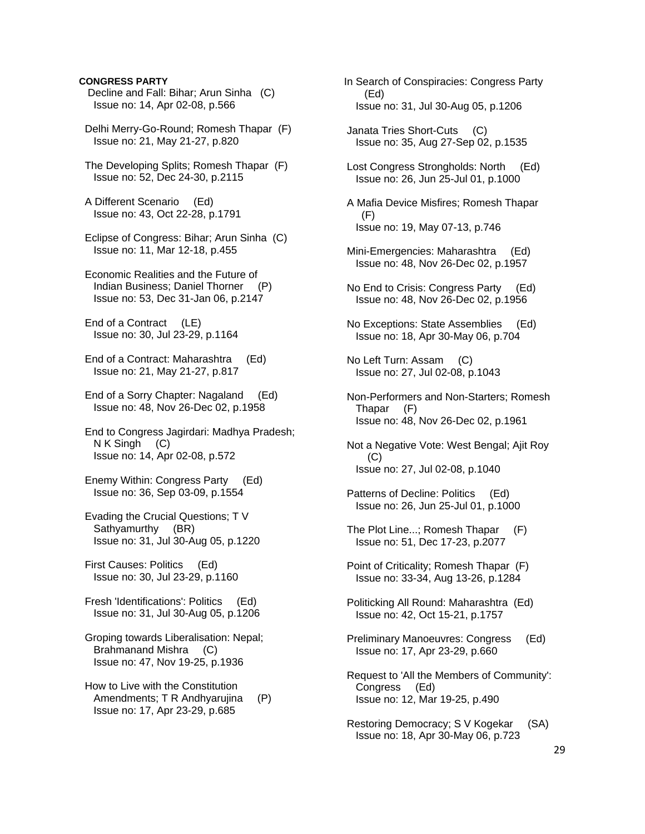# **CONGRESS PARTY**

- Decline and Fall: Bihar; Arun Sinha (C) Issue no: 14, Apr 02-08, p.566
- Delhi Merry-Go-Round; Romesh Thapar (F) Issue no: 21, May 21-27, p.820
- The Developing Splits; Romesh Thapar (F) Issue no: 52, Dec 24-30, p.2115
- A Different Scenario (Ed) Issue no: 43, Oct 22-28, p.1791
- Eclipse of Congress: Bihar; Arun Sinha (C) Issue no: 11, Mar 12-18, p.455
- Economic Realities and the Future of Indian Business; Daniel Thorner (P) Issue no: 53, Dec 31-Jan 06, p.2147
- End of a Contract (LE) Issue no: 30, Jul 23-29, p.1164
- End of a Contract: Maharashtra (Ed) Issue no: 21, May 21-27, p.817
- End of a Sorry Chapter: Nagaland (Ed) Issue no: 48, Nov 26-Dec 02, p.1958
- End to Congress Jagirdari: Madhya Pradesh; N K Singh (C) Issue no: 14, Apr 02-08, p.572
- Enemy Within: Congress Party (Ed) Issue no: 36, Sep 03-09, p.1554
- Evading the Crucial Questions; T V Sathyamurthy (BR) Issue no: 31, Jul 30-Aug 05, p.1220
- First Causes: Politics (Ed) Issue no: 30, Jul 23-29, p.1160
- Fresh 'Identifications': Politics (Ed) Issue no: 31, Jul 30-Aug 05, p.1206
- Groping towards Liberalisation: Nepal; Brahmanand Mishra (C) Issue no: 47, Nov 19-25, p.1936
- How to Live with the Constitution Amendments; T R Andhyarujina (P) Issue no: 17, Apr 23-29, p.685
- In Search of Conspiracies: Congress Party (Ed) Issue no: 31, Jul 30-Aug 05, p.1206
- Janata Tries Short-Cuts (C) Issue no: 35, Aug 27-Sep 02, p.1535
- Lost Congress Strongholds: North (Ed) Issue no: 26, Jun 25-Jul 01, p.1000
- A Mafia Device Misfires; Romesh Thapar (F) Issue no: 19, May 07-13, p.746
- Mini-Emergencies: Maharashtra (Ed) Issue no: 48, Nov 26-Dec 02, p.1957
- No End to Crisis: Congress Party (Ed) Issue no: 48, Nov 26-Dec 02, p.1956
- No Exceptions: State Assemblies (Ed) Issue no: 18, Apr 30-May 06, p.704
- No Left Turn: Assam (C) Issue no: 27, Jul 02-08, p.1043
- Non-Performers and Non-Starters; Romesh Thapar (F) Issue no: 48, Nov 26-Dec 02, p.1961
- Not a Negative Vote: West Bengal; Ajit Roy (C) Issue no: 27, Jul 02-08, p.1040
- Patterns of Decline: Politics (Ed) Issue no: 26, Jun 25-Jul 01, p.1000
- The Plot Line...; Romesh Thapar (F) Issue no: 51, Dec 17-23, p.2077
- Point of Criticality; Romesh Thapar (F) Issue no: 33-34, Aug 13-26, p.1284
- Politicking All Round: Maharashtra (Ed) Issue no: 42, Oct 15-21, p.1757
- Preliminary Manoeuvres: Congress (Ed) Issue no: 17, Apr 23-29, p.660
- Request to 'All the Members of Community': Congress (Ed) Issue no: 12, Mar 19-25, p.490
- Restoring Democracy; S V Kogekar (SA) Issue no: 18, Apr 30-May 06, p.723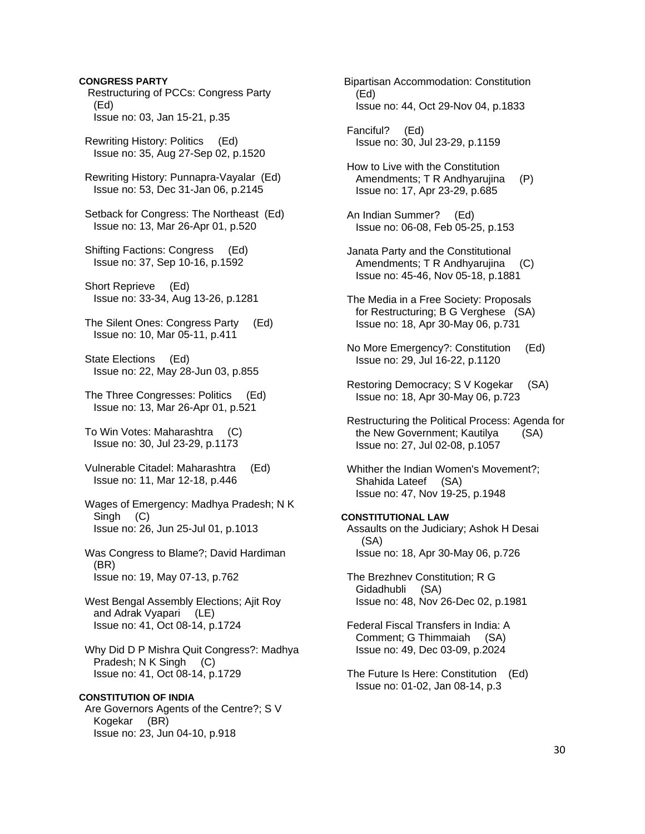# **CONGRESS PARTY**

 Restructuring of PCCs: Congress Party (Ed) Issue no: 03, Jan 15-21, p.35

 Rewriting History: Politics (Ed) Issue no: 35, Aug 27-Sep 02, p.1520

 Rewriting History: Punnapra-Vayalar (Ed) Issue no: 53, Dec 31-Jan 06, p.2145

 Setback for Congress: The Northeast (Ed) Issue no: 13, Mar 26-Apr 01, p.520

 Shifting Factions: Congress (Ed) Issue no: 37, Sep 10-16, p.1592

 Short Reprieve (Ed) Issue no: 33-34, Aug 13-26, p.1281

 The Silent Ones: Congress Party (Ed) Issue no: 10, Mar 05-11, p.411

 State Elections (Ed) Issue no: 22, May 28-Jun 03, p.855

 The Three Congresses: Politics (Ed) Issue no: 13, Mar 26-Apr 01, p.521

 To Win Votes: Maharashtra (C) Issue no: 30, Jul 23-29, p.1173

 Vulnerable Citadel: Maharashtra (Ed) Issue no: 11, Mar 12-18, p.446

 Wages of Emergency: Madhya Pradesh; N K Singh (C) Issue no: 26, Jun 25-Jul 01, p.1013

 Was Congress to Blame?; David Hardiman (BR) Issue no: 19, May 07-13, p.762

 West Bengal Assembly Elections; Ajit Roy and Adrak Vyapari (LE) Issue no: 41, Oct 08-14, p.1724

 Why Did D P Mishra Quit Congress?: Madhya Pradesh; N K Singh (C) Issue no: 41, Oct 08-14, p.1729

**CONSTITUTION OF INDIA**  Are Governors Agents of the Centre?; S V Kogekar (BR) Issue no: 23, Jun 04-10, p.918

 Bipartisan Accommodation: Constitution (Ed) Issue no: 44, Oct 29-Nov 04, p.1833

 Fanciful? (Ed) Issue no: 30, Jul 23-29, p.1159

 How to Live with the Constitution Amendments; T R Andhyarujina (P) Issue no: 17, Apr 23-29, p.685

 An Indian Summer? (Ed) Issue no: 06-08, Feb 05-25, p.153

 Janata Party and the Constitutional Amendments; T R Andhyarujina (C) Issue no: 45-46, Nov 05-18, p.1881

- The Media in a Free Society: Proposals for Restructuring; B G Verghese (SA) Issue no: 18, Apr 30-May 06, p.731
- No More Emergency?: Constitution (Ed) Issue no: 29, Jul 16-22, p.1120
- Restoring Democracy; S V Kogekar (SA) Issue no: 18, Apr 30-May 06, p.723

 Restructuring the Political Process: Agenda for the New Government; Kautilya (SA) Issue no: 27, Jul 02-08, p.1057

 Whither the Indian Women's Movement?; Shahida Lateef (SA) Issue no: 47, Nov 19-25, p.1948

**CONSTITUTIONAL LAW**  Assaults on the Judiciary; Ashok H Desai (SA) Issue no: 18, Apr 30-May 06, p.726

 The Brezhnev Constitution; R G Gidadhubli (SA) Issue no: 48, Nov 26-Dec 02, p.1981

 Federal Fiscal Transfers in India: A Comment; G Thimmaiah (SA) Issue no: 49, Dec 03-09, p.2024

 The Future Is Here: Constitution (Ed) Issue no: 01-02, Jan 08-14, p.3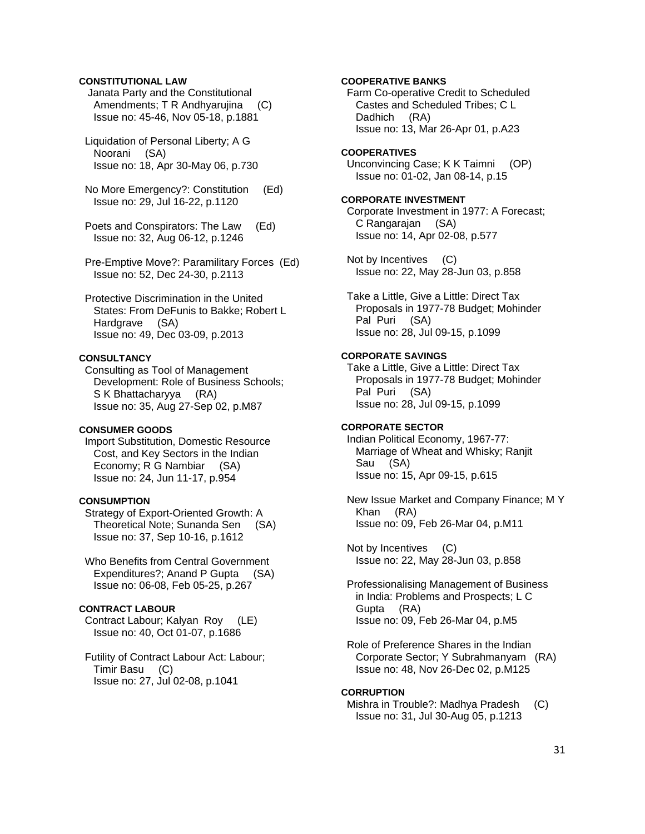# **CONSTITUTIONAL LAW**

 Janata Party and the Constitutional Amendments; T R Andhyarujina (C) Issue no: 45-46, Nov 05-18, p.1881

 Liquidation of Personal Liberty; A G Noorani (SA) Issue no: 18, Apr 30-May 06, p.730

 No More Emergency?: Constitution (Ed) Issue no: 29, Jul 16-22, p.1120

 Poets and Conspirators: The Law (Ed) Issue no: 32, Aug 06-12, p.1246

 Pre-Emptive Move?: Paramilitary Forces (Ed) Issue no: 52, Dec 24-30, p.2113

 Protective Discrimination in the United States: From DeFunis to Bakke; Robert L Hardgrave (SA) Issue no: 49, Dec 03-09, p.2013

# **CONSULTANCY**

 Consulting as Tool of Management Development: Role of Business Schools; S K Bhattacharyya (RA) Issue no: 35, Aug 27-Sep 02, p.M87

# **CONSUMER GOODS**

 Import Substitution, Domestic Resource Cost, and Key Sectors in the Indian Economy; R G Nambiar (SA) Issue no: 24, Jun 11-17, p.954

# **CONSUMPTION**

 Strategy of Export-Oriented Growth: A Theoretical Note; Sunanda Sen (SA) Issue no: 37, Sep 10-16, p.1612

 Who Benefits from Central Government Expenditures?; Anand P Gupta (SA) Issue no: 06-08, Feb 05-25, p.267

# **CONTRACT LABOUR**

 Contract Labour; Kalyan Roy (LE) Issue no: 40, Oct 01-07, p.1686

 Futility of Contract Labour Act: Labour; Timir Basu (C) Issue no: 27, Jul 02-08, p.1041

# **COOPERATIVE BANKS**

 Farm Co-operative Credit to Scheduled Castes and Scheduled Tribes; C L Dadhich (RA) Issue no: 13, Mar 26-Apr 01, p.A23

#### **COOPERATIVES**

 Unconvincing Case; K K Taimni (OP) Issue no: 01-02, Jan 08-14, p.15

# **CORPORATE INVESTMENT**

 Corporate Investment in 1977: A Forecast; C Rangarajan (SA) Issue no: 14, Apr 02-08, p.577

 Not by Incentives (C) Issue no: 22, May 28-Jun 03, p.858

 Take a Little, Give a Little: Direct Tax Proposals in 1977-78 Budget; Mohinder Pal Puri (SA) Issue no: 28, Jul 09-15, p.1099

#### **CORPORATE SAVINGS**

 Take a Little, Give a Little: Direct Tax Proposals in 1977-78 Budget; Mohinder Pal Puri (SA) Issue no: 28, Jul 09-15, p.1099

# **CORPORATE SECTOR**

 Indian Political Economy, 1967-77: Marriage of Wheat and Whisky; Ranjit Sau (SA) Issue no: 15, Apr 09-15, p.615

 New Issue Market and Company Finance; M Y Khan (RA) Issue no: 09, Feb 26-Mar 04, p.M11

 Not by Incentives (C) Issue no: 22, May 28-Jun 03, p.858

 Professionalising Management of Business in India: Problems and Prospects; L C Gupta (RA) Issue no: 09, Feb 26-Mar 04, p.M5

 Role of Preference Shares in the Indian Corporate Sector; Y Subrahmanyam (RA) Issue no: 48, Nov 26-Dec 02, p.M125

#### **CORRUPTION**

 Mishra in Trouble?: Madhya Pradesh (C) Issue no: 31, Jul 30-Aug 05, p.1213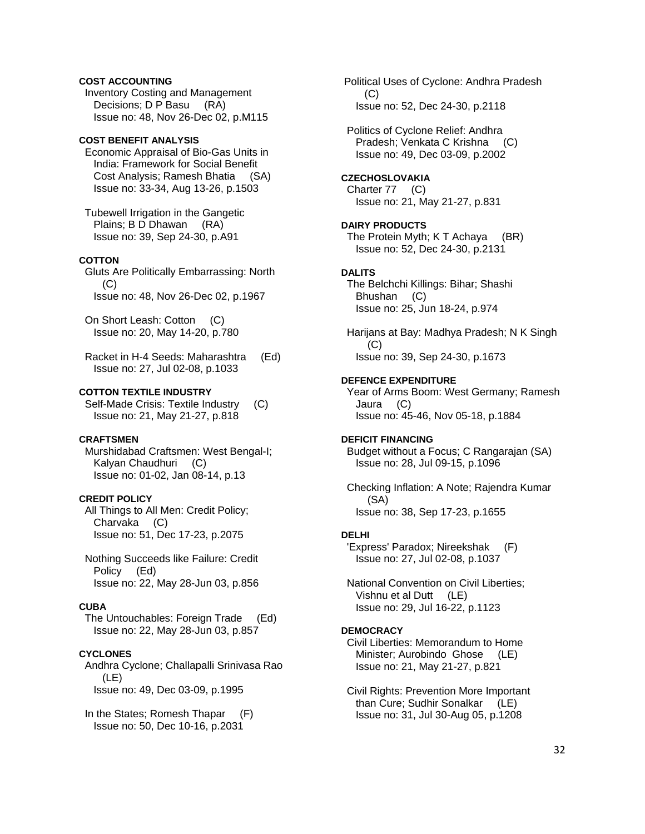# **COST ACCOUNTING**

 Inventory Costing and Management Decisions; D P Basu (RA) Issue no: 48, Nov 26-Dec 02, p.M115

# **COST BENEFIT ANALYSIS**

 Economic Appraisal of Bio-Gas Units in India: Framework for Social Benefit Cost Analysis; Ramesh Bhatia (SA) Issue no: 33-34, Aug 13-26, p.1503

 Tubewell Irrigation in the Gangetic Plains; B D Dhawan (RA) Issue no: 39, Sep 24-30, p.A91

## **COTTON**

 Gluts Are Politically Embarrassing: North  $(C)$ Issue no: 48, Nov 26-Dec 02, p.1967

 On Short Leash: Cotton (C) Issue no: 20, May 14-20, p.780

 Racket in H-4 Seeds: Maharashtra (Ed) Issue no: 27, Jul 02-08, p.1033

#### **COTTON TEXTILE INDUSTRY**

 Self-Made Crisis: Textile Industry (C) Issue no: 21, May 21-27, p.818

# **CRAFTSMEN**

 Murshidabad Craftsmen: West Bengal-I; Kalyan Chaudhuri (C) Issue no: 01-02, Jan 08-14, p.13

# **CREDIT POLICY**

 All Things to All Men: Credit Policy; Charvaka (C) Issue no: 51, Dec 17-23, p.2075

 Nothing Succeeds like Failure: Credit Policy (Ed) Issue no: 22, May 28-Jun 03, p.856

#### **CUBA**

 The Untouchables: Foreign Trade (Ed) Issue no: 22, May 28-Jun 03, p.857

# **CYCLONES**

 Andhra Cyclone; Challapalli Srinivasa Rao (LE) Issue no: 49, Dec 03-09, p.1995

 In the States; Romesh Thapar (F) Issue no: 50, Dec 10-16, p.2031

 Political Uses of Cyclone: Andhra Pradesh (C) Issue no: 52, Dec 24-30, p.2118

 Politics of Cyclone Relief: Andhra Pradesh; Venkata C Krishna (C) Issue no: 49, Dec 03-09, p.2002

# **CZECHOSLOVAKIA**

 Charter 77 (C) Issue no: 21, May 21-27, p.831

#### **DAIRY PRODUCTS**

 The Protein Myth; K T Achaya (BR) Issue no: 52, Dec 24-30, p.2131

## **DALITS**

 The Belchchi Killings: Bihar; Shashi Bhushan (C) Issue no: 25, Jun 18-24, p.974

 Harijans at Bay: Madhya Pradesh; N K Singh (C) Issue no: 39, Sep 24-30, p.1673

#### **DEFENCE EXPENDITURE**

 Year of Arms Boom: West Germany; Ramesh Jaura (C) Issue no: 45-46, Nov 05-18, p.1884

# **DEFICIT FINANCING**

 Budget without a Focus; C Rangarajan (SA) Issue no: 28, Jul 09-15, p.1096

 Checking Inflation: A Note; Rajendra Kumar (SA) Issue no: 38, Sep 17-23, p.1655

#### **DELHI**

 'Express' Paradox; Nireekshak (F) Issue no: 27, Jul 02-08, p.1037

 National Convention on Civil Liberties; Vishnu et al Dutt (LE) Issue no: 29, Jul 16-22, p.1123

#### **DEMOCRACY**

 Civil Liberties: Memorandum to Home Minister; Aurobindo Ghose (LE) Issue no: 21, May 21-27, p.821

 Civil Rights: Prevention More Important than Cure; Sudhir Sonalkar (LE) Issue no: 31, Jul 30-Aug 05, p.1208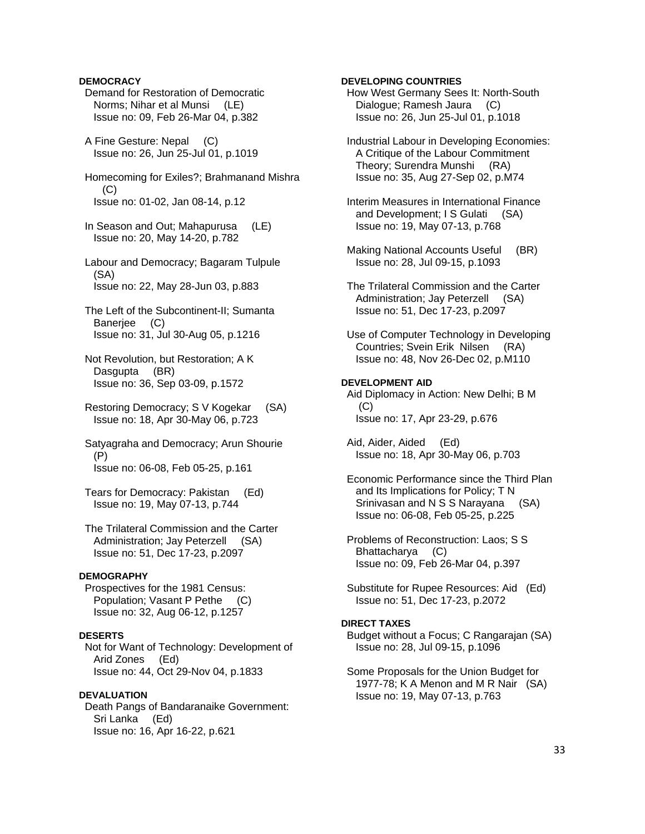# **DEMOCRACY**

- Demand for Restoration of Democratic Norms; Nihar et al Munsi (LE) Issue no: 09, Feb 26-Mar 04, p.382
- A Fine Gesture: Nepal (C) Issue no: 26, Jun 25-Jul 01, p.1019
- Homecoming for Exiles?; Brahmanand Mishra (C) Issue no: 01-02, Jan 08-14, p.12
- In Season and Out; Mahapurusa (LE) Issue no: 20, May 14-20, p.782
- Labour and Democracy; Bagaram Tulpule (SA) Issue no: 22, May 28-Jun 03, p.883
- The Left of the Subcontinent-II; Sumanta Banerjee (C) Issue no: 31, Jul 30-Aug 05, p.1216
- Not Revolution, but Restoration; A K Dasgupta (BR) Issue no: 36, Sep 03-09, p.1572
- Restoring Democracy; S V Kogekar (SA) Issue no: 18, Apr 30-May 06, p.723
- Satyagraha and Democracy; Arun Shourie (P) Issue no: 06-08, Feb 05-25, p.161
- Tears for Democracy: Pakistan (Ed) Issue no: 19, May 07-13, p.744
- The Trilateral Commission and the Carter Administration; Jay Peterzell (SA) Issue no: 51, Dec 17-23, p.2097

#### **DEMOGRAPHY**

 Prospectives for the 1981 Census: Population; Vasant P Pethe (C) Issue no: 32, Aug 06-12, p.1257

### **DESERTS**

 Not for Want of Technology: Development of Arid Zones (Ed) Issue no: 44, Oct 29-Nov 04, p.1833

# **DEVALUATION**  Death Pangs of Bandaranaike Government: Sri Lanka (Ed) Issue no: 16, Apr 16-22, p.621

## **DEVELOPING COUNTRIES**

 How West Germany Sees It: North-South Dialogue; Ramesh Jaura (C) Issue no: 26, Jun 25-Jul 01, p.1018

- Industrial Labour in Developing Economies: A Critique of the Labour Commitment Theory; Surendra Munshi (RA) Issue no: 35, Aug 27-Sep 02, p.M74
- Interim Measures in International Finance and Development; I S Gulati (SA) Issue no: 19, May 07-13, p.768
- Making National Accounts Useful (BR) Issue no: 28, Jul 09-15, p.1093
- The Trilateral Commission and the Carter Administration; Jay Peterzell (SA) Issue no: 51, Dec 17-23, p.2097
- Use of Computer Technology in Developing Countries; Svein Erik Nilsen (RA) Issue no: 48, Nov 26-Dec 02, p.M110

# **DEVELOPMENT AID**

 Aid Diplomacy in Action: New Delhi; B M (C) Issue no: 17, Apr 23-29, p.676

 Aid, Aider, Aided (Ed) Issue no: 18, Apr 30-May 06, p.703

- Economic Performance since the Third Plan and Its Implications for Policy; T N Srinivasan and N S S Narayana (SA) Issue no: 06-08, Feb 05-25, p.225
- Problems of Reconstruction: Laos; S S Bhattacharya (C) Issue no: 09, Feb 26-Mar 04, p.397
- Substitute for Rupee Resources: Aid (Ed) Issue no: 51, Dec 17-23, p.2072

## **DIRECT TAXES**

- Budget without a Focus; C Rangarajan (SA) Issue no: 28, Jul 09-15, p.1096
- Some Proposals for the Union Budget for 1977-78; K A Menon and M R Nair (SA) Issue no: 19, May 07-13, p.763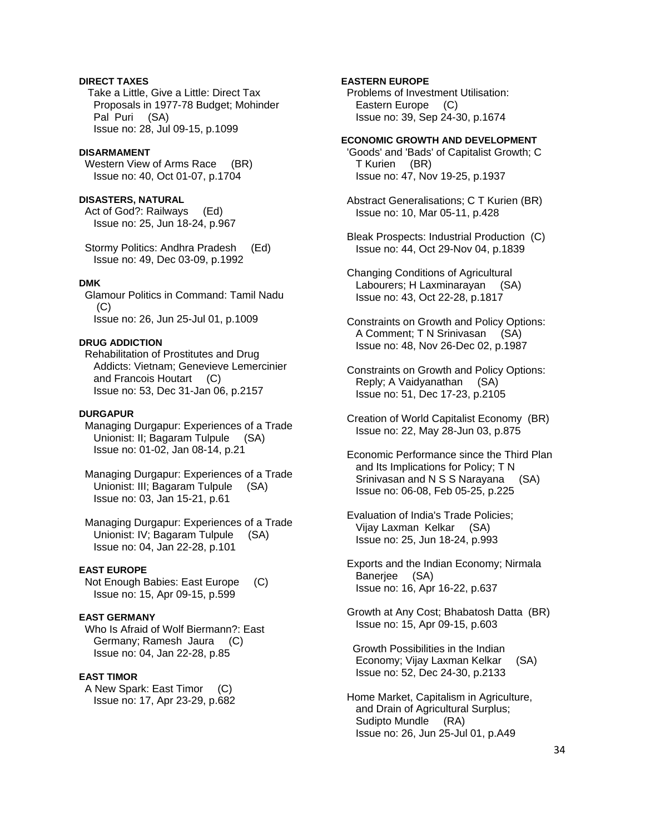# **DIRECT TAXES**

 Take a Little, Give a Little: Direct Tax Proposals in 1977-78 Budget; Mohinder Pal Puri (SA) Issue no: 28, Jul 09-15, p.1099

#### **DISARMAMENT**

Western View of Arms Race (BR) Issue no: 40, Oct 01-07, p.1704

# **DISASTERS, NATURAL**

 Act of God?: Railways (Ed) Issue no: 25, Jun 18-24, p.967

 Stormy Politics: Andhra Pradesh (Ed) Issue no: 49, Dec 03-09, p.1992

# **DMK**

 Glamour Politics in Command: Tamil Nadu (C) Issue no: 26, Jun 25-Jul 01, p.1009

## **DRUG ADDICTION**

 Rehabilitation of Prostitutes and Drug Addicts: Vietnam; Genevieve Lemercinier and Francois Houtart (C) Issue no: 53, Dec 31-Jan 06, p.2157

#### **DURGAPUR**

 Managing Durgapur: Experiences of a Trade Unionist: II; Bagaram Tulpule (SA) Issue no: 01-02, Jan 08-14, p.21

 Managing Durgapur: Experiences of a Trade Unionist: III; Bagaram Tulpule (SA) Issue no: 03, Jan 15-21, p.61

 Managing Durgapur: Experiences of a Trade Unionist: IV; Bagaram Tulpule (SA) Issue no: 04, Jan 22-28, p.101

### **EAST EUROPE**

 Not Enough Babies: East Europe (C) Issue no: 15, Apr 09-15, p.599

#### **EAST GERMANY**

 Who Is Afraid of Wolf Biermann?: East Germany; Ramesh Jaura (C) Issue no: 04, Jan 22-28, p.85

# **EAST TIMOR**

 A New Spark: East Timor (C) Issue no: 17, Apr 23-29, p.682

## **EASTERN EUROPE**

 Problems of Investment Utilisation: Eastern Europe (C) Issue no: 39, Sep 24-30, p.1674

## **ECONOMIC GROWTH AND DEVELOPMENT**

 'Goods' and 'Bads' of Capitalist Growth; C T Kurien (BR) Issue no: 47, Nov 19-25, p.1937

 Abstract Generalisations; C T Kurien (BR) Issue no: 10, Mar 05-11, p.428

 Bleak Prospects: Industrial Production (C) Issue no: 44, Oct 29-Nov 04, p.1839

 Changing Conditions of Agricultural Labourers; H Laxminarayan (SA) Issue no: 43, Oct 22-28, p.1817

 Constraints on Growth and Policy Options: A Comment; T N Srinivasan (SA) Issue no: 48, Nov 26-Dec 02, p.1987

- Constraints on Growth and Policy Options: Reply; A Vaidyanathan (SA) Issue no: 51, Dec 17-23, p.2105
- Creation of World Capitalist Economy (BR) Issue no: 22, May 28-Jun 03, p.875
- Economic Performance since the Third Plan and Its Implications for Policy; T N Srinivasan and N S S Narayana (SA) Issue no: 06-08, Feb 05-25, p.225

 Evaluation of India's Trade Policies; Vijay Laxman Kelkar (SA) Issue no: 25, Jun 18-24, p.993

 Exports and the Indian Economy; Nirmala Baneriee (SA) Issue no: 16, Apr 16-22, p.637

 Growth at Any Cost; Bhabatosh Datta (BR) Issue no: 15, Apr 09-15, p.603

 Growth Possibilities in the Indian Economy; Vijay Laxman Kelkar (SA) Issue no: 52, Dec 24-30, p.2133

 Home Market, Capitalism in Agriculture, and Drain of Agricultural Surplus; Sudipto Mundle (RA) Issue no: 26, Jun 25-Jul 01, p.A49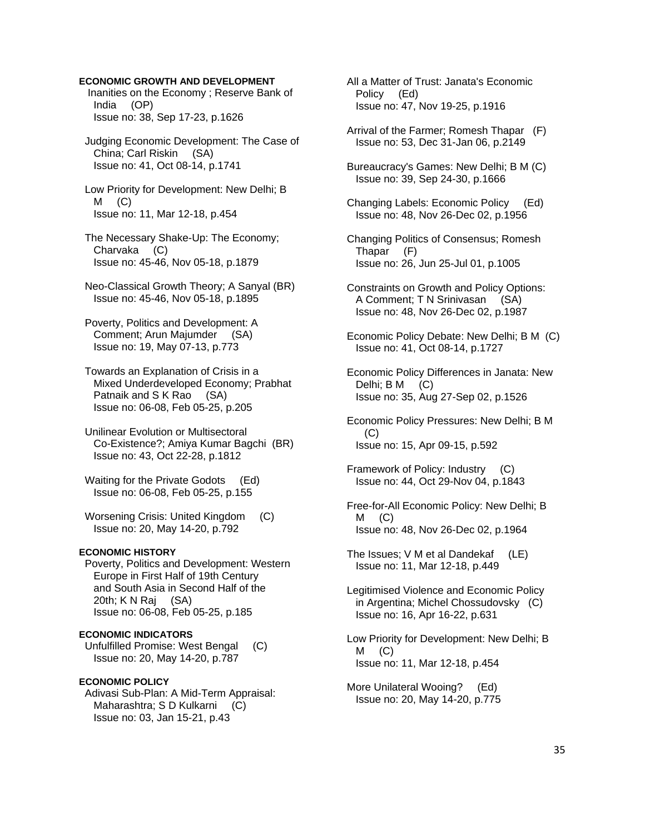## **ECONOMIC GROWTH AND DEVELOPMENT**

 Inanities on the Economy ; Reserve Bank of India (OP) Issue no: 38, Sep 17-23, p.1626

 Judging Economic Development: The Case of China; Carl Riskin (SA) Issue no: 41, Oct 08-14, p.1741

 Low Priority for Development: New Delhi; B  $M$  (C) Issue no: 11, Mar 12-18, p.454

 The Necessary Shake-Up: The Economy; Charvaka (C) Issue no: 45-46, Nov 05-18, p.1879

 Neo-Classical Growth Theory; A Sanyal (BR) Issue no: 45-46, Nov 05-18, p.1895

 Poverty, Politics and Development: A Comment; Arun Majumder (SA) Issue no: 19, May 07-13, p.773

 Towards an Explanation of Crisis in a Mixed Underdeveloped Economy; Prabhat Patnaik and S K Rao (SA) Issue no: 06-08, Feb 05-25, p.205

 Unilinear Evolution or Multisectoral Co-Existence?; Amiya Kumar Bagchi (BR) Issue no: 43, Oct 22-28, p.1812

 Waiting for the Private Godots (Ed) Issue no: 06-08, Feb 05-25, p.155

 Worsening Crisis: United Kingdom (C) Issue no: 20, May 14-20, p.792

# **ECONOMIC HISTORY**

 Poverty, Politics and Development: Western Europe in First Half of 19th Century and South Asia in Second Half of the 20th; K N Raj (SA) Issue no: 06-08, Feb 05-25, p.185

#### **ECONOMIC INDICATORS**

 Unfulfilled Promise: West Bengal (C) Issue no: 20, May 14-20, p.787

#### **ECONOMIC POLICY**

 Adivasi Sub-Plan: A Mid-Term Appraisal: Maharashtra; S D Kulkarni (C) Issue no: 03, Jan 15-21, p.43

 All a Matter of Trust: Janata's Economic Policy (Ed) Issue no: 47, Nov 19-25, p.1916

 Arrival of the Farmer; Romesh Thapar (F) Issue no: 53, Dec 31-Jan 06, p.2149

 Bureaucracy's Games: New Delhi; B M (C) Issue no: 39, Sep 24-30, p.1666

 Changing Labels: Economic Policy (Ed) Issue no: 48, Nov 26-Dec 02, p.1956

 Changing Politics of Consensus; Romesh Thapar (F) Issue no: 26, Jun 25-Jul 01, p.1005

 Constraints on Growth and Policy Options: A Comment; T N Srinivasan (SA) Issue no: 48, Nov 26-Dec 02, p.1987

 Economic Policy Debate: New Delhi; B M (C) Issue no: 41, Oct 08-14, p.1727

 Economic Policy Differences in Janata: New Delhi; B M (C) Issue no: 35, Aug 27-Sep 02, p.1526

 Economic Policy Pressures: New Delhi; B M (C) Issue no: 15, Apr 09-15, p.592

 Framework of Policy: Industry (C) Issue no: 44, Oct 29-Nov 04, p.1843

 Free-for-All Economic Policy: New Delhi; B  $M$  (C) Issue no: 48, Nov 26-Dec 02, p.1964

 The Issues; V M et al Dandekaf (LE) Issue no: 11, Mar 12-18, p.449

 Legitimised Violence and Economic Policy in Argentina; Michel Chossudovsky (C) Issue no: 16, Apr 16-22, p.631

 Low Priority for Development: New Delhi; B  $M$  (C) Issue no: 11, Mar 12-18, p.454

 More Unilateral Wooing? (Ed) Issue no: 20, May 14-20, p.775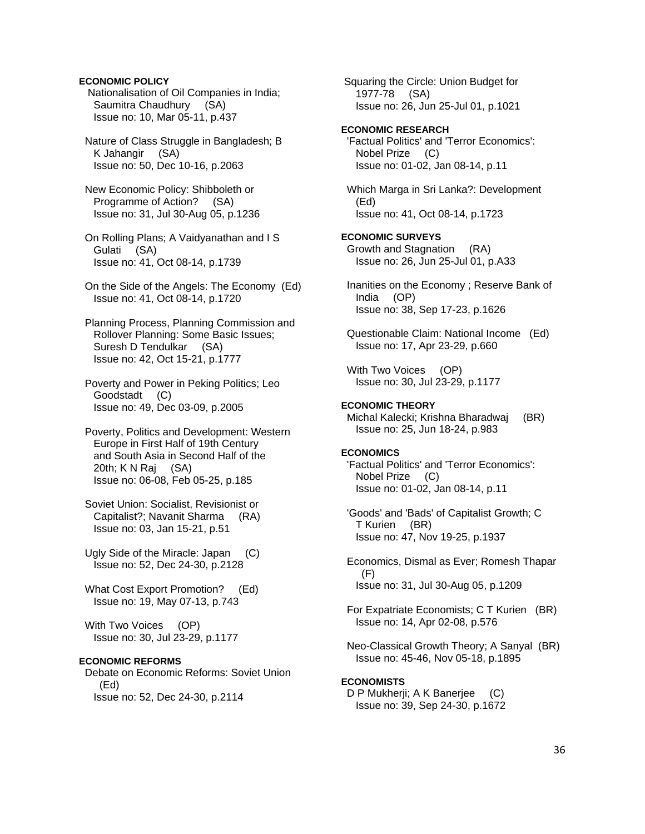# **ECONOMIC POLICY**

 Nationalisation of Oil Companies in India; Saumitra Chaudhury (SA) Issue no: 10, Mar 05-11, p.437

 Nature of Class Struggle in Bangladesh; B K Jahangir (SA) Issue no: 50, Dec 10-16, p.2063

 New Economic Policy: Shibboleth or Programme of Action? (SA) Issue no: 31, Jul 30-Aug 05, p.1236

 On Rolling Plans; A Vaidyanathan and I S Gulati (SA) Issue no: 41, Oct 08-14, p.1739

 On the Side of the Angels: The Economy (Ed) Issue no: 41, Oct 08-14, p.1720

 Planning Process, Planning Commission and Rollover Planning: Some Basic Issues; Suresh D Tendulkar (SA) Issue no: 42, Oct 15-21, p.1777

 Poverty and Power in Peking Politics; Leo Goodstadt (C) Issue no: 49, Dec 03-09, p.2005

 Poverty, Politics and Development: Western Europe in First Half of 19th Century and South Asia in Second Half of the 20th; K N Raj (SA) Issue no: 06-08, Feb 05-25, p.185

 Soviet Union: Socialist, Revisionist or Capitalist?; Navanit Sharma (RA) Issue no: 03, Jan 15-21, p.51

 Ugly Side of the Miracle: Japan (C) Issue no: 52, Dec 24-30, p.2128

 What Cost Export Promotion? (Ed) Issue no: 19, May 07-13, p.743

 With Two Voices (OP) Issue no: 30, Jul 23-29, p.1177

# **ECONOMIC REFORMS**

 Debate on Economic Reforms: Soviet Union (Ed) Issue no: 52, Dec 24-30, p.2114

 1977-78 (SA) Issue no: 26, Jun 25-Jul 01, p.1021 **ECONOMIC RESEARCH**  'Factual Politics' and 'Terror Economics': Nobel Prize (C) Issue no: 01-02, Jan 08-14, p.11 Which Marga in Sri Lanka?: Development (Ed) Issue no: 41, Oct 08-14, p.1723 **ECONOMIC SURVEYS**  Growth and Stagnation (RA) Issue no: 26, Jun 25-Jul 01, p.A33 Inanities on the Economy ; Reserve Bank of India (OP) Issue no: 38, Sep 17-23, p.1626 Questionable Claim: National Income (Ed) Issue no: 17, Apr 23-29, p.660 With Two Voices (OP) Issue no: 30, Jul 23-29, p.1177 **ECONOMIC THEORY**  Michal Kalecki; Krishna Bharadwaj (BR) Issue no: 25, Jun 18-24, p.983 **ECONOMICS**  'Factual Politics' and 'Terror Economics': Nobel Prize (C) Issue no: 01-02, Jan 08-14, p.11 'Goods' and 'Bads' of Capitalist Growth; C T Kurien (BR) Issue no: 47, Nov 19-25, p.1937 Economics, Dismal as Ever; Romesh Thapar (F) Issue no: 31, Jul 30-Aug 05, p.1209 For Expatriate Economists; C T Kurien (BR) Issue no: 14, Apr 02-08, p.576 Neo-Classical Growth Theory; A Sanyal (BR) Issue no: 45-46, Nov 05-18, p.1895

Squaring the Circle: Union Budget for

# **ECONOMISTS**

D P Mukherji; A K Banerjee (C) Issue no: 39, Sep 24-30, p.1672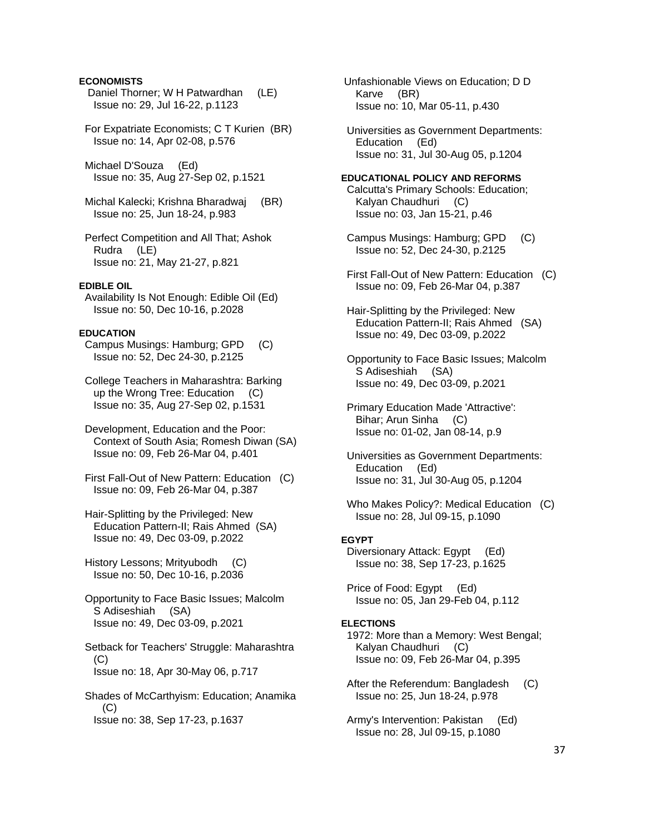## **ECONOMISTS**

- Daniel Thorner; W H Patwardhan (LE) Issue no: 29, Jul 16-22, p.1123
- For Expatriate Economists; C T Kurien (BR) Issue no: 14, Apr 02-08, p.576
- Michael D'Souza (Ed) Issue no: 35, Aug 27-Sep 02, p.1521
- Michal Kalecki; Krishna Bharadwaj (BR) Issue no: 25, Jun 18-24, p.983
- Perfect Competition and All That; Ashok Rudra (LE) Issue no: 21, May 21-27, p.821

#### **EDIBLE OIL**

 Availability Is Not Enough: Edible Oil (Ed) Issue no: 50, Dec 10-16, p.2028

#### **EDUCATION**

 Campus Musings: Hamburg; GPD (C) Issue no: 52, Dec 24-30, p.2125

- College Teachers in Maharashtra: Barking up the Wrong Tree: Education (C) Issue no: 35, Aug 27-Sep 02, p.1531
- Development, Education and the Poor: Context of South Asia; Romesh Diwan (SA) Issue no: 09, Feb 26-Mar 04, p.401
- First Fall-Out of New Pattern: Education (C) Issue no: 09, Feb 26-Mar 04, p.387
- Hair-Splitting by the Privileged: New Education Pattern-II; Rais Ahmed (SA) Issue no: 49, Dec 03-09, p.2022
- History Lessons; Mrityubodh (C) Issue no: 50, Dec 10-16, p.2036
- Opportunity to Face Basic Issues; Malcolm S Adiseshiah (SA) Issue no: 49, Dec 03-09, p.2021
- Setback for Teachers' Struggle: Maharashtra (C) Issue no: 18, Apr 30-May 06, p.717
- Shades of McCarthyism: Education; Anamika (C) Issue no: 38, Sep 17-23, p.1637

 Unfashionable Views on Education; D D Karve (BR) Issue no: 10, Mar 05-11, p.430

 Universities as Government Departments: Education (Ed) Issue no: 31, Jul 30-Aug 05, p.1204

#### **EDUCATIONAL POLICY AND REFORMS**

 Calcutta's Primary Schools: Education; Kalyan Chaudhuri (C) Issue no: 03, Jan 15-21, p.46

- Campus Musings: Hamburg; GPD (C) Issue no: 52, Dec 24-30, p.2125
- First Fall-Out of New Pattern: Education (C) Issue no: 09, Feb 26-Mar 04, p.387
- Hair-Splitting by the Privileged: New Education Pattern-II; Rais Ahmed (SA) Issue no: 49, Dec 03-09, p.2022
- Opportunity to Face Basic Issues; Malcolm S Adiseshiah (SA) Issue no: 49, Dec 03-09, p.2021
- Primary Education Made 'Attractive': Bihar; Arun Sinha (C) Issue no: 01-02, Jan 08-14, p.9
- Universities as Government Departments: Education (Ed) Issue no: 31, Jul 30-Aug 05, p.1204
- Who Makes Policy?: Medical Education (C) Issue no: 28, Jul 09-15, p.1090

#### **EGYPT**

 Diversionary Attack: Egypt (Ed) Issue no: 38, Sep 17-23, p.1625

 Price of Food: Egypt (Ed) Issue no: 05, Jan 29-Feb 04, p.112

#### **ELECTIONS**

- 1972: More than a Memory: West Bengal; Kalyan Chaudhuri (C) Issue no: 09, Feb 26-Mar 04, p.395
- After the Referendum: Bangladesh (C) Issue no: 25, Jun 18-24, p.978
- Army's Intervention: Pakistan (Ed) Issue no: 28, Jul 09-15, p.1080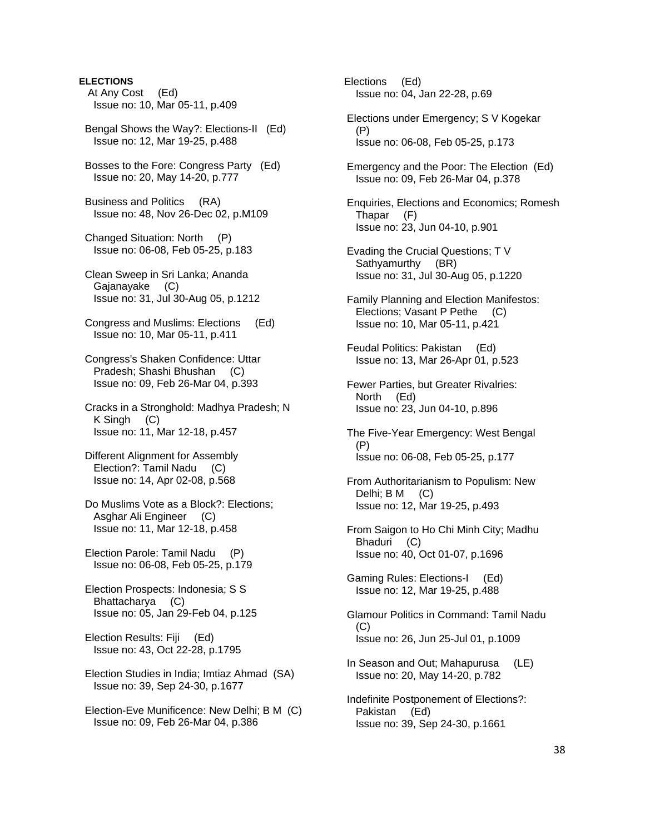# **ELECTIONS**

- At Any Cost (Ed) Issue no: 10, Mar 05-11, p.409
- Bengal Shows the Way?: Elections-II (Ed) Issue no: 12, Mar 19-25, p.488
- Bosses to the Fore: Congress Party (Ed) Issue no: 20, May 14-20, p.777
- Business and Politics (RA) Issue no: 48, Nov 26-Dec 02, p.M109
- Changed Situation: North (P) Issue no: 06-08, Feb 05-25, p.183
- Clean Sweep in Sri Lanka; Ananda Gajanayake (C) Issue no: 31, Jul 30-Aug 05, p.1212
- Congress and Muslims: Elections (Ed) Issue no: 10, Mar 05-11, p.411
- Congress's Shaken Confidence: Uttar Pradesh; Shashi Bhushan (C) Issue no: 09, Feb 26-Mar 04, p.393
- Cracks in a Stronghold: Madhya Pradesh; N K Singh (C) Issue no: 11, Mar 12-18, p.457
- Different Alignment for Assembly Election?: Tamil Nadu (C) Issue no: 14, Apr 02-08, p.568
- Do Muslims Vote as a Block?: Elections; Asghar Ali Engineer (C) Issue no: 11, Mar 12-18, p.458
- Election Parole: Tamil Nadu (P) Issue no: 06-08, Feb 05-25, p.179
- Election Prospects: Indonesia; S S Bhattacharya (C) Issue no: 05, Jan 29-Feb 04, p.125
- Election Results: Fiji (Ed) Issue no: 43, Oct 22-28, p.1795
- Election Studies in India; Imtiaz Ahmad (SA) Issue no: 39, Sep 24-30, p.1677
- Election-Eve Munificence: New Delhi; B M (C) Issue no: 09, Feb 26-Mar 04, p.386

 Elections (Ed) Issue no: 04, Jan 22-28, p.69

- Elections under Emergency; S V Kogekar (P) Issue no: 06-08, Feb 05-25, p.173
- Emergency and the Poor: The Election (Ed) Issue no: 09, Feb 26-Mar 04, p.378
- Enquiries, Elections and Economics; Romesh Thapar (F) Issue no: 23, Jun 04-10, p.901
- Evading the Crucial Questions; T V Sathyamurthy (BR) Issue no: 31, Jul 30-Aug 05, p.1220
- Family Planning and Election Manifestos: Elections; Vasant P Pethe (C) Issue no: 10, Mar 05-11, p.421
- Feudal Politics: Pakistan (Ed) Issue no: 13, Mar 26-Apr 01, p.523
- Fewer Parties, but Greater Rivalries: North (Ed) Issue no: 23, Jun 04-10, p.896
- The Five-Year Emergency: West Bengal (P) Issue no: 06-08, Feb 05-25, p.177
- From Authoritarianism to Populism: New Delhi; B M (C) Issue no: 12, Mar 19-25, p.493
- From Saigon to Ho Chi Minh City; Madhu Bhaduri (C) Issue no: 40, Oct 01-07, p.1696
- Gaming Rules: Elections-I (Ed) Issue no: 12, Mar 19-25, p.488
- Glamour Politics in Command: Tamil Nadu  $(C)$ Issue no: 26, Jun 25-Jul 01, p.1009
- In Season and Out; Mahapurusa (LE) Issue no: 20, May 14-20, p.782
- Indefinite Postponement of Elections?: Pakistan (Ed) Issue no: 39, Sep 24-30, p.1661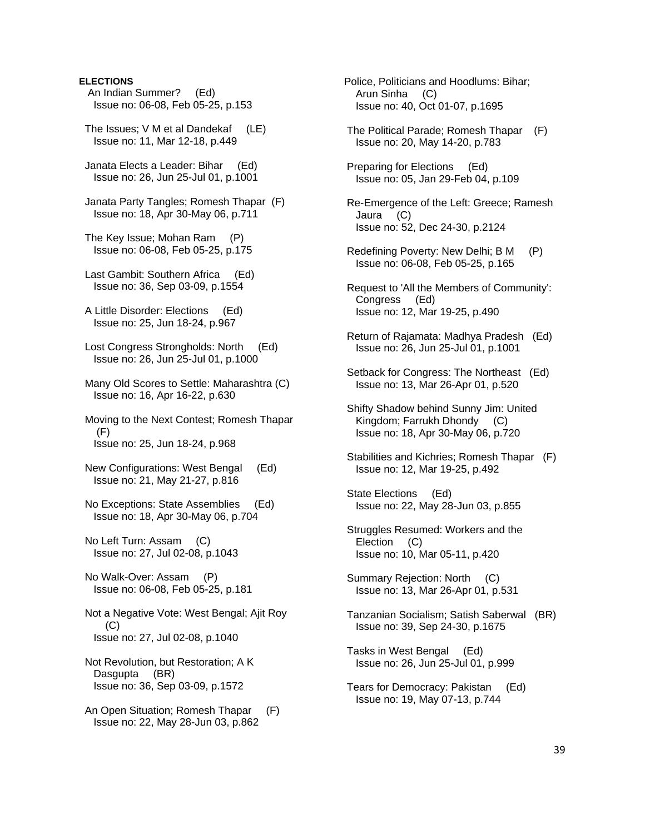# **ELECTIONS**

- An Indian Summer? (Ed) Issue no: 06-08, Feb 05-25, p.153
- The Issues; V M et al Dandekaf (LE) Issue no: 11, Mar 12-18, p.449
- Janata Elects a Leader: Bihar (Ed) Issue no: 26, Jun 25-Jul 01, p.1001
- Janata Party Tangles; Romesh Thapar (F) Issue no: 18, Apr 30-May 06, p.711
- The Key Issue; Mohan Ram (P) Issue no: 06-08, Feb 05-25, p.175
- Last Gambit: Southern Africa (Ed) Issue no: 36, Sep 03-09, p.1554
- A Little Disorder: Elections (Ed) Issue no: 25, Jun 18-24, p.967
- Lost Congress Strongholds: North (Ed) Issue no: 26, Jun 25-Jul 01, p.1000
- Many Old Scores to Settle: Maharashtra (C) Issue no: 16, Apr 16-22, p.630
- Moving to the Next Contest; Romesh Thapar  $(F)$ Issue no: 25, Jun 18-24, p.968
- New Configurations: West Bengal (Ed) Issue no: 21, May 21-27, p.816
- No Exceptions: State Assemblies (Ed) Issue no: 18, Apr 30-May 06, p.704
- No Left Turn: Assam (C) Issue no: 27, Jul 02-08, p.1043
- No Walk-Over: Assam (P) Issue no: 06-08, Feb 05-25, p.181
- Not a Negative Vote: West Bengal; Ajit Roy (C) Issue no: 27, Jul 02-08, p.1040
- Not Revolution, but Restoration; A K Dasgupta (BR) Issue no: 36, Sep 03-09, p.1572
- An Open Situation; Romesh Thapar (F) Issue no: 22, May 28-Jun 03, p.862
- Police, Politicians and Hoodlums: Bihar; Arun Sinha (C) Issue no: 40, Oct 01-07, p.1695
- The Political Parade; Romesh Thapar (F) Issue no: 20, May 14-20, p.783
- Preparing for Elections (Ed) Issue no: 05, Jan 29-Feb 04, p.109
- Re-Emergence of the Left: Greece; Ramesh Jaura (C) Issue no: 52, Dec 24-30, p.2124
- Redefining Poverty: New Delhi; B M (P) Issue no: 06-08, Feb 05-25, p.165
- Request to 'All the Members of Community': Congress (Ed) Issue no: 12, Mar 19-25, p.490
- Return of Rajamata: Madhya Pradesh (Ed) Issue no: 26, Jun 25-Jul 01, p.1001
- Setback for Congress: The Northeast (Ed) Issue no: 13, Mar 26-Apr 01, p.520
- Shifty Shadow behind Sunny Jim: United Kingdom; Farrukh Dhondy (C) Issue no: 18, Apr 30-May 06, p.720
- Stabilities and Kichries; Romesh Thapar (F) Issue no: 12, Mar 19-25, p.492
- State Elections (Ed) Issue no: 22, May 28-Jun 03, p.855
- Struggles Resumed: Workers and the Election (C) Issue no: 10, Mar 05-11, p.420
- Summary Rejection: North (C) Issue no: 13, Mar 26-Apr 01, p.531
- Tanzanian Socialism; Satish Saberwal (BR) Issue no: 39, Sep 24-30, p.1675
- Tasks in West Bengal (Ed) Issue no: 26, Jun 25-Jul 01, p.999
- Tears for Democracy: Pakistan (Ed) Issue no: 19, May 07-13, p.744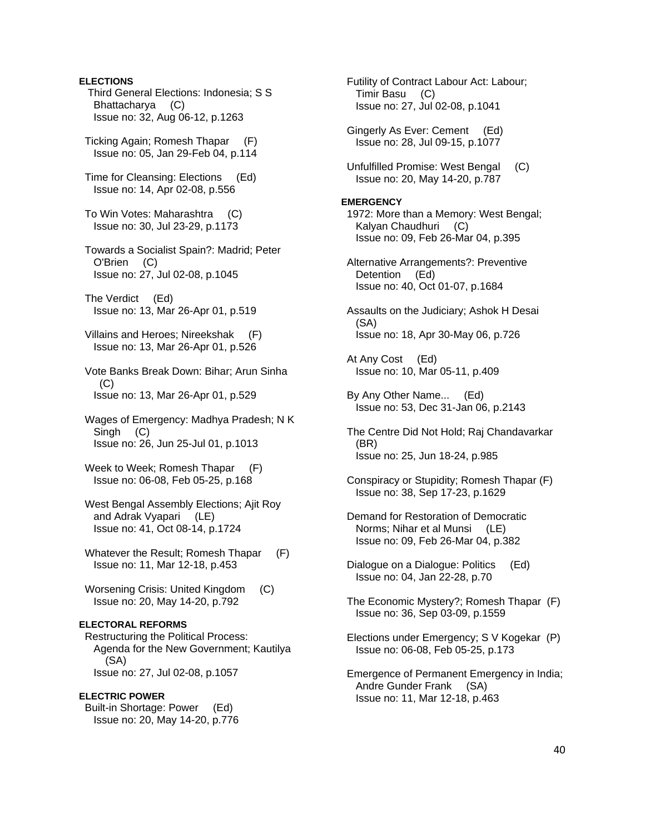# **ELECTIONS**  Third General Elections: Indonesia; S S Bhattacharya (C) Issue no: 32, Aug 06-12, p.1263 Ticking Again; Romesh Thapar (F) Issue no: 05, Jan 29-Feb 04, p.114 Time for Cleansing: Elections (Ed) Issue no: 14, Apr 02-08, p.556 To Win Votes: Maharashtra (C) Issue no: 30, Jul 23-29, p.1173 Towards a Socialist Spain?: Madrid; Peter O'Brien (C) Issue no: 27, Jul 02-08, p.1045 The Verdict (Ed) Issue no: 13, Mar 26-Apr 01, p.519 Villains and Heroes; Nireekshak (F) Issue no: 13, Mar 26-Apr 01, p.526 Vote Banks Break Down: Bihar; Arun Sinha (C) Issue no: 13, Mar 26-Apr 01, p.529 Wages of Emergency: Madhya Pradesh; N K Singh (C) Issue no: 26, Jun 25-Jul 01, p.1013 Week to Week; Romesh Thapar (F) Issue no: 06-08, Feb 05-25, p.168 West Bengal Assembly Elections; Ajit Roy and Adrak Vyapari (LE) Issue no: 41, Oct 08-14, p.1724 Whatever the Result; Romesh Thapar (F) Issue no: 11, Mar 12-18, p.453 Worsening Crisis: United Kingdom (C) Issue no: 20, May 14-20, p.792 **ELECTORAL REFORMS**  Restructuring the Political Process: Agenda for the New Government; Kautilya (SA) Issue no: 27, Jul 02-08, p.1057 **ELECTRIC POWER**  Built-in Shortage: Power (Ed) Issue no: 20, May 14-20, p.776

 Futility of Contract Labour Act: Labour; Timir Basu (C) Issue no: 27, Jul 02-08, p.1041

 Gingerly As Ever: Cement (Ed) Issue no: 28, Jul 09-15, p.1077

 Unfulfilled Promise: West Bengal (C) Issue no: 20, May 14-20, p.787

# **EMERGENCY**

 1972: More than a Memory: West Bengal; Kalyan Chaudhuri (C) Issue no: 09, Feb 26-Mar 04, p.395

 Alternative Arrangements?: Preventive Detention (Ed) Issue no: 40, Oct 01-07, p.1684

 Assaults on the Judiciary; Ashok H Desai (SA) Issue no: 18, Apr 30-May 06, p.726

 At Any Cost (Ed) Issue no: 10, Mar 05-11, p.409

 By Any Other Name... (Ed) Issue no: 53, Dec 31-Jan 06, p.2143

 The Centre Did Not Hold; Raj Chandavarkar (BR) Issue no: 25, Jun 18-24, p.985

 Conspiracy or Stupidity; Romesh Thapar (F) Issue no: 38, Sep 17-23, p.1629

 Demand for Restoration of Democratic Norms; Nihar et al Munsi (LE) Issue no: 09, Feb 26-Mar 04, p.382

 Dialogue on a Dialogue: Politics (Ed) Issue no: 04, Jan 22-28, p.70

 The Economic Mystery?; Romesh Thapar (F) Issue no: 36, Sep 03-09, p.1559

 Elections under Emergency; S V Kogekar (P) Issue no: 06-08, Feb 05-25, p.173

 Emergence of Permanent Emergency in India; Andre Gunder Frank (SA) Issue no: 11, Mar 12-18, p.463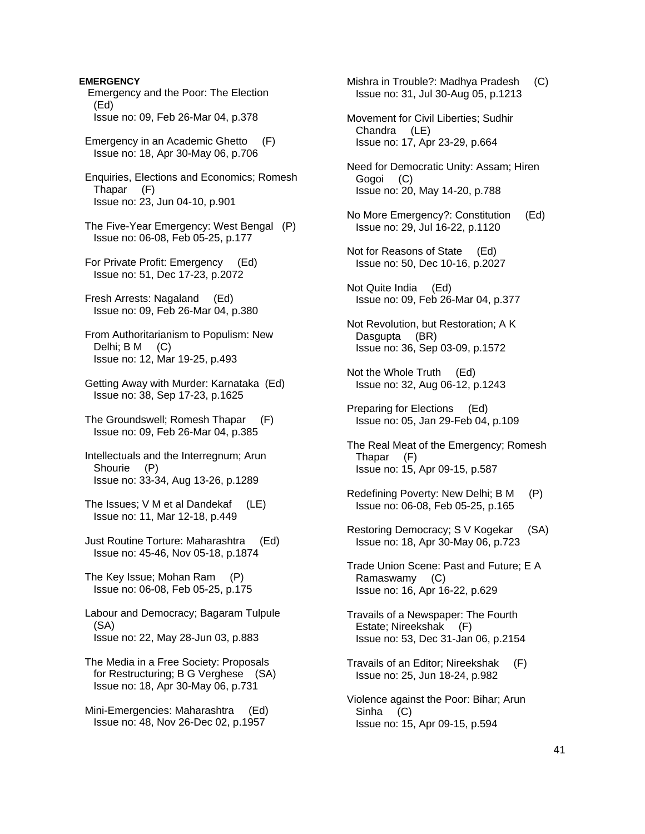**EMERGENCY** 

 Emergency and the Poor: The Election (Ed) Issue no: 09, Feb 26-Mar 04, p.378

 Emergency in an Academic Ghetto (F) Issue no: 18, Apr 30-May 06, p.706

 Enquiries, Elections and Economics; Romesh Thapar (F) Issue no: 23, Jun 04-10, p.901

 The Five-Year Emergency: West Bengal (P) Issue no: 06-08, Feb 05-25, p.177

 For Private Profit: Emergency (Ed) Issue no: 51, Dec 17-23, p.2072

 Fresh Arrests: Nagaland (Ed) Issue no: 09, Feb 26-Mar 04, p.380

 From Authoritarianism to Populism: New Delhi; B M (C) Issue no: 12, Mar 19-25, p.493

 Getting Away with Murder: Karnataka (Ed) Issue no: 38, Sep 17-23, p.1625

 The Groundswell; Romesh Thapar (F) Issue no: 09, Feb 26-Mar 04, p.385

 Intellectuals and the Interregnum; Arun Shourie (P) Issue no: 33-34, Aug 13-26, p.1289

The Issues; V M et al Dandekaf (LE) Issue no: 11, Mar 12-18, p.449

 Just Routine Torture: Maharashtra (Ed) Issue no: 45-46, Nov 05-18, p.1874

 The Key Issue; Mohan Ram (P) Issue no: 06-08, Feb 05-25, p.175

 Labour and Democracy; Bagaram Tulpule (SA) Issue no: 22, May 28-Jun 03, p.883

 The Media in a Free Society: Proposals for Restructuring; B G Verghese (SA) Issue no: 18, Apr 30-May 06, p.731

 Mini-Emergencies: Maharashtra (Ed) Issue no: 48, Nov 26-Dec 02, p.1957

 Mishra in Trouble?: Madhya Pradesh (C) Issue no: 31, Jul 30-Aug 05, p.1213

 Movement for Civil Liberties; Sudhir Chandra (LE) Issue no: 17, Apr 23-29, p.664

 Need for Democratic Unity: Assam; Hiren Gogoi (C) Issue no: 20, May 14-20, p.788

- No More Emergency?: Constitution (Ed) Issue no: 29, Jul 16-22, p.1120
- Not for Reasons of State (Ed) Issue no: 50, Dec 10-16, p.2027

 Not Quite India (Ed) Issue no: 09, Feb 26-Mar 04, p.377

 Not Revolution, but Restoration; A K Dasgupta (BR) Issue no: 36, Sep 03-09, p.1572

 Not the Whole Truth (Ed) Issue no: 32, Aug 06-12, p.1243

 Preparing for Elections (Ed) Issue no: 05, Jan 29-Feb 04, p.109

 The Real Meat of the Emergency; Romesh Thapar (F) Issue no: 15, Apr 09-15, p.587

 Redefining Poverty: New Delhi; B M (P) Issue no: 06-08, Feb 05-25, p.165

 Restoring Democracy; S V Kogekar (SA) Issue no: 18, Apr 30-May 06, p.723

 Trade Union Scene: Past and Future; E A Ramaswamy (C) Issue no: 16, Apr 16-22, p.629

 Travails of a Newspaper: The Fourth Estate; Nireekshak (F) Issue no: 53, Dec 31-Jan 06, p.2154

 Travails of an Editor; Nireekshak (F) Issue no: 25, Jun 18-24, p.982

 Violence against the Poor: Bihar; Arun Sinha (C) Issue no: 15, Apr 09-15, p.594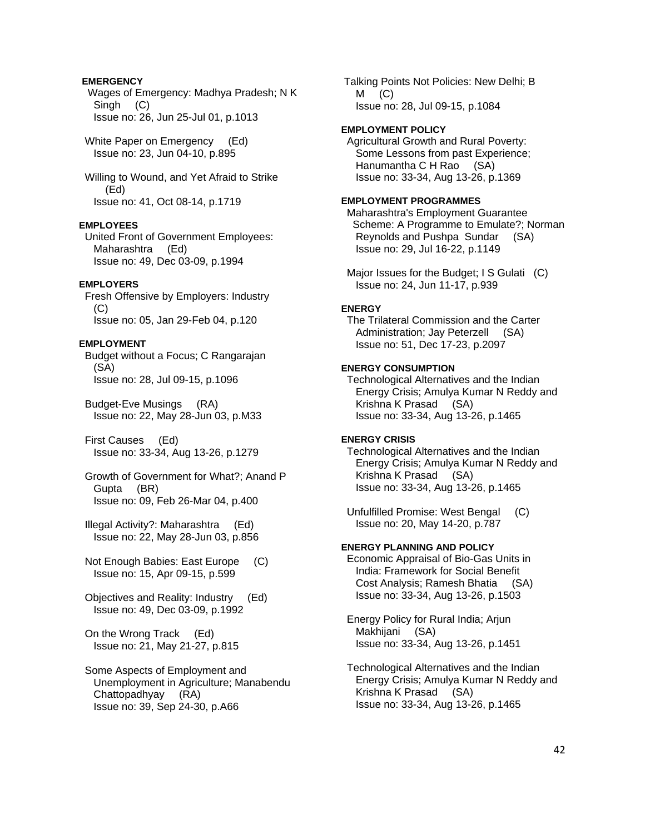# **EMERGENCY**

 Wages of Emergency: Madhya Pradesh; N K Singh (C) Issue no: 26, Jun 25-Jul 01, p.1013

White Paper on Emergency (Ed) Issue no: 23, Jun 04-10, p.895

 Willing to Wound, and Yet Afraid to Strike (Ed) Issue no: 41, Oct 08-14, p.1719

# **EMPLOYEES**

 United Front of Government Employees: Maharashtra (Ed) Issue no: 49, Dec 03-09, p.1994

#### **EMPLOYERS**

 Fresh Offensive by Employers: Industry (C) Issue no: 05, Jan 29-Feb 04, p.120

# **EMPLOYMENT**

 Budget without a Focus; C Rangarajan (SA) Issue no: 28, Jul 09-15, p.1096

 Budget-Eve Musings (RA) Issue no: 22, May 28-Jun 03, p.M33

 First Causes (Ed) Issue no: 33-34, Aug 13-26, p.1279

 Growth of Government for What?; Anand P Gupta (BR) Issue no: 09, Feb 26-Mar 04, p.400

 Illegal Activity?: Maharashtra (Ed) Issue no: 22, May 28-Jun 03, p.856

 Not Enough Babies: East Europe (C) Issue no: 15, Apr 09-15, p.599

 Objectives and Reality: Industry (Ed) Issue no: 49, Dec 03-09, p.1992

 On the Wrong Track (Ed) Issue no: 21, May 21-27, p.815

 Some Aspects of Employment and Unemployment in Agriculture; Manabendu Chattopadhyay (RA) Issue no: 39, Sep 24-30, p.A66

 Talking Points Not Policies: New Delhi; B  $M$  (C) Issue no: 28, Jul 09-15, p.1084

#### **EMPLOYMENT POLICY**

 Agricultural Growth and Rural Poverty: Some Lessons from past Experience; Hanumantha C H Rao (SA) Issue no: 33-34, Aug 13-26, p.1369

#### **EMPLOYMENT PROGRAMMES**

 Maharashtra's Employment Guarantee Scheme: A Programme to Emulate?; Norman Reynolds and Pushpa Sundar (SA) Issue no: 29, Jul 16-22, p.1149

Major Issues for the Budget; I S Gulati (C) Issue no: 24, Jun 11-17, p.939

#### **ENERGY**

 The Trilateral Commission and the Carter Administration; Jay Peterzell (SA) Issue no: 51, Dec 17-23, p.2097

# **ENERGY CONSUMPTION**

 Technological Alternatives and the Indian Energy Crisis; Amulya Kumar N Reddy and Krishna K Prasad (SA) Issue no: 33-34, Aug 13-26, p.1465

# **ENERGY CRISIS**

 Technological Alternatives and the Indian Energy Crisis; Amulya Kumar N Reddy and Krishna K Prasad (SA) Issue no: 33-34, Aug 13-26, p.1465

 Unfulfilled Promise: West Bengal (C) Issue no: 20, May 14-20, p.787

#### **ENERGY PLANNING AND POLICY**

 Economic Appraisal of Bio-Gas Units in India: Framework for Social Benefit Cost Analysis; Ramesh Bhatia (SA) Issue no: 33-34, Aug 13-26, p.1503

 Energy Policy for Rural India; Arjun Makhijani (SA) Issue no: 33-34, Aug 13-26, p.1451

 Technological Alternatives and the Indian Energy Crisis; Amulya Kumar N Reddy and Krishna K Prasad (SA) Issue no: 33-34, Aug 13-26, p.1465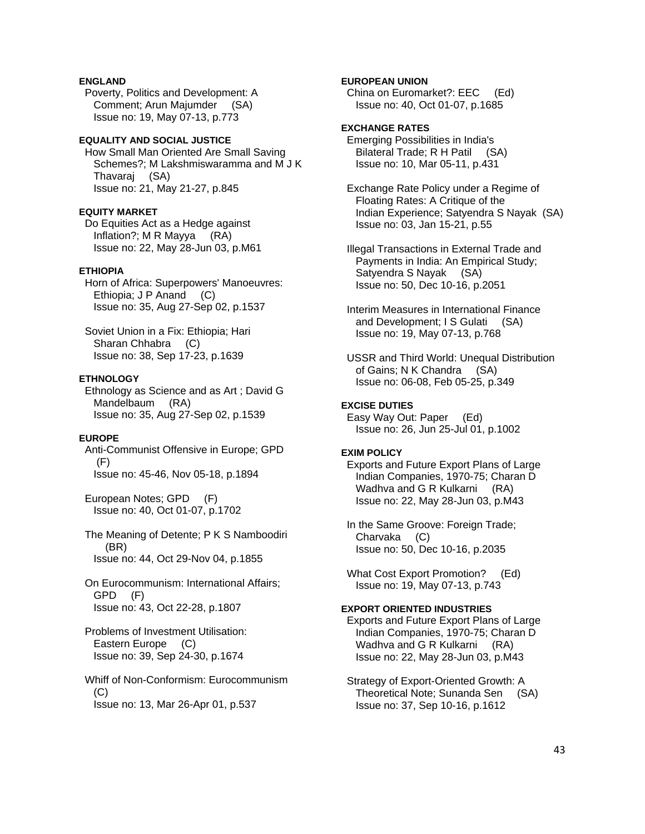# **ENGLAND**

 Poverty, Politics and Development: A Comment; Arun Majumder (SA) Issue no: 19, May 07-13, p.773

# **EQUALITY AND SOCIAL JUSTICE**

 How Small Man Oriented Are Small Saving Schemes?; M Lakshmiswaramma and M J K Thavaraj (SA) Issue no: 21, May 21-27, p.845

#### **EQUITY MARKET**

 Do Equities Act as a Hedge against Inflation?; M R Mayya (RA) Issue no: 22, May 28-Jun 03, p.M61

# **ETHIOPIA**

 Horn of Africa: Superpowers' Manoeuvres: Ethiopia; J P Anand (C) Issue no: 35, Aug 27-Sep 02, p.1537

 Soviet Union in a Fix: Ethiopia; Hari Sharan Chhabra (C) Issue no: 38, Sep 17-23, p.1639

#### **ETHNOLOGY**

 Ethnology as Science and as Art ; David G Mandelbaum (RA) Issue no: 35, Aug 27-Sep 02, p.1539

#### **EUROPE**

 Anti-Communist Offensive in Europe; GPD (F) Issue no: 45-46, Nov 05-18, p.1894

 European Notes; GPD (F) Issue no: 40, Oct 01-07, p.1702

 The Meaning of Detente; P K S Namboodiri (BR) Issue no: 44, Oct 29-Nov 04, p.1855

 On Eurocommunism: International Affairs; GPD (F) Issue no: 43, Oct 22-28, p.1807

 Problems of Investment Utilisation: Eastern Europe (C) Issue no: 39, Sep 24-30, p.1674

 Whiff of Non-Conformism: Eurocommunism  $(C)$ Issue no: 13, Mar 26-Apr 01, p.537

### **EUROPEAN UNION**

 China on Euromarket?: EEC (Ed) Issue no: 40, Oct 01-07, p.1685

# **EXCHANGE RATES**

 Emerging Possibilities in India's Bilateral Trade; R H Patil (SA) Issue no: 10, Mar 05-11, p.431

 Exchange Rate Policy under a Regime of Floating Rates: A Critique of the Indian Experience; Satyendra S Nayak (SA) Issue no: 03, Jan 15-21, p.55

 Illegal Transactions in External Trade and Payments in India: An Empirical Study; Satyendra S Nayak (SA) Issue no: 50, Dec 10-16, p.2051

 Interim Measures in International Finance and Development; I S Gulati (SA) Issue no: 19, May 07-13, p.768

 USSR and Third World: Unequal Distribution of Gains; N K Chandra (SA) Issue no: 06-08, Feb 05-25, p.349

# **EXCISE DUTIES**

 Easy Way Out: Paper (Ed) Issue no: 26, Jun 25-Jul 01, p.1002

#### **EXIM POLICY**

 Exports and Future Export Plans of Large Indian Companies, 1970-75; Charan D Wadhva and G R Kulkarni (RA) Issue no: 22, May 28-Jun 03, p.M43

 In the Same Groove: Foreign Trade; Charvaka (C) Issue no: 50, Dec 10-16, p.2035

 What Cost Export Promotion? (Ed) Issue no: 19, May 07-13, p.743

#### **EXPORT ORIENTED INDUSTRIES**

 Exports and Future Export Plans of Large Indian Companies, 1970-75; Charan D Wadhva and G R Kulkarni (RA) Issue no: 22, May 28-Jun 03, p.M43

 Strategy of Export-Oriented Growth: A Theoretical Note; Sunanda Sen (SA) Issue no: 37, Sep 10-16, p.1612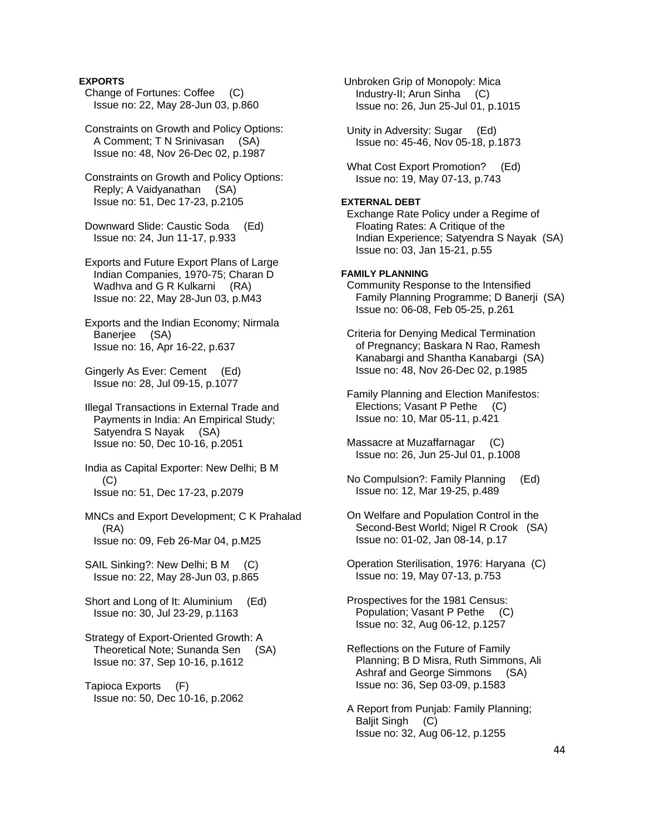# **EXPORTS**

 Change of Fortunes: Coffee (C) Issue no: 22, May 28-Jun 03, p.860

 Constraints on Growth and Policy Options: A Comment; T N Srinivasan (SA) Issue no: 48, Nov 26-Dec 02, p.1987

 Constraints on Growth and Policy Options: Reply; A Vaidyanathan (SA) Issue no: 51, Dec 17-23, p.2105

 Downward Slide: Caustic Soda (Ed) Issue no: 24, Jun 11-17, p.933

 Exports and Future Export Plans of Large Indian Companies, 1970-75; Charan D Wadhva and G R Kulkarni (RA) Issue no: 22, May 28-Jun 03, p.M43

 Exports and the Indian Economy; Nirmala Banerjee (SA) Issue no: 16, Apr 16-22, p.637

 Gingerly As Ever: Cement (Ed) Issue no: 28, Jul 09-15, p.1077

 Illegal Transactions in External Trade and Payments in India: An Empirical Study; Satyendra S Nayak (SA) Issue no: 50, Dec 10-16, p.2051

 India as Capital Exporter: New Delhi; B M  $(C)$ Issue no: 51, Dec 17-23, p.2079

 MNCs and Export Development; C K Prahalad (RA) Issue no: 09, Feb 26-Mar 04, p.M25

SAIL Sinking?: New Delhi; B M (C) Issue no: 22, May 28-Jun 03, p.865

 Short and Long of It: Aluminium (Ed) Issue no: 30, Jul 23-29, p.1163

 Strategy of Export-Oriented Growth: A Theoretical Note; Sunanda Sen (SA) Issue no: 37, Sep 10-16, p.1612

 Tapioca Exports (F) Issue no: 50, Dec 10-16, p.2062  Unbroken Grip of Monopoly: Mica Industry-II; Arun Sinha (C) Issue no: 26, Jun 25-Jul 01, p.1015

 Unity in Adversity: Sugar (Ed) Issue no: 45-46, Nov 05-18, p.1873

 What Cost Export Promotion? (Ed) Issue no: 19, May 07-13, p.743

# **EXTERNAL DEBT**

 Exchange Rate Policy under a Regime of Floating Rates: A Critique of the Indian Experience; Satyendra S Nayak (SA) Issue no: 03, Jan 15-21, p.55

#### **FAMILY PLANNING**

 Community Response to the Intensified Family Planning Programme; D Banerji (SA) Issue no: 06-08, Feb 05-25, p.261

 Criteria for Denying Medical Termination of Pregnancy; Baskara N Rao, Ramesh Kanabargi and Shantha Kanabargi (SA) Issue no: 48, Nov 26-Dec 02, p.1985

 Family Planning and Election Manifestos: Elections; Vasant P Pethe (C) Issue no: 10, Mar 05-11, p.421

 Massacre at Muzaffarnagar (C) Issue no: 26, Jun 25-Jul 01, p.1008

 No Compulsion?: Family Planning (Ed) Issue no: 12, Mar 19-25, p.489

 On Welfare and Population Control in the Second-Best World; Nigel R Crook (SA) Issue no: 01-02, Jan 08-14, p.17

 Operation Sterilisation, 1976: Haryana (C) Issue no: 19, May 07-13, p.753

 Prospectives for the 1981 Census: Population; Vasant P Pethe (C) Issue no: 32, Aug 06-12, p.1257

 Reflections on the Future of Family Planning; B D Misra, Ruth Simmons, Ali Ashraf and George Simmons (SA) Issue no: 36, Sep 03-09, p.1583

 A Report from Punjab: Family Planning; Baljit Singh (C) Issue no: 32, Aug 06-12, p.1255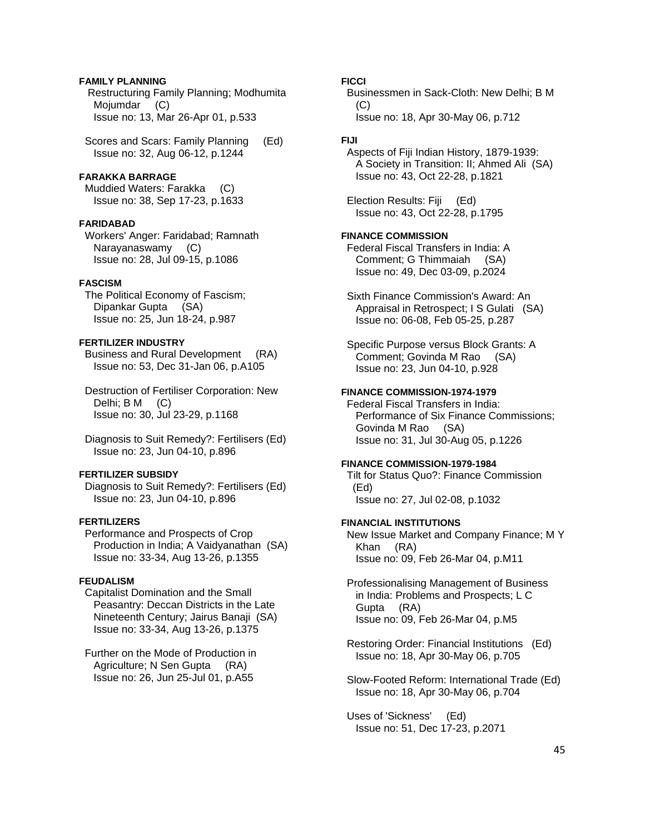# **FAMILY PLANNING**

 Restructuring Family Planning; Modhumita Mojumdar (C) Issue no: 13, Mar 26-Apr 01, p.533

 Scores and Scars: Family Planning (Ed) Issue no: 32, Aug 06-12, p.1244

# **FARAKKA BARRAGE**

 Muddied Waters: Farakka (C) Issue no: 38, Sep 17-23, p.1633

#### **FARIDABAD**

 Workers' Anger: Faridabad; Ramnath Narayanaswamy (C) Issue no: 28, Jul 09-15, p.1086

# **FASCISM**

 The Political Economy of Fascism; Dipankar Gupta (SA) Issue no: 25, Jun 18-24, p.987

# **FERTILIZER INDUSTRY**

 Business and Rural Development (RA) Issue no: 53, Dec 31-Jan 06, p.A105

 Destruction of Fertiliser Corporation: New Delhi; B M (C) Issue no: 30, Jul 23-29, p.1168

 Diagnosis to Suit Remedy?: Fertilisers (Ed) Issue no: 23, Jun 04-10, p.896

### **FERTILIZER SUBSIDY**

 Diagnosis to Suit Remedy?: Fertilisers (Ed) Issue no: 23, Jun 04-10, p.896

# **FERTILIZERS**

 Performance and Prospects of Crop Production in India; A Vaidyanathan (SA) Issue no: 33-34, Aug 13-26, p.1355

#### **FEUDALISM**

 Capitalist Domination and the Small Peasantry: Deccan Districts in the Late Nineteenth Century; Jairus Banaji (SA) Issue no: 33-34, Aug 13-26, p.1375

 Further on the Mode of Production in Agriculture; N Sen Gupta (RA) Issue no: 26, Jun 25-Jul 01, p.A55

**FICCI** 

 Businessmen in Sack-Cloth: New Delhi; B M  $(C)$ Issue no: 18, Apr 30-May 06, p.712

# **FIJI**

 Aspects of Fiji Indian History, 1879-1939: A Society in Transition: II; Ahmed Ali (SA) Issue no: 43, Oct 22-28, p.1821

 Election Results: Fiji (Ed) Issue no: 43, Oct 22-28, p.1795

#### **FINANCE COMMISSION**

 Federal Fiscal Transfers in India: A Comment; G Thimmaiah (SA) Issue no: 49, Dec 03-09, p.2024

 Sixth Finance Commission's Award: An Appraisal in Retrospect; I S Gulati (SA) Issue no: 06-08, Feb 05-25, p.287

 Specific Purpose versus Block Grants: A Comment; Govinda M Rao (SA) Issue no: 23, Jun 04-10, p.928

#### **FINANCE COMMISSION-1974-1979**

 Federal Fiscal Transfers in India: Performance of Six Finance Commissions; Govinda M Rao (SA) Issue no: 31, Jul 30-Aug 05, p.1226

#### **FINANCE COMMISSION-1979-1984**

 Tilt for Status Quo?: Finance Commission (Ed) Issue no: 27, Jul 02-08, p.1032

#### **FINANCIAL INSTITUTIONS**

 New Issue Market and Company Finance; M Y Khan (RA) Issue no: 09, Feb 26-Mar 04, p.M11

 Professionalising Management of Business in India: Problems and Prospects; L C Gupta (RA) Issue no: 09, Feb 26-Mar 04, p.M5

 Restoring Order: Financial Institutions (Ed) Issue no: 18, Apr 30-May 06, p.705

 Slow-Footed Reform: International Trade (Ed) Issue no: 18, Apr 30-May 06, p.704

 Uses of 'Sickness' (Ed) Issue no: 51, Dec 17-23, p.2071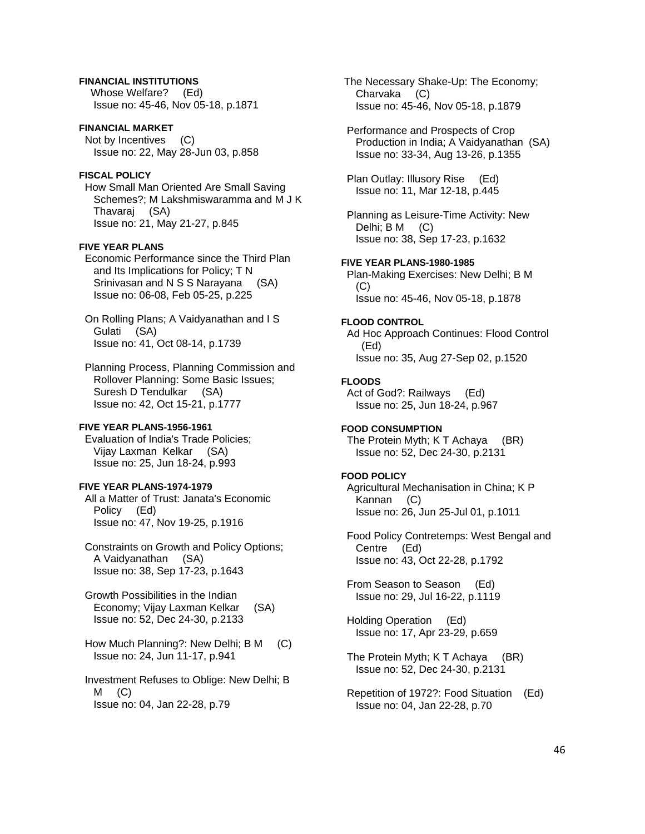# **FINANCIAL INSTITUTIONS**

 Whose Welfare? (Ed) Issue no: 45-46, Nov 05-18, p.1871

# **FINANCIAL MARKET**

 Not by Incentives (C) Issue no: 22, May 28-Jun 03, p.858

#### **FISCAL POLICY**

 How Small Man Oriented Are Small Saving Schemes?; M Lakshmiswaramma and M J K Thavaraj (SA) Issue no: 21, May 21-27, p.845

#### **FIVE YEAR PLANS**

 Economic Performance since the Third Plan and Its Implications for Policy; T N Srinivasan and N S S Narayana (SA) Issue no: 06-08, Feb 05-25, p.225

 On Rolling Plans; A Vaidyanathan and I S Gulati (SA) Issue no: 41, Oct 08-14, p.1739

 Planning Process, Planning Commission and Rollover Planning: Some Basic Issues; Suresh D Tendulkar (SA) Issue no: 42, Oct 15-21, p.1777

# **FIVE YEAR PLANS-1956-1961**

 Evaluation of India's Trade Policies; Vijay Laxman Kelkar (SA) Issue no: 25, Jun 18-24, p.993

### **FIVE YEAR PLANS-1974-1979**

 All a Matter of Trust: Janata's Economic Policy (Ed) Issue no: 47, Nov 19-25, p.1916

 Constraints on Growth and Policy Options; A Vaidyanathan (SA) Issue no: 38, Sep 17-23, p.1643

 Growth Possibilities in the Indian Economy; Vijay Laxman Kelkar (SA) Issue no: 52, Dec 24-30, p.2133

 How Much Planning?: New Delhi; B M (C) Issue no: 24, Jun 11-17, p.941

 Investment Refuses to Oblige: New Delhi; B  $M$  (C) Issue no: 04, Jan 22-28, p.79

 The Necessary Shake-Up: The Economy; Charvaka (C) Issue no: 45-46, Nov 05-18, p.1879

 Performance and Prospects of Crop Production in India; A Vaidyanathan (SA) Issue no: 33-34, Aug 13-26, p.1355

 Plan Outlay: Illusory Rise (Ed) Issue no: 11, Mar 12-18, p.445

 Planning as Leisure-Time Activity: New Delhi; B M (C) Issue no: 38, Sep 17-23, p.1632

# **FIVE YEAR PLANS-1980-1985**

 Plan-Making Exercises: New Delhi; B M  $(C)$ Issue no: 45-46, Nov 05-18, p.1878

#### **FLOOD CONTROL**

 Ad Hoc Approach Continues: Flood Control (Ed) Issue no: 35, Aug 27-Sep 02, p.1520

#### **FLOODS**

 Act of God?: Railways (Ed) Issue no: 25, Jun 18-24, p.967

# **FOOD CONSUMPTION**

 The Protein Myth; K T Achaya (BR) Issue no: 52, Dec 24-30, p.2131

# **FOOD POLICY**

 Agricultural Mechanisation in China; K P Kannan (C) Issue no: 26, Jun 25-Jul 01, p.1011

 Food Policy Contretemps: West Bengal and Centre (Ed) Issue no: 43, Oct 22-28, p.1792

 From Season to Season (Ed) Issue no: 29, Jul 16-22, p.1119

 Holding Operation (Ed) Issue no: 17, Apr 23-29, p.659

 The Protein Myth; K T Achaya (BR) Issue no: 52, Dec 24-30, p.2131

 Repetition of 1972?: Food Situation (Ed) Issue no: 04, Jan 22-28, p.70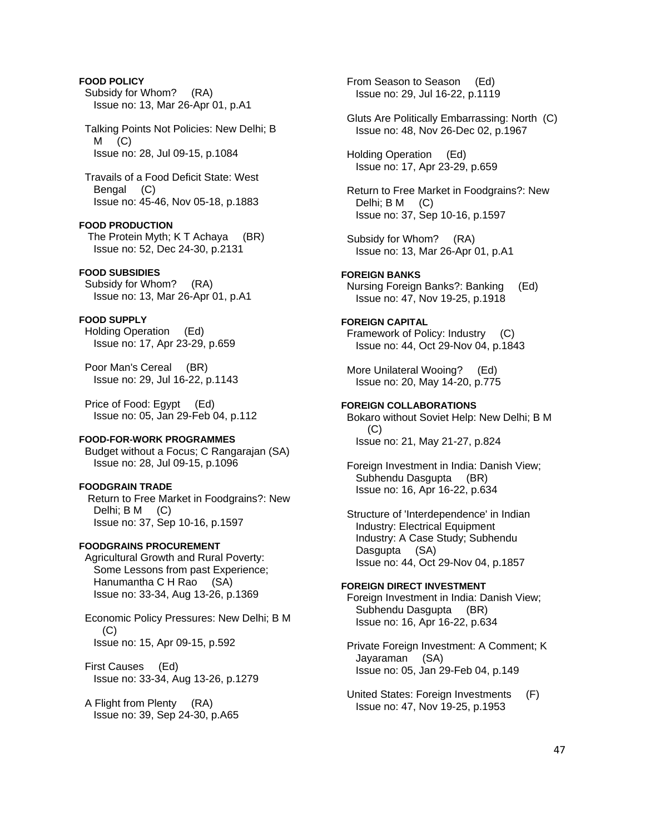# **FOOD POLICY**

 Subsidy for Whom? (RA) Issue no: 13, Mar 26-Apr 01, p.A1

 Talking Points Not Policies: New Delhi; B  $M$  (C) Issue no: 28, Jul 09-15, p.1084

 Travails of a Food Deficit State: West Bengal (C) Issue no: 45-46, Nov 05-18, p.1883

### **FOOD PRODUCTION**

 The Protein Myth; K T Achaya (BR) Issue no: 52, Dec 24-30, p.2131

# **FOOD SUBSIDIES**

 Subsidy for Whom? (RA) Issue no: 13, Mar 26-Apr 01, p.A1

# **FOOD SUPPLY**

 Holding Operation (Ed) Issue no: 17, Apr 23-29, p.659

 Poor Man's Cereal (BR) Issue no: 29, Jul 16-22, p.1143

 Price of Food: Egypt (Ed) Issue no: 05, Jan 29-Feb 04, p.112

# **FOOD-FOR-WORK PROGRAMMES**

 Budget without a Focus; C Rangarajan (SA) Issue no: 28, Jul 09-15, p.1096

#### **FOODGRAIN TRADE**

 Return to Free Market in Foodgrains?: New Delhi; B M (C) Issue no: 37, Sep 10-16, p.1597

### **FOODGRAINS PROCUREMENT**

 Agricultural Growth and Rural Poverty: Some Lessons from past Experience; Hanumantha C H Rao (SA) Issue no: 33-34, Aug 13-26, p.1369

 Economic Policy Pressures: New Delhi; B M (C) Issue no: 15, Apr 09-15, p.592

 First Causes (Ed) Issue no: 33-34, Aug 13-26, p.1279

 A Flight from Plenty (RA) Issue no: 39, Sep 24-30, p.A65  From Season to Season (Ed) Issue no: 29, Jul 16-22, p.1119

 Gluts Are Politically Embarrassing: North (C) Issue no: 48, Nov 26-Dec 02, p.1967

 Holding Operation (Ed) Issue no: 17, Apr 23-29, p.659

 Return to Free Market in Foodgrains?: New Delhi; B M (C) Issue no: 37, Sep 10-16, p.1597

 Subsidy for Whom? (RA) Issue no: 13, Mar 26-Apr 01, p.A1

#### **FOREIGN BANKS**

 Nursing Foreign Banks?: Banking (Ed) Issue no: 47, Nov 19-25, p.1918

### **FOREIGN CAPITAL**

 Framework of Policy: Industry (C) Issue no: 44, Oct 29-Nov 04, p.1843

 More Unilateral Wooing? (Ed) Issue no: 20, May 14-20, p.775

# **FOREIGN COLLABORATIONS**

 Bokaro without Soviet Help: New Delhi; B M (C) Issue no: 21, May 21-27, p.824

 Foreign Investment in India: Danish View; Subhendu Dasgupta (BR) Issue no: 16, Apr 16-22, p.634

 Structure of 'Interdependence' in Indian Industry: Electrical Equipment Industry: A Case Study; Subhendu Dasgupta (SA) Issue no: 44, Oct 29-Nov 04, p.1857

# **FOREIGN DIRECT INVESTMENT**

 Foreign Investment in India: Danish View; Subhendu Dasgupta (BR) Issue no: 16, Apr 16-22, p.634

 Private Foreign Investment: A Comment; K Jayaraman (SA) Issue no: 05, Jan 29-Feb 04, p.149

 United States: Foreign Investments (F) Issue no: 47, Nov 19-25, p.1953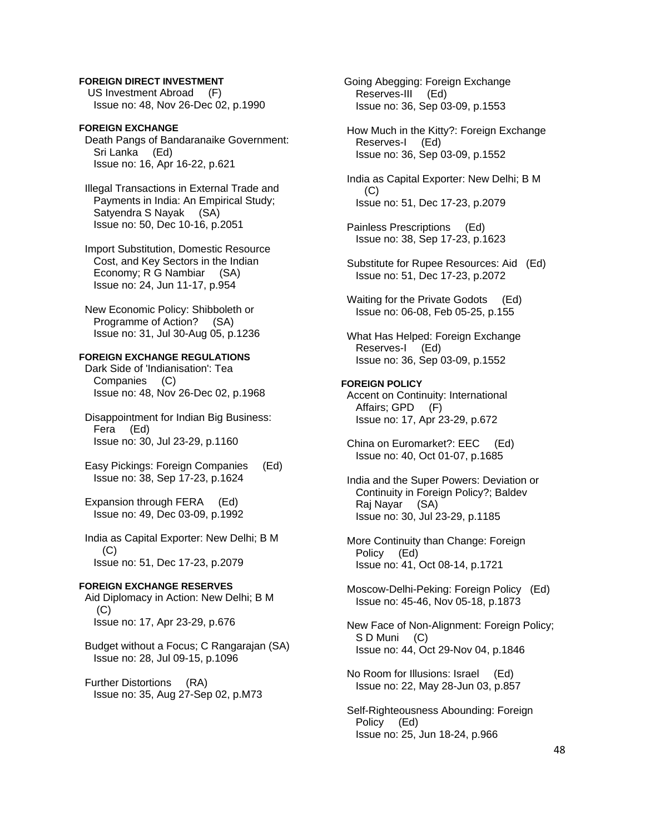#### **FOREIGN DIRECT INVESTMENT**

 US Investment Abroad (F) Issue no: 48, Nov 26-Dec 02, p.1990

# **FOREIGN EXCHANGE**

 Death Pangs of Bandaranaike Government: Sri Lanka (Ed) Issue no: 16, Apr 16-22, p.621

 Illegal Transactions in External Trade and Payments in India: An Empirical Study; Satyendra S Nayak (SA) Issue no: 50, Dec 10-16, p.2051

 Import Substitution, Domestic Resource Cost, and Key Sectors in the Indian Economy; R G Nambiar (SA) Issue no: 24, Jun 11-17, p.954

 New Economic Policy: Shibboleth or Programme of Action? (SA) Issue no: 31, Jul 30-Aug 05, p.1236

# **FOREIGN EXCHANGE REGULATIONS**

 Dark Side of 'Indianisation': Tea Companies (C) Issue no: 48, Nov 26-Dec 02, p.1968

 Disappointment for Indian Big Business: Fera (Ed) Issue no: 30, Jul 23-29, p.1160

 Easy Pickings: Foreign Companies (Ed) Issue no: 38, Sep 17-23, p.1624

 Expansion through FERA (Ed) Issue no: 49, Dec 03-09, p.1992

 India as Capital Exporter: New Delhi; B M (C) Issue no: 51, Dec 17-23, p.2079

# **FOREIGN EXCHANGE RESERVES**

 Aid Diplomacy in Action: New Delhi; B M (C) Issue no: 17, Apr 23-29, p.676

 Budget without a Focus; C Rangarajan (SA) Issue no: 28, Jul 09-15, p.1096

 Further Distortions (RA) Issue no: 35, Aug 27-Sep 02, p.M73  Going Abegging: Foreign Exchange Reserves-III (Ed) Issue no: 36, Sep 03-09, p.1553

 How Much in the Kitty?: Foreign Exchange Reserves-I (Ed) Issue no: 36, Sep 03-09, p.1552

 India as Capital Exporter: New Delhi; B M  $(C)$ Issue no: 51, Dec 17-23, p.2079

 Painless Prescriptions (Ed) Issue no: 38, Sep 17-23, p.1623

 Substitute for Rupee Resources: Aid (Ed) Issue no: 51, Dec 17-23, p.2072

 Waiting for the Private Godots (Ed) Issue no: 06-08, Feb 05-25, p.155

 What Has Helped: Foreign Exchange Reserves-I (Ed) Issue no: 36, Sep 03-09, p.1552

#### **FOREIGN POLICY**

 Accent on Continuity: International Affairs; GPD (F) Issue no: 17, Apr 23-29, p.672

 China on Euromarket?: EEC (Ed) Issue no: 40, Oct 01-07, p.1685

 India and the Super Powers: Deviation or Continuity in Foreign Policy?; Baldev Raj Nayar (SA) Issue no: 30, Jul 23-29, p.1185

 More Continuity than Change: Foreign Policy (Ed) Issue no: 41, Oct 08-14, p.1721

 Moscow-Delhi-Peking: Foreign Policy (Ed) Issue no: 45-46, Nov 05-18, p.1873

 New Face of Non-Alignment: Foreign Policy; S D Muni (C) Issue no: 44, Oct 29-Nov 04, p.1846

 No Room for Illusions: Israel (Ed) Issue no: 22, May 28-Jun 03, p.857

 Self-Righteousness Abounding: Foreign Policy (Ed) Issue no: 25, Jun 18-24, p.966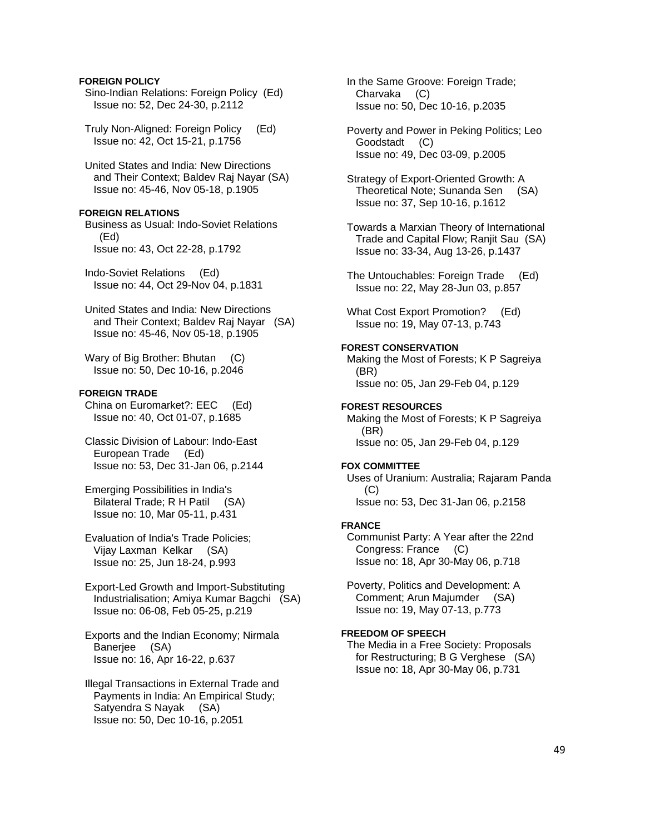#### **FOREIGN POLICY**

- Sino-Indian Relations: Foreign Policy (Ed) Issue no: 52, Dec 24-30, p.2112
- Truly Non-Aligned: Foreign Policy (Ed) Issue no: 42, Oct 15-21, p.1756
- United States and India: New Directions and Their Context; Baldev Raj Nayar (SA) Issue no: 45-46, Nov 05-18, p.1905

#### **FOREIGN RELATIONS**

 Business as Usual: Indo-Soviet Relations (Ed) Issue no: 43, Oct 22-28, p.1792

 Indo-Soviet Relations (Ed) Issue no: 44, Oct 29-Nov 04, p.1831

 United States and India: New Directions and Their Context; Baldev Raj Nayar (SA) Issue no: 45-46, Nov 05-18, p.1905

Wary of Big Brother: Bhutan (C) Issue no: 50, Dec 10-16, p.2046

#### **FOREIGN TRADE**

 China on Euromarket?: EEC (Ed) Issue no: 40, Oct 01-07, p.1685

- Classic Division of Labour: Indo-East European Trade (Ed) Issue no: 53, Dec 31-Jan 06, p.2144
- Emerging Possibilities in India's Bilateral Trade; R H Patil (SA) Issue no: 10, Mar 05-11, p.431
- Evaluation of India's Trade Policies; Vijay Laxman Kelkar (SA) Issue no: 25, Jun 18-24, p.993
- Export-Led Growth and Import-Substituting Industrialisation; Amiya Kumar Bagchi (SA) Issue no: 06-08, Feb 05-25, p.219
- Exports and the Indian Economy; Nirmala Banerjee (SA) Issue no: 16, Apr 16-22, p.637
- Illegal Transactions in External Trade and Payments in India: An Empirical Study; Satyendra S Nayak (SA) Issue no: 50, Dec 10-16, p.2051
- In the Same Groove: Foreign Trade; Charvaka (C) Issue no: 50, Dec 10-16, p.2035
- Poverty and Power in Peking Politics; Leo Goodstadt (C) Issue no: 49, Dec 03-09, p.2005
- Strategy of Export-Oriented Growth: A Theoretical Note; Sunanda Sen (SA) Issue no: 37, Sep 10-16, p.1612
- Towards a Marxian Theory of International Trade and Capital Flow; Ranjit Sau (SA) Issue no: 33-34, Aug 13-26, p.1437
- The Untouchables: Foreign Trade (Ed) Issue no: 22, May 28-Jun 03, p.857
- What Cost Export Promotion? (Ed) Issue no: 19, May 07-13, p.743

# **FOREST CONSERVATION**

 Making the Most of Forests; K P Sagreiya (BR) Issue no: 05, Jan 29-Feb 04, p.129

# **FOREST RESOURCES**

 Making the Most of Forests; K P Sagreiya (BR) Issue no: 05, Jan 29-Feb 04, p.129

#### **FOX COMMITTEE**

 Uses of Uranium: Australia; Rajaram Panda (C) Issue no: 53, Dec 31-Jan 06, p.2158

#### **FRANCE**

 Communist Party: A Year after the 22nd Congress: France (C) Issue no: 18, Apr 30-May 06, p.718

 Poverty, Politics and Development: A Comment; Arun Majumder (SA) Issue no: 19, May 07-13, p.773

# **FREEDOM OF SPEECH**

 The Media in a Free Society: Proposals for Restructuring; B G Verghese (SA) Issue no: 18, Apr 30-May 06, p.731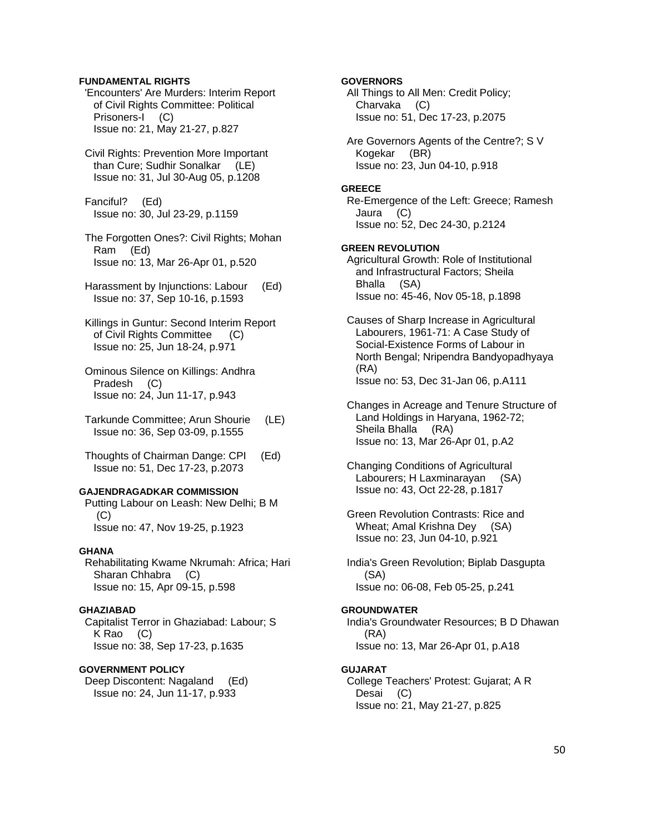### **FUNDAMENTAL RIGHTS**

 'Encounters' Are Murders: Interim Report of Civil Rights Committee: Political Prisoners-I (C) Issue no: 21, May 21-27, p.827

 Civil Rights: Prevention More Important than Cure; Sudhir Sonalkar (LE) Issue no: 31, Jul 30-Aug 05, p.1208

 Fanciful? (Ed) Issue no: 30, Jul 23-29, p.1159

 The Forgotten Ones?: Civil Rights; Mohan Ram (Ed) Issue no: 13, Mar 26-Apr 01, p.520

 Harassment by Injunctions: Labour (Ed) Issue no: 37, Sep 10-16, p.1593

 Killings in Guntur: Second Interim Report of Civil Rights Committee (C) Issue no: 25, Jun 18-24, p.971

- Ominous Silence on Killings: Andhra Pradesh (C) Issue no: 24, Jun 11-17, p.943
- Tarkunde Committee; Arun Shourie (LE) Issue no: 36, Sep 03-09, p.1555
- Thoughts of Chairman Dange: CPI (Ed) Issue no: 51, Dec 17-23, p.2073

# **GAJENDRAGADKAR COMMISSION**

 Putting Labour on Leash: New Delhi; B M (C) Issue no: 47, Nov 19-25, p.1923

#### **GHANA**

 Rehabilitating Kwame Nkrumah: Africa; Hari Sharan Chhabra (C) Issue no: 15, Apr 09-15, p.598

### **GHAZIABAD**

 Capitalist Terror in Ghaziabad: Labour; S K Rao (C) Issue no: 38, Sep 17-23, p.1635

#### **GOVERNMENT POLICY**

 Deep Discontent: Nagaland (Ed) Issue no: 24, Jun 11-17, p.933

### **GOVERNORS**

 All Things to All Men: Credit Policy; Charvaka (C) Issue no: 51, Dec 17-23, p.2075

 Are Governors Agents of the Centre?; S V Kogekar (BR) Issue no: 23, Jun 04-10, p.918

#### **GREECE**

 Re-Emergence of the Left: Greece; Ramesh Jaura (C) Issue no: 52, Dec 24-30, p.2124

### **GREEN REVOLUTION**

 Agricultural Growth: Role of Institutional and Infrastructural Factors; Sheila Bhalla (SA) Issue no: 45-46, Nov 05-18, p.1898

 Causes of Sharp Increase in Agricultural Labourers, 1961-71: A Case Study of Social-Existence Forms of Labour in North Bengal; Nripendra Bandyopadhyaya (RA) Issue no: 53, Dec 31-Jan 06, p.A111

 Changes in Acreage and Tenure Structure of Land Holdings in Haryana, 1962-72; Sheila Bhalla (RA) Issue no: 13, Mar 26-Apr 01, p.A2

 Changing Conditions of Agricultural Labourers; H Laxminarayan (SA) Issue no: 43, Oct 22-28, p.1817

 Green Revolution Contrasts: Rice and Wheat; Amal Krishna Dey (SA) Issue no: 23, Jun 04-10, p.921

 India's Green Revolution; Biplab Dasgupta (SA) Issue no: 06-08, Feb 05-25, p.241

#### **GROUNDWATER**

 India's Groundwater Resources; B D Dhawan (RA) Issue no: 13, Mar 26-Apr 01, p.A18

#### **GUJARAT**

 College Teachers' Protest: Gujarat; A R Desai (C) Issue no: 21, May 21-27, p.825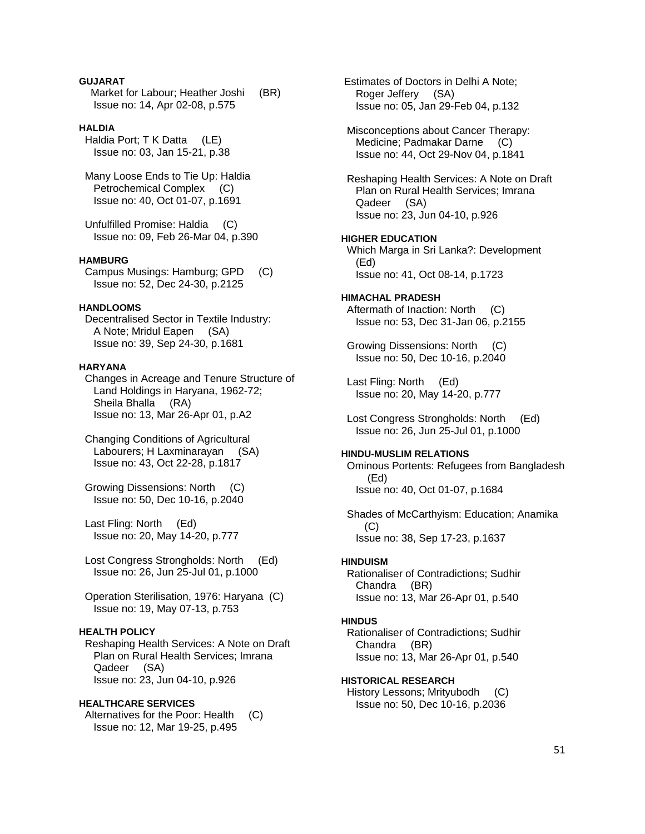# **GUJARAT**

Market for Labour; Heather Joshi (BR) Issue no: 14, Apr 02-08, p.575

### **HALDIA**

 Haldia Port; T K Datta (LE) Issue no: 03, Jan 15-21, p.38

 Many Loose Ends to Tie Up: Haldia Petrochemical Complex (C) Issue no: 40, Oct 01-07, p.1691

 Unfulfilled Promise: Haldia (C) Issue no: 09, Feb 26-Mar 04, p.390

# **HAMBURG**

 Campus Musings: Hamburg; GPD (C) Issue no: 52, Dec 24-30, p.2125

#### **HANDLOOMS**

 Decentralised Sector in Textile Industry: A Note; Mridul Eapen (SA) Issue no: 39, Sep 24-30, p.1681

# **HARYANA**

 Changes in Acreage and Tenure Structure of Land Holdings in Haryana, 1962-72; Sheila Bhalla (RA) Issue no: 13, Mar 26-Apr 01, p.A2

 Changing Conditions of Agricultural Labourers; H Laxminarayan (SA) Issue no: 43, Oct 22-28, p.1817

 Growing Dissensions: North (C) Issue no: 50, Dec 10-16, p.2040

 Last Fling: North (Ed) Issue no: 20, May 14-20, p.777

 Lost Congress Strongholds: North (Ed) Issue no: 26, Jun 25-Jul 01, p.1000

 Operation Sterilisation, 1976: Haryana (C) Issue no: 19, May 07-13, p.753

# **HEALTH POLICY**

 Reshaping Health Services: A Note on Draft Plan on Rural Health Services; Imrana Qadeer (SA) Issue no: 23, Jun 04-10, p.926

#### **HEALTHCARE SERVICES**

Alternatives for the Poor: Health (C) Issue no: 12, Mar 19-25, p.495

 Estimates of Doctors in Delhi A Note; Roger Jeffery (SA) Issue no: 05, Jan 29-Feb 04, p.132

 Misconceptions about Cancer Therapy: Medicine; Padmakar Darne (C) Issue no: 44, Oct 29-Nov 04, p.1841

 Reshaping Health Services: A Note on Draft Plan on Rural Health Services; Imrana Qadeer (SA) Issue no: 23, Jun 04-10, p.926

#### **HIGHER EDUCATION**

 Which Marga in Sri Lanka?: Development (Ed) Issue no: 41, Oct 08-14, p.1723

#### **HIMACHAL PRADESH**  Aftermath of Inaction: North (C) Issue no: 53, Dec 31-Jan 06, p.2155

 Growing Dissensions: North (C) Issue no: 50, Dec 10-16, p.2040

 Last Fling: North (Ed) Issue no: 20, May 14-20, p.777

 Lost Congress Strongholds: North (Ed) Issue no: 26, Jun 25-Jul 01, p.1000

# **HINDU-MUSLIM RELATIONS**

 Ominous Portents: Refugees from Bangladesh (Ed) Issue no: 40, Oct 01-07, p.1684

 Shades of McCarthyism: Education; Anamika (C) Issue no: 38, Sep 17-23, p.1637

#### **HINDUISM**

 Rationaliser of Contradictions; Sudhir Chandra (BR) Issue no: 13, Mar 26-Apr 01, p.540

#### **HINDUS**

 Rationaliser of Contradictions; Sudhir Chandra (BR) Issue no: 13, Mar 26-Apr 01, p.540

#### **HISTORICAL RESEARCH**

 History Lessons; Mrityubodh (C) Issue no: 50, Dec 10-16, p.2036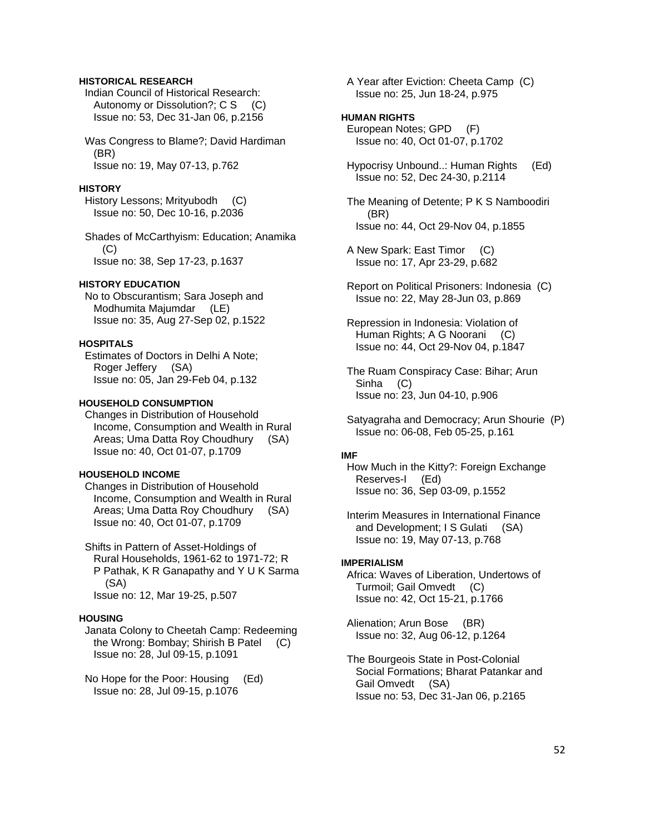# **HISTORICAL RESEARCH**

 Indian Council of Historical Research: Autonomy or Dissolution?; C S (C) Issue no: 53, Dec 31-Jan 06, p.2156

 Was Congress to Blame?; David Hardiman (BR) Issue no: 19, May 07-13, p.762

#### **HISTORY**

 History Lessons; Mrityubodh (C) Issue no: 50, Dec 10-16, p.2036

 Shades of McCarthyism: Education; Anamika (C) Issue no: 38, Sep 17-23, p.1637

#### **HISTORY EDUCATION**

 No to Obscurantism; Sara Joseph and Modhumita Majumdar (LE) Issue no: 35, Aug 27-Sep 02, p.1522

# **HOSPITALS**

 Estimates of Doctors in Delhi A Note; Roger Jeffery (SA) Issue no: 05, Jan 29-Feb 04, p.132

#### **HOUSEHOLD CONSUMPTION**

 Changes in Distribution of Household Income, Consumption and Wealth in Rural Areas; Uma Datta Roy Choudhury (SA) Issue no: 40, Oct 01-07, p.1709

#### **HOUSEHOLD INCOME**

 Changes in Distribution of Household Income, Consumption and Wealth in Rural Areas; Uma Datta Roy Choudhury (SA) Issue no: 40, Oct 01-07, p.1709

 Shifts in Pattern of Asset-Holdings of Rural Households, 1961-62 to 1971-72; R P Pathak, K R Ganapathy and Y U K Sarma (SA) Issue no: 12, Mar 19-25, p.507

#### **HOUSING**

 Janata Colony to Cheetah Camp: Redeeming the Wrong: Bombay; Shirish B Patel (C) Issue no: 28, Jul 09-15, p.1091

 No Hope for the Poor: Housing (Ed) Issue no: 28, Jul 09-15, p.1076

 A Year after Eviction: Cheeta Camp (C) Issue no: 25, Jun 18-24, p.975

#### **HUMAN RIGHTS**

 European Notes; GPD (F) Issue no: 40, Oct 01-07, p.1702

 Hypocrisy Unbound..: Human Rights (Ed) Issue no: 52, Dec 24-30, p.2114

 The Meaning of Detente; P K S Namboodiri (BR) Issue no: 44, Oct 29-Nov 04, p.1855

- A New Spark: East Timor (C) Issue no: 17, Apr 23-29, p.682
- Report on Political Prisoners: Indonesia (C) Issue no: 22, May 28-Jun 03, p.869

 Repression in Indonesia: Violation of Human Rights; A G Noorani (C) Issue no: 44, Oct 29-Nov 04, p.1847

 The Ruam Conspiracy Case: Bihar; Arun Sinha (C) Issue no: 23, Jun 04-10, p.906

 Satyagraha and Democracy; Arun Shourie (P) Issue no: 06-08, Feb 05-25, p.161

#### **IMF**

 How Much in the Kitty?: Foreign Exchange Reserves-I (Ed) Issue no: 36, Sep 03-09, p.1552

 Interim Measures in International Finance and Development; I S Gulati (SA) Issue no: 19, May 07-13, p.768

#### **IMPERIALISM**

 Africa: Waves of Liberation, Undertows of Turmoil; Gail Omvedt (C) Issue no: 42, Oct 15-21, p.1766

 Alienation; Arun Bose (BR) Issue no: 32, Aug 06-12, p.1264

 The Bourgeois State in Post-Colonial Social Formations; Bharat Patankar and Gail Omvedt (SA) Issue no: 53, Dec 31-Jan 06, p.2165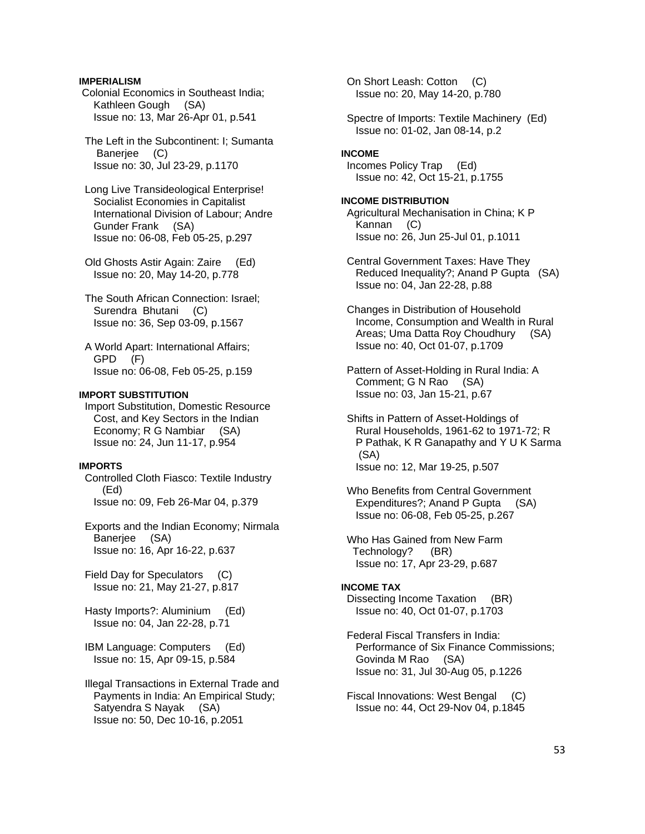### **IMPERIALISM**

- Colonial Economics in Southeast India; Kathleen Gough (SA) Issue no: 13, Mar 26-Apr 01, p.541
- The Left in the Subcontinent: I; Sumanta Banerjee (C) Issue no: 30, Jul 23-29, p.1170
- Long Live Transideological Enterprise! Socialist Economies in Capitalist International Division of Labour; Andre Gunder Frank (SA) Issue no: 06-08, Feb 05-25, p.297
- Old Ghosts Astir Again: Zaire (Ed) Issue no: 20, May 14-20, p.778
- The South African Connection: Israel; Surendra Bhutani (C) Issue no: 36, Sep 03-09, p.1567
- A World Apart: International Affairs; GPD (F) Issue no: 06-08, Feb 05-25, p.159

# **IMPORT SUBSTITUTION**

 Import Substitution, Domestic Resource Cost, and Key Sectors in the Indian Economy; R G Nambiar (SA) Issue no: 24, Jun 11-17, p.954

#### **IMPORTS**

 Controlled Cloth Fiasco: Textile Industry (Ed) Issue no: 09, Feb 26-Mar 04, p.379

 Exports and the Indian Economy; Nirmala Banerjee (SA) Issue no: 16, Apr 16-22, p.637

 Field Day for Speculators (C) Issue no: 21, May 21-27, p.817

 Hasty Imports?: Aluminium (Ed) Issue no: 04, Jan 22-28, p.71

 IBM Language: Computers (Ed) Issue no: 15, Apr 09-15, p.584

 Illegal Transactions in External Trade and Payments in India: An Empirical Study; Satyendra S Nayak (SA) Issue no: 50, Dec 10-16, p.2051

 On Short Leash: Cotton (C) Issue no: 20, May 14-20, p.780

 Spectre of Imports: Textile Machinery (Ed) Issue no: 01-02, Jan 08-14, p.2

#### **INCOME**

 Incomes Policy Trap (Ed) Issue no: 42, Oct 15-21, p.1755

#### **INCOME DISTRIBUTION**

 Agricultural Mechanisation in China; K P Kannan (C) Issue no: 26, Jun 25-Jul 01, p.1011

- Central Government Taxes: Have They Reduced Inequality?; Anand P Gupta (SA) Issue no: 04, Jan 22-28, p.88
- Changes in Distribution of Household Income, Consumption and Wealth in Rural Areas; Uma Datta Roy Choudhury (SA) Issue no: 40, Oct 01-07, p.1709
- Pattern of Asset-Holding in Rural India: A Comment; G N Rao (SA) Issue no: 03, Jan 15-21, p.67
- Shifts in Pattern of Asset-Holdings of Rural Households, 1961-62 to 1971-72; R P Pathak, K R Ganapathy and Y U K Sarma (SA) Issue no: 12, Mar 19-25, p.507
- Who Benefits from Central Government Expenditures?; Anand P Gupta (SA) Issue no: 06-08, Feb 05-25, p.267

 Who Has Gained from New Farm Technology? (BR) Issue no: 17, Apr 23-29, p.687

# **INCOME TAX**

 Dissecting Income Taxation (BR) Issue no: 40, Oct 01-07, p.1703

 Federal Fiscal Transfers in India: Performance of Six Finance Commissions; Govinda M Rao (SA) Issue no: 31, Jul 30-Aug 05, p.1226

 Fiscal Innovations: West Bengal (C) Issue no: 44, Oct 29-Nov 04, p.1845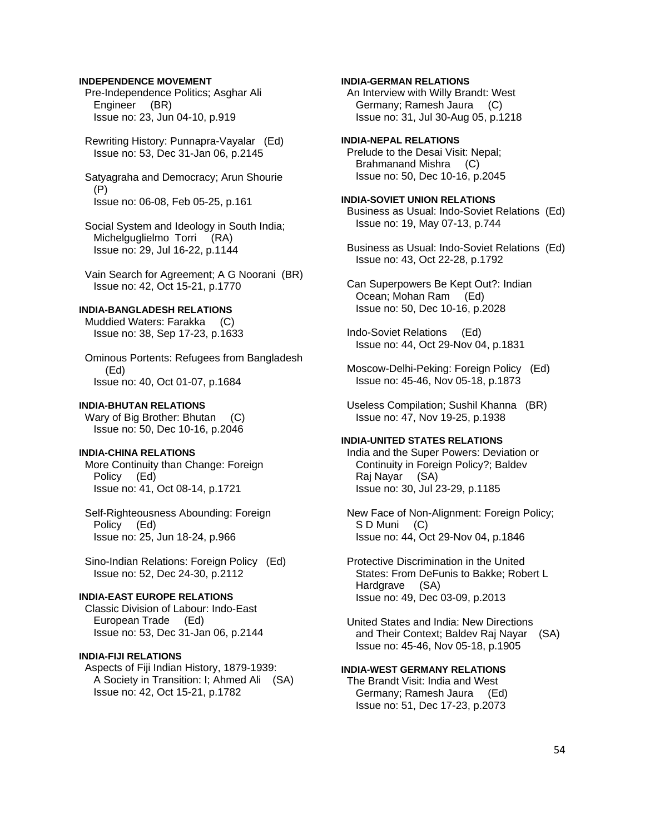# **INDEPENDENCE MOVEMENT**

 Pre-Independence Politics; Asghar Ali Engineer (BR) Issue no: 23, Jun 04-10, p.919

 Rewriting History: Punnapra-Vayalar (Ed) Issue no: 53, Dec 31-Jan 06, p.2145

 Satyagraha and Democracy; Arun Shourie (P) Issue no: 06-08, Feb 05-25, p.161

 Social System and Ideology in South India; Michelguglielmo Torri (RA) Issue no: 29, Jul 16-22, p.1144

 Vain Search for Agreement; A G Noorani (BR) Issue no: 42, Oct 15-21, p.1770

# **INDIA-BANGLADESH RELATIONS**

 Muddied Waters: Farakka (C) Issue no: 38, Sep 17-23, p.1633

 Ominous Portents: Refugees from Bangladesh (Ed) Issue no: 40, Oct 01-07, p.1684

# **INDIA-BHUTAN RELATIONS**

Wary of Big Brother: Bhutan (C) Issue no: 50, Dec 10-16, p.2046

#### **INDIA-CHINA RELATIONS**

 More Continuity than Change: Foreign Policy (Ed) Issue no: 41, Oct 08-14, p.1721

 Self-Righteousness Abounding: Foreign Policy (Ed) Issue no: 25, Jun 18-24, p.966

 Sino-Indian Relations: Foreign Policy (Ed) Issue no: 52, Dec 24-30, p.2112

# **INDIA-EAST EUROPE RELATIONS**

 Classic Division of Labour: Indo-East European Trade (Ed) Issue no: 53, Dec 31-Jan 06, p.2144

# **INDIA-FIJI RELATIONS**

 Aspects of Fiji Indian History, 1879-1939: A Society in Transition: I; Ahmed Ali (SA) Issue no: 42, Oct 15-21, p.1782

## **INDIA-GERMAN RELATIONS**

 An Interview with Willy Brandt: West Germany; Ramesh Jaura (C) Issue no: 31, Jul 30-Aug 05, p.1218

**INDIA-NEPAL RELATIONS**  Prelude to the Desai Visit: Nepal; Brahmanand Mishra (C) Issue no: 50, Dec 10-16, p.2045

# **INDIA-SOVIET UNION RELATIONS**

 Business as Usual: Indo-Soviet Relations (Ed) Issue no: 19, May 07-13, p.744

 Business as Usual: Indo-Soviet Relations (Ed) Issue no: 43, Oct 22-28, p.1792

 Can Superpowers Be Kept Out?: Indian Ocean; Mohan Ram (Ed) Issue no: 50, Dec 10-16, p.2028

 Indo-Soviet Relations (Ed) Issue no: 44, Oct 29-Nov 04, p.1831

 Moscow-Delhi-Peking: Foreign Policy (Ed) Issue no: 45-46, Nov 05-18, p.1873

 Useless Compilation; Sushil Khanna (BR) Issue no: 47, Nov 19-25, p.1938

# **INDIA-UNITED STATES RELATIONS**

 India and the Super Powers: Deviation or Continuity in Foreign Policy?; Baldev Raj Nayar (SA) Issue no: 30, Jul 23-29, p.1185

 New Face of Non-Alignment: Foreign Policy; S D Muni (C) Issue no: 44, Oct 29-Nov 04, p.1846

 Protective Discrimination in the United States: From DeFunis to Bakke; Robert L Hardgrave (SA) Issue no: 49, Dec 03-09, p.2013

 United States and India: New Directions and Their Context; Baldev Raj Nayar (SA) Issue no: 45-46, Nov 05-18, p.1905

### **INDIA-WEST GERMANY RELATIONS**

 The Brandt Visit: India and West Germany; Ramesh Jaura (Ed) Issue no: 51, Dec 17-23, p.2073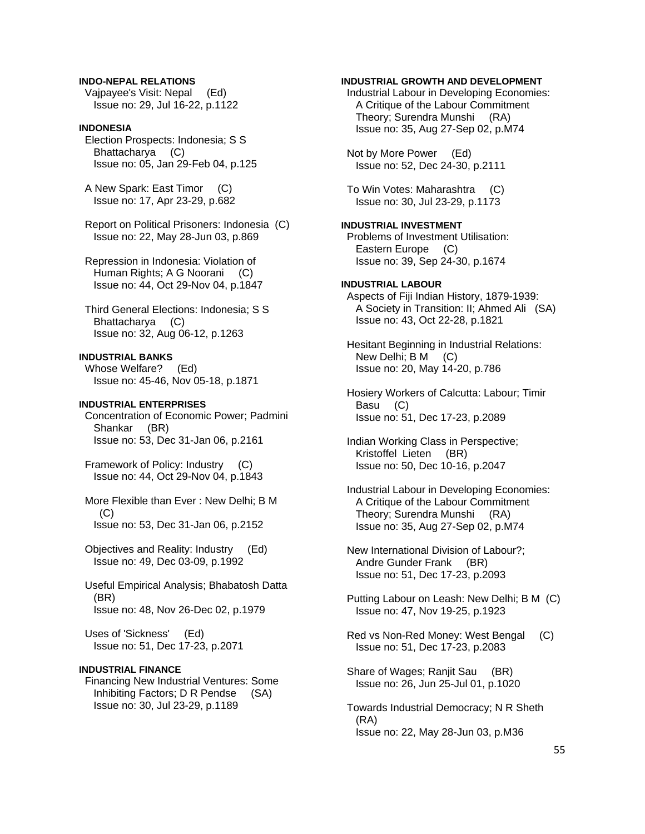## **INDO-NEPAL RELATIONS**

 Vajpayee's Visit: Nepal (Ed) Issue no: 29, Jul 16-22, p.1122

### **INDONESIA**

 Election Prospects: Indonesia; S S Bhattacharya (C) Issue no: 05, Jan 29-Feb 04, p.125

 A New Spark: East Timor (C) Issue no: 17, Apr 23-29, p.682

 Report on Political Prisoners: Indonesia (C) Issue no: 22, May 28-Jun 03, p.869

 Repression in Indonesia: Violation of Human Rights; A G Noorani (C) Issue no: 44, Oct 29-Nov 04, p.1847

 Third General Elections: Indonesia; S S Bhattacharya (C) Issue no: 32, Aug 06-12, p.1263

#### **INDUSTRIAL BANKS**

 Whose Welfare? (Ed) Issue no: 45-46, Nov 05-18, p.1871

# **INDUSTRIAL ENTERPRISES**

 Concentration of Economic Power; Padmini Shankar (BR) Issue no: 53, Dec 31-Jan 06, p.2161

 Framework of Policy: Industry (C) Issue no: 44, Oct 29-Nov 04, p.1843

 More Flexible than Ever : New Delhi; B M (C) Issue no: 53, Dec 31-Jan 06, p.2152

 Objectives and Reality: Industry (Ed) Issue no: 49, Dec 03-09, p.1992

 Useful Empirical Analysis; Bhabatosh Datta (BR) Issue no: 48, Nov 26-Dec 02, p.1979

 Uses of 'Sickness' (Ed) Issue no: 51, Dec 17-23, p.2071

#### **INDUSTRIAL FINANCE**

 Financing New Industrial Ventures: Some Inhibiting Factors; D R Pendse (SA) Issue no: 30, Jul 23-29, p.1189

# **INDUSTRIAL GROWTH AND DEVELOPMENT**

 Industrial Labour in Developing Economies: A Critique of the Labour Commitment Theory; Surendra Munshi (RA) Issue no: 35, Aug 27-Sep 02, p.M74

 Not by More Power (Ed) Issue no: 52, Dec 24-30, p.2111

 To Win Votes: Maharashtra (C) Issue no: 30, Jul 23-29, p.1173

**INDUSTRIAL INVESTMENT**  Problems of Investment Utilisation: Eastern Europe (C) Issue no: 39, Sep 24-30, p.1674

# **INDUSTRIAL LABOUR**

 Aspects of Fiji Indian History, 1879-1939: A Society in Transition: II; Ahmed Ali (SA) Issue no: 43, Oct 22-28, p.1821

 Hesitant Beginning in Industrial Relations: New Delhi; B M (C) Issue no: 20, May 14-20, p.786

 Hosiery Workers of Calcutta: Labour; Timir Basu (C) Issue no: 51, Dec 17-23, p.2089

 Indian Working Class in Perspective; Kristoffel Lieten (BR) Issue no: 50, Dec 10-16, p.2047

 Industrial Labour in Developing Economies: A Critique of the Labour Commitment Theory; Surendra Munshi (RA) Issue no: 35, Aug 27-Sep 02, p.M74

 New International Division of Labour?; Andre Gunder Frank (BR) Issue no: 51, Dec 17-23, p.2093

 Putting Labour on Leash: New Delhi; B M (C) Issue no: 47, Nov 19-25, p.1923

 Red vs Non-Red Money: West Bengal (C) Issue no: 51, Dec 17-23, p.2083

 Share of Wages; Ranjit Sau (BR) Issue no: 26, Jun 25-Jul 01, p.1020

 Towards Industrial Democracy; N R Sheth (RA) Issue no: 22, May 28-Jun 03, p.M36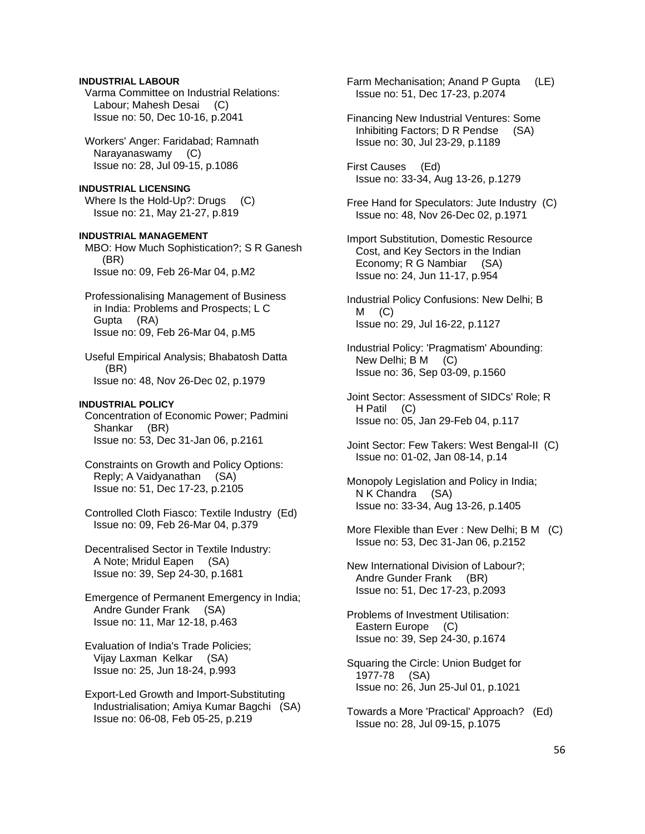# **INDUSTRIAL LABOUR**

 Varma Committee on Industrial Relations: Labour; Mahesh Desai (C) Issue no: 50, Dec 10-16, p.2041

 Workers' Anger: Faridabad; Ramnath Narayanaswamy (C) Issue no: 28, Jul 09-15, p.1086

**INDUSTRIAL LICENSING**  Where Is the Hold-Up?: Drugs (C) Issue no: 21, May 21-27, p.819

**INDUSTRIAL MANAGEMENT**  MBO: How Much Sophistication?; S R Ganesh (BR) Issue no: 09, Feb 26-Mar 04, p.M2

 Professionalising Management of Business in India: Problems and Prospects; L C Gupta (RA) Issue no: 09, Feb 26-Mar 04, p.M5

 Useful Empirical Analysis; Bhabatosh Datta (BR) Issue no: 48, Nov 26-Dec 02, p.1979

#### **INDUSTRIAL POLICY**

 Concentration of Economic Power; Padmini Shankar (BR) Issue no: 53, Dec 31-Jan 06, p.2161

 Constraints on Growth and Policy Options: Reply; A Vaidyanathan (SA) Issue no: 51, Dec 17-23, p.2105

 Controlled Cloth Fiasco: Textile Industry (Ed) Issue no: 09, Feb 26-Mar 04, p.379

 Decentralised Sector in Textile Industry: A Note; Mridul Eapen (SA) Issue no: 39, Sep 24-30, p.1681

 Emergence of Permanent Emergency in India; Andre Gunder Frank (SA) Issue no: 11, Mar 12-18, p.463

 Evaluation of India's Trade Policies; Vijay Laxman Kelkar (SA) Issue no: 25, Jun 18-24, p.993

 Export-Led Growth and Import-Substituting Industrialisation; Amiya Kumar Bagchi (SA) Issue no: 06-08, Feb 05-25, p.219

Farm Mechanisation; Anand P Gupta (LE) Issue no: 51, Dec 17-23, p.2074

 Financing New Industrial Ventures: Some Inhibiting Factors; D R Pendse (SA) Issue no: 30, Jul 23-29, p.1189

 First Causes (Ed) Issue no: 33-34, Aug 13-26, p.1279

 Free Hand for Speculators: Jute Industry (C) Issue no: 48, Nov 26-Dec 02, p.1971

 Import Substitution, Domestic Resource Cost, and Key Sectors in the Indian Economy; R G Nambiar (SA) Issue no: 24, Jun 11-17, p.954

 Industrial Policy Confusions: New Delhi; B  $M$  (C) Issue no: 29, Jul 16-22, p.1127

 Industrial Policy: 'Pragmatism' Abounding: New Delhi; B M (C) Issue no: 36, Sep 03-09, p.1560

 Joint Sector: Assessment of SIDCs' Role; R H Patil (C) Issue no: 05, Jan 29-Feb 04, p.117

 Joint Sector: Few Takers: West Bengal-II (C) Issue no: 01-02, Jan 08-14, p.14

 Monopoly Legislation and Policy in India; N K Chandra (SA) Issue no: 33-34, Aug 13-26, p.1405

 More Flexible than Ever : New Delhi; B M (C) Issue no: 53, Dec 31-Jan 06, p.2152

 New International Division of Labour?; Andre Gunder Frank (BR) Issue no: 51, Dec 17-23, p.2093

 Problems of Investment Utilisation: Eastern Europe (C) Issue no: 39, Sep 24-30, p.1674

 Squaring the Circle: Union Budget for 1977-78 (SA) Issue no: 26, Jun 25-Jul 01, p.1021

 Towards a More 'Practical' Approach? (Ed) Issue no: 28, Jul 09-15, p.1075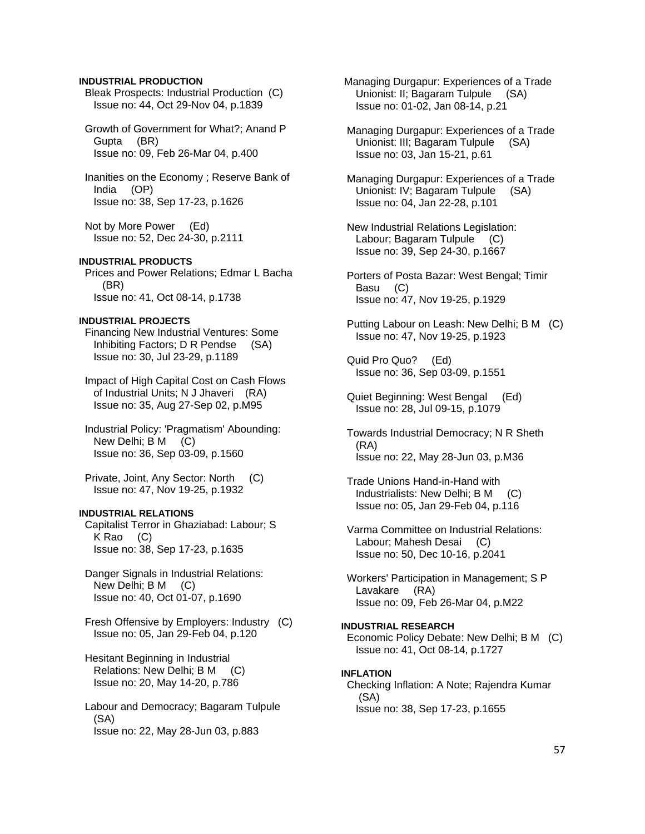#### **INDUSTRIAL PRODUCTION**

 Bleak Prospects: Industrial Production (C) Issue no: 44, Oct 29-Nov 04, p.1839

 Growth of Government for What?; Anand P Gupta (BR) Issue no: 09, Feb 26-Mar 04, p.400

 Inanities on the Economy ; Reserve Bank of India (OP) Issue no: 38, Sep 17-23, p.1626

 Not by More Power (Ed) Issue no: 52, Dec 24-30, p.2111

# **INDUSTRIAL PRODUCTS**

 Prices and Power Relations; Edmar L Bacha (BR) Issue no: 41, Oct 08-14, p.1738

# **INDUSTRIAL PROJECTS**

 Financing New Industrial Ventures: Some Inhibiting Factors; D R Pendse (SA) Issue no: 30, Jul 23-29, p.1189

 Impact of High Capital Cost on Cash Flows of Industrial Units; N J Jhaveri (RA) Issue no: 35, Aug 27-Sep 02, p.M95

 Industrial Policy: 'Pragmatism' Abounding: New Delhi; B M (C) Issue no: 36, Sep 03-09, p.1560

 Private, Joint, Any Sector: North (C) Issue no: 47, Nov 19-25, p.1932

### **INDUSTRIAL RELATIONS**

 Capitalist Terror in Ghaziabad: Labour; S K Rao (C) Issue no: 38, Sep 17-23, p.1635

 Danger Signals in Industrial Relations: New Delhi; B M (C) Issue no: 40, Oct 01-07, p.1690

 Fresh Offensive by Employers: Industry (C) Issue no: 05, Jan 29-Feb 04, p.120

 Hesitant Beginning in Industrial Relations: New Delhi; B M (C) Issue no: 20, May 14-20, p.786

 Labour and Democracy; Bagaram Tulpule (SA) Issue no: 22, May 28-Jun 03, p.883

 Managing Durgapur: Experiences of a Trade Unionist: II; Bagaram Tulpule (SA) Issue no: 01-02, Jan 08-14, p.21

 Managing Durgapur: Experiences of a Trade Unionist: III; Bagaram Tulpule (SA) Issue no: 03, Jan 15-21, p.61

 Managing Durgapur: Experiences of a Trade Unionist: IV; Bagaram Tulpule (SA) Issue no: 04, Jan 22-28, p.101

- New Industrial Relations Legislation: Labour; Bagaram Tulpule (C) Issue no: 39, Sep 24-30, p.1667
- Porters of Posta Bazar: West Bengal; Timir Basu (C) Issue no: 47, Nov 19-25, p.1929

 Putting Labour on Leash: New Delhi; B M (C) Issue no: 47, Nov 19-25, p.1923

 Quid Pro Quo? (Ed) Issue no: 36, Sep 03-09, p.1551

- Quiet Beginning: West Bengal (Ed) Issue no: 28, Jul 09-15, p.1079
- Towards Industrial Democracy; N R Sheth (RA) Issue no: 22, May 28-Jun 03, p.M36

 Trade Unions Hand-in-Hand with Industrialists: New Delhi; B M (C) Issue no: 05, Jan 29-Feb 04, p.116

 Varma Committee on Industrial Relations: Labour; Mahesh Desai (C) Issue no: 50, Dec 10-16, p.2041

 Workers' Participation in Management; S P Lavakare (RA) Issue no: 09, Feb 26-Mar 04, p.M22

**INDUSTRIAL RESEARCH**  Economic Policy Debate: New Delhi; B M (C) Issue no: 41, Oct 08-14, p.1727

#### **INFLATION**  Checking Inflation: A Note; Rajendra Kumar (SA) Issue no: 38, Sep 17-23, p.1655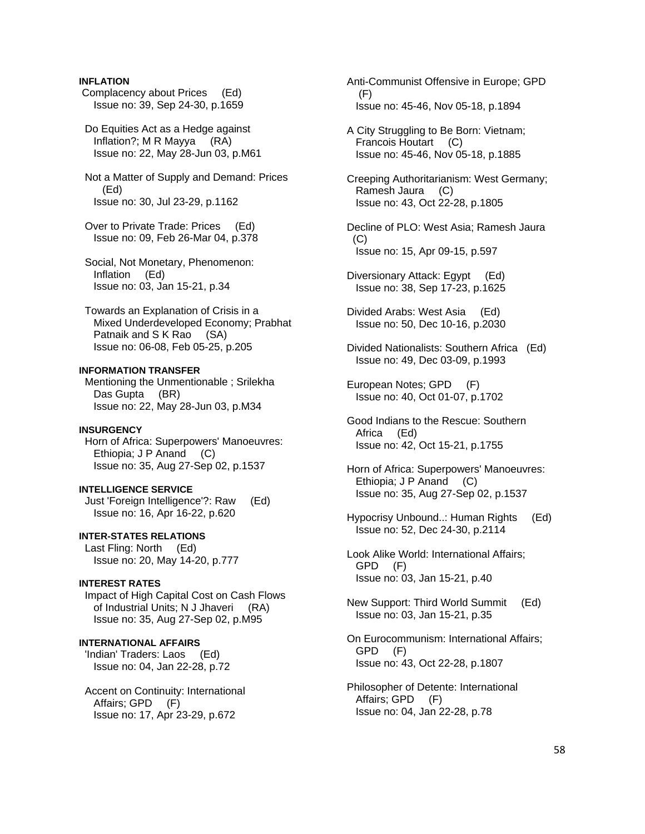# **INFLATION**

 Complacency about Prices (Ed) Issue no: 39, Sep 24-30, p.1659

 Do Equities Act as a Hedge against Inflation?; M R Mayya (RA) Issue no: 22, May 28-Jun 03, p.M61

 Not a Matter of Supply and Demand: Prices (Ed) Issue no: 30, Jul 23-29, p.1162

 Over to Private Trade: Prices (Ed) Issue no: 09, Feb 26-Mar 04, p.378

 Social, Not Monetary, Phenomenon: Inflation (Ed) Issue no: 03, Jan 15-21, p.34

 Towards an Explanation of Crisis in a Mixed Underdeveloped Economy; Prabhat Patnaik and S K Rao (SA) Issue no: 06-08, Feb 05-25, p.205

### **INFORMATION TRANSFER**

 Mentioning the Unmentionable ; Srilekha Das Gupta (BR) Issue no: 22, May 28-Jun 03, p.M34

### **INSURGENCY**

 Horn of Africa: Superpowers' Manoeuvres: Ethiopia; J P Anand (C) Issue no: 35, Aug 27-Sep 02, p.1537

#### **INTELLIGENCE SERVICE**

 Just 'Foreign Intelligence'?: Raw (Ed) Issue no: 16, Apr 16-22, p.620

**INTER-STATES RELATIONS** 

 Last Fling: North (Ed) Issue no: 20, May 14-20, p.777

### **INTEREST RATES**

 Impact of High Capital Cost on Cash Flows of Industrial Units; N J Jhaveri (RA) Issue no: 35, Aug 27-Sep 02, p.M95

### **INTERNATIONAL AFFAIRS**

 'Indian' Traders: Laos (Ed) Issue no: 04, Jan 22-28, p.72

 Accent on Continuity: International Affairs; GPD (F) Issue no: 17, Apr 23-29, p.672

 Anti-Communist Offensive in Europe; GPD (F) Issue no: 45-46, Nov 05-18, p.1894

 A City Struggling to Be Born: Vietnam; Francois Houtart (C) Issue no: 45-46, Nov 05-18, p.1885

 Creeping Authoritarianism: West Germany; Ramesh Jaura (C) Issue no: 43, Oct 22-28, p.1805

 Decline of PLO: West Asia; Ramesh Jaura  $(C)$ Issue no: 15, Apr 09-15, p.597

 Diversionary Attack: Egypt (Ed) Issue no: 38, Sep 17-23, p.1625

 Divided Arabs: West Asia (Ed) Issue no: 50, Dec 10-16, p.2030

 Divided Nationalists: Southern Africa (Ed) Issue no: 49, Dec 03-09, p.1993

 European Notes; GPD (F) Issue no: 40, Oct 01-07, p.1702

 Good Indians to the Rescue: Southern Africa (Ed) Issue no: 42, Oct 15-21, p.1755

 Horn of Africa: Superpowers' Manoeuvres: Ethiopia; J P Anand (C) Issue no: 35, Aug 27-Sep 02, p.1537

 Hypocrisy Unbound..: Human Rights (Ed) Issue no: 52, Dec 24-30, p.2114

 Look Alike World: International Affairs; GPD (F) Issue no: 03, Jan 15-21, p.40

 New Support: Third World Summit (Ed) Issue no: 03, Jan 15-21, p.35

 On Eurocommunism: International Affairs; GPD (F) Issue no: 43, Oct 22-28, p.1807

 Philosopher of Detente: International Affairs; GPD (F) Issue no: 04, Jan 22-28, p.78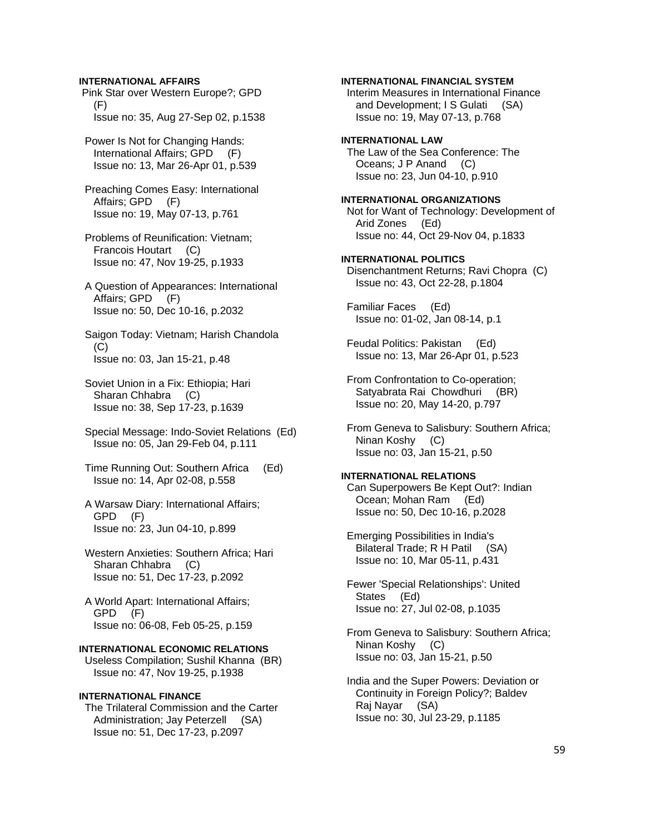#### **INTERNATIONAL AFFAIRS**

 Pink Star over Western Europe?; GPD (F) Issue no: 35, Aug 27-Sep 02, p.1538

 Power Is Not for Changing Hands: International Affairs; GPD (F) Issue no: 13, Mar 26-Apr 01, p.539

 Preaching Comes Easy: International Affairs; GPD (F) Issue no: 19, May 07-13, p.761

 Problems of Reunification: Vietnam; Francois Houtart (C) Issue no: 47, Nov 19-25, p.1933

 A Question of Appearances: International Affairs; GPD (F) Issue no: 50, Dec 10-16, p.2032

 Saigon Today: Vietnam; Harish Chandola (C) Issue no: 03, Jan 15-21, p.48

 Soviet Union in a Fix: Ethiopia; Hari Sharan Chhabra (C) Issue no: 38, Sep 17-23, p.1639

 Special Message: Indo-Soviet Relations (Ed) Issue no: 05, Jan 29-Feb 04, p.111

 Time Running Out: Southern Africa (Ed) Issue no: 14, Apr 02-08, p.558

 A Warsaw Diary: International Affairs; GPD (F) Issue no: 23, Jun 04-10, p.899

 Western Anxieties: Southern Africa; Hari Sharan Chhabra (C) Issue no: 51, Dec 17-23, p.2092

 A World Apart: International Affairs; GPD (F) Issue no: 06-08, Feb 05-25, p.159

# **INTERNATIONAL ECONOMIC RELATIONS**

 Useless Compilation; Sushil Khanna (BR) Issue no: 47, Nov 19-25, p.1938

#### **INTERNATIONAL FINANCE**

 The Trilateral Commission and the Carter Administration; Jay Peterzell (SA) Issue no: 51, Dec 17-23, p.2097

**INTERNATIONAL FINANCIAL SYSTEM** 

 Interim Measures in International Finance and Development; I S Gulati (SA) Issue no: 19, May 07-13, p.768

#### **INTERNATIONAL LAW**

 The Law of the Sea Conference: The Oceans; J P Anand (C) Issue no: 23, Jun 04-10, p.910

#### **INTERNATIONAL ORGANIZATIONS**

 Not for Want of Technology: Development of Arid Zones (Ed) Issue no: 44, Oct 29-Nov 04, p.1833

#### **INTERNATIONAL POLITICS**

 Disenchantment Returns; Ravi Chopra (C) Issue no: 43, Oct 22-28, p.1804

 Familiar Faces (Ed) Issue no: 01-02, Jan 08-14, p.1

 Feudal Politics: Pakistan (Ed) Issue no: 13, Mar 26-Apr 01, p.523

 From Confrontation to Co-operation; Satyabrata Rai Chowdhuri (BR) Issue no: 20, May 14-20, p.797

 From Geneva to Salisbury: Southern Africa; Ninan Koshy (C) Issue no: 03, Jan 15-21, p.50

# **INTERNATIONAL RELATIONS**

 Can Superpowers Be Kept Out?: Indian Ocean; Mohan Ram (Ed) Issue no: 50, Dec 10-16, p.2028

 Emerging Possibilities in India's Bilateral Trade; R H Patil (SA) Issue no: 10, Mar 05-11, p.431

 Fewer 'Special Relationships': United States (Ed) Issue no: 27, Jul 02-08, p.1035

 From Geneva to Salisbury: Southern Africa; Ninan Koshy (C) Issue no: 03, Jan 15-21, p.50

 India and the Super Powers: Deviation or Continuity in Foreign Policy?; Baldev Raj Nayar (SA) Issue no: 30, Jul 23-29, p.1185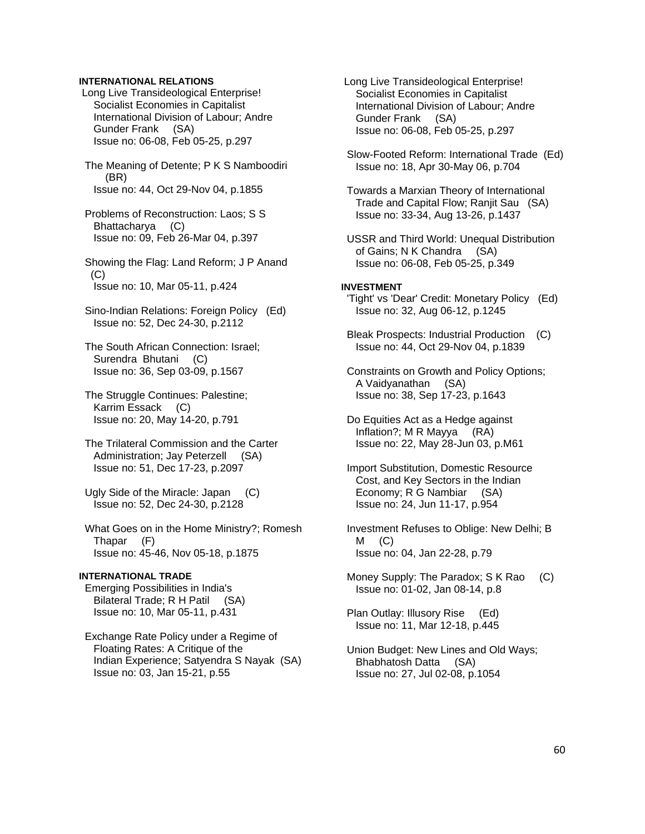## **INTERNATIONAL RELATIONS**

- Long Live Transideological Enterprise! Socialist Economies in Capitalist International Division of Labour; Andre Gunder Frank (SA) Issue no: 06-08, Feb 05-25, p.297
- The Meaning of Detente; P K S Namboodiri (BR) Issue no: 44, Oct 29-Nov 04, p.1855
- Problems of Reconstruction: Laos; S S Bhattacharya (C) Issue no: 09, Feb 26-Mar 04, p.397
- Showing the Flag: Land Reform; J P Anand  $(C)$ Issue no: 10, Mar 05-11, p.424
- Sino-Indian Relations: Foreign Policy (Ed) Issue no: 52, Dec 24-30, p.2112
- The South African Connection: Israel; Surendra Bhutani (C) Issue no: 36, Sep 03-09, p.1567
- The Struggle Continues: Palestine; Karrim Essack (C) Issue no: 20, May 14-20, p.791
- The Trilateral Commission and the Carter Administration; Jay Peterzell (SA) Issue no: 51, Dec 17-23, p.2097
- Ugly Side of the Miracle: Japan (C) Issue no: 52, Dec 24-30, p.2128
- What Goes on in the Home Ministry?; Romesh Thapar (F) Issue no: 45-46, Nov 05-18, p.1875

#### **INTERNATIONAL TRADE**

 Emerging Possibilities in India's Bilateral Trade; R H Patil (SA) Issue no: 10, Mar 05-11, p.431

 Exchange Rate Policy under a Regime of Floating Rates: A Critique of the Indian Experience; Satyendra S Nayak (SA) Issue no: 03, Jan 15-21, p.55

- Long Live Transideological Enterprise! Socialist Economies in Capitalist International Division of Labour; Andre Gunder Frank (SA) Issue no: 06-08, Feb 05-25, p.297
- Slow-Footed Reform: International Trade (Ed) Issue no: 18, Apr 30-May 06, p.704
- Towards a Marxian Theory of International Trade and Capital Flow; Ranjit Sau (SA) Issue no: 33-34, Aug 13-26, p.1437
- USSR and Third World: Unequal Distribution of Gains; N K Chandra (SA) Issue no: 06-08, Feb 05-25, p.349

#### **INVESTMENT**

- 'Tight' vs 'Dear' Credit: Monetary Policy (Ed) Issue no: 32, Aug 06-12, p.1245
- Bleak Prospects: Industrial Production (C) Issue no: 44, Oct 29-Nov 04, p.1839
- Constraints on Growth and Policy Options; A Vaidyanathan (SA) Issue no: 38, Sep 17-23, p.1643
- Do Equities Act as a Hedge against Inflation?; M R Mayya (RA) Issue no: 22, May 28-Jun 03, p.M61
- Import Substitution, Domestic Resource Cost, and Key Sectors in the Indian Economy; R G Nambiar (SA) Issue no: 24, Jun 11-17, p.954
- Investment Refuses to Oblige: New Delhi; B  $M$  (C) Issue no: 04, Jan 22-28, p.79
- Money Supply: The Paradox; S K Rao (C) Issue no: 01-02, Jan 08-14, p.8
- Plan Outlay: Illusory Rise (Ed) Issue no: 11, Mar 12-18, p.445
- Union Budget: New Lines and Old Ways; Bhabhatosh Datta (SA) Issue no: 27, Jul 02-08, p.1054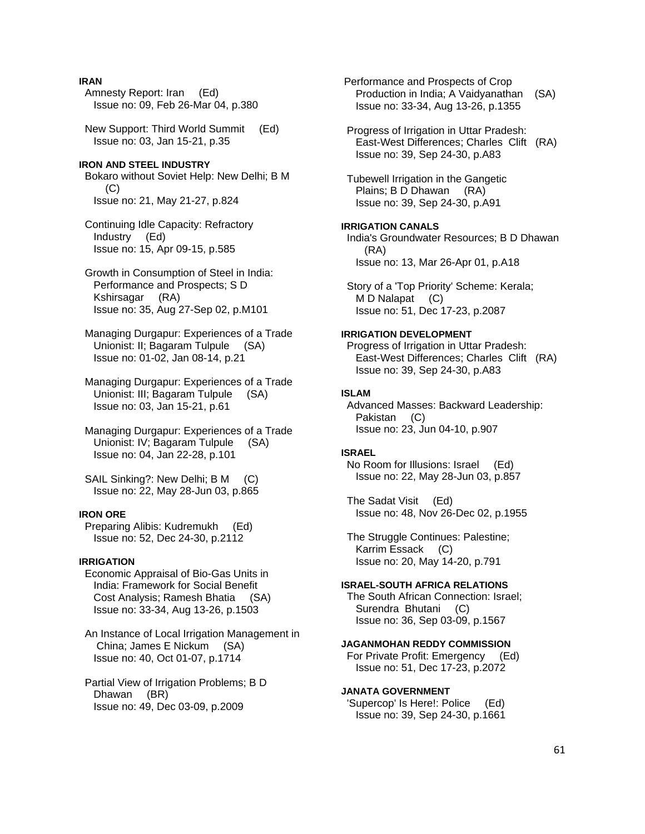# **IRAN**

 Amnesty Report: Iran (Ed) Issue no: 09, Feb 26-Mar 04, p.380

 New Support: Third World Summit (Ed) Issue no: 03, Jan 15-21, p.35

#### **IRON AND STEEL INDUSTRY**

 Bokaro without Soviet Help: New Delhi; B M (C) Issue no: 21, May 21-27, p.824

 Continuing Idle Capacity: Refractory Industry (Ed) Issue no: 15, Apr 09-15, p.585

 Growth in Consumption of Steel in India: Performance and Prospects; S D Kshirsagar (RA) Issue no: 35, Aug 27-Sep 02, p.M101

 Managing Durgapur: Experiences of a Trade Unionist: II; Bagaram Tulpule (SA) Issue no: 01-02, Jan 08-14, p.21

 Managing Durgapur: Experiences of a Trade Unionist: III; Bagaram Tulpule (SA) Issue no: 03, Jan 15-21, p.61

 Managing Durgapur: Experiences of a Trade Unionist: IV; Bagaram Tulpule (SA) Issue no: 04, Jan 22-28, p.101

SAIL Sinking?: New Delhi; B M (C) Issue no: 22, May 28-Jun 03, p.865

# **IRON ORE**

 Preparing Alibis: Kudremukh (Ed) Issue no: 52, Dec 24-30, p.2112

### **IRRIGATION**

 Economic Appraisal of Bio-Gas Units in India: Framework for Social Benefit Cost Analysis; Ramesh Bhatia (SA) Issue no: 33-34, Aug 13-26, p.1503

 An Instance of Local Irrigation Management in China; James E Nickum (SA) Issue no: 40, Oct 01-07, p.1714

 Partial View of Irrigation Problems; B D Dhawan (BR) Issue no: 49, Dec 03-09, p.2009

 Performance and Prospects of Crop Production in India; A Vaidyanathan (SA) Issue no: 33-34, Aug 13-26, p.1355

 Progress of Irrigation in Uttar Pradesh: East-West Differences; Charles Clift (RA) Issue no: 39, Sep 24-30, p.A83

 Tubewell Irrigation in the Gangetic Plains; B D Dhawan (RA) Issue no: 39, Sep 24-30, p.A91

# **IRRIGATION CANALS**

 India's Groundwater Resources; B D Dhawan (RA) Issue no: 13, Mar 26-Apr 01, p.A18

 Story of a 'Top Priority' Scheme: Kerala; M D Nalapat (C) Issue no: 51, Dec 17-23, p.2087

### **IRRIGATION DEVELOPMENT**

 Progress of Irrigation in Uttar Pradesh: East-West Differences; Charles Clift (RA) Issue no: 39, Sep 24-30, p.A83

# **ISLAM**

 Advanced Masses: Backward Leadership: Pakistan (C) Issue no: 23, Jun 04-10, p.907

#### **ISRAEL**

 No Room for Illusions: Israel (Ed) Issue no: 22, May 28-Jun 03, p.857

 The Sadat Visit (Ed) Issue no: 48, Nov 26-Dec 02, p.1955

 The Struggle Continues: Palestine; Karrim Essack (C) Issue no: 20, May 14-20, p.791

#### **ISRAEL-SOUTH AFRICA RELATIONS**

 The South African Connection: Israel; Surendra Bhutani (C) Issue no: 36, Sep 03-09, p.1567

## **JAGANMOHAN REDDY COMMISSION**

 For Private Profit: Emergency (Ed) Issue no: 51, Dec 17-23, p.2072

### **JANATA GOVERNMENT**

 'Supercop' Is Here!: Police (Ed) Issue no: 39, Sep 24-30, p.1661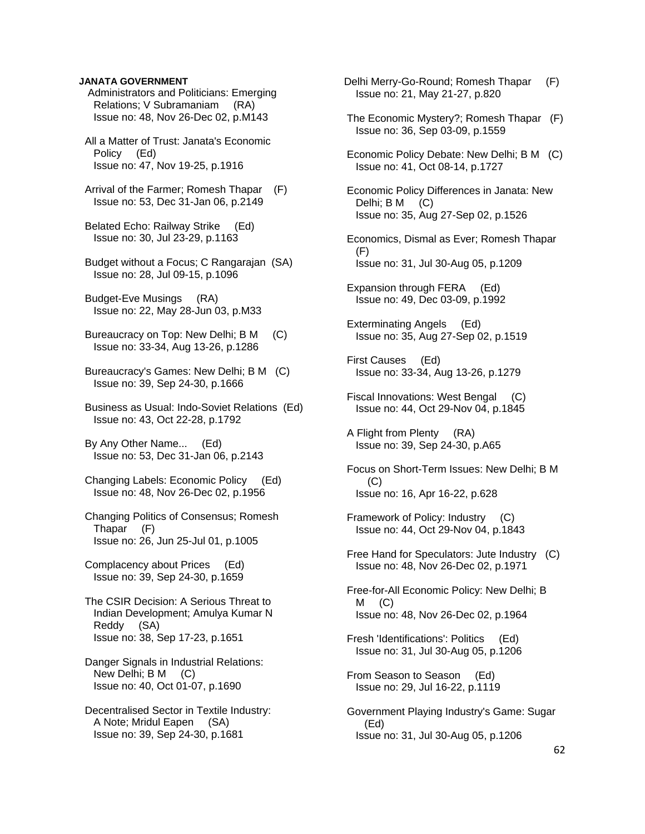#### **JANATA GOVERNMENT**

 Administrators and Politicians: Emerging Relations; V Subramaniam (RA) Issue no: 48, Nov 26-Dec 02, p.M143

 All a Matter of Trust: Janata's Economic Policy (Ed) Issue no: 47, Nov 19-25, p.1916

 Arrival of the Farmer; Romesh Thapar (F) Issue no: 53, Dec 31-Jan 06, p.2149

 Belated Echo: Railway Strike (Ed) Issue no: 30, Jul 23-29, p.1163

 Budget without a Focus; C Rangarajan (SA) Issue no: 28, Jul 09-15, p.1096

 Budget-Eve Musings (RA) Issue no: 22, May 28-Jun 03, p.M33

 Bureaucracy on Top: New Delhi; B M (C) Issue no: 33-34, Aug 13-26, p.1286

- Bureaucracy's Games: New Delhi; B M (C) Issue no: 39, Sep 24-30, p.1666
- Business as Usual: Indo-Soviet Relations (Ed) Issue no: 43, Oct 22-28, p.1792

 By Any Other Name... (Ed) Issue no: 53, Dec 31-Jan 06, p.2143

 Changing Labels: Economic Policy (Ed) Issue no: 48, Nov 26-Dec 02, p.1956

 Changing Politics of Consensus; Romesh Thapar (F) Issue no: 26, Jun 25-Jul 01, p.1005

 Complacency about Prices (Ed) Issue no: 39, Sep 24-30, p.1659

 The CSIR Decision: A Serious Threat to Indian Development; Amulya Kumar N Reddy (SA) Issue no: 38, Sep 17-23, p.1651

 Danger Signals in Industrial Relations: New Delhi; B M (C) Issue no: 40, Oct 01-07, p.1690

 Decentralised Sector in Textile Industry: A Note; Mridul Eapen (SA) Issue no: 39, Sep 24-30, p.1681

 Delhi Merry-Go-Round; Romesh Thapar (F) Issue no: 21, May 21-27, p.820 The Economic Mystery?; Romesh Thapar (F) Issue no: 36, Sep 03-09, p.1559 Economic Policy Debate: New Delhi; B M (C) Issue no: 41, Oct 08-14, p.1727 Economic Policy Differences in Janata: New Delhi; B M (C) Issue no: 35, Aug 27-Sep 02, p.1526 Economics, Dismal as Ever; Romesh Thapar (F) Issue no: 31, Jul 30-Aug 05, p.1209 Expansion through FERA (Ed) Issue no: 49, Dec 03-09, p.1992 Exterminating Angels (Ed) Issue no: 35, Aug 27-Sep 02, p.1519 First Causes (Ed) Issue no: 33-34, Aug 13-26, p.1279 Fiscal Innovations: West Bengal (C) Issue no: 44, Oct 29-Nov 04, p.1845 A Flight from Plenty (RA) Issue no: 39, Sep 24-30, p.A65 Focus on Short-Term Issues: New Delhi; B M (C) Issue no: 16, Apr 16-22, p.628 Framework of Policy: Industry (C) Issue no: 44, Oct 29-Nov 04, p.1843 Free Hand for Speculators: Jute Industry (C) Issue no: 48, Nov 26-Dec 02, p.1971 Free-for-All Economic Policy: New Delhi; B  $M$  (C) Issue no: 48, Nov 26-Dec 02, p.1964 Fresh 'Identifications': Politics (Ed) Issue no: 31, Jul 30-Aug 05, p.1206 From Season to Season (Ed) Issue no: 29, Jul 16-22, p.1119 Government Playing Industry's Game: Sugar (Ed) Issue no: 31, Jul 30-Aug 05, p.1206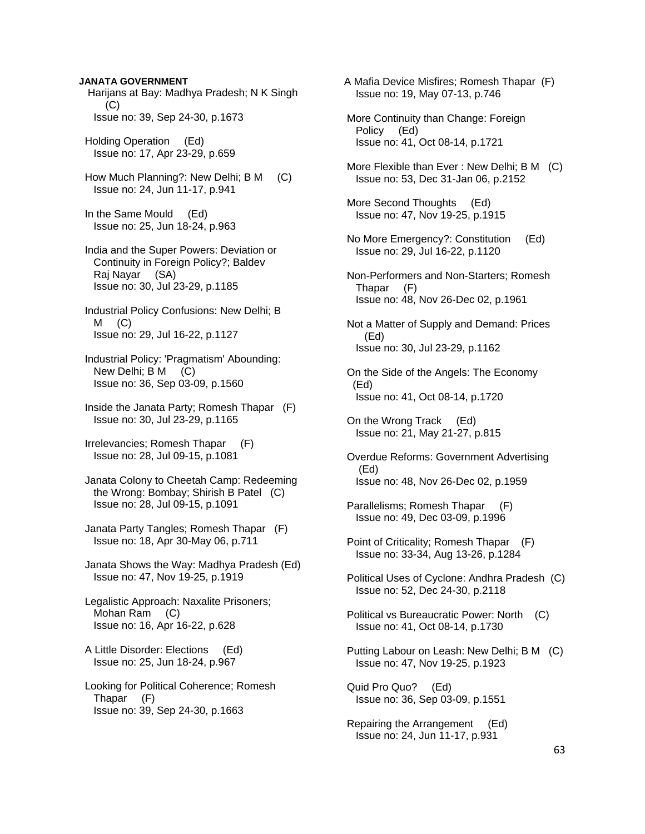#### **JANATA GOVERNMENT**

- Harijans at Bay: Madhya Pradesh; N K Singh (C) Issue no: 39, Sep 24-30, p.1673
- Holding Operation (Ed) Issue no: 17, Apr 23-29, p.659
- How Much Planning?: New Delhi; B M (C) Issue no: 24, Jun 11-17, p.941
- In the Same Mould (Ed) Issue no: 25, Jun 18-24, p.963
- India and the Super Powers: Deviation or Continuity in Foreign Policy?; Baldev Raj Nayar (SA) Issue no: 30, Jul 23-29, p.1185
- Industrial Policy Confusions: New Delhi; B  $M$   $(C)$ Issue no: 29, Jul 16-22, p.1127
- Industrial Policy: 'Pragmatism' Abounding: New Delhi; B M (C) Issue no: 36, Sep 03-09, p.1560
- Inside the Janata Party; Romesh Thapar (F) Issue no: 30, Jul 23-29, p.1165
- Irrelevancies; Romesh Thapar (F) Issue no: 28, Jul 09-15, p.1081
- Janata Colony to Cheetah Camp: Redeeming the Wrong: Bombay; Shirish B Patel (C) Issue no: 28, Jul 09-15, p.1091
- Janata Party Tangles; Romesh Thapar (F) Issue no: 18, Apr 30-May 06, p.711
- Janata Shows the Way: Madhya Pradesh (Ed) Issue no: 47, Nov 19-25, p.1919
- Legalistic Approach: Naxalite Prisoners; Mohan Ram (C) Issue no: 16, Apr 16-22, p.628
- A Little Disorder: Elections (Ed) Issue no: 25, Jun 18-24, p.967
- Looking for Political Coherence; Romesh Thapar (F) Issue no: 39, Sep 24-30, p.1663
- A Mafia Device Misfires; Romesh Thapar (F) Issue no: 19, May 07-13, p.746
- More Continuity than Change: Foreign Policy (Ed) Issue no: 41, Oct 08-14, p.1721
- More Flexible than Ever : New Delhi; B M (C) Issue no: 53, Dec 31-Jan 06, p.2152
- More Second Thoughts (Ed) Issue no: 47, Nov 19-25, p.1915
- No More Emergency?: Constitution (Ed) Issue no: 29, Jul 16-22, p.1120
- Non-Performers and Non-Starters; Romesh Thapar (F) Issue no: 48, Nov 26-Dec 02, p.1961
- Not a Matter of Supply and Demand: Prices (Ed) Issue no: 30, Jul 23-29, p.1162
- On the Side of the Angels: The Economy (Ed) Issue no: 41, Oct 08-14, p.1720
- On the Wrong Track (Ed) Issue no: 21, May 21-27, p.815
- Overdue Reforms: Government Advertising (Ed) Issue no: 48, Nov 26-Dec 02, p.1959
- Parallelisms; Romesh Thapar (F) Issue no: 49, Dec 03-09, p.1996
- Point of Criticality; Romesh Thapar (F) Issue no: 33-34, Aug 13-26, p.1284
- Political Uses of Cyclone: Andhra Pradesh (C) Issue no: 52, Dec 24-30, p.2118
- Political vs Bureaucratic Power: North (C) Issue no: 41, Oct 08-14, p.1730
- Putting Labour on Leash: New Delhi; B M (C) Issue no: 47, Nov 19-25, p.1923
- Quid Pro Quo? (Ed) Issue no: 36, Sep 03-09, p.1551
- Repairing the Arrangement (Ed) Issue no: 24, Jun 11-17, p.931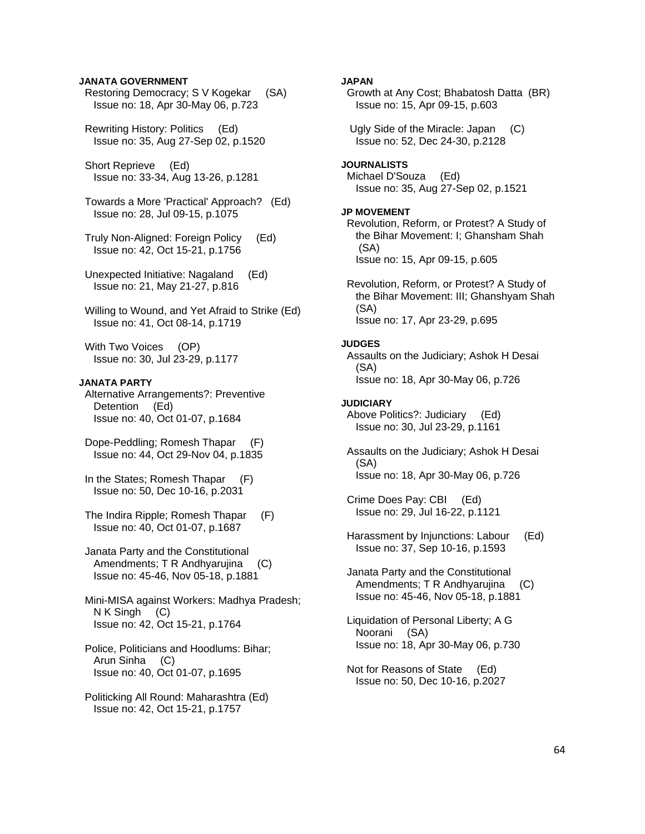### **JANATA GOVERNMENT**

- Restoring Democracy; S V Kogekar (SA) Issue no: 18, Apr 30-May 06, p.723
- Rewriting History: Politics (Ed) Issue no: 35, Aug 27-Sep 02, p.1520
- Short Reprieve (Ed) Issue no: 33-34, Aug 13-26, p.1281
- Towards a More 'Practical' Approach? (Ed) Issue no: 28, Jul 09-15, p.1075
- Truly Non-Aligned: Foreign Policy (Ed) Issue no: 42, Oct 15-21, p.1756
- Unexpected Initiative: Nagaland (Ed) Issue no: 21, May 21-27, p.816
- Willing to Wound, and Yet Afraid to Strike (Ed) Issue no: 41, Oct 08-14, p.1719
- With Two Voices (OP) Issue no: 30, Jul 23-29, p.1177

#### **JANATA PARTY**

- Alternative Arrangements?: Preventive Detention (Ed) Issue no: 40, Oct 01-07, p.1684
- Dope-Peddling; Romesh Thapar (F) Issue no: 44, Oct 29-Nov 04, p.1835
- In the States; Romesh Thapar (F) Issue no: 50, Dec 10-16, p.2031
- The Indira Ripple; Romesh Thapar (F) Issue no: 40, Oct 01-07, p.1687
- Janata Party and the Constitutional Amendments; T R Andhyarujina (C) Issue no: 45-46, Nov 05-18, p.1881
- Mini-MISA against Workers: Madhya Pradesh; N K Singh (C) Issue no: 42, Oct 15-21, p.1764
- Police, Politicians and Hoodlums: Bihar; Arun Sinha (C) Issue no: 40, Oct 01-07, p.1695
- Politicking All Round: Maharashtra (Ed) Issue no: 42, Oct 15-21, p.1757

# **JAPAN**

- Growth at Any Cost; Bhabatosh Datta (BR) Issue no: 15, Apr 09-15, p.603
- Ugly Side of the Miracle: Japan (C) Issue no: 52, Dec 24-30, p.2128

# **JOURNALISTS**

 Michael D'Souza (Ed) Issue no: 35, Aug 27-Sep 02, p.1521

#### **JP MOVEMENT**

- Revolution, Reform, or Protest? A Study of the Bihar Movement: I; Ghansham Shah (SA) Issue no: 15, Apr 09-15, p.605
- Revolution, Reform, or Protest? A Study of the Bihar Movement: III; Ghanshyam Shah (SA) Issue no: 17, Apr 23-29, p.695

#### **JUDGES**

 Assaults on the Judiciary; Ashok H Desai (SA) Issue no: 18, Apr 30-May 06, p.726

#### **JUDICIARY**

- Above Politics?: Judiciary (Ed) Issue no: 30, Jul 23-29, p.1161
- Assaults on the Judiciary; Ashok H Desai (SA) Issue no: 18, Apr 30-May 06, p.726
- Crime Does Pay: CBI (Ed) Issue no: 29, Jul 16-22, p.1121
- Harassment by Injunctions: Labour (Ed) Issue no: 37, Sep 10-16, p.1593
- Janata Party and the Constitutional Amendments; T R Andhyarujina (C) Issue no: 45-46, Nov 05-18, p.1881
- Liquidation of Personal Liberty; A G Noorani (SA) Issue no: 18, Apr 30-May 06, p.730
- Not for Reasons of State (Ed) Issue no: 50, Dec 10-16, p.2027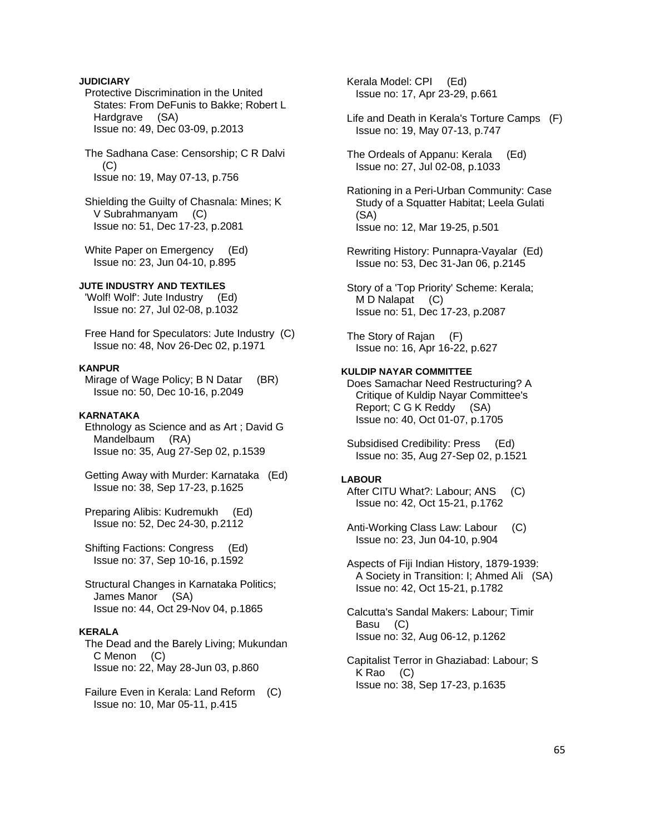# **JUDICIARY**

 Protective Discrimination in the United States: From DeFunis to Bakke; Robert L Hardgrave (SA) Issue no: 49, Dec 03-09, p.2013

 The Sadhana Case: Censorship; C R Dalvi (C) Issue no: 19, May 07-13, p.756

 Shielding the Guilty of Chasnala: Mines; K V Subrahmanyam (C) Issue no: 51, Dec 17-23, p.2081

White Paper on Emergency (Ed) Issue no: 23, Jun 04-10, p.895

# **JUTE INDUSTRY AND TEXTILES**

 'Wolf! Wolf': Jute Industry (Ed) Issue no: 27, Jul 02-08, p.1032

 Free Hand for Speculators: Jute Industry (C) Issue no: 48, Nov 26-Dec 02, p.1971

# **KANPUR**

 Mirage of Wage Policy; B N Datar (BR) Issue no: 50, Dec 10-16, p.2049

#### **KARNATAKA**

 Ethnology as Science and as Art ; David G Mandelbaum (RA) Issue no: 35, Aug 27-Sep 02, p.1539

 Getting Away with Murder: Karnataka (Ed) Issue no: 38, Sep 17-23, p.1625

 Preparing Alibis: Kudremukh (Ed) Issue no: 52, Dec 24-30, p.2112

 Shifting Factions: Congress (Ed) Issue no: 37, Sep 10-16, p.1592

 Structural Changes in Karnataka Politics; James Manor (SA) Issue no: 44, Oct 29-Nov 04, p.1865

# **KERALA**

 The Dead and the Barely Living; Mukundan C Menon (C) Issue no: 22, May 28-Jun 03, p.860

 Failure Even in Kerala: Land Reform (C) Issue no: 10, Mar 05-11, p.415

 Kerala Model: CPI (Ed) Issue no: 17, Apr 23-29, p.661

 Life and Death in Kerala's Torture Camps (F) Issue no: 19, May 07-13, p.747

 The Ordeals of Appanu: Kerala (Ed) Issue no: 27, Jul 02-08, p.1033

 Rationing in a Peri-Urban Community: Case Study of a Squatter Habitat; Leela Gulati (SA) Issue no: 12, Mar 19-25, p.501

 Rewriting History: Punnapra-Vayalar (Ed) Issue no: 53, Dec 31-Jan 06, p.2145

 Story of a 'Top Priority' Scheme: Kerala; M D Nalapat (C) Issue no: 51, Dec 17-23, p.2087

 The Story of Rajan (F) Issue no: 16, Apr 16-22, p.627

# **KULDIP NAYAR COMMITTEE**

 Does Samachar Need Restructuring? A Critique of Kuldip Nayar Committee's Report; C G K Reddy (SA) Issue no: 40, Oct 01-07, p.1705

 Subsidised Credibility: Press (Ed) Issue no: 35, Aug 27-Sep 02, p.1521

#### **LABOUR**

 After CITU What?: Labour; ANS (C) Issue no: 42, Oct 15-21, p.1762

 Anti-Working Class Law: Labour (C) Issue no: 23, Jun 04-10, p.904

 Aspects of Fiji Indian History, 1879-1939: A Society in Transition: I; Ahmed Ali (SA) Issue no: 42, Oct 15-21, p.1782

 Calcutta's Sandal Makers: Labour; Timir Basu (C) Issue no: 32, Aug 06-12, p.1262

 Capitalist Terror in Ghaziabad: Labour; S K Rao (C) Issue no: 38, Sep 17-23, p.1635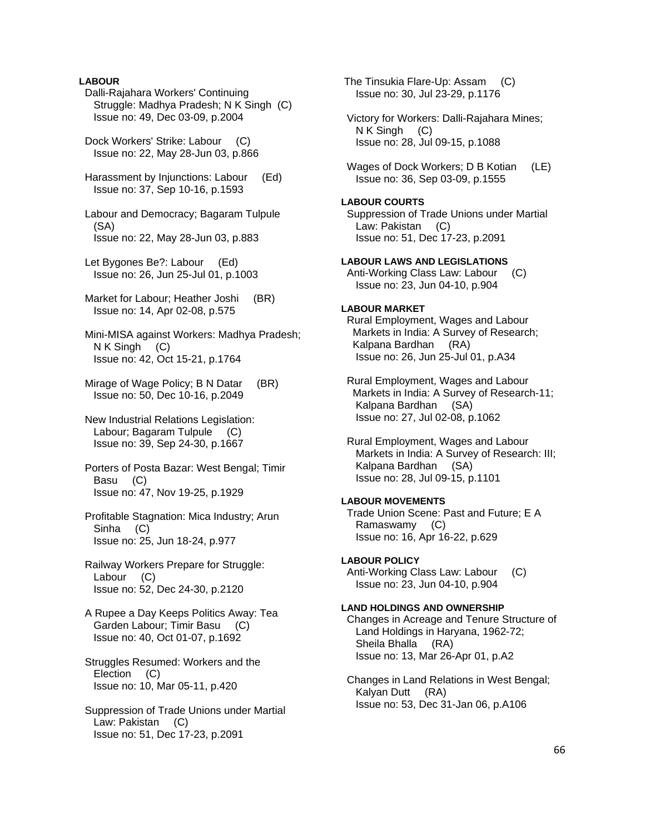# **LABOUR**

 Dalli-Rajahara Workers' Continuing Struggle: Madhya Pradesh; N K Singh (C) Issue no: 49, Dec 03-09, p.2004 Dock Workers' Strike: Labour (C) Issue no: 22, May 28-Jun 03, p.866 Harassment by Injunctions: Labour (Ed) Issue no: 37, Sep 10-16, p.1593 Labour and Democracy; Bagaram Tulpule (SA) Issue no: 22, May 28-Jun 03, p.883 Let Bygones Be?: Labour (Ed) Issue no: 26, Jun 25-Jul 01, p.1003 Market for Labour; Heather Joshi (BR) Issue no: 14, Apr 02-08, p.575 Mini-MISA against Workers: Madhya Pradesh; N K Singh (C) Issue no: 42, Oct 15-21, p.1764 Mirage of Wage Policy; B N Datar (BR) Issue no: 50, Dec 10-16, p.2049 New Industrial Relations Legislation: Labour; Bagaram Tulpule (C) Issue no: 39, Sep 24-30, p.1667 Porters of Posta Bazar: West Bengal; Timir Basu (C) Issue no: 47, Nov 19-25, p.1929 Profitable Stagnation: Mica Industry; Arun Sinha (C) Issue no: 25, Jun 18-24, p.977 Railway Workers Prepare for Struggle: Labour (C) Issue no: 52, Dec 24-30, p.2120 A Rupee a Day Keeps Politics Away: Tea Garden Labour; Timir Basu (C) Issue no: 40, Oct 01-07, p.1692 Struggles Resumed: Workers and the Election (C) Issue no: 10, Mar 05-11, p.420 Suppression of Trade Unions under Martial Law: Pakistan (C) Issue no: 51, Dec 17-23, p.2091

 Victory for Workers: Dalli-Rajahara Mines; N K Singh (C) Issue no: 28, Jul 09-15, p.1088 Wages of Dock Workers; D B Kotian (LE) Issue no: 36, Sep 03-09, p.1555 **LABOUR COURTS**  Suppression of Trade Unions under Martial Law: Pakistan (C) Issue no: 51, Dec 17-23, p.2091 **LABOUR LAWS AND LEGISLATIONS**  Anti-Working Class Law: Labour (C) Issue no: 23, Jun 04-10, p.904 **LABOUR MARKET**  Rural Employment, Wages and Labour Markets in India: A Survey of Research; Kalpana Bardhan (RA) Issue no: 26, Jun 25-Jul 01, p.A34 Rural Employment, Wages and Labour Markets in India: A Survey of Research-11; Kalpana Bardhan (SA) Issue no: 27, Jul 02-08, p.1062 Rural Employment, Wages and Labour Markets in India: A Survey of Research: III; Kalpana Bardhan (SA) Issue no: 28, Jul 09-15, p.1101 **LABOUR MOVEMENTS**  Trade Union Scene: Past and Future; E A Ramaswamy (C) Issue no: 16, Apr 16-22, p.629 **LABOUR POLICY**  Anti-Working Class Law: Labour (C) Issue no: 23, Jun 04-10, p.904 **LAND HOLDINGS AND OWNERSHIP**  Changes in Acreage and Tenure Structure of Land Holdings in Haryana, 1962-72; Sheila Bhalla (RA) Issue no: 13, Mar 26-Apr 01, p.A2 Changes in Land Relations in West Bengal; Kalyan Dutt (RA)

Issue no: 53, Dec 31-Jan 06, p.A106

 The Tinsukia Flare-Up: Assam (C) Issue no: 30, Jul 23-29, p.1176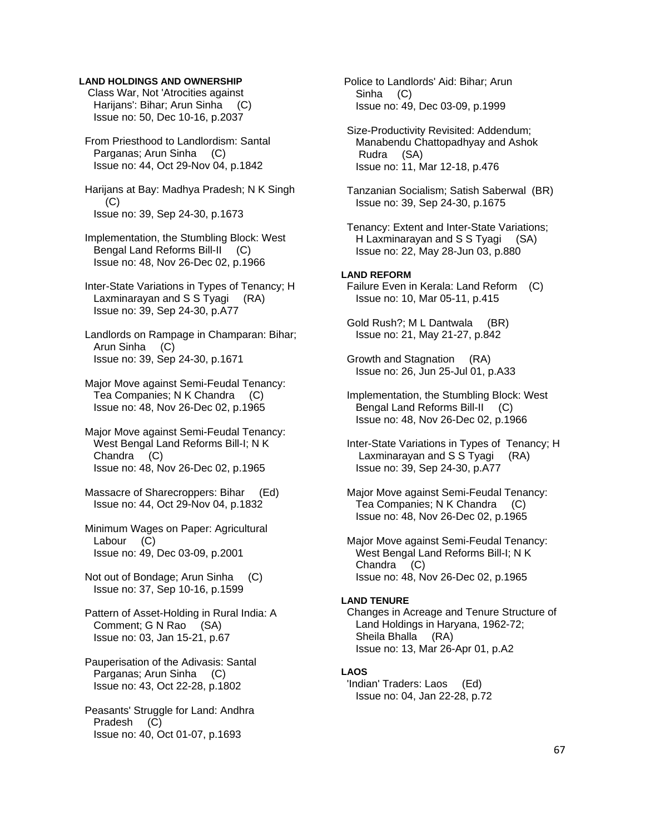## **LAND HOLDINGS AND OWNERSHIP**

 Class War, Not 'Atrocities against Harijans': Bihar; Arun Sinha (C) Issue no: 50, Dec 10-16, p.2037

 From Priesthood to Landlordism: Santal Parganas: Arun Sinha (C) Issue no: 44, Oct 29-Nov 04, p.1842

 Harijans at Bay: Madhya Pradesh; N K Singh (C) Issue no: 39, Sep 24-30, p.1673

 Implementation, the Stumbling Block: West Bengal Land Reforms Bill-II (C) Issue no: 48, Nov 26-Dec 02, p.1966

 Inter-State Variations in Types of Tenancy; H Laxminarayan and S S Tyagi (RA) Issue no: 39, Sep 24-30, p.A77

 Landlords on Rampage in Champaran: Bihar; Arun Sinha (C) Issue no: 39, Sep 24-30, p.1671

 Major Move against Semi-Feudal Tenancy: Tea Companies; N K Chandra (C) Issue no: 48, Nov 26-Dec 02, p.1965

 Major Move against Semi-Feudal Tenancy: West Bengal Land Reforms Bill-I; N K Chandra (C) Issue no: 48, Nov 26-Dec 02, p.1965

 Massacre of Sharecroppers: Bihar (Ed) Issue no: 44, Oct 29-Nov 04, p.1832

 Minimum Wages on Paper: Agricultural Labour (C) Issue no: 49, Dec 03-09, p.2001

 Not out of Bondage; Arun Sinha (C) Issue no: 37, Sep 10-16, p.1599

 Pattern of Asset-Holding in Rural India: A Comment; G N Rao (SA) Issue no: 03, Jan 15-21, p.67

 Pauperisation of the Adivasis: Santal Parganas; Arun Sinha (C) Issue no: 43, Oct 22-28, p.1802

 Peasants' Struggle for Land: Andhra Pradesh (C) Issue no: 40, Oct 01-07, p.1693

 Police to Landlords' Aid: Bihar; Arun Sinha (C) Issue no: 49, Dec 03-09, p.1999

 Size-Productivity Revisited: Addendum; Manabendu Chattopadhyay and Ashok Rudra (SA) Issue no: 11, Mar 12-18, p.476

 Tanzanian Socialism; Satish Saberwal (BR) Issue no: 39, Sep 24-30, p.1675

 Tenancy: Extent and Inter-State Variations; H Laxminarayan and S S Tyagi (SA) Issue no: 22, May 28-Jun 03, p.880

#### **LAND REFORM**

 Failure Even in Kerala: Land Reform (C) Issue no: 10, Mar 05-11, p.415

 Gold Rush?; M L Dantwala (BR) Issue no: 21, May 21-27, p.842

 Growth and Stagnation (RA) Issue no: 26, Jun 25-Jul 01, p.A33

 Implementation, the Stumbling Block: West Bengal Land Reforms Bill-II (C) Issue no: 48, Nov 26-Dec 02, p.1966

 Inter-State Variations in Types of Tenancy; H Laxminarayan and S S Tyagi (RA) Issue no: 39, Sep 24-30, p.A77

 Major Move against Semi-Feudal Tenancy: Tea Companies; N K Chandra (C) Issue no: 48, Nov 26-Dec 02, p.1965

 Major Move against Semi-Feudal Tenancy: West Bengal Land Reforms Bill-I; N K Chandra (C) Issue no: 48, Nov 26-Dec 02, p.1965

#### **LAND TENURE**

 Changes in Acreage and Tenure Structure of Land Holdings in Haryana, 1962-72; Sheila Bhalla (RA) Issue no: 13, Mar 26-Apr 01, p.A2

# **LAOS**

 'Indian' Traders: Laos (Ed) Issue no: 04, Jan 22-28, p.72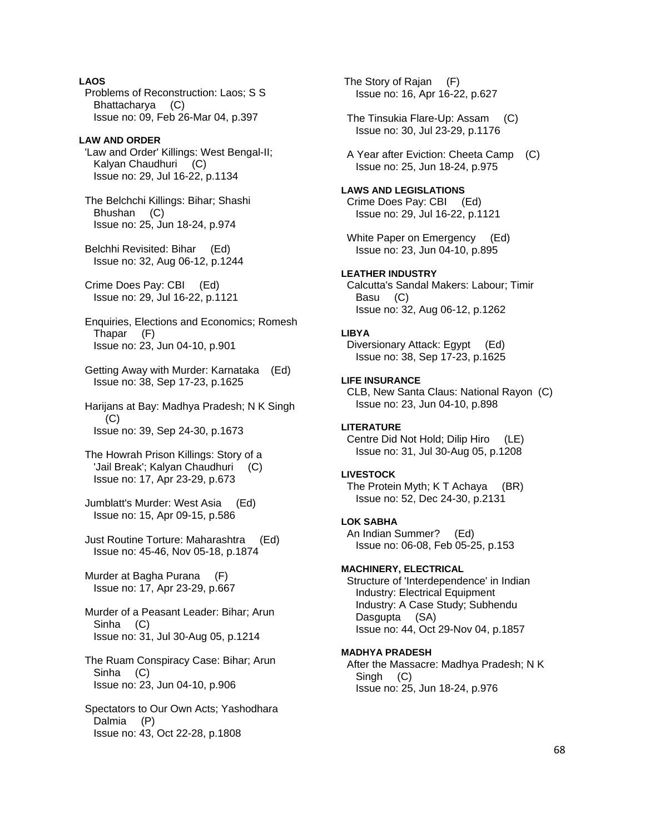# **LAOS**

 Problems of Reconstruction: Laos; S S Bhattacharya (C) Issue no: 09, Feb 26-Mar 04, p.397

### **LAW AND ORDER**

 'Law and Order' Killings: West Bengal-II; Kalyan Chaudhuri (C) Issue no: 29, Jul 16-22, p.1134

 The Belchchi Killings: Bihar; Shashi Bhushan (C) Issue no: 25, Jun 18-24, p.974

 Belchhi Revisited: Bihar (Ed) Issue no: 32, Aug 06-12, p.1244

 Crime Does Pay: CBI (Ed) Issue no: 29, Jul 16-22, p.1121

 Enquiries, Elections and Economics; Romesh Thapar (F) Issue no: 23, Jun 04-10, p.901

 Getting Away with Murder: Karnataka (Ed) Issue no: 38, Sep 17-23, p.1625

 Harijans at Bay: Madhya Pradesh; N K Singh (C) Issue no: 39, Sep 24-30, p.1673

 The Howrah Prison Killings: Story of a 'Jail Break'; Kalyan Chaudhuri (C) Issue no: 17, Apr 23-29, p.673

 Jumblatt's Murder: West Asia (Ed) Issue no: 15, Apr 09-15, p.586

 Just Routine Torture: Maharashtra (Ed) Issue no: 45-46, Nov 05-18, p.1874

 Murder at Bagha Purana (F) Issue no: 17, Apr 23-29, p.667

 Murder of a Peasant Leader: Bihar; Arun Sinha (C) Issue no: 31, Jul 30-Aug 05, p.1214

 The Ruam Conspiracy Case: Bihar; Arun Sinha (C) Issue no: 23, Jun 04-10, p.906

 Spectators to Our Own Acts; Yashodhara Dalmia (P) Issue no: 43, Oct 22-28, p.1808

 The Story of Rajan (F) Issue no: 16, Apr 16-22, p.627

 The Tinsukia Flare-Up: Assam (C) Issue no: 30, Jul 23-29, p.1176

 A Year after Eviction: Cheeta Camp (C) Issue no: 25, Jun 18-24, p.975

**LAWS AND LEGISLATIONS**  Crime Does Pay: CBI (Ed) Issue no: 29, Jul 16-22, p.1121

 White Paper on Emergency (Ed) Issue no: 23, Jun 04-10, p.895

#### **LEATHER INDUSTRY**  Calcutta's Sandal Makers: Labour; Timir

 Basu (C) Issue no: 32, Aug 06-12, p.1262

#### **LIBYA**

 Diversionary Attack: Egypt (Ed) Issue no: 38, Sep 17-23, p.1625

#### **LIFE INSURANCE**

 CLB, New Santa Claus: National Rayon (C) Issue no: 23, Jun 04-10, p.898

# **LITERATURE**

 Centre Did Not Hold; Dilip Hiro (LE) Issue no: 31, Jul 30-Aug 05, p.1208

#### **LIVESTOCK**

 The Protein Myth; K T Achaya (BR) Issue no: 52, Dec 24-30, p.2131

**LOK SABHA**  An Indian Summer? (Ed) Issue no: 06-08, Feb 05-25, p.153

#### **MACHINERY, ELECTRICAL**

 Structure of 'Interdependence' in Indian Industry: Electrical Equipment Industry: A Case Study; Subhendu Dasgupta (SA) Issue no: 44, Oct 29-Nov 04, p.1857

#### **MADHYA PRADESH**

 After the Massacre: Madhya Pradesh; N K Singh (C) Issue no: 25, Jun 18-24, p.976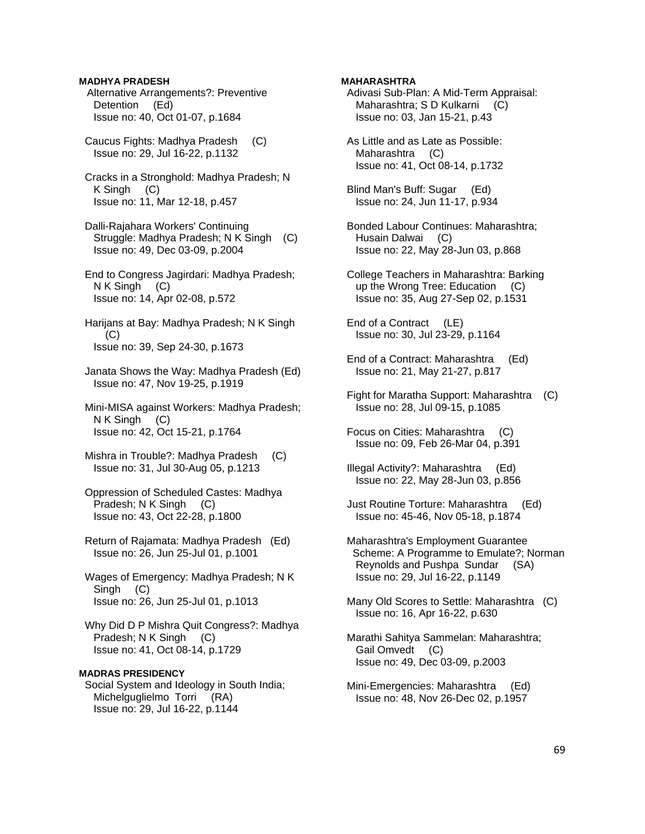# **MADHYA PRADESH**

- Alternative Arrangements?: Preventive Detention (Ed) Issue no: 40, Oct 01-07, p.1684
- Caucus Fights: Madhya Pradesh (C) Issue no: 29, Jul 16-22, p.1132
- Cracks in a Stronghold: Madhya Pradesh; N K Singh (C) Issue no: 11, Mar 12-18, p.457
- Dalli-Rajahara Workers' Continuing Struggle: Madhya Pradesh; N K Singh (C) Issue no: 49, Dec 03-09, p.2004
- End to Congress Jagirdari: Madhya Pradesh; N K Singh (C) Issue no: 14, Apr 02-08, p.572
- Harijans at Bay: Madhya Pradesh; N K Singh (C) Issue no: 39, Sep 24-30, p.1673
- Janata Shows the Way: Madhya Pradesh (Ed) Issue no: 47, Nov 19-25, p.1919
- Mini-MISA against Workers: Madhya Pradesh; N K Singh (C) Issue no: 42, Oct 15-21, p.1764
- Mishra in Trouble?: Madhya Pradesh (C) Issue no: 31, Jul 30-Aug 05, p.1213
- Oppression of Scheduled Castes: Madhya Pradesh; N K Singh (C) Issue no: 43, Oct 22-28, p.1800
- Return of Rajamata: Madhya Pradesh (Ed) Issue no: 26, Jun 25-Jul 01, p.1001
- Wages of Emergency: Madhya Pradesh; N K Singh (C) Issue no: 26, Jun 25-Jul 01, p.1013
- Why Did D P Mishra Quit Congress?: Madhya Pradesh; N K Singh (C) Issue no: 41, Oct 08-14, p.1729

# **MADRAS PRESIDENCY**

 Social System and Ideology in South India; Michelguglielmo Torri (RA) Issue no: 29, Jul 16-22, p.1144

### **MAHARASHTRA**

- Adivasi Sub-Plan: A Mid-Term Appraisal: Maharashtra; S D Kulkarni (C) Issue no: 03, Jan 15-21, p.43
- As Little and as Late as Possible: Maharashtra (C) Issue no: 41, Oct 08-14, p.1732
- Blind Man's Buff: Sugar (Ed) Issue no: 24, Jun 11-17, p.934
- Bonded Labour Continues: Maharashtra; Husain Dalwai (C) Issue no: 22, May 28-Jun 03, p.868
- College Teachers in Maharashtra: Barking up the Wrong Tree: Education (C) Issue no: 35, Aug 27-Sep 02, p.1531
- End of a Contract (LE) Issue no: 30, Jul 23-29, p.1164
- End of a Contract: Maharashtra (Ed) Issue no: 21, May 21-27, p.817
- Fight for Maratha Support: Maharashtra (C) Issue no: 28, Jul 09-15, p.1085
- Focus on Cities: Maharashtra (C) Issue no: 09, Feb 26-Mar 04, p.391
- Illegal Activity?: Maharashtra (Ed) Issue no: 22, May 28-Jun 03, p.856
- Just Routine Torture: Maharashtra (Ed) Issue no: 45-46, Nov 05-18, p.1874
- Maharashtra's Employment Guarantee Scheme: A Programme to Emulate?; Norman Reynolds and Pushpa Sundar (SA) Issue no: 29, Jul 16-22, p.1149
- Many Old Scores to Settle: Maharashtra (C) Issue no: 16, Apr 16-22, p.630
- Marathi Sahitya Sammelan: Maharashtra; Gail Omvedt (C) Issue no: 49, Dec 03-09, p.2003
- Mini-Emergencies: Maharashtra (Ed) Issue no: 48, Nov 26-Dec 02, p.1957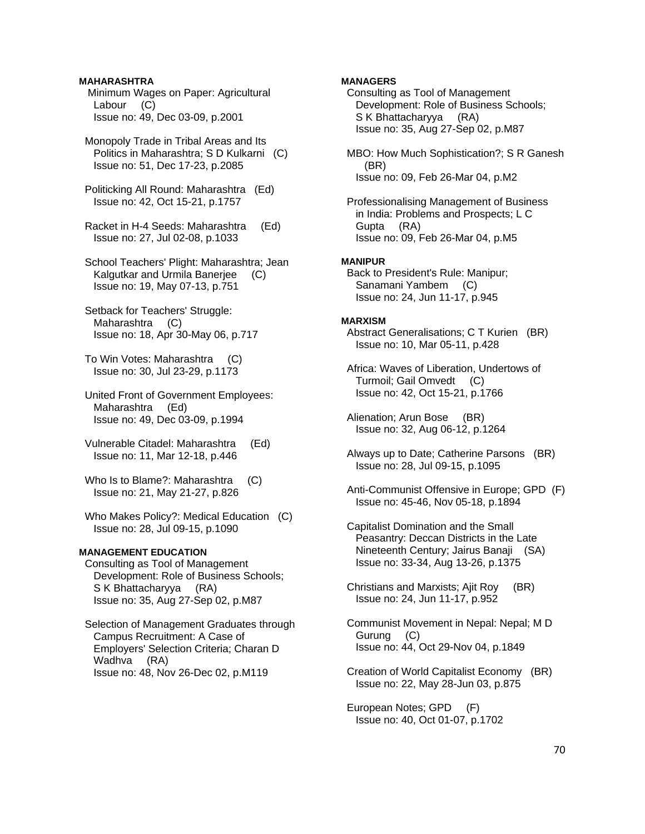# **MAHARASHTRA**

 Minimum Wages on Paper: Agricultural Labour (C) Issue no: 49, Dec 03-09, p.2001

 Monopoly Trade in Tribal Areas and Its Politics in Maharashtra; S D Kulkarni (C) Issue no: 51, Dec 17-23, p.2085

 Politicking All Round: Maharashtra (Ed) Issue no: 42, Oct 15-21, p.1757

 Racket in H-4 Seeds: Maharashtra (Ed) Issue no: 27, Jul 02-08, p.1033

 School Teachers' Plight: Maharashtra; Jean Kalgutkar and Urmila Banerjee (C) Issue no: 19, May 07-13, p.751

 Setback for Teachers' Struggle: Maharashtra (C) Issue no: 18, Apr 30-May 06, p.717

 To Win Votes: Maharashtra (C) Issue no: 30, Jul 23-29, p.1173

 United Front of Government Employees: Maharashtra (Ed) Issue no: 49, Dec 03-09, p.1994

- Vulnerable Citadel: Maharashtra (Ed) Issue no: 11, Mar 12-18, p.446
- Who Is to Blame?: Maharashtra (C) Issue no: 21, May 21-27, p.826
- Who Makes Policy?: Medical Education (C) Issue no: 28, Jul 09-15, p.1090

# **MANAGEMENT EDUCATION**

 Consulting as Tool of Management Development: Role of Business Schools; S K Bhattacharyya (RA) Issue no: 35, Aug 27-Sep 02, p.M87

 Selection of Management Graduates through Campus Recruitment: A Case of Employers' Selection Criteria; Charan D Wadhva (RA) Issue no: 48, Nov 26-Dec 02, p.M119

# **MANAGERS**

 Consulting as Tool of Management Development: Role of Business Schools; S K Bhattacharyya (RA) Issue no: 35, Aug 27-Sep 02, p.M87

 MBO: How Much Sophistication?; S R Ganesh (BR) Issue no: 09, Feb 26-Mar 04, p.M2

 Professionalising Management of Business in India: Problems and Prospects; L C Gupta (RA) Issue no: 09, Feb 26-Mar 04, p.M5

## **MANIPUR**

 Back to President's Rule: Manipur; Sanamani Yambem (C) Issue no: 24, Jun 11-17, p.945

# **MARXISM**

 Abstract Generalisations; C T Kurien (BR) Issue no: 10, Mar 05-11, p.428

- Africa: Waves of Liberation, Undertows of Turmoil; Gail Omvedt (C) Issue no: 42, Oct 15-21, p.1766
- Alienation; Arun Bose (BR) Issue no: 32, Aug 06-12, p.1264
- Always up to Date; Catherine Parsons (BR) Issue no: 28, Jul 09-15, p.1095
- Anti-Communist Offensive in Europe; GPD (F) Issue no: 45-46, Nov 05-18, p.1894
- Capitalist Domination and the Small Peasantry: Deccan Districts in the Late Nineteenth Century; Jairus Banaji (SA) Issue no: 33-34, Aug 13-26, p.1375
- Christians and Marxists; Ajit Roy (BR) Issue no: 24, Jun 11-17, p.952
- Communist Movement in Nepal: Nepal; M D Gurung (C) Issue no: 44, Oct 29-Nov 04, p.1849
- Creation of World Capitalist Economy (BR) Issue no: 22, May 28-Jun 03, p.875

 European Notes; GPD (F) Issue no: 40, Oct 01-07, p.1702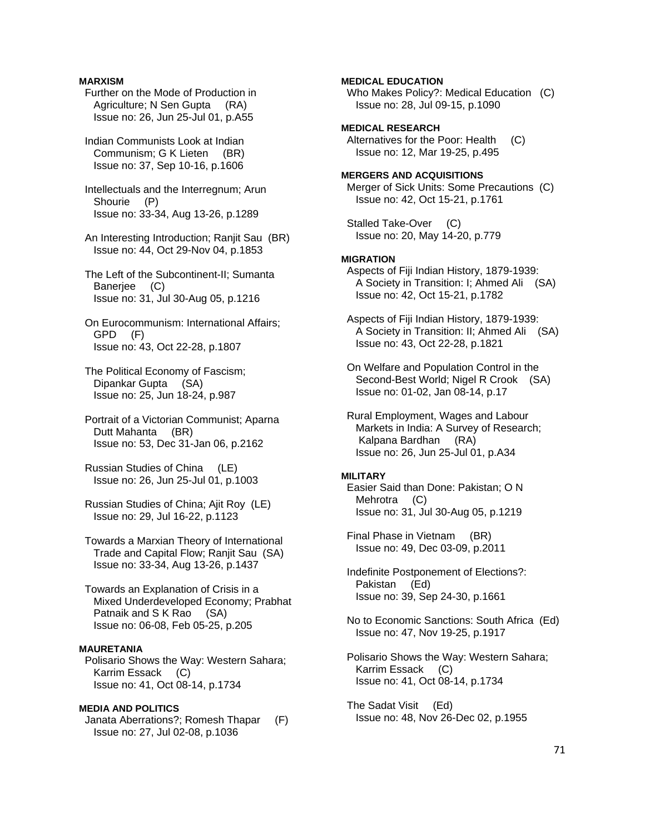# **MARXISM**

- Further on the Mode of Production in Agriculture; N Sen Gupta (RA) Issue no: 26, Jun 25-Jul 01, p.A55
- Indian Communists Look at Indian Communism; G K Lieten (BR) Issue no: 37, Sep 10-16, p.1606
- Intellectuals and the Interregnum; Arun Shourie (P) Issue no: 33-34, Aug 13-26, p.1289
- An Interesting Introduction; Ranjit Sau (BR) Issue no: 44, Oct 29-Nov 04, p.1853
- The Left of the Subcontinent-II; Sumanta Baneriee (C) Issue no: 31, Jul 30-Aug 05, p.1216
- On Eurocommunism: International Affairs; GPD (F) Issue no: 43, Oct 22-28, p.1807
- The Political Economy of Fascism; Dipankar Gupta (SA) Issue no: 25, Jun 18-24, p.987
- Portrait of a Victorian Communist; Aparna Dutt Mahanta (BR) Issue no: 53, Dec 31-Jan 06, p.2162
- Russian Studies of China (LE) Issue no: 26, Jun 25-Jul 01, p.1003
- Russian Studies of China; Ajit Roy (LE) Issue no: 29, Jul 16-22, p.1123
- Towards a Marxian Theory of International Trade and Capital Flow; Ranjit Sau (SA) Issue no: 33-34, Aug 13-26, p.1437
- Towards an Explanation of Crisis in a Mixed Underdeveloped Economy; Prabhat Patnaik and S K Rao (SA) Issue no: 06-08, Feb 05-25, p.205

# **MAURETANIA**

 Polisario Shows the Way: Western Sahara; Karrim Essack (C) Issue no: 41, Oct 08-14, p.1734

### **MEDIA AND POLITICS**

 Janata Aberrations?; Romesh Thapar (F) Issue no: 27, Jul 02-08, p.1036

### **MEDICAL EDUCATION**

 Who Makes Policy?: Medical Education (C) Issue no: 28, Jul 09-15, p.1090

# **MEDICAL RESEARCH**

 Alternatives for the Poor: Health (C) Issue no: 12, Mar 19-25, p.495

# **MERGERS AND ACQUISITIONS**

 Merger of Sick Units: Some Precautions (C) Issue no: 42, Oct 15-21, p.1761

 Stalled Take-Over (C) Issue no: 20, May 14-20, p.779

#### **MIGRATION**

- Aspects of Fiji Indian History, 1879-1939: A Society in Transition: I; Ahmed Ali (SA) Issue no: 42, Oct 15-21, p.1782
- Aspects of Fiji Indian History, 1879-1939: A Society in Transition: II; Ahmed Ali (SA) Issue no: 43, Oct 22-28, p.1821
- On Welfare and Population Control in the Second-Best World; Nigel R Crook (SA) Issue no: 01-02, Jan 08-14, p.17

 Rural Employment, Wages and Labour Markets in India: A Survey of Research; Kalpana Bardhan (RA) Issue no: 26, Jun 25-Jul 01, p.A34

# **MILITARY**

 Easier Said than Done: Pakistan; O N Mehrotra (C) Issue no: 31, Jul 30-Aug 05, p.1219

 Final Phase in Vietnam (BR) Issue no: 49, Dec 03-09, p.2011

- Indefinite Postponement of Elections?: Pakistan (Ed) Issue no: 39, Sep 24-30, p.1661
- No to Economic Sanctions: South Africa (Ed) Issue no: 47, Nov 19-25, p.1917
- Polisario Shows the Way: Western Sahara; Karrim Essack (C) Issue no: 41, Oct 08-14, p.1734
- The Sadat Visit (Ed) Issue no: 48, Nov 26-Dec 02, p.1955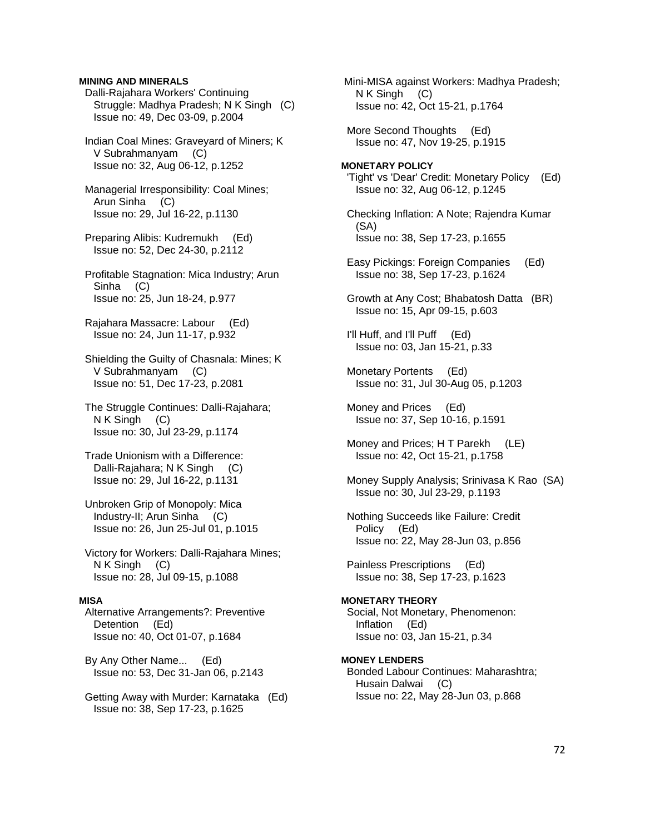### **MINING AND MINERALS**

 Dalli-Rajahara Workers' Continuing Struggle: Madhya Pradesh; N K Singh (C) Issue no: 49, Dec 03-09, p.2004

 Indian Coal Mines: Graveyard of Miners; K V Subrahmanyam (C) Issue no: 32, Aug 06-12, p.1252

 Managerial Irresponsibility: Coal Mines; Arun Sinha (C) Issue no: 29, Jul 16-22, p.1130

 Preparing Alibis: Kudremukh (Ed) Issue no: 52, Dec 24-30, p.2112

 Profitable Stagnation: Mica Industry; Arun Sinha (C) Issue no: 25, Jun 18-24, p.977

 Rajahara Massacre: Labour (Ed) Issue no: 24, Jun 11-17, p.932

 Shielding the Guilty of Chasnala: Mines; K V Subrahmanyam (C) Issue no: 51, Dec 17-23, p.2081

 The Struggle Continues: Dalli-Rajahara; N K Singh (C) Issue no: 30, Jul 23-29, p.1174

- Trade Unionism with a Difference: Dalli-Rajahara; N K Singh (C) Issue no: 29, Jul 16-22, p.1131
- Unbroken Grip of Monopoly: Mica Industry-II; Arun Sinha (C) Issue no: 26, Jun 25-Jul 01, p.1015

 Victory for Workers: Dalli-Rajahara Mines; N K Singh (C) Issue no: 28, Jul 09-15, p.1088

#### **MISA**

 Alternative Arrangements?: Preventive Detention (Ed) Issue no: 40, Oct 01-07, p.1684

 By Any Other Name... (Ed) Issue no: 53, Dec 31-Jan 06, p.2143

 Getting Away with Murder: Karnataka (Ed) Issue no: 38, Sep 17-23, p.1625

 Mini-MISA against Workers: Madhya Pradesh; N K Singh (C) Issue no: 42, Oct 15-21, p.1764

 More Second Thoughts (Ed) Issue no: 47, Nov 19-25, p.1915

**MONETARY POLICY**  'Tight' vs 'Dear' Credit: Monetary Policy (Ed) Issue no: 32, Aug 06-12, p.1245

 Checking Inflation: A Note; Rajendra Kumar (SA) Issue no: 38, Sep 17-23, p.1655

- Easy Pickings: Foreign Companies (Ed) Issue no: 38, Sep 17-23, p.1624
- Growth at Any Cost; Bhabatosh Datta (BR) Issue no: 15, Apr 09-15, p.603
- I'll Huff, and I'll Puff (Ed) Issue no: 03, Jan 15-21, p.33
- Monetary Portents (Ed) Issue no: 31, Jul 30-Aug 05, p.1203
- Money and Prices (Ed) Issue no: 37, Sep 10-16, p.1591
- Money and Prices; H T Parekh (LE) Issue no: 42, Oct 15-21, p.1758
- Money Supply Analysis; Srinivasa K Rao (SA) Issue no: 30, Jul 23-29, p.1193
- Nothing Succeeds like Failure: Credit Policy (Ed) Issue no: 22, May 28-Jun 03, p.856

 Painless Prescriptions (Ed) Issue no: 38, Sep 17-23, p.1623

#### **MONETARY THEORY**

 Social, Not Monetary, Phenomenon: Inflation (Ed) Issue no: 03, Jan 15-21, p.34

#### **MONEY LENDERS**

 Bonded Labour Continues: Maharashtra; Husain Dalwai (C) Issue no: 22, May 28-Jun 03, p.868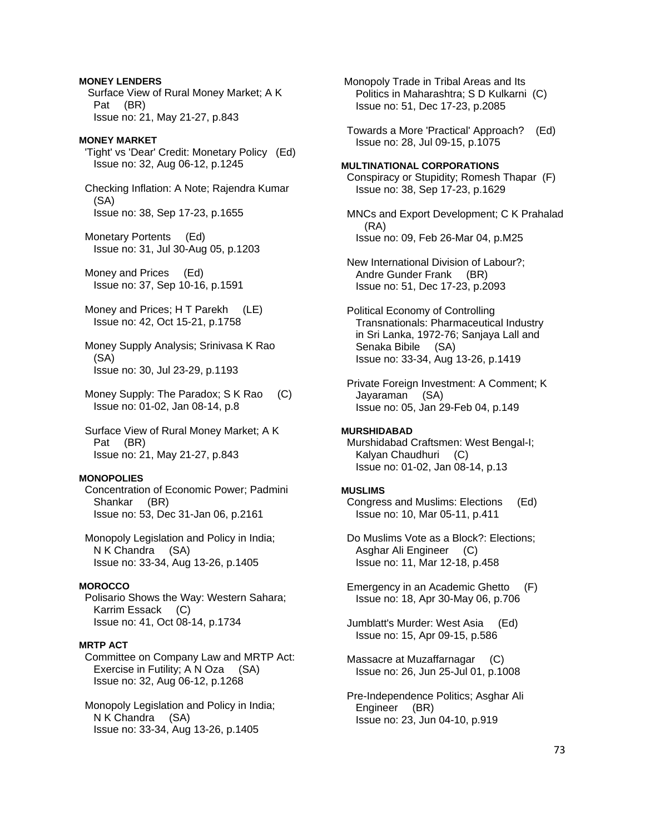**MONEY LENDERS**  Surface View of Rural Money Market; A K Pat (BR) Issue no: 21, May 21-27, p.843

# **MONEY MARKET**

 'Tight' vs 'Dear' Credit: Monetary Policy (Ed) Issue no: 32, Aug 06-12, p.1245

 Checking Inflation: A Note; Rajendra Kumar (SA) Issue no: 38, Sep 17-23, p.1655

 Monetary Portents (Ed) Issue no: 31, Jul 30-Aug 05, p.1203

 Money and Prices (Ed) Issue no: 37, Sep 10-16, p.1591

Money and Prices; H T Parekh (LE) Issue no: 42, Oct 15-21, p.1758

 Money Supply Analysis; Srinivasa K Rao (SA) Issue no: 30, Jul 23-29, p.1193

 Money Supply: The Paradox; S K Rao (C) Issue no: 01-02, Jan 08-14, p.8

 Surface View of Rural Money Market; A K Pat (BR) Issue no: 21, May 21-27, p.843

#### **MONOPOLIES**

 Concentration of Economic Power; Padmini Shankar (BR) Issue no: 53, Dec 31-Jan 06, p.2161

 Monopoly Legislation and Policy in India; N K Chandra (SA) Issue no: 33-34, Aug 13-26, p.1405

# **MOROCCO**

 Polisario Shows the Way: Western Sahara; Karrim Essack (C) Issue no: 41, Oct 08-14, p.1734

#### **MRTP ACT**

 Committee on Company Law and MRTP Act: Exercise in Futility; A N Oza (SA) Issue no: 32, Aug 06-12, p.1268

 Monopoly Legislation and Policy in India; N K Chandra (SA) Issue no: 33-34, Aug 13-26, p.1405

 Monopoly Trade in Tribal Areas and Its Politics in Maharashtra; S D Kulkarni (C) Issue no: 51, Dec 17-23, p.2085

 Towards a More 'Practical' Approach? (Ed) Issue no: 28, Jul 09-15, p.1075

#### **MULTINATIONAL CORPORATIONS**

 Conspiracy or Stupidity; Romesh Thapar (F) Issue no: 38, Sep 17-23, p.1629

 MNCs and Export Development; C K Prahalad (RA) Issue no: 09, Feb 26-Mar 04, p.M25

 New International Division of Labour?; Andre Gunder Frank (BR) Issue no: 51, Dec 17-23, p.2093

 Political Economy of Controlling Transnationals: Pharmaceutical Industry in Sri Lanka, 1972-76; Sanjaya Lall and Senaka Bibile (SA) Issue no: 33-34, Aug 13-26, p.1419

 Private Foreign Investment: A Comment; K Jayaraman (SA) Issue no: 05, Jan 29-Feb 04, p.149

#### **MURSHIDABAD**

 Murshidabad Craftsmen: West Bengal-I; Kalyan Chaudhuri (C) Issue no: 01-02, Jan 08-14, p.13

#### **MUSLIMS**

 Congress and Muslims: Elections (Ed) Issue no: 10, Mar 05-11, p.411

 Do Muslims Vote as a Block?: Elections; Asghar Ali Engineer (C) Issue no: 11, Mar 12-18, p.458

 Emergency in an Academic Ghetto (F) Issue no: 18, Apr 30-May 06, p.706

 Jumblatt's Murder: West Asia (Ed) Issue no: 15, Apr 09-15, p.586

 Massacre at Muzaffarnagar (C) Issue no: 26, Jun 25-Jul 01, p.1008

 Pre-Independence Politics; Asghar Ali Engineer (BR) Issue no: 23, Jun 04-10, p.919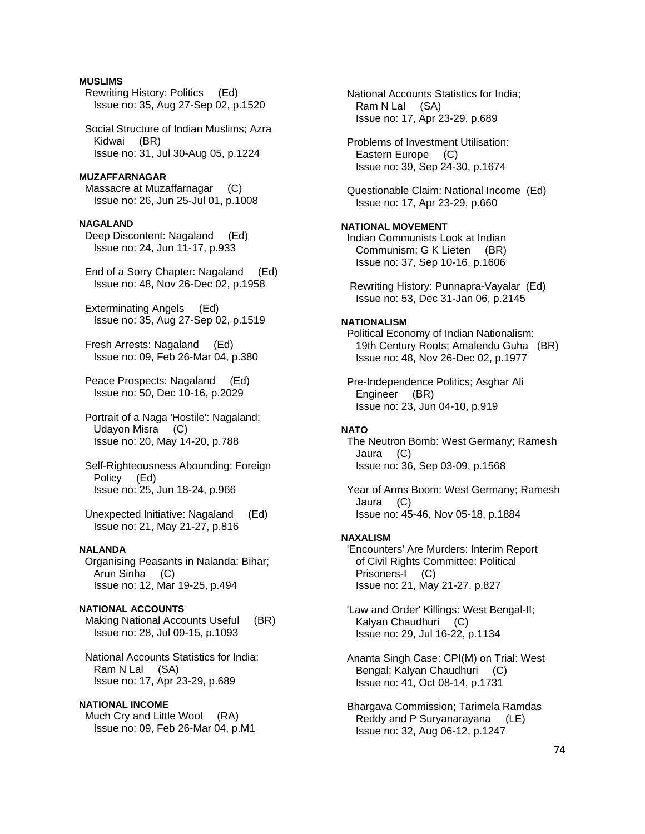# **MUSLIMS**

 Rewriting History: Politics (Ed) Issue no: 35, Aug 27-Sep 02, p.1520

 Social Structure of Indian Muslims; Azra Kidwai (BR) Issue no: 31, Jul 30-Aug 05, p.1224

## **MUZAFFARNAGAR**

 Massacre at Muzaffarnagar (C) Issue no: 26, Jun 25-Jul 01, p.1008

### **NAGALAND**

 Deep Discontent: Nagaland (Ed) Issue no: 24, Jun 11-17, p.933

 End of a Sorry Chapter: Nagaland (Ed) Issue no: 48, Nov 26-Dec 02, p.1958

 Exterminating Angels (Ed) Issue no: 35, Aug 27-Sep 02, p.1519

 Fresh Arrests: Nagaland (Ed) Issue no: 09, Feb 26-Mar 04, p.380

 Peace Prospects: Nagaland (Ed) Issue no: 50, Dec 10-16, p.2029

 Portrait of a Naga 'Hostile': Nagaland; Udayon Misra (C) Issue no: 20, May 14-20, p.788

 Self-Righteousness Abounding: Foreign Policy (Ed) Issue no: 25, Jun 18-24, p.966

 Unexpected Initiative: Nagaland (Ed) Issue no: 21, May 21-27, p.816

#### **NALANDA**

 Organising Peasants in Nalanda: Bihar; Arun Sinha (C) Issue no: 12, Mar 19-25, p.494

# **NATIONAL ACCOUNTS**

Making National Accounts Useful (BR) Issue no: 28, Jul 09-15, p.1093

 National Accounts Statistics for India; Ram N Lal (SA) Issue no: 17, Apr 23-29, p.689

#### **NATIONAL INCOME**

 Much Cry and Little Wool (RA) Issue no: 09, Feb 26-Mar 04, p.M1  National Accounts Statistics for India; Ram N Lal (SA) Issue no: 17, Apr 23-29, p.689

 Problems of Investment Utilisation: Eastern Europe (C) Issue no: 39, Sep 24-30, p.1674

 Questionable Claim: National Income (Ed) Issue no: 17, Apr 23-29, p.660

### **NATIONAL MOVEMENT**

 Indian Communists Look at Indian Communism; G K Lieten (BR) Issue no: 37, Sep 10-16, p.1606

 Rewriting History: Punnapra-Vayalar (Ed) Issue no: 53, Dec 31-Jan 06, p.2145

# **NATIONALISM**

 Political Economy of Indian Nationalism: 19th Century Roots; Amalendu Guha (BR) Issue no: 48, Nov 26-Dec 02, p.1977

 Pre-Independence Politics; Asghar Ali Engineer (BR) Issue no: 23, Jun 04-10, p.919

# **NATO**

 The Neutron Bomb: West Germany; Ramesh Jaura (C) Issue no: 36, Sep 03-09, p.1568

 Year of Arms Boom: West Germany; Ramesh Jaura (C) Issue no: 45-46, Nov 05-18, p.1884

#### **NAXALISM**

 'Encounters' Are Murders: Interim Report of Civil Rights Committee: Political Prisoners-I (C) Issue no: 21, May 21-27, p.827

 'Law and Order' Killings: West Bengal-II; Kalyan Chaudhuri (C) Issue no: 29, Jul 16-22, p.1134

 Ananta Singh Case: CPI(M) on Trial: West Bengal; Kalyan Chaudhuri (C) Issue no: 41, Oct 08-14, p.1731

 Bhargava Commission; Tarimela Ramdas Reddy and P Suryanarayana (LE) Issue no: 32, Aug 06-12, p.1247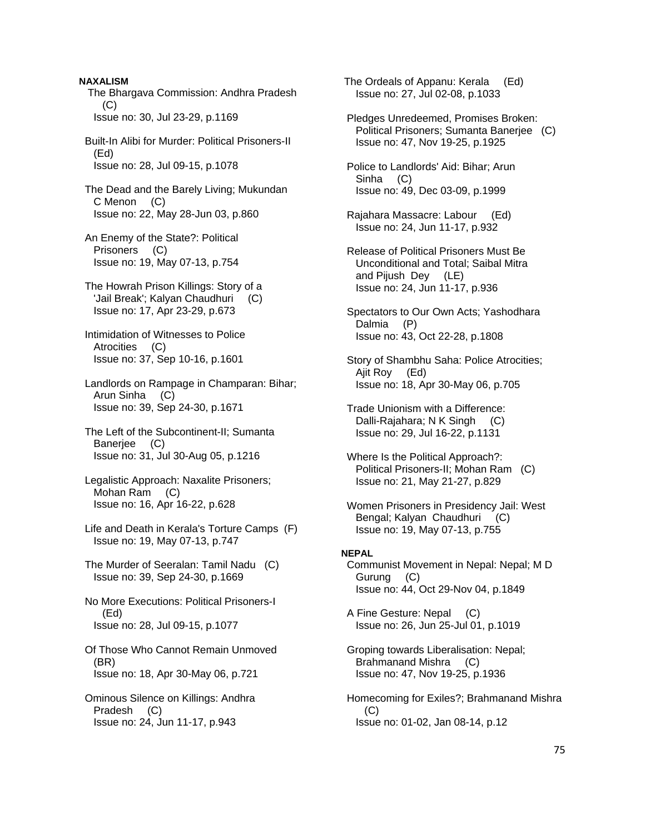**NAXALISM**  The Bhargava Commission: Andhra Pradesh (C) Issue no: 30, Jul 23-29, p.1169 Built-In Alibi for Murder: Political Prisoners-II (Ed) Issue no: 28, Jul 09-15, p.1078 The Dead and the Barely Living; Mukundan C Menon (C) Issue no: 22, May 28-Jun 03, p.860 An Enemy of the State?: Political Prisoners (C) Issue no: 19, May 07-13, p.754 The Howrah Prison Killings: Story of a 'Jail Break'; Kalyan Chaudhuri (C) Issue no: 17, Apr 23-29, p.673 Intimidation of Witnesses to Police Atrocities (C) Issue no: 37, Sep 10-16, p.1601 Landlords on Rampage in Champaran: Bihar; Arun Sinha (C) Issue no: 39, Sep 24-30, p.1671 The Left of the Subcontinent-II; Sumanta Banerjee (C) Issue no: 31, Jul 30-Aug 05, p.1216 Legalistic Approach: Naxalite Prisoners; Mohan Ram (C) Issue no: 16, Apr 16-22, p.628 Life and Death in Kerala's Torture Camps (F) Issue no: 19, May 07-13, p.747 The Murder of Seeralan: Tamil Nadu (C) Issue no: 39, Sep 24-30, p.1669 No More Executions: Political Prisoners-I (Ed) Issue no: 28, Jul 09-15, p.1077 Of Those Who Cannot Remain Unmoved (BR) Issue no: 18, Apr 30-May 06, p.721 Ominous Silence on Killings: Andhra Pradesh (C) Issue no: 24, Jun 11-17, p.943

 The Ordeals of Appanu: Kerala (Ed) Issue no: 27, Jul 02-08, p.1033

 Pledges Unredeemed, Promises Broken: Political Prisoners; Sumanta Banerjee (C) Issue no: 47, Nov 19-25, p.1925

 Police to Landlords' Aid: Bihar; Arun Sinha (C) Issue no: 49, Dec 03-09, p.1999

 Rajahara Massacre: Labour (Ed) Issue no: 24, Jun 11-17, p.932

 Release of Political Prisoners Must Be Unconditional and Total; Saibal Mitra and Pijush Dey (LE) Issue no: 24, Jun 11-17, p.936

 Spectators to Our Own Acts; Yashodhara Dalmia (P) Issue no: 43, Oct 22-28, p.1808

 Story of Shambhu Saha: Police Atrocities; Ajit Roy (Ed) Issue no: 18, Apr 30-May 06, p.705

 Trade Unionism with a Difference: Dalli-Rajahara; N K Singh (C) Issue no: 29, Jul 16-22, p.1131

 Where Is the Political Approach?: Political Prisoners-II; Mohan Ram (C) Issue no: 21, May 21-27, p.829

 Women Prisoners in Presidency Jail: West Bengal; Kalyan Chaudhuri (C) Issue no: 19, May 07-13, p.755

#### **NEPAL**

 Communist Movement in Nepal: Nepal; M D Gurung (C) Issue no: 44, Oct 29-Nov 04, p.1849

 A Fine Gesture: Nepal (C) Issue no: 26, Jun 25-Jul 01, p.1019

 Groping towards Liberalisation: Nepal; Brahmanand Mishra (C) Issue no: 47, Nov 19-25, p.1936

 Homecoming for Exiles?; Brahmanand Mishra (C) Issue no: 01-02, Jan 08-14, p.12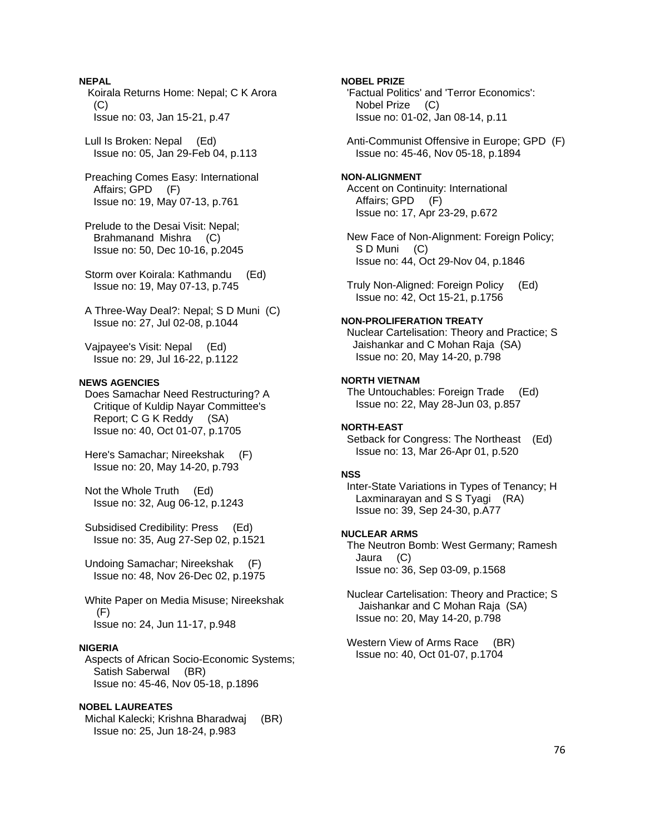# **NEPAL**

 Koirala Returns Home: Nepal; C K Arora  $(C)$ Issue no: 03, Jan 15-21, p.47

 Lull Is Broken: Nepal (Ed) Issue no: 05, Jan 29-Feb 04, p.113

- Preaching Comes Easy: International Affairs; GPD (F) Issue no: 19, May 07-13, p.761
- Prelude to the Desai Visit: Nepal; Brahmanand Mishra (C) Issue no: 50, Dec 10-16, p.2045

 Storm over Koirala: Kathmandu (Ed) Issue no: 19, May 07-13, p.745

 A Three-Way Deal?: Nepal; S D Muni (C) Issue no: 27, Jul 02-08, p.1044

 Vajpayee's Visit: Nepal (Ed) Issue no: 29, Jul 16-22, p.1122

# **NEWS AGENCIES**

 Does Samachar Need Restructuring? A Critique of Kuldip Nayar Committee's Report; C G K Reddy (SA) Issue no: 40, Oct 01-07, p.1705

 Here's Samachar; Nireekshak (F) Issue no: 20, May 14-20, p.793

 Not the Whole Truth (Ed) Issue no: 32, Aug 06-12, p.1243

 Subsidised Credibility: Press (Ed) Issue no: 35, Aug 27-Sep 02, p.1521

 Undoing Samachar; Nireekshak (F) Issue no: 48, Nov 26-Dec 02, p.1975

 White Paper on Media Misuse; Nireekshak (F) Issue no: 24, Jun 11-17, p.948

#### **NIGERIA**

 Aspects of African Socio-Economic Systems; Satish Saberwal (BR) Issue no: 45-46, Nov 05-18, p.1896

# **NOBEL LAUREATES**

 Michal Kalecki; Krishna Bharadwaj (BR) Issue no: 25, Jun 18-24, p.983

**NOBEL PRIZE** 

 'Factual Politics' and 'Terror Economics': Nobel Prize (C) Issue no: 01-02, Jan 08-14, p.11

 Anti-Communist Offensive in Europe; GPD (F) Issue no: 45-46, Nov 05-18, p.1894

# **NON-ALIGNMENT**

 Accent on Continuity: International Affairs; GPD (F) Issue no: 17, Apr 23-29, p.672

 New Face of Non-Alignment: Foreign Policy; S D Muni (C) Issue no: 44, Oct 29-Nov 04, p.1846

 Truly Non-Aligned: Foreign Policy (Ed) Issue no: 42, Oct 15-21, p.1756

# **NON-PROLIFERATION TREATY**

 Nuclear Cartelisation: Theory and Practice; S Jaishankar and C Mohan Raja (SA) Issue no: 20, May 14-20, p.798

#### **NORTH VIETNAM**

 The Untouchables: Foreign Trade (Ed) Issue no: 22, May 28-Jun 03, p.857

### **NORTH-EAST**

 Setback for Congress: The Northeast (Ed) Issue no: 13, Mar 26-Apr 01, p.520

#### **NSS**

 Inter-State Variations in Types of Tenancy; H Laxminarayan and S S Tyagi (RA) Issue no: 39, Sep 24-30, p.A77

#### **NUCLEAR ARMS**

 The Neutron Bomb: West Germany; Ramesh Jaura (C) Issue no: 36, Sep 03-09, p.1568

 Nuclear Cartelisation: Theory and Practice; S Jaishankar and C Mohan Raja (SA) Issue no: 20, May 14-20, p.798

Western View of Arms Race (BR) Issue no: 40, Oct 01-07, p.1704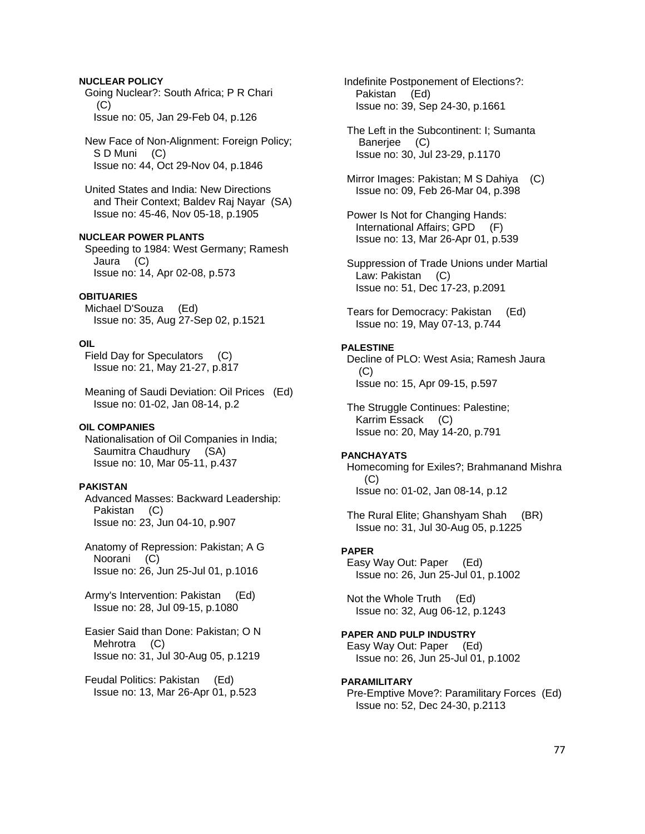# **NUCLEAR POLICY**

 Going Nuclear?: South Africa; P R Chari (C) Issue no: 05, Jan 29-Feb 04, p.126

 New Face of Non-Alignment: Foreign Policy; S D Muni (C) Issue no: 44, Oct 29-Nov 04, p.1846

 United States and India: New Directions and Their Context; Baldev Raj Nayar (SA) Issue no: 45-46, Nov 05-18, p.1905

# **NUCLEAR POWER PLANTS**

 Speeding to 1984: West Germany; Ramesh Jaura (C) Issue no: 14, Apr 02-08, p.573

#### **OBITUARIES**

 Michael D'Souza (Ed) Issue no: 35, Aug 27-Sep 02, p.1521

### **OIL**

 Field Day for Speculators (C) Issue no: 21, May 21-27, p.817

 Meaning of Saudi Deviation: Oil Prices (Ed) Issue no: 01-02, Jan 08-14, p.2

### **OIL COMPANIES**

 Nationalisation of Oil Companies in India; Saumitra Chaudhury (SA) Issue no: 10, Mar 05-11, p.437

#### **PAKISTAN**

 Advanced Masses: Backward Leadership: Pakistan (C) Issue no: 23, Jun 04-10, p.907

 Anatomy of Repression: Pakistan; A G Noorani (C) Issue no: 26, Jun 25-Jul 01, p.1016

 Army's Intervention: Pakistan (Ed) Issue no: 28, Jul 09-15, p.1080

 Easier Said than Done: Pakistan; O N Mehrotra (C) Issue no: 31, Jul 30-Aug 05, p.1219

 Feudal Politics: Pakistan (Ed) Issue no: 13, Mar 26-Apr 01, p.523  Indefinite Postponement of Elections?: Pakistan (Ed) Issue no: 39, Sep 24-30, p.1661

 The Left in the Subcontinent: I; Sumanta Banerjee (C) Issue no: 30, Jul 23-29, p.1170

 Mirror Images: Pakistan; M S Dahiya (C) Issue no: 09, Feb 26-Mar 04, p.398

 Power Is Not for Changing Hands: International Affairs; GPD (F) Issue no: 13, Mar 26-Apr 01, p.539

 Suppression of Trade Unions under Martial Law: Pakistan (C) Issue no: 51, Dec 17-23, p.2091

 Tears for Democracy: Pakistan (Ed) Issue no: 19, May 07-13, p.744

## **PALESTINE**

 Decline of PLO: West Asia; Ramesh Jaura (C) Issue no: 15, Apr 09-15, p.597

 The Struggle Continues: Palestine; Karrim Essack (C) Issue no: 20, May 14-20, p.791

#### **PANCHAYATS**

 Homecoming for Exiles?; Brahmanand Mishra (C) Issue no: 01-02, Jan 08-14, p.12

 The Rural Elite; Ghanshyam Shah (BR) Issue no: 31, Jul 30-Aug 05, p.1225

#### **PAPER**

 Easy Way Out: Paper (Ed) Issue no: 26, Jun 25-Jul 01, p.1002

 Not the Whole Truth (Ed) Issue no: 32, Aug 06-12, p.1243

# **PAPER AND PULP INDUSTRY**

 Easy Way Out: Paper (Ed) Issue no: 26, Jun 25-Jul 01, p.1002

#### **PARAMILITARY**

 Pre-Emptive Move?: Paramilitary Forces (Ed) Issue no: 52, Dec 24-30, p.2113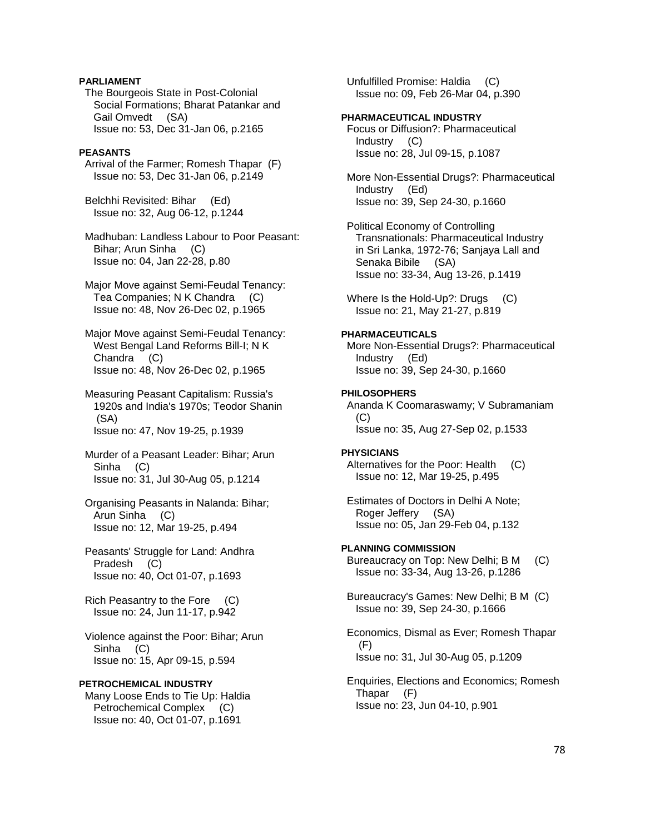# **PARLIAMENT**

 The Bourgeois State in Post-Colonial Social Formations; Bharat Patankar and Gail Omvedt (SA) Issue no: 53, Dec 31-Jan 06, p.2165

#### **PEASANTS**

 Arrival of the Farmer; Romesh Thapar (F) Issue no: 53, Dec 31-Jan 06, p.2149

 Belchhi Revisited: Bihar (Ed) Issue no: 32, Aug 06-12, p.1244

 Madhuban: Landless Labour to Poor Peasant: Bihar; Arun Sinha (C) Issue no: 04, Jan 22-28, p.80

 Major Move against Semi-Feudal Tenancy: Tea Companies; N K Chandra (C) Issue no: 48, Nov 26-Dec 02, p.1965

 Major Move against Semi-Feudal Tenancy: West Bengal Land Reforms Bill-I; N K Chandra (C) Issue no: 48, Nov 26-Dec 02, p.1965

 Measuring Peasant Capitalism: Russia's 1920s and India's 1970s; Teodor Shanin (SA) Issue no: 47, Nov 19-25, p.1939

 Murder of a Peasant Leader: Bihar; Arun Sinha (C) Issue no: 31, Jul 30-Aug 05, p.1214

 Organising Peasants in Nalanda: Bihar; Arun Sinha (C) Issue no: 12, Mar 19-25, p.494

 Peasants' Struggle for Land: Andhra Pradesh (C) Issue no: 40, Oct 01-07, p.1693

 Rich Peasantry to the Fore (C) Issue no: 24, Jun 11-17, p.942

 Violence against the Poor: Bihar; Arun Sinha (C) Issue no: 15, Apr 09-15, p.594

# **PETROCHEMICAL INDUSTRY**

 Many Loose Ends to Tie Up: Haldia Petrochemical Complex (C) Issue no: 40, Oct 01-07, p.1691

 Unfulfilled Promise: Haldia (C) Issue no: 09, Feb 26-Mar 04, p.390

#### **PHARMACEUTICAL INDUSTRY**

 Focus or Diffusion?: Pharmaceutical Industry (C) Issue no: 28, Jul 09-15, p.1087

 More Non-Essential Drugs?: Pharmaceutical Industry (Ed) Issue no: 39, Sep 24-30, p.1660

 Political Economy of Controlling Transnationals: Pharmaceutical Industry in Sri Lanka, 1972-76; Sanjaya Lall and Senaka Bibile (SA) Issue no: 33-34, Aug 13-26, p.1419

Where Is the Hold-Up?: Drugs (C) Issue no: 21, May 21-27, p.819

#### **PHARMACEUTICALS**

 More Non-Essential Drugs?: Pharmaceutical Industry (Ed) Issue no: 39, Sep 24-30, p.1660

### **PHILOSOPHERS**

 Ananda K Coomaraswamy; V Subramaniam  $(C)$ Issue no: 35, Aug 27-Sep 02, p.1533

#### **PHYSICIANS**

 Alternatives for the Poor: Health (C) Issue no: 12, Mar 19-25, p.495

 Estimates of Doctors in Delhi A Note; Roger Jeffery (SA) Issue no: 05, Jan 29-Feb 04, p.132

#### **PLANNING COMMISSION**

 Bureaucracy on Top: New Delhi; B M (C) Issue no: 33-34, Aug 13-26, p.1286

 Bureaucracy's Games: New Delhi; B M (C) Issue no: 39, Sep 24-30, p.1666

 Economics, Dismal as Ever; Romesh Thapar  $(F)$ Issue no: 31, Jul 30-Aug 05, p.1209

 Enquiries, Elections and Economics; Romesh Thapar (F) Issue no: 23, Jun 04-10, p.901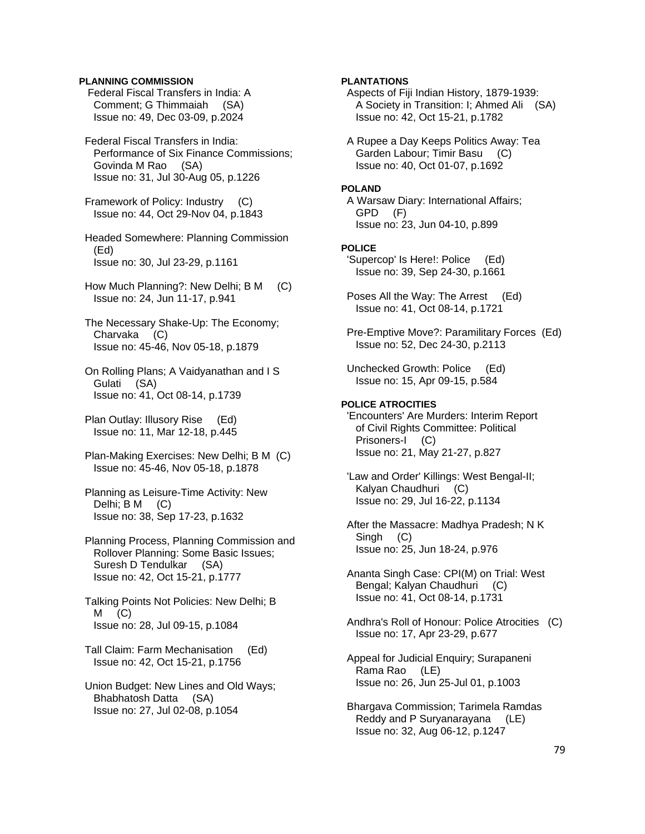# **PLANNING COMMISSION**

 Federal Fiscal Transfers in India: A Comment; G Thimmaiah (SA) Issue no: 49, Dec 03-09, p.2024

 Federal Fiscal Transfers in India: Performance of Six Finance Commissions; Govinda M Rao (SA) Issue no: 31, Jul 30-Aug 05, p.1226

 Framework of Policy: Industry (C) Issue no: 44, Oct 29-Nov 04, p.1843

 Headed Somewhere: Planning Commission (Ed) Issue no: 30, Jul 23-29, p.1161

 How Much Planning?: New Delhi; B M (C) Issue no: 24, Jun 11-17, p.941

 The Necessary Shake-Up: The Economy; Charvaka (C) Issue no: 45-46, Nov 05-18, p.1879

 On Rolling Plans; A Vaidyanathan and I S Gulati (SA) Issue no: 41, Oct 08-14, p.1739

 Plan Outlay: Illusory Rise (Ed) Issue no: 11, Mar 12-18, p.445

 Plan-Making Exercises: New Delhi; B M (C) Issue no: 45-46, Nov 05-18, p.1878

 Planning as Leisure-Time Activity: New Delhi; B M (C) Issue no: 38, Sep 17-23, p.1632

 Planning Process, Planning Commission and Rollover Planning: Some Basic Issues; Suresh D Tendulkar (SA) Issue no: 42, Oct 15-21, p.1777

 Talking Points Not Policies: New Delhi; B  $M$  (C) Issue no: 28, Jul 09-15, p.1084

 Tall Claim: Farm Mechanisation (Ed) Issue no: 42, Oct 15-21, p.1756

 Union Budget: New Lines and Old Ways; Bhabhatosh Datta (SA) Issue no: 27, Jul 02-08, p.1054

### **PLANTATIONS**

 Aspects of Fiji Indian History, 1879-1939: A Society in Transition: I; Ahmed Ali (SA) Issue no: 42, Oct 15-21, p.1782

 A Rupee a Day Keeps Politics Away: Tea Garden Labour; Timir Basu (C) Issue no: 40, Oct 01-07, p.1692

#### **POLAND**

 A Warsaw Diary: International Affairs; GPD (F) Issue no: 23, Jun 04-10, p.899

## **POLICE**

 'Supercop' Is Here!: Police (Ed) Issue no: 39, Sep 24-30, p.1661

- Poses All the Way: The Arrest (Ed) Issue no: 41, Oct 08-14, p.1721
- Pre-Emptive Move?: Paramilitary Forces (Ed) Issue no: 52, Dec 24-30, p.2113
- Unchecked Growth: Police (Ed) Issue no: 15, Apr 09-15, p.584

# **POLICE ATROCITIES**

 'Encounters' Are Murders: Interim Report of Civil Rights Committee: Political Prisoners-I (C) Issue no: 21, May 21-27, p.827

 'Law and Order' Killings: West Bengal-II; Kalyan Chaudhuri (C) Issue no: 29, Jul 16-22, p.1134

 After the Massacre: Madhya Pradesh; N K Singh (C) Issue no: 25, Jun 18-24, p.976

- Ananta Singh Case: CPI(M) on Trial: West Bengal; Kalyan Chaudhuri (C) Issue no: 41, Oct 08-14, p.1731
- Andhra's Roll of Honour: Police Atrocities (C) Issue no: 17, Apr 23-29, p.677
- Appeal for Judicial Enquiry; Surapaneni Rama Rao (LE) Issue no: 26, Jun 25-Jul 01, p.1003
- Bhargava Commission; Tarimela Ramdas Reddy and P Suryanarayana (LE) Issue no: 32, Aug 06-12, p.1247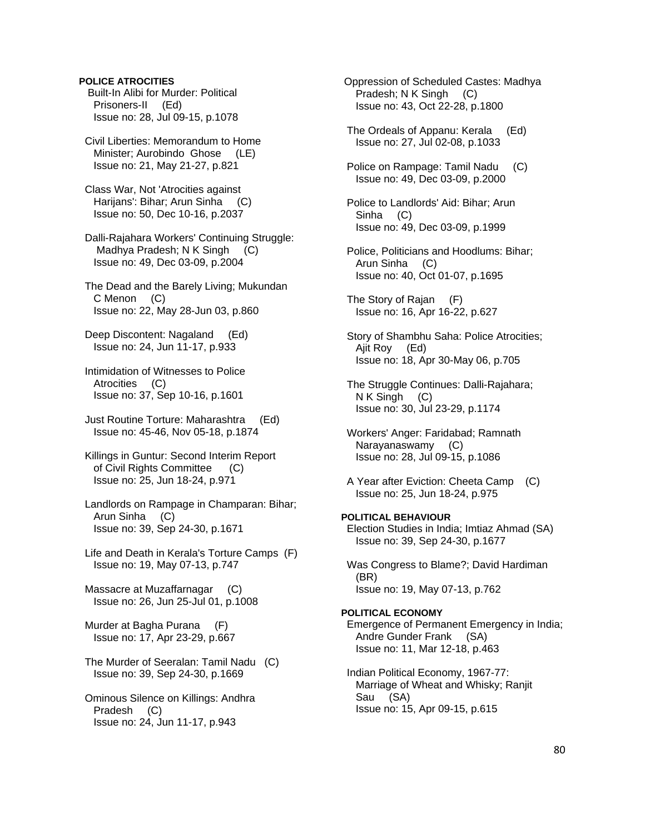# **POLICE ATROCITIES**

 Built-In Alibi for Murder: Political Prisoners-II (Ed) Issue no: 28, Jul 09-15, p.1078

 Civil Liberties: Memorandum to Home Minister; Aurobindo Ghose (LE) Issue no: 21, May 21-27, p.821

 Class War, Not 'Atrocities against Harijans': Bihar; Arun Sinha (C) Issue no: 50, Dec 10-16, p.2037

 Dalli-Rajahara Workers' Continuing Struggle: Madhya Pradesh; N K Singh (C) Issue no: 49, Dec 03-09, p.2004

 The Dead and the Barely Living; Mukundan C Menon (C) Issue no: 22, May 28-Jun 03, p.860

 Deep Discontent: Nagaland (Ed) Issue no: 24, Jun 11-17, p.933

 Intimidation of Witnesses to Police Atrocities (C) Issue no: 37, Sep 10-16, p.1601

 Just Routine Torture: Maharashtra (Ed) Issue no: 45-46, Nov 05-18, p.1874

 Killings in Guntur: Second Interim Report of Civil Rights Committee (C) Issue no: 25, Jun 18-24, p.971

 Landlords on Rampage in Champaran: Bihar; Arun Sinha (C) Issue no: 39, Sep 24-30, p.1671

 Life and Death in Kerala's Torture Camps (F) Issue no: 19, May 07-13, p.747

 Massacre at Muzaffarnagar (C) Issue no: 26, Jun 25-Jul 01, p.1008

 Murder at Bagha Purana (F) Issue no: 17, Apr 23-29, p.667

 The Murder of Seeralan: Tamil Nadu (C) Issue no: 39, Sep 24-30, p.1669

 Ominous Silence on Killings: Andhra Pradesh (C) Issue no: 24, Jun 11-17, p.943

 Oppression of Scheduled Castes: Madhya Pradesh; N K Singh (C) Issue no: 43, Oct 22-28, p.1800

 The Ordeals of Appanu: Kerala (Ed) Issue no: 27, Jul 02-08, p.1033

 Police on Rampage: Tamil Nadu (C) Issue no: 49, Dec 03-09, p.2000

 Police to Landlords' Aid: Bihar; Arun Sinha (C) Issue no: 49, Dec 03-09, p.1999

 Police, Politicians and Hoodlums: Bihar; Arun Sinha (C) Issue no: 40, Oct 01-07, p.1695

 The Story of Rajan (F) Issue no: 16, Apr 16-22, p.627

 Story of Shambhu Saha: Police Atrocities; Ajit Roy (Ed) Issue no: 18, Apr 30-May 06, p.705

 The Struggle Continues: Dalli-Rajahara; N K Singh (C) Issue no: 30, Jul 23-29, p.1174

 Workers' Anger: Faridabad; Ramnath Narayanaswamy (C) Issue no: 28, Jul 09-15, p.1086

 A Year after Eviction: Cheeta Camp (C) Issue no: 25, Jun 18-24, p.975

### **POLITICAL BEHAVIOUR**

 Election Studies in India; Imtiaz Ahmad (SA) Issue no: 39, Sep 24-30, p.1677

 Was Congress to Blame?; David Hardiman (BR) Issue no: 19, May 07-13, p.762

### **POLITICAL ECONOMY**

 Emergence of Permanent Emergency in India; Andre Gunder Frank (SA) Issue no: 11, Mar 12-18, p.463

 Indian Political Economy, 1967-77: Marriage of Wheat and Whisky; Ranjit Sau (SA) Issue no: 15, Apr 09-15, p.615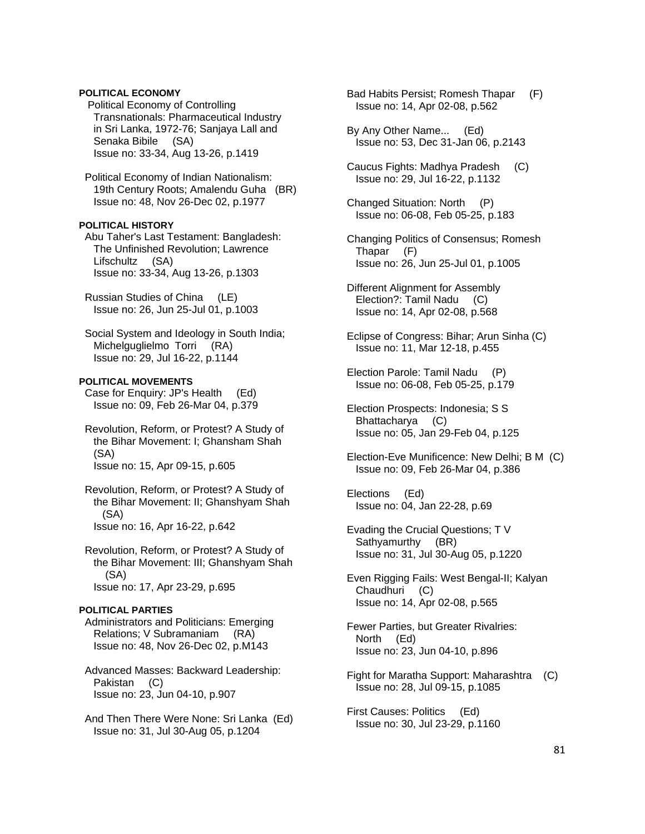# **POLITICAL ECONOMY**

 Political Economy of Controlling Transnationals: Pharmaceutical Industry in Sri Lanka, 1972-76; Sanjaya Lall and Senaka Bibile (SA) Issue no: 33-34, Aug 13-26, p.1419

 Political Economy of Indian Nationalism: 19th Century Roots; Amalendu Guha (BR) Issue no: 48, Nov 26-Dec 02, p.1977

# **POLITICAL HISTORY**

 Abu Taher's Last Testament: Bangladesh: The Unfinished Revolution; Lawrence Lifschultz (SA) Issue no: 33-34, Aug 13-26, p.1303

 Russian Studies of China (LE) Issue no: 26, Jun 25-Jul 01, p.1003

 Social System and Ideology in South India; Michelguglielmo Torri (RA) Issue no: 29, Jul 16-22, p.1144

# **POLITICAL MOVEMENTS**

 Case for Enquiry: JP's Health (Ed) Issue no: 09, Feb 26-Mar 04, p.379

 Revolution, Reform, or Protest? A Study of the Bihar Movement: I; Ghansham Shah (SA) Issue no: 15, Apr 09-15, p.605

 Revolution, Reform, or Protest? A Study of the Bihar Movement: II; Ghanshyam Shah (SA) Issue no: 16, Apr 16-22, p.642

 Revolution, Reform, or Protest? A Study of the Bihar Movement: III; Ghanshyam Shah (SA) Issue no: 17, Apr 23-29, p.695

#### **POLITICAL PARTIES**

 Administrators and Politicians: Emerging Relations; V Subramaniam (RA) Issue no: 48, Nov 26-Dec 02, p.M143

 Advanced Masses: Backward Leadership: Pakistan (C) Issue no: 23, Jun 04-10, p.907

 And Then There Were None: Sri Lanka (Ed) Issue no: 31, Jul 30-Aug 05, p.1204

 Bad Habits Persist; Romesh Thapar (F) Issue no: 14, Apr 02-08, p.562

 By Any Other Name... (Ed) Issue no: 53, Dec 31-Jan 06, p.2143

 Caucus Fights: Madhya Pradesh (C) Issue no: 29, Jul 16-22, p.1132

 Changed Situation: North (P) Issue no: 06-08, Feb 05-25, p.183

 Changing Politics of Consensus; Romesh Thapar (F) Issue no: 26, Jun 25-Jul 01, p.1005

 Different Alignment for Assembly Election?: Tamil Nadu (C) Issue no: 14, Apr 02-08, p.568

 Eclipse of Congress: Bihar; Arun Sinha (C) Issue no: 11, Mar 12-18, p.455

 Election Parole: Tamil Nadu (P) Issue no: 06-08, Feb 05-25, p.179

 Election Prospects: Indonesia; S S Bhattacharya (C) Issue no: 05, Jan 29-Feb 04, p.125

 Election-Eve Munificence: New Delhi; B M (C) Issue no: 09, Feb 26-Mar 04, p.386

 Elections (Ed) Issue no: 04, Jan 22-28, p.69

 Evading the Crucial Questions; T V Sathyamurthy (BR) Issue no: 31, Jul 30-Aug 05, p.1220

 Even Rigging Fails: West Bengal-II; Kalyan Chaudhuri (C) Issue no: 14, Apr 02-08, p.565

 Fewer Parties, but Greater Rivalries: North (Ed) Issue no: 23, Jun 04-10, p.896

 Fight for Maratha Support: Maharashtra (C) Issue no: 28, Jul 09-15, p.1085

 First Causes: Politics (Ed) Issue no: 30, Jul 23-29, p.1160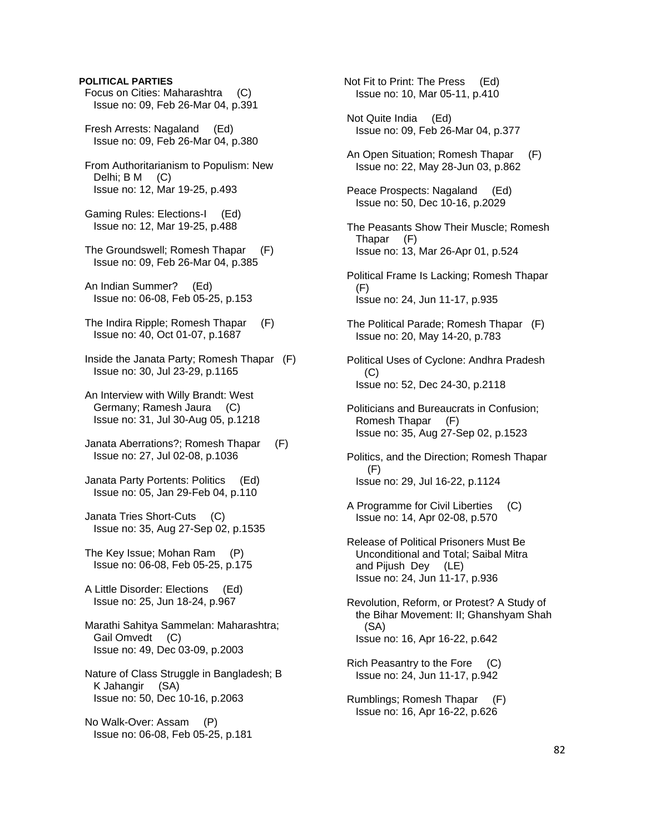## **POLITICAL PARTIES**

- Focus on Cities: Maharashtra (C) Issue no: 09, Feb 26-Mar 04, p.391
- Fresh Arrests: Nagaland (Ed) Issue no: 09, Feb 26-Mar 04, p.380
- From Authoritarianism to Populism: New Delhi; B M (C) Issue no: 12, Mar 19-25, p.493
- Gaming Rules: Elections-I (Ed) Issue no: 12, Mar 19-25, p.488
- The Groundswell; Romesh Thapar (F) Issue no: 09, Feb 26-Mar 04, p.385
- An Indian Summer? (Ed) Issue no: 06-08, Feb 05-25, p.153
- The Indira Ripple; Romesh Thapar (F) Issue no: 40, Oct 01-07, p.1687
- Inside the Janata Party; Romesh Thapar (F) Issue no: 30, Jul 23-29, p.1165
- An Interview with Willy Brandt: West Germany; Ramesh Jaura (C) Issue no: 31, Jul 30-Aug 05, p.1218
- Janata Aberrations?; Romesh Thapar (F) Issue no: 27, Jul 02-08, p.1036
- Janata Party Portents: Politics (Ed) Issue no: 05, Jan 29-Feb 04, p.110
- Janata Tries Short-Cuts (C) Issue no: 35, Aug 27-Sep 02, p.1535
- The Key Issue; Mohan Ram (P) Issue no: 06-08, Feb 05-25, p.175
- A Little Disorder: Elections (Ed) Issue no: 25, Jun 18-24, p.967
- Marathi Sahitya Sammelan: Maharashtra; Gail Omvedt (C) Issue no: 49, Dec 03-09, p.2003
- Nature of Class Struggle in Bangladesh; B K Jahangir (SA) Issue no: 50, Dec 10-16, p.2063
- No Walk-Over: Assam (P) Issue no: 06-08, Feb 05-25, p.181

 Not Fit to Print: The Press (Ed) Issue no: 10, Mar 05-11, p.410

- Not Quite India (Ed) Issue no: 09, Feb 26-Mar 04, p.377
- An Open Situation; Romesh Thapar (F) Issue no: 22, May 28-Jun 03, p.862
- Peace Prospects: Nagaland (Ed) Issue no: 50, Dec 10-16, p.2029
- The Peasants Show Their Muscle; Romesh Thapar (F) Issue no: 13, Mar 26-Apr 01, p.524
- Political Frame Is Lacking; Romesh Thapar (F) Issue no: 24, Jun 11-17, p.935
- The Political Parade; Romesh Thapar (F) Issue no: 20, May 14-20, p.783
- Political Uses of Cyclone: Andhra Pradesh (C) Issue no: 52, Dec 24-30, p.2118
- Politicians and Bureaucrats in Confusion; Romesh Thapar (F) Issue no: 35, Aug 27-Sep 02, p.1523
- Politics, and the Direction; Romesh Thapar (F) Issue no: 29, Jul 16-22, p.1124
- A Programme for Civil Liberties (C) Issue no: 14, Apr 02-08, p.570
- Release of Political Prisoners Must Be Unconditional and Total; Saibal Mitra and Pijush Dey (LE) Issue no: 24, Jun 11-17, p.936
- Revolution, Reform, or Protest? A Study of the Bihar Movement: II; Ghanshyam Shah (SA) Issue no: 16, Apr 16-22, p.642
- Rich Peasantry to the Fore (C) Issue no: 24, Jun 11-17, p.942
- Rumblings; Romesh Thapar (F) Issue no: 16, Apr 16-22, p.626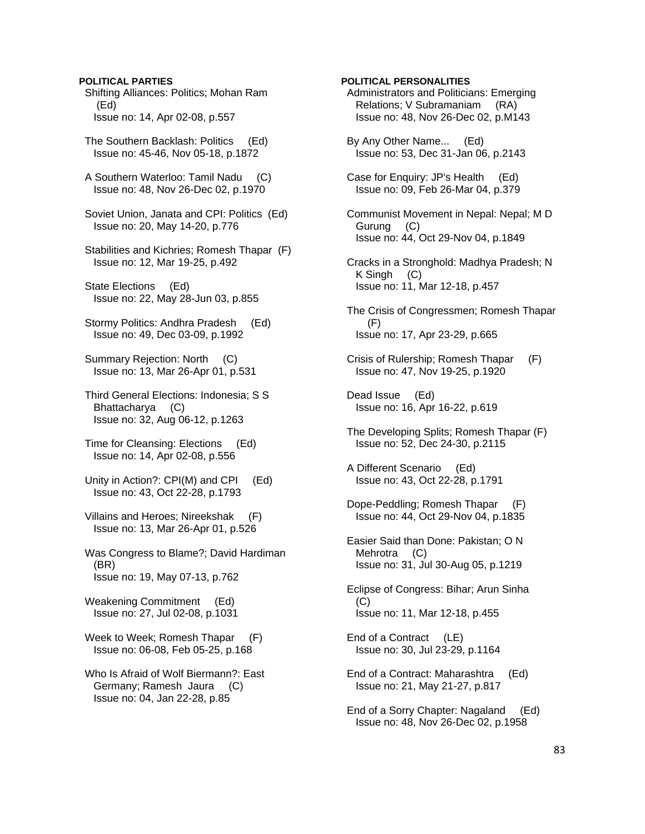# **POLITICAL PARTIES**

 Shifting Alliances: Politics; Mohan Ram (Ed) Issue no: 14, Apr 02-08, p.557

 The Southern Backlash: Politics (Ed) Issue no: 45-46, Nov 05-18, p.1872

 A Southern Waterloo: Tamil Nadu (C) Issue no: 48, Nov 26-Dec 02, p.1970

 Soviet Union, Janata and CPI: Politics (Ed) Issue no: 20, May 14-20, p.776

 Stabilities and Kichries; Romesh Thapar (F) Issue no: 12, Mar 19-25, p.492

 State Elections (Ed) Issue no: 22, May 28-Jun 03, p.855

 Stormy Politics: Andhra Pradesh (Ed) Issue no: 49, Dec 03-09, p.1992

 Summary Rejection: North (C) Issue no: 13, Mar 26-Apr 01, p.531

 Third General Elections: Indonesia; S S Bhattacharya (C) Issue no: 32, Aug 06-12, p.1263

 Time for Cleansing: Elections (Ed) Issue no: 14, Apr 02-08, p.556

 Unity in Action?: CPI(M) and CPI (Ed) Issue no: 43, Oct 22-28, p.1793

 Villains and Heroes; Nireekshak (F) Issue no: 13, Mar 26-Apr 01, p.526

 Was Congress to Blame?; David Hardiman (BR) Issue no: 19, May 07-13, p.762

 Weakening Commitment (Ed) Issue no: 27, Jul 02-08, p.1031

Week to Week; Romesh Thapar (F) Issue no: 06-08, Feb 05-25, p.168

 Who Is Afraid of Wolf Biermann?: East Germany; Ramesh Jaura (C) Issue no: 04, Jan 22-28, p.85

# **POLITICAL PERSONALITIES**

 Administrators and Politicians: Emerging Relations; V Subramaniam (RA) Issue no: 48, Nov 26-Dec 02, p.M143

 By Any Other Name... (Ed) Issue no: 53, Dec 31-Jan 06, p.2143

 Case for Enquiry: JP's Health (Ed) Issue no: 09, Feb 26-Mar 04, p.379

 Communist Movement in Nepal: Nepal; M D Gurung (C) Issue no: 44, Oct 29-Nov 04, p.1849

 Cracks in a Stronghold: Madhya Pradesh; N K Singh (C) Issue no: 11, Mar 12-18, p.457

 The Crisis of Congressmen; Romesh Thapar (F) Issue no: 17, Apr 23-29, p.665

 Crisis of Rulership; Romesh Thapar (F) Issue no: 47, Nov 19-25, p.1920

 Dead Issue (Ed) Issue no: 16, Apr 16-22, p.619

 The Developing Splits; Romesh Thapar (F) Issue no: 52, Dec 24-30, p.2115

 A Different Scenario (Ed) Issue no: 43, Oct 22-28, p.1791

 Dope-Peddling; Romesh Thapar (F) Issue no: 44, Oct 29-Nov 04, p.1835

 Easier Said than Done: Pakistan; O N Mehrotra (C) Issue no: 31, Jul 30-Aug 05, p.1219

 Eclipse of Congress: Bihar; Arun Sinha (C) Issue no: 11, Mar 12-18, p.455

 End of a Contract (LE) Issue no: 30, Jul 23-29, p.1164

 End of a Contract: Maharashtra (Ed) Issue no: 21, May 21-27, p.817

 End of a Sorry Chapter: Nagaland (Ed) Issue no: 48, Nov 26-Dec 02, p.1958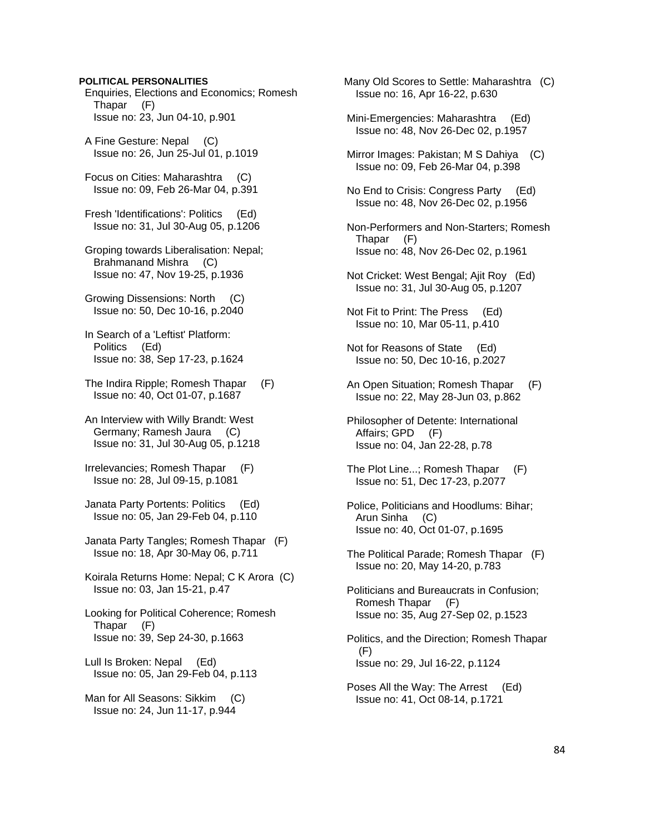### **POLITICAL PERSONALITIES**

 Enquiries, Elections and Economics; Romesh Thapar (F) Issue no: 23, Jun 04-10, p.901

 A Fine Gesture: Nepal (C) Issue no: 26, Jun 25-Jul 01, p.1019

 Focus on Cities: Maharashtra (C) Issue no: 09, Feb 26-Mar 04, p.391

 Fresh 'Identifications': Politics (Ed) Issue no: 31, Jul 30-Aug 05, p.1206

 Groping towards Liberalisation: Nepal; Brahmanand Mishra (C) Issue no: 47, Nov 19-25, p.1936

 Growing Dissensions: North (C) Issue no: 50, Dec 10-16, p.2040

 In Search of a 'Leftist' Platform: Politics (Ed) Issue no: 38, Sep 17-23, p.1624

 The Indira Ripple; Romesh Thapar (F) Issue no: 40, Oct 01-07, p.1687

 An Interview with Willy Brandt: West Germany; Ramesh Jaura (C) Issue no: 31, Jul 30-Aug 05, p.1218

 Irrelevancies; Romesh Thapar (F) Issue no: 28, Jul 09-15, p.1081

 Janata Party Portents: Politics (Ed) Issue no: 05, Jan 29-Feb 04, p.110

 Janata Party Tangles; Romesh Thapar (F) Issue no: 18, Apr 30-May 06, p.711

 Koirala Returns Home: Nepal; C K Arora (C) Issue no: 03, Jan 15-21, p.47

 Looking for Political Coherence; Romesh Thapar (F) Issue no: 39, Sep 24-30, p.1663

 Lull Is Broken: Nepal (Ed) Issue no: 05, Jan 29-Feb 04, p.113

 Man for All Seasons: Sikkim (C) Issue no: 24, Jun 11-17, p.944

 Many Old Scores to Settle: Maharashtra (C) Issue no: 16, Apr 16-22, p.630

 Mini-Emergencies: Maharashtra (Ed) Issue no: 48, Nov 26-Dec 02, p.1957

 Mirror Images: Pakistan; M S Dahiya (C) Issue no: 09, Feb 26-Mar 04, p.398

 No End to Crisis: Congress Party (Ed) Issue no: 48, Nov 26-Dec 02, p.1956

 Non-Performers and Non-Starters; Romesh Thapar (F) Issue no: 48, Nov 26-Dec 02, p.1961

 Not Cricket: West Bengal; Ajit Roy (Ed) Issue no: 31, Jul 30-Aug 05, p.1207

 Not Fit to Print: The Press (Ed) Issue no: 10, Mar 05-11, p.410

 Not for Reasons of State (Ed) Issue no: 50, Dec 10-16, p.2027

- An Open Situation; Romesh Thapar (F) Issue no: 22, May 28-Jun 03, p.862
- Philosopher of Detente: International Affairs; GPD (F) Issue no: 04, Jan 22-28, p.78
- The Plot Line...; Romesh Thapar (F) Issue no: 51, Dec 17-23, p.2077
- Police, Politicians and Hoodlums: Bihar; Arun Sinha (C) Issue no: 40, Oct 01-07, p.1695
- The Political Parade; Romesh Thapar (F) Issue no: 20, May 14-20, p.783
- Politicians and Bureaucrats in Confusion; Romesh Thapar (F) Issue no: 35, Aug 27-Sep 02, p.1523

 Politics, and the Direction; Romesh Thapar (F) Issue no: 29, Jul 16-22, p.1124

 Poses All the Way: The Arrest (Ed) Issue no: 41, Oct 08-14, p.1721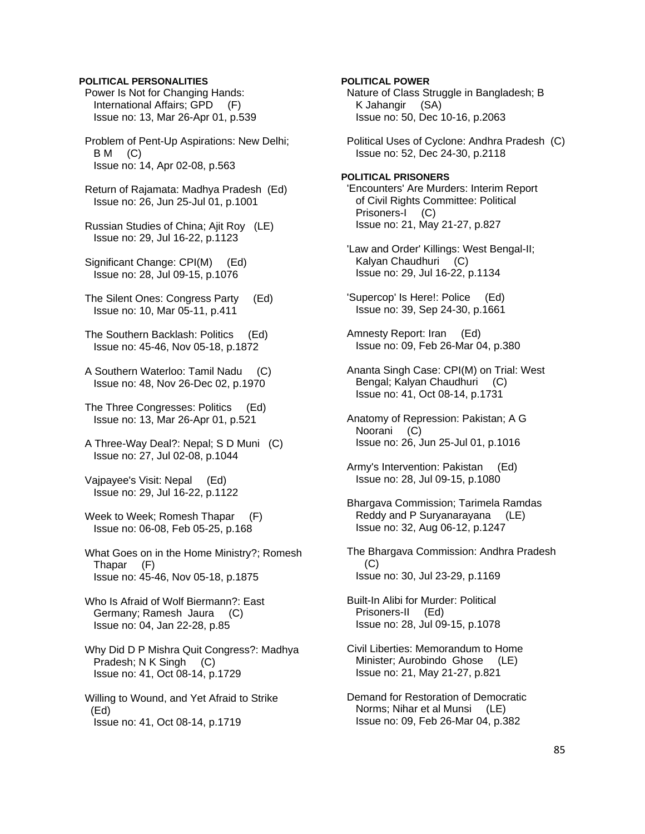## **POLITICAL PERSONALITIES**

 Power Is Not for Changing Hands: International Affairs; GPD (F) Issue no: 13, Mar 26-Apr 01, p.539

 Problem of Pent-Up Aspirations: New Delhi;  $BM$  (C) Issue no: 14, Apr 02-08, p.563

 Return of Rajamata: Madhya Pradesh (Ed) Issue no: 26, Jun 25-Jul 01, p.1001

 Russian Studies of China; Ajit Roy (LE) Issue no: 29, Jul 16-22, p.1123

 Significant Change: CPI(M) (Ed) Issue no: 28, Jul 09-15, p.1076

 The Silent Ones: Congress Party (Ed) Issue no: 10, Mar 05-11, p.411

 The Southern Backlash: Politics (Ed) Issue no: 45-46, Nov 05-18, p.1872

 A Southern Waterloo: Tamil Nadu (C) Issue no: 48, Nov 26-Dec 02, p.1970

 The Three Congresses: Politics (Ed) Issue no: 13, Mar 26-Apr 01, p.521

 A Three-Way Deal?: Nepal; S D Muni (C) Issue no: 27, Jul 02-08, p.1044

 Vajpayee's Visit: Nepal (Ed) Issue no: 29, Jul 16-22, p.1122

Week to Week; Romesh Thapar (F) Issue no: 06-08, Feb 05-25, p.168

 What Goes on in the Home Ministry?; Romesh Thapar (F) Issue no: 45-46, Nov 05-18, p.1875

 Who Is Afraid of Wolf Biermann?: East Germany; Ramesh Jaura (C) Issue no: 04, Jan 22-28, p.85

 Why Did D P Mishra Quit Congress?: Madhya Pradesh; N K Singh (C) Issue no: 41, Oct 08-14, p.1729

 Willing to Wound, and Yet Afraid to Strike (Ed) Issue no: 41, Oct 08-14, p.1719

**POLITICAL POWER**  Nature of Class Struggle in Bangladesh; B K Jahangir (SA) Issue no: 50, Dec 10-16, p.2063

 Political Uses of Cyclone: Andhra Pradesh (C) Issue no: 52, Dec 24-30, p.2118

**POLITICAL PRISONERS**  'Encounters' Are Murders: Interim Report of Civil Rights Committee: Political Prisoners-I (C) Issue no: 21, May 21-27, p.827

 'Law and Order' Killings: West Bengal-II; Kalyan Chaudhuri (C) Issue no: 29, Jul 16-22, p.1134

 'Supercop' Is Here!: Police (Ed) Issue no: 39, Sep 24-30, p.1661

 Amnesty Report: Iran (Ed) Issue no: 09, Feb 26-Mar 04, p.380

 Ananta Singh Case: CPI(M) on Trial: West Bengal; Kalyan Chaudhuri (C) Issue no: 41, Oct 08-14, p.1731

 Anatomy of Repression: Pakistan; A G Noorani (C) Issue no: 26, Jun 25-Jul 01, p.1016

 Army's Intervention: Pakistan (Ed) Issue no: 28, Jul 09-15, p.1080

 Bhargava Commission; Tarimela Ramdas Reddy and P Suryanarayana (LE) Issue no: 32, Aug 06-12, p.1247

 The Bhargava Commission: Andhra Pradesh (C) Issue no: 30, Jul 23-29, p.1169

 Built-In Alibi for Murder: Political Prisoners-II (Ed) Issue no: 28, Jul 09-15, p.1078

 Civil Liberties: Memorandum to Home Minister; Aurobindo Ghose (LE) Issue no: 21, May 21-27, p.821

 Demand for Restoration of Democratic Norms; Nihar et al Munsi (LE) Issue no: 09, Feb 26-Mar 04, p.382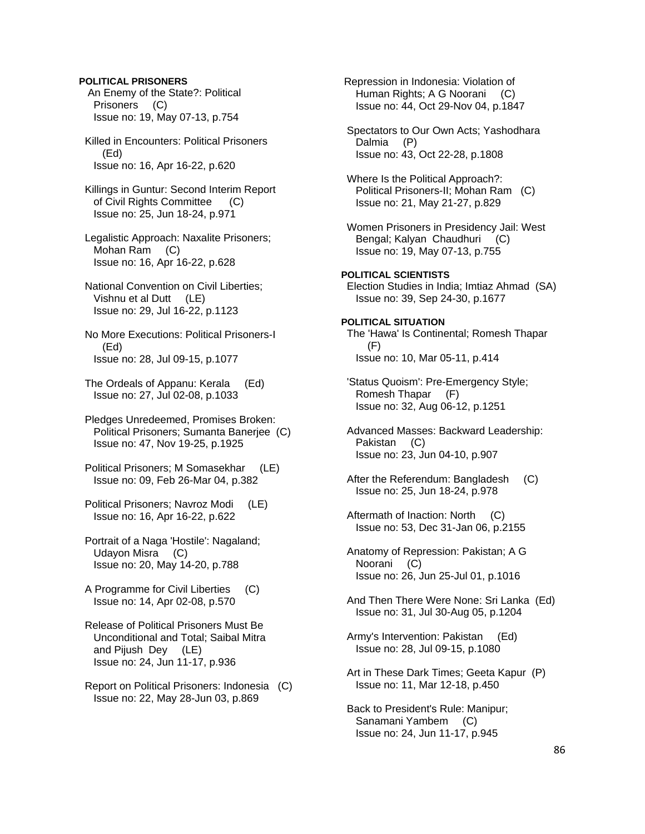## **POLITICAL PRISONERS**

 An Enemy of the State?: Political Prisoners (C) Issue no: 19, May 07-13, p.754

 Killed in Encounters: Political Prisoners (Ed) Issue no: 16, Apr 16-22, p.620

 Killings in Guntur: Second Interim Report of Civil Rights Committee (C) Issue no: 25, Jun 18-24, p.971

 Legalistic Approach: Naxalite Prisoners; Mohan Ram (C) Issue no: 16, Apr 16-22, p.628

 National Convention on Civil Liberties; Vishnu et al Dutt (LE) Issue no: 29, Jul 16-22, p.1123

 No More Executions: Political Prisoners-I (Ed) Issue no: 28, Jul 09-15, p.1077

 The Ordeals of Appanu: Kerala (Ed) Issue no: 27, Jul 02-08, p.1033

 Pledges Unredeemed, Promises Broken: Political Prisoners; Sumanta Banerjee (C) Issue no: 47, Nov 19-25, p.1925

- Political Prisoners; M Somasekhar (LE) Issue no: 09, Feb 26-Mar 04, p.382
- Political Prisoners; Navroz Modi (LE) Issue no: 16, Apr 16-22, p.622
- Portrait of a Naga 'Hostile': Nagaland; Udayon Misra (C) Issue no: 20, May 14-20, p.788
- A Programme for Civil Liberties (C) Issue no: 14, Apr 02-08, p.570
- Release of Political Prisoners Must Be Unconditional and Total; Saibal Mitra and Pijush Dey (LE) Issue no: 24, Jun 11-17, p.936
- Report on Political Prisoners: Indonesia (C) Issue no: 22, May 28-Jun 03, p.869

 Repression in Indonesia: Violation of Human Rights; A G Noorani (C) Issue no: 44, Oct 29-Nov 04, p.1847 Spectators to Our Own Acts; Yashodhara Dalmia (P) Issue no: 43, Oct 22-28, p.1808 Where Is the Political Approach?: Political Prisoners-II; Mohan Ram (C) Issue no: 21, May 21-27, p.829 Women Prisoners in Presidency Jail: West Bengal; Kalyan Chaudhuri (C) Issue no: 19, May 07-13, p.755 **POLITICAL SCIENTISTS**  Election Studies in India; Imtiaz Ahmad (SA) Issue no: 39, Sep 24-30, p.1677 **POLITICAL SITUATION**  The 'Hawa' Is Continental; Romesh Thapar (F) Issue no: 10, Mar 05-11, p.414 'Status Quoism': Pre-Emergency Style; Romesh Thapar (F) Issue no: 32, Aug 06-12, p.1251 Advanced Masses: Backward Leadership: Pakistan (C) Issue no: 23, Jun 04-10, p.907 After the Referendum: Bangladesh (C) Issue no: 25, Jun 18-24, p.978 Aftermath of Inaction: North (C) Issue no: 53, Dec 31-Jan 06, p.2155 Anatomy of Repression: Pakistan; A G Noorani (C) Issue no: 26, Jun 25-Jul 01, p.1016 And Then There Were None: Sri Lanka (Ed) Issue no: 31, Jul 30-Aug 05, p.1204 Army's Intervention: Pakistan (Ed) Issue no: 28, Jul 09-15, p.1080 Art in These Dark Times; Geeta Kapur (P) Issue no: 11, Mar 12-18, p.450 Back to President's Rule: Manipur;

 Sanamani Yambem (C) Issue no: 24, Jun 11-17, p.945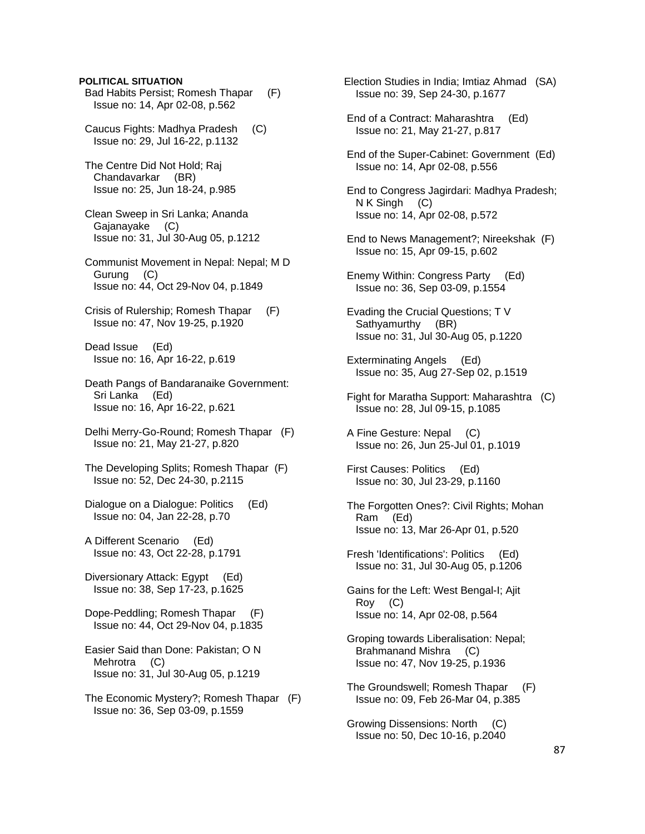#### **POLITICAL SITUATION**

- Bad Habits Persist; Romesh Thapar (F) Issue no: 14, Apr 02-08, p.562
- Caucus Fights: Madhya Pradesh (C) Issue no: 29, Jul 16-22, p.1132
- The Centre Did Not Hold; Raj Chandavarkar (BR) Issue no: 25, Jun 18-24, p.985
- Clean Sweep in Sri Lanka; Ananda Gajanayake (C) Issue no: 31, Jul 30-Aug 05, p.1212
- Communist Movement in Nepal: Nepal; M D Gurung (C) Issue no: 44, Oct 29-Nov 04, p.1849
- Crisis of Rulership; Romesh Thapar (F) Issue no: 47, Nov 19-25, p.1920
- Dead Issue (Ed) Issue no: 16, Apr 16-22, p.619
- Death Pangs of Bandaranaike Government: Sri Lanka (Ed) Issue no: 16, Apr 16-22, p.621
- Delhi Merry-Go-Round; Romesh Thapar (F) Issue no: 21, May 21-27, p.820
- The Developing Splits; Romesh Thapar (F) Issue no: 52, Dec 24-30, p.2115
- Dialogue on a Dialogue: Politics (Ed) Issue no: 04, Jan 22-28, p.70
- A Different Scenario (Ed) Issue no: 43, Oct 22-28, p.1791
- Diversionary Attack: Egypt (Ed) Issue no: 38, Sep 17-23, p.1625
- Dope-Peddling; Romesh Thapar (F) Issue no: 44, Oct 29-Nov 04, p.1835
- Easier Said than Done: Pakistan; O N Mehrotra (C) Issue no: 31, Jul 30-Aug 05, p.1219
- The Economic Mystery?; Romesh Thapar (F) Issue no: 36, Sep 03-09, p.1559
- Election Studies in India; Imtiaz Ahmad (SA) Issue no: 39, Sep 24-30, p.1677
- End of a Contract: Maharashtra (Ed) Issue no: 21, May 21-27, p.817
- End of the Super-Cabinet: Government (Ed) Issue no: 14, Apr 02-08, p.556
- End to Congress Jagirdari: Madhya Pradesh; N K Singh (C) Issue no: 14, Apr 02-08, p.572
- End to News Management?; Nireekshak (F) Issue no: 15, Apr 09-15, p.602
- Enemy Within: Congress Party (Ed) Issue no: 36, Sep 03-09, p.1554
- Evading the Crucial Questions; T V Sathyamurthy (BR) Issue no: 31, Jul 30-Aug 05, p.1220
- Exterminating Angels (Ed) Issue no: 35, Aug 27-Sep 02, p.1519
- Fight for Maratha Support: Maharashtra (C) Issue no: 28, Jul 09-15, p.1085
- A Fine Gesture: Nepal (C) Issue no: 26, Jun 25-Jul 01, p.1019
- First Causes: Politics (Ed) Issue no: 30, Jul 23-29, p.1160
- The Forgotten Ones?: Civil Rights; Mohan Ram (Ed) Issue no: 13, Mar 26-Apr 01, p.520
- Fresh 'Identifications': Politics (Ed) Issue no: 31, Jul 30-Aug 05, p.1206
- Gains for the Left: West Bengal-I; Ajit Roy (C) Issue no: 14, Apr 02-08, p.564
- Groping towards Liberalisation: Nepal; Brahmanand Mishra (C) Issue no: 47, Nov 19-25, p.1936
- The Groundswell; Romesh Thapar (F) Issue no: 09, Feb 26-Mar 04, p.385
- Growing Dissensions: North (C) Issue no: 50, Dec 10-16, p.2040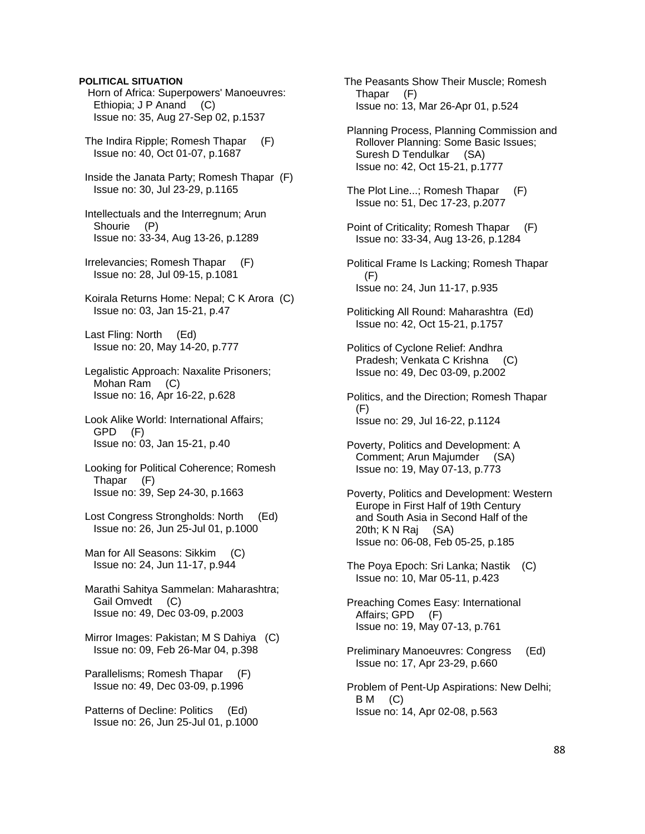# **POLITICAL SITUATION**

 Horn of Africa: Superpowers' Manoeuvres: Ethiopia; J P Anand (C) Issue no: 35, Aug 27-Sep 02, p.1537

- The Indira Ripple; Romesh Thapar (F) Issue no: 40, Oct 01-07, p.1687
- Inside the Janata Party; Romesh Thapar (F) Issue no: 30, Jul 23-29, p.1165
- Intellectuals and the Interregnum; Arun Shourie (P) Issue no: 33-34, Aug 13-26, p.1289
- Irrelevancies; Romesh Thapar (F) Issue no: 28, Jul 09-15, p.1081
- Koirala Returns Home: Nepal; C K Arora (C) Issue no: 03, Jan 15-21, p.47
- Last Fling: North (Ed) Issue no: 20, May 14-20, p.777
- Legalistic Approach: Naxalite Prisoners; Mohan Ram (C) Issue no: 16, Apr 16-22, p.628
- Look Alike World: International Affairs; GPD (F) Issue no: 03, Jan 15-21, p.40
- Looking for Political Coherence; Romesh Thapar (F) Issue no: 39, Sep 24-30, p.1663
- Lost Congress Strongholds: North (Ed) Issue no: 26, Jun 25-Jul 01, p.1000
- Man for All Seasons: Sikkim (C) Issue no: 24, Jun 11-17, p.944
- Marathi Sahitya Sammelan: Maharashtra; Gail Omvedt (C) Issue no: 49, Dec 03-09, p.2003
- Mirror Images: Pakistan; M S Dahiya (C) Issue no: 09, Feb 26-Mar 04, p.398
- Parallelisms; Romesh Thapar (F) Issue no: 49, Dec 03-09, p.1996
- Patterns of Decline: Politics (Ed) Issue no: 26, Jun 25-Jul 01, p.1000

 The Peasants Show Their Muscle; Romesh Thapar (F) Issue no: 13, Mar 26-Apr 01, p.524

- Planning Process, Planning Commission and Rollover Planning: Some Basic Issues; Suresh D Tendulkar (SA) Issue no: 42, Oct 15-21, p.1777
- The Plot Line...; Romesh Thapar (F) Issue no: 51, Dec 17-23, p.2077
- Point of Criticality; Romesh Thapar (F) Issue no: 33-34, Aug 13-26, p.1284
- Political Frame Is Lacking; Romesh Thapar (F) Issue no: 24, Jun 11-17, p.935
- Politicking All Round: Maharashtra (Ed) Issue no: 42, Oct 15-21, p.1757
- Politics of Cyclone Relief: Andhra Pradesh; Venkata C Krishna (C) Issue no: 49, Dec 03-09, p.2002
- Politics, and the Direction; Romesh Thapar  $(F)$ Issue no: 29, Jul 16-22, p.1124
- Poverty, Politics and Development: A Comment; Arun Majumder (SA) Issue no: 19, May 07-13, p.773
- Poverty, Politics and Development: Western Europe in First Half of 19th Century and South Asia in Second Half of the 20th; K N Raj (SA) Issue no: 06-08, Feb 05-25, p.185
- The Poya Epoch: Sri Lanka; Nastik (C) Issue no: 10, Mar 05-11, p.423
- Preaching Comes Easy: International Affairs; GPD (F) Issue no: 19, May 07-13, p.761
- Preliminary Manoeuvres: Congress (Ed) Issue no: 17, Apr 23-29, p.660
- Problem of Pent-Up Aspirations: New Delhi; B M (C) Issue no: 14, Apr 02-08, p.563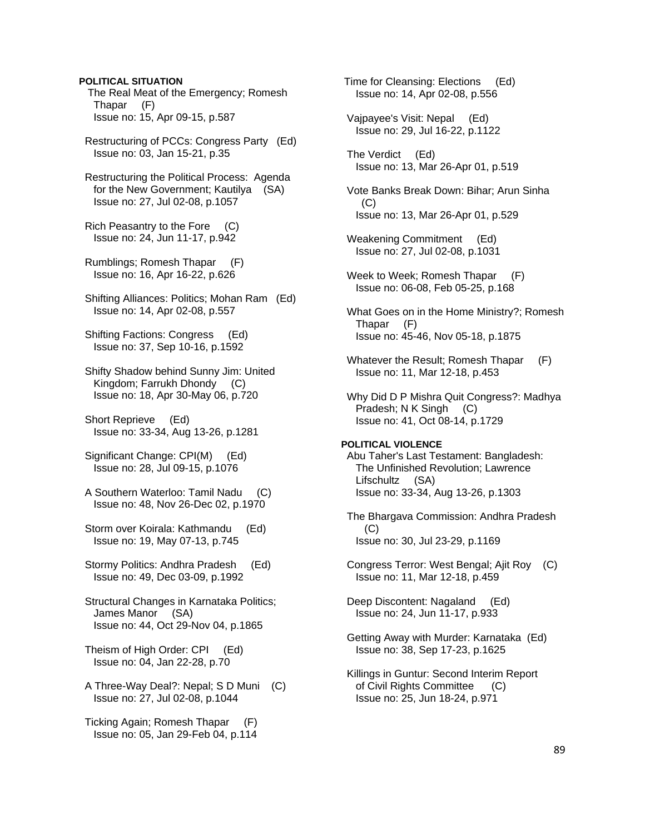# **POLITICAL SITUATION**

 The Real Meat of the Emergency; Romesh Thapar (F) Issue no: 15, Apr 09-15, p.587

 Restructuring of PCCs: Congress Party (Ed) Issue no: 03, Jan 15-21, p.35

 Restructuring the Political Process: Agenda for the New Government; Kautilya (SA) Issue no: 27, Jul 02-08, p.1057

 Rich Peasantry to the Fore (C) Issue no: 24, Jun 11-17, p.942

 Rumblings; Romesh Thapar (F) Issue no: 16, Apr 16-22, p.626

 Shifting Alliances: Politics; Mohan Ram (Ed) Issue no: 14, Apr 02-08, p.557

 Shifting Factions: Congress (Ed) Issue no: 37, Sep 10-16, p.1592

 Shifty Shadow behind Sunny Jim: United Kingdom; Farrukh Dhondy (C) Issue no: 18, Apr 30-May 06, p.720

 Short Reprieve (Ed) Issue no: 33-34, Aug 13-26, p.1281

 Significant Change: CPI(M) (Ed) Issue no: 28, Jul 09-15, p.1076

 A Southern Waterloo: Tamil Nadu (C) Issue no: 48, Nov 26-Dec 02, p.1970

 Storm over Koirala: Kathmandu (Ed) Issue no: 19, May 07-13, p.745

 Stormy Politics: Andhra Pradesh (Ed) Issue no: 49, Dec 03-09, p.1992

 Structural Changes in Karnataka Politics; James Manor (SA) Issue no: 44, Oct 29-Nov 04, p.1865

 Theism of High Order: CPI (Ed) Issue no: 04, Jan 22-28, p.70

 A Three-Way Deal?: Nepal; S D Muni (C) Issue no: 27, Jul 02-08, p.1044

 Ticking Again; Romesh Thapar (F) Issue no: 05, Jan 29-Feb 04, p.114  Time for Cleansing: Elections (Ed) Issue no: 14, Apr 02-08, p.556

 Vajpayee's Visit: Nepal (Ed) Issue no: 29, Jul 16-22, p.1122

 The Verdict (Ed) Issue no: 13, Mar 26-Apr 01, p.519

 Vote Banks Break Down: Bihar; Arun Sinha  $(C)$ Issue no: 13, Mar 26-Apr 01, p.529

- Weakening Commitment (Ed) Issue no: 27, Jul 02-08, p.1031
- Week to Week; Romesh Thapar (F) Issue no: 06-08, Feb 05-25, p.168
- What Goes on in the Home Ministry?; Romesh Thapar (F) Issue no: 45-46, Nov 05-18, p.1875
- Whatever the Result; Romesh Thapar (F) Issue no: 11, Mar 12-18, p.453
- Why Did D P Mishra Quit Congress?: Madhya Pradesh; N K Singh (C) Issue no: 41, Oct 08-14, p.1729

#### **POLITICAL VIOLENCE**

 Abu Taher's Last Testament: Bangladesh: The Unfinished Revolution; Lawrence Lifschultz (SA) Issue no: 33-34, Aug 13-26, p.1303

 The Bhargava Commission: Andhra Pradesh  $(C)$ Issue no: 30, Jul 23-29, p.1169

 Congress Terror: West Bengal; Ajit Roy (C) Issue no: 11, Mar 12-18, p.459

 Deep Discontent: Nagaland (Ed) Issue no: 24, Jun 11-17, p.933

 Getting Away with Murder: Karnataka (Ed) Issue no: 38, Sep 17-23, p.1625

 Killings in Guntur: Second Interim Report of Civil Rights Committee (C) Issue no: 25, Jun 18-24, p.971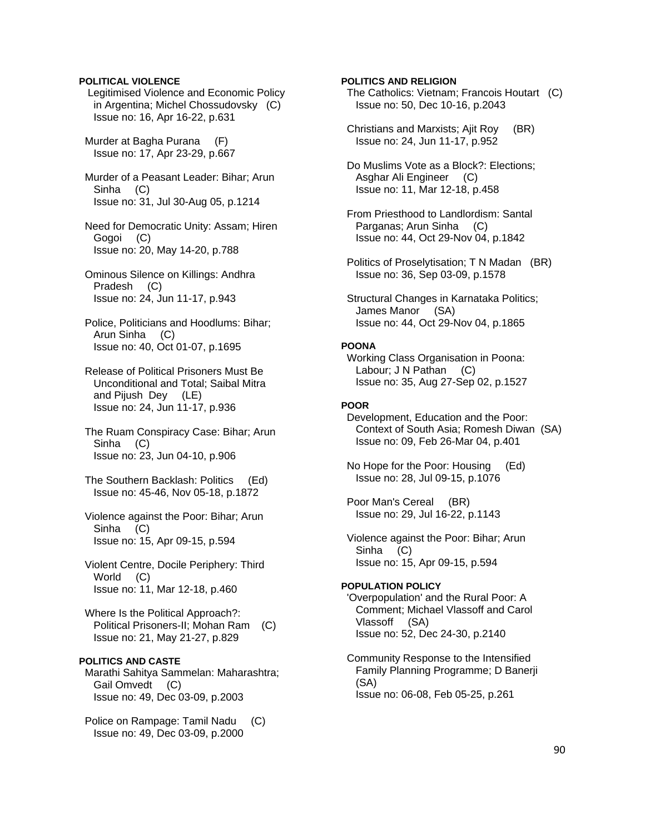### **POLITICAL VIOLENCE**

 Legitimised Violence and Economic Policy in Argentina; Michel Chossudovsky (C) Issue no: 16, Apr 16-22, p.631

 Murder at Bagha Purana (F) Issue no: 17, Apr 23-29, p.667

 Murder of a Peasant Leader: Bihar; Arun Sinha (C) Issue no: 31, Jul 30-Aug 05, p.1214

 Need for Democratic Unity: Assam; Hiren Gogoi (C) Issue no: 20, May 14-20, p.788

 Ominous Silence on Killings: Andhra Pradesh (C) Issue no: 24, Jun 11-17, p.943

 Police, Politicians and Hoodlums: Bihar; Arun Sinha (C) Issue no: 40, Oct 01-07, p.1695

 Release of Political Prisoners Must Be Unconditional and Total; Saibal Mitra and Pijush Dey (LE) Issue no: 24, Jun 11-17, p.936

 The Ruam Conspiracy Case: Bihar; Arun Sinha (C) Issue no: 23, Jun 04-10, p.906

 The Southern Backlash: Politics (Ed) Issue no: 45-46, Nov 05-18, p.1872

 Violence against the Poor: Bihar; Arun Sinha (C) Issue no: 15, Apr 09-15, p.594

 Violent Centre, Docile Periphery: Third World (C) Issue no: 11, Mar 12-18, p.460

 Where Is the Political Approach?: Political Prisoners-II; Mohan Ram (C) Issue no: 21, May 21-27, p.829

# **POLITICS AND CASTE**

 Marathi Sahitya Sammelan: Maharashtra; Gail Omvedt (C) Issue no: 49, Dec 03-09, p.2003

 Police on Rampage: Tamil Nadu (C) Issue no: 49, Dec 03-09, p.2000

**POLITICS AND RELIGION** 

 The Catholics: Vietnam; Francois Houtart (C) Issue no: 50, Dec 10-16, p.2043

 Christians and Marxists; Ajit Roy (BR) Issue no: 24, Jun 11-17, p.952

 Do Muslims Vote as a Block?: Elections; Asghar Ali Engineer (C) Issue no: 11, Mar 12-18, p.458

 From Priesthood to Landlordism: Santal Parganas; Arun Sinha (C) Issue no: 44, Oct 29-Nov 04, p.1842

 Politics of Proselytisation; T N Madan (BR) Issue no: 36, Sep 03-09, p.1578

 Structural Changes in Karnataka Politics; James Manor (SA) Issue no: 44, Oct 29-Nov 04, p.1865

### **POONA**

 Working Class Organisation in Poona: Labour; J N Pathan (C) Issue no: 35, Aug 27-Sep 02, p.1527

# **POOR**

 Development, Education and the Poor: Context of South Asia; Romesh Diwan (SA) Issue no: 09, Feb 26-Mar 04, p.401

 No Hope for the Poor: Housing (Ed) Issue no: 28, Jul 09-15, p.1076

 Poor Man's Cereal (BR) Issue no: 29, Jul 16-22, p.1143

 Violence against the Poor: Bihar; Arun Sinha (C) Issue no: 15, Apr 09-15, p.594

### **POPULATION POLICY**

 'Overpopulation' and the Rural Poor: A Comment; Michael Vlassoff and Carol Vlassoff (SA) Issue no: 52, Dec 24-30, p.2140

 Community Response to the Intensified Family Planning Programme; D Banerji (SA) Issue no: 06-08, Feb 05-25, p.261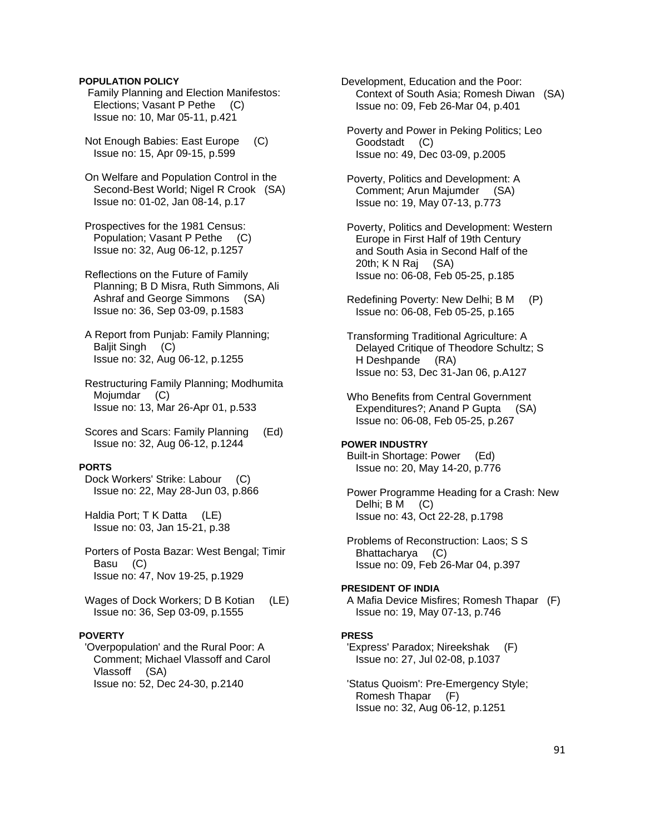# **POPULATION POLICY**

 Family Planning and Election Manifestos: Elections; Vasant P Pethe (C) Issue no: 10, Mar 05-11, p.421

 Not Enough Babies: East Europe (C) Issue no: 15, Apr 09-15, p.599

 On Welfare and Population Control in the Second-Best World; Nigel R Crook (SA) Issue no: 01-02, Jan 08-14, p.17

 Prospectives for the 1981 Census: Population; Vasant P Pethe (C) Issue no: 32, Aug 06-12, p.1257

 Reflections on the Future of Family Planning; B D Misra, Ruth Simmons, Ali Ashraf and George Simmons (SA) Issue no: 36, Sep 03-09, p.1583

 A Report from Punjab: Family Planning; Baljit Singh (C) Issue no: 32, Aug 06-12, p.1255

 Restructuring Family Planning; Modhumita Mojumdar (C) Issue no: 13, Mar 26-Apr 01, p.533

 Scores and Scars: Family Planning (Ed) Issue no: 32, Aug 06-12, p.1244

#### **PORTS**

 Dock Workers' Strike: Labour (C) Issue no: 22, May 28-Jun 03, p.866

Haldia Port; T K Datta (LE) Issue no: 03, Jan 15-21, p.38

 Porters of Posta Bazar: West Bengal; Timir Basu (C) Issue no: 47, Nov 19-25, p.1929

 Wages of Dock Workers; D B Kotian (LE) Issue no: 36, Sep 03-09, p.1555

#### **POVERTY**

 'Overpopulation' and the Rural Poor: A Comment; Michael Vlassoff and Carol Vlassoff (SA) Issue no: 52, Dec 24-30, p.2140

Development, Education and the Poor: Context of South Asia; Romesh Diwan (SA) Issue no: 09, Feb 26-Mar 04, p.401

 Poverty and Power in Peking Politics; Leo Goodstadt (C) Issue no: 49, Dec 03-09, p.2005

 Poverty, Politics and Development: A Comment; Arun Majumder (SA) Issue no: 19, May 07-13, p.773

 Poverty, Politics and Development: Western Europe in First Half of 19th Century and South Asia in Second Half of the 20th; K N Raj (SA) Issue no: 06-08, Feb 05-25, p.185

 Redefining Poverty: New Delhi; B M (P) Issue no: 06-08, Feb 05-25, p.165

 Transforming Traditional Agriculture: A Delayed Critique of Theodore Schultz; S H Deshpande (RA) Issue no: 53, Dec 31-Jan 06, p.A127

 Who Benefits from Central Government Expenditures?; Anand P Gupta (SA) Issue no: 06-08, Feb 05-25, p.267

#### **POWER INDUSTRY**

 Built-in Shortage: Power (Ed) Issue no: 20, May 14-20, p.776

 Power Programme Heading for a Crash: New Delhi; B M (C) Issue no: 43, Oct 22-28, p.1798

 Problems of Reconstruction: Laos; S S Bhattacharya (C) Issue no: 09, Feb 26-Mar 04, p.397

#### **PRESIDENT OF INDIA**

 A Mafia Device Misfires; Romesh Thapar (F) Issue no: 19, May 07-13, p.746

#### **PRESS**

 'Express' Paradox; Nireekshak (F) Issue no: 27, Jul 02-08, p.1037

 'Status Quoism': Pre-Emergency Style; Romesh Thapar (F) Issue no: 32, Aug 06-12, p.1251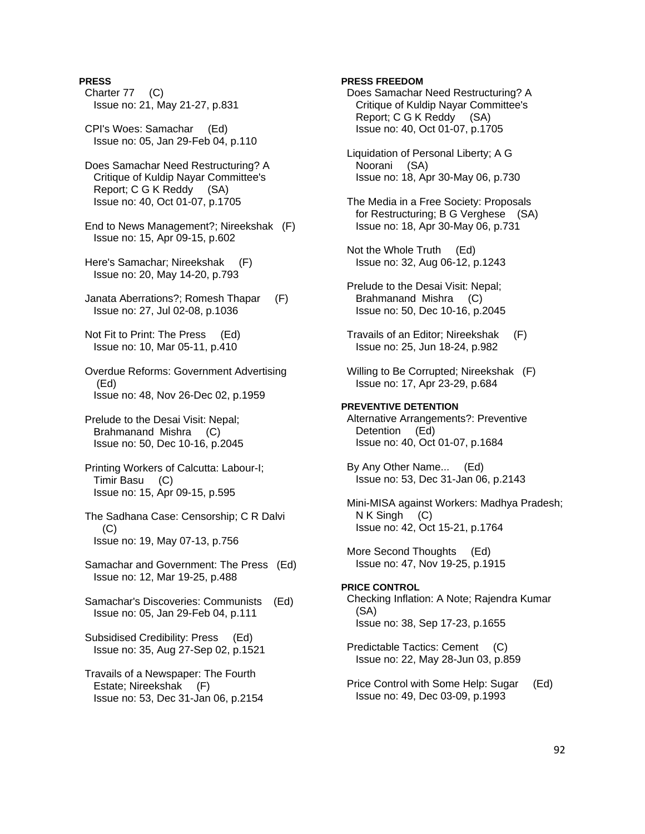# **PRESS**

- Charter 77 (C) Issue no: 21, May 21-27, p.831
- CPI's Woes: Samachar (Ed) Issue no: 05, Jan 29-Feb 04, p.110
- Does Samachar Need Restructuring? A Critique of Kuldip Nayar Committee's Report; C G K Reddy (SA) Issue no: 40, Oct 01-07, p.1705
- End to News Management?; Nireekshak (F) Issue no: 15, Apr 09-15, p.602
- Here's Samachar; Nireekshak (F) Issue no: 20, May 14-20, p.793
- Janata Aberrations?; Romesh Thapar (F) Issue no: 27, Jul 02-08, p.1036
- Not Fit to Print: The Press (Ed) Issue no: 10, Mar 05-11, p.410
- Overdue Reforms: Government Advertising (Ed) Issue no: 48, Nov 26-Dec 02, p.1959
- Prelude to the Desai Visit: Nepal; Brahmanand Mishra (C) Issue no: 50, Dec 10-16, p.2045
- Printing Workers of Calcutta: Labour-I; Timir Basu (C) Issue no: 15, Apr 09-15, p.595
- The Sadhana Case: Censorship; C R Dalvi  $(C)$ Issue no: 19, May 07-13, p.756
- Samachar and Government: The Press (Ed) Issue no: 12, Mar 19-25, p.488
- Samachar's Discoveries: Communists (Ed) Issue no: 05, Jan 29-Feb 04, p.111
- Subsidised Credibility: Press (Ed) Issue no: 35, Aug 27-Sep 02, p.1521
- Travails of a Newspaper: The Fourth Estate; Nireekshak (F) Issue no: 53, Dec 31-Jan 06, p.2154

# **PRESS FREEDOM**

- Does Samachar Need Restructuring? A Critique of Kuldip Nayar Committee's Report; C G K Reddy (SA) Issue no: 40, Oct 01-07, p.1705
- Liquidation of Personal Liberty; A G Noorani (SA) Issue no: 18, Apr 30-May 06, p.730
- The Media in a Free Society: Proposals for Restructuring; B G Verghese (SA) Issue no: 18, Apr 30-May 06, p.731
- Not the Whole Truth (Ed) Issue no: 32, Aug 06-12, p.1243
- Prelude to the Desai Visit: Nepal; Brahmanand Mishra (C) Issue no: 50, Dec 10-16, p.2045
- Travails of an Editor; Nireekshak (F) Issue no: 25, Jun 18-24, p.982
- Willing to Be Corrupted; Nireekshak (F) Issue no: 17, Apr 23-29, p.684

# **PREVENTIVE DETENTION**

 Alternative Arrangements?: Preventive Detention (Ed) Issue no: 40, Oct 01-07, p.1684

- By Any Other Name... (Ed) Issue no: 53, Dec 31-Jan 06, p.2143
- Mini-MISA against Workers: Madhya Pradesh; N K Singh (C) Issue no: 42, Oct 15-21, p.1764
- More Second Thoughts (Ed) Issue no: 47, Nov 19-25, p.1915

# **PRICE CONTROL**

- Checking Inflation: A Note; Rajendra Kumar (SA) Issue no: 38, Sep 17-23, p.1655
- Predictable Tactics: Cement (C) Issue no: 22, May 28-Jun 03, p.859
- Price Control with Some Help: Sugar (Ed) Issue no: 49, Dec 03-09, p.1993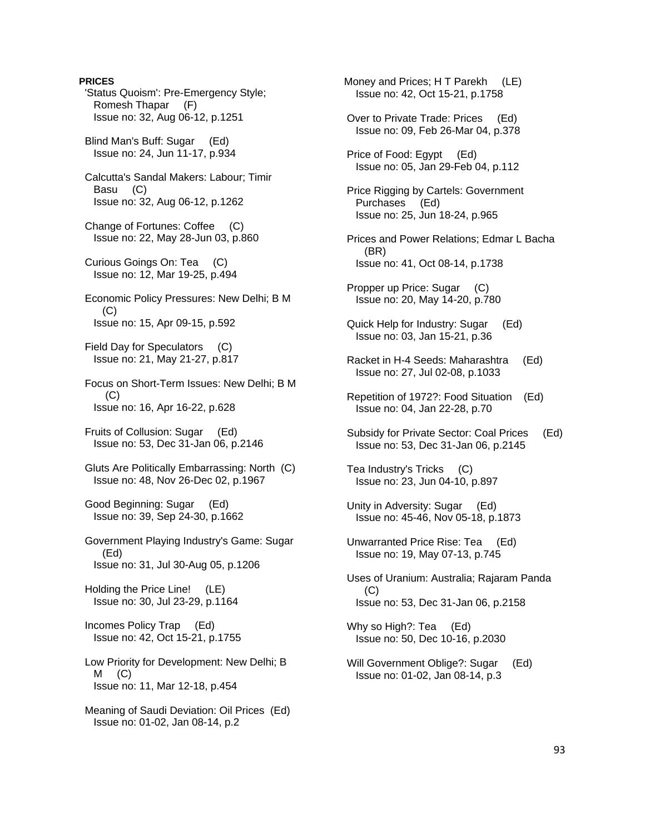**PRICES**  'Status Quoism': Pre-Emergency Style; Romesh Thapar (F) Issue no: 32, Aug 06-12, p.1251 Blind Man's Buff: Sugar (Ed) Issue no: 24, Jun 11-17, p.934 Calcutta's Sandal Makers: Labour; Timir Basu (C) Issue no: 32, Aug 06-12, p.1262 Change of Fortunes: Coffee (C) Issue no: 22, May 28-Jun 03, p.860 Curious Goings On: Tea (C) Issue no: 12, Mar 19-25, p.494 Economic Policy Pressures: New Delhi; B M (C) Issue no: 15, Apr 09-15, p.592 Field Day for Speculators (C) Issue no: 21, May 21-27, p.817 Focus on Short-Term Issues: New Delhi; B M  $(C)$  Issue no: 16, Apr 16-22, p.628 Fruits of Collusion: Sugar (Ed) Issue no: 53, Dec 31-Jan 06, p.2146 Gluts Are Politically Embarrassing: North (C) Issue no: 48, Nov 26-Dec 02, p.1967 Good Beginning: Sugar (Ed) Issue no: 39, Sep 24-30, p.1662 Government Playing Industry's Game: Sugar (Ed) Issue no: 31, Jul 30-Aug 05, p.1206 Holding the Price Line! (LE) Issue no: 30, Jul 23-29, p.1164 Incomes Policy Trap (Ed) Issue no: 42, Oct 15-21, p.1755 Low Priority for Development: New Delhi; B  $M$   $(C)$  Issue no: 11, Mar 12-18, p.454 Meaning of Saudi Deviation: Oil Prices (Ed) Issue no: 01-02, Jan 08-14, p.2

 Issue no: 42, Oct 15-21, p.1758 Over to Private Trade: Prices (Ed) Issue no: 09, Feb 26-Mar 04, p.378 Price of Food: Egypt (Ed) Issue no: 05, Jan 29-Feb 04, p.112 Price Rigging by Cartels: Government Purchases (Ed) Issue no: 25, Jun 18-24, p.965 Prices and Power Relations; Edmar L Bacha (BR) Issue no: 41, Oct 08-14, p.1738 Propper up Price: Sugar (C) Issue no: 20, May 14-20, p.780 Quick Help for Industry: Sugar (Ed) Issue no: 03, Jan 15-21, p.36 Racket in H-4 Seeds: Maharashtra (Ed) Issue no: 27, Jul 02-08, p.1033 Repetition of 1972?: Food Situation (Ed) Issue no: 04, Jan 22-28, p.70 Subsidy for Private Sector: Coal Prices (Ed) Issue no: 53, Dec 31-Jan 06, p.2145 Tea Industry's Tricks (C) Issue no: 23, Jun 04-10, p.897 Unity in Adversity: Sugar (Ed) Issue no: 45-46, Nov 05-18, p.1873 Unwarranted Price Rise: Tea (Ed) Issue no: 19, May 07-13, p.745 Uses of Uranium: Australia; Rajaram Panda (C) Issue no: 53, Dec 31-Jan 06, p.2158 Why so High?: Tea (Ed) Issue no: 50, Dec 10-16, p.2030 Will Government Oblige?: Sugar (Ed) Issue no: 01-02, Jan 08-14, p.3

Money and Prices; H T Parekh (LE)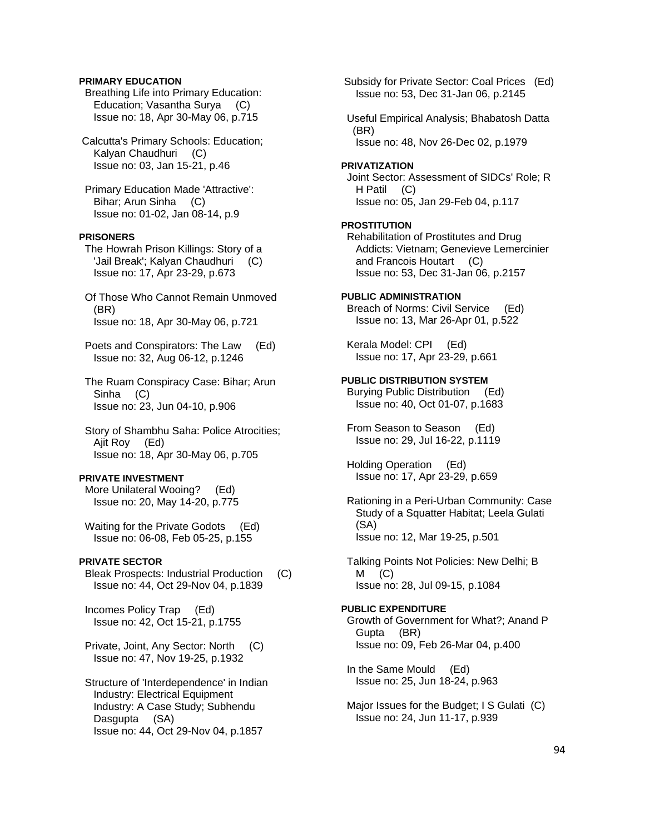## **PRIMARY EDUCATION**

 Breathing Life into Primary Education: Education; Vasantha Surya (C) Issue no: 18, Apr 30-May 06, p.715

 Calcutta's Primary Schools: Education; Kalyan Chaudhuri (C) Issue no: 03, Jan 15-21, p.46

 Primary Education Made 'Attractive': Bihar; Arun Sinha (C) Issue no: 01-02, Jan 08-14, p.9

# **PRISONERS**

 The Howrah Prison Killings: Story of a 'Jail Break'; Kalyan Chaudhuri (C) Issue no: 17, Apr 23-29, p.673

- Of Those Who Cannot Remain Unmoved (BR) Issue no: 18, Apr 30-May 06, p.721
- Poets and Conspirators: The Law (Ed) Issue no: 32, Aug 06-12, p.1246
- The Ruam Conspiracy Case: Bihar; Arun Sinha (C) Issue no: 23, Jun 04-10, p.906
- Story of Shambhu Saha: Police Atrocities; Ajit Roy (Ed) Issue no: 18, Apr 30-May 06, p.705

#### **PRIVATE INVESTMENT**

 More Unilateral Wooing? (Ed) Issue no: 20, May 14-20, p.775

 Waiting for the Private Godots (Ed) Issue no: 06-08, Feb 05-25, p.155

# **PRIVATE SECTOR**

 Bleak Prospects: Industrial Production (C) Issue no: 44, Oct 29-Nov 04, p.1839

 Incomes Policy Trap (Ed) Issue no: 42, Oct 15-21, p.1755

 Private, Joint, Any Sector: North (C) Issue no: 47, Nov 19-25, p.1932

 Structure of 'Interdependence' in Indian Industry: Electrical Equipment Industry: A Case Study; Subhendu Dasgupta (SA) Issue no: 44, Oct 29-Nov 04, p.1857

 Subsidy for Private Sector: Coal Prices (Ed) Issue no: 53, Dec 31-Jan 06, p.2145

 Useful Empirical Analysis; Bhabatosh Datta (BR) Issue no: 48, Nov 26-Dec 02, p.1979

# **PRIVATIZATION**

 Joint Sector: Assessment of SIDCs' Role; R H Patil (C) Issue no: 05, Jan 29-Feb 04, p.117

#### **PROSTITUTION**

 Rehabilitation of Prostitutes and Drug Addicts: Vietnam; Genevieve Lemercinier and Francois Houtart (C) Issue no: 53, Dec 31-Jan 06, p.2157

# **PUBLIC ADMINISTRATION**

 Breach of Norms: Civil Service (Ed) Issue no: 13, Mar 26-Apr 01, p.522

 Kerala Model: CPI (Ed) Issue no: 17, Apr 23-29, p.661

#### **PUBLIC DISTRIBUTION SYSTEM**

 Burying Public Distribution (Ed) Issue no: 40, Oct 01-07, p.1683

 From Season to Season (Ed) Issue no: 29, Jul 16-22, p.1119

 Holding Operation (Ed) Issue no: 17, Apr 23-29, p.659

 Rationing in a Peri-Urban Community: Case Study of a Squatter Habitat; Leela Gulati (SA) Issue no: 12, Mar 19-25, p.501

 Talking Points Not Policies: New Delhi; B  $M$  (C) Issue no: 28, Jul 09-15, p.1084

### **PUBLIC EXPENDITURE**

 Growth of Government for What?; Anand P Gupta (BR) Issue no: 09, Feb 26-Mar 04, p.400

 In the Same Mould (Ed) Issue no: 25, Jun 18-24, p.963

 Major Issues for the Budget; I S Gulati (C) Issue no: 24, Jun 11-17, p.939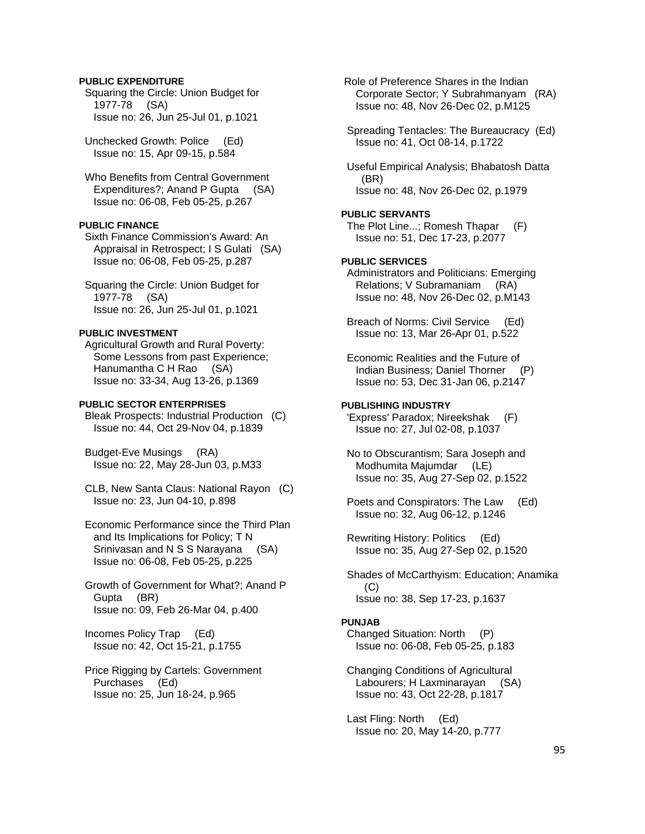# **PUBLIC EXPENDITURE**

 Squaring the Circle: Union Budget for 1977-78 (SA) Issue no: 26, Jun 25-Jul 01, p.1021

 Unchecked Growth: Police (Ed) Issue no: 15, Apr 09-15, p.584

 Who Benefits from Central Government Expenditures?; Anand P Gupta (SA) Issue no: 06-08, Feb 05-25, p.267

# **PUBLIC FINANCE**

 Sixth Finance Commission's Award: An Appraisal in Retrospect; I S Gulati (SA) Issue no: 06-08, Feb 05-25, p.287

 Squaring the Circle: Union Budget for 1977-78 (SA) Issue no: 26, Jun 25-Jul 01, p.1021

#### **PUBLIC INVESTMENT**

 Agricultural Growth and Rural Poverty: Some Lessons from past Experience; Hanumantha C H Rao (SA) Issue no: 33-34, Aug 13-26, p.1369

### **PUBLIC SECTOR ENTERPRISES**

 Bleak Prospects: Industrial Production (C) Issue no: 44, Oct 29-Nov 04, p.1839

 Budget-Eve Musings (RA) Issue no: 22, May 28-Jun 03, p.M33

 CLB, New Santa Claus: National Rayon (C) Issue no: 23, Jun 04-10, p.898

 Economic Performance since the Third Plan and Its Implications for Policy; T N Srinivasan and N S S Narayana (SA) Issue no: 06-08, Feb 05-25, p.225

 Growth of Government for What?; Anand P Gupta (BR) Issue no: 09, Feb 26-Mar 04, p.400

 Incomes Policy Trap (Ed) Issue no: 42, Oct 15-21, p.1755

 Price Rigging by Cartels: Government Purchases (Ed) Issue no: 25, Jun 18-24, p.965

 Role of Preference Shares in the Indian Corporate Sector; Y Subrahmanyam (RA) Issue no: 48, Nov 26-Dec 02, p.M125

 Spreading Tentacles: The Bureaucracy (Ed) Issue no: 41, Oct 08-14, p.1722

 Useful Empirical Analysis; Bhabatosh Datta (BR) Issue no: 48, Nov 26-Dec 02, p.1979

# **PUBLIC SERVANTS**

 The Plot Line...; Romesh Thapar (F) Issue no: 51, Dec 17-23, p.2077

# **PUBLIC SERVICES**

 Administrators and Politicians: Emerging Relations; V Subramaniam (RA) Issue no: 48, Nov 26-Dec 02, p.M143

 Breach of Norms: Civil Service (Ed) Issue no: 13, Mar 26-Apr 01, p.522

 Economic Realities and the Future of Indian Business; Daniel Thorner (P) Issue no: 53, Dec 31-Jan 06, p.2147

## **PUBLISHING INDUSTRY**

 'Express' Paradox; Nireekshak (F) Issue no: 27, Jul 02-08, p.1037

 No to Obscurantism; Sara Joseph and Modhumita Majumdar (LE) Issue no: 35, Aug 27-Sep 02, p.1522

 Poets and Conspirators: The Law (Ed) Issue no: 32, Aug 06-12, p.1246

 Rewriting History: Politics (Ed) Issue no: 35, Aug 27-Sep 02, p.1520

 Shades of McCarthyism: Education; Anamika  $(C)$ Issue no: 38, Sep 17-23, p.1637

#### **PUNJAB**

 Changed Situation: North (P) Issue no: 06-08, Feb 05-25, p.183

 Changing Conditions of Agricultural Labourers; H Laxminarayan (SA) Issue no: 43, Oct 22-28, p.1817

 Last Fling: North (Ed) Issue no: 20, May 14-20, p.777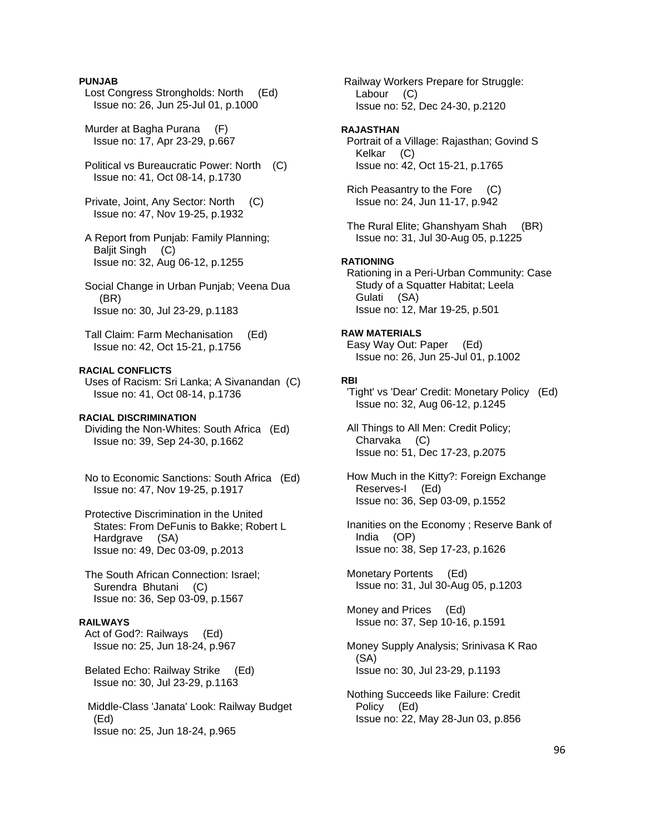### **PUNJAB**

- Lost Congress Strongholds: North (Ed) Issue no: 26, Jun 25-Jul 01, p.1000
- Murder at Bagha Purana (F) Issue no: 17, Apr 23-29, p.667
- Political vs Bureaucratic Power: North (C) Issue no: 41, Oct 08-14, p.1730
- Private, Joint, Any Sector: North (C) Issue no: 47, Nov 19-25, p.1932
- A Report from Punjab: Family Planning; Baljit Singh (C) Issue no: 32, Aug 06-12, p.1255
- Social Change in Urban Punjab; Veena Dua (BR) Issue no: 30, Jul 23-29, p.1183
- Tall Claim: Farm Mechanisation (Ed) Issue no: 42, Oct 15-21, p.1756

# **RACIAL CONFLICTS**

 Uses of Racism: Sri Lanka; A Sivanandan (C) Issue no: 41, Oct 08-14, p.1736

#### **RACIAL DISCRIMINATION**

 Dividing the Non-Whites: South Africa (Ed) Issue no: 39, Sep 24-30, p.1662

- No to Economic Sanctions: South Africa (Ed) Issue no: 47, Nov 19-25, p.1917
- Protective Discrimination in the United States: From DeFunis to Bakke; Robert L Hardgrave (SA) Issue no: 49, Dec 03-09, p.2013
- The South African Connection: Israel; Surendra Bhutani (C) Issue no: 36, Sep 03-09, p.1567

# **RAILWAYS**

 Act of God?: Railways (Ed) Issue no: 25, Jun 18-24, p.967

- Belated Echo: Railway Strike (Ed) Issue no: 30, Jul 23-29, p.1163
- Middle-Class 'Janata' Look: Railway Budget (Ed) Issue no: 25, Jun 18-24, p.965

 Railway Workers Prepare for Struggle: Labour (C) Issue no: 52, Dec 24-30, p.2120

#### **RAJASTHAN**

 Portrait of a Village: Rajasthan; Govind S Kelkar (C) Issue no: 42, Oct 15-21, p.1765

 Rich Peasantry to the Fore (C) Issue no: 24, Jun 11-17, p.942

 The Rural Elite; Ghanshyam Shah (BR) Issue no: 31, Jul 30-Aug 05, p.1225

#### **RATIONING**

 Rationing in a Peri-Urban Community: Case Study of a Squatter Habitat; Leela Gulati (SA) Issue no: 12, Mar 19-25, p.501

# **RAW MATERIALS**

 Easy Way Out: Paper (Ed) Issue no: 26, Jun 25-Jul 01, p.1002

#### **RBI**

 'Tight' vs 'Dear' Credit: Monetary Policy (Ed) Issue no: 32, Aug 06-12, p.1245

 All Things to All Men: Credit Policy; Charvaka (C) Issue no: 51, Dec 17-23, p.2075

 How Much in the Kitty?: Foreign Exchange Reserves-I (Ed) Issue no: 36, Sep 03-09, p.1552

 Inanities on the Economy ; Reserve Bank of India (OP) Issue no: 38, Sep 17-23, p.1626

 Monetary Portents (Ed) Issue no: 31, Jul 30-Aug 05, p.1203

 Money and Prices (Ed) Issue no: 37, Sep 10-16, p.1591

 Money Supply Analysis; Srinivasa K Rao (SA) Issue no: 30, Jul 23-29, p.1193

 Nothing Succeeds like Failure: Credit Policy (Ed) Issue no: 22, May 28-Jun 03, p.856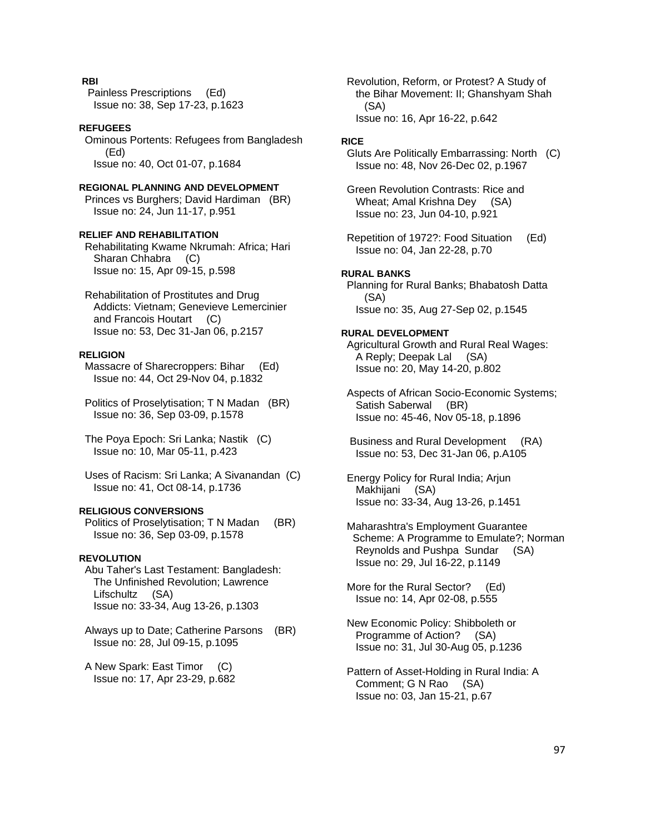# **RBI**

 Painless Prescriptions (Ed) Issue no: 38, Sep 17-23, p.1623

## **REFUGEES**

 Ominous Portents: Refugees from Bangladesh (Ed) Issue no: 40, Oct 01-07, p.1684

# **REGIONAL PLANNING AND DEVELOPMENT**

 Princes vs Burghers; David Hardiman (BR) Issue no: 24, Jun 11-17, p.951

## **RELIEF AND REHABILITATION**

 Rehabilitating Kwame Nkrumah: Africa; Hari Sharan Chhabra (C) Issue no: 15, Apr 09-15, p.598

 Rehabilitation of Prostitutes and Drug Addicts: Vietnam; Genevieve Lemercinier and Francois Houtart (C) Issue no: 53, Dec 31-Jan 06, p.2157

#### **RELIGION**

 Massacre of Sharecroppers: Bihar (Ed) Issue no: 44, Oct 29-Nov 04, p.1832

 Politics of Proselytisation; T N Madan (BR) Issue no: 36, Sep 03-09, p.1578

 The Poya Epoch: Sri Lanka; Nastik (C) Issue no: 10, Mar 05-11, p.423

 Uses of Racism: Sri Lanka; A Sivanandan (C) Issue no: 41, Oct 08-14, p.1736

# **RELIGIOUS CONVERSIONS**

 Politics of Proselytisation; T N Madan (BR) Issue no: 36, Sep 03-09, p.1578

### **REVOLUTION**

 Abu Taher's Last Testament: Bangladesh: The Unfinished Revolution; Lawrence Lifschultz (SA) Issue no: 33-34, Aug 13-26, p.1303

 Always up to Date; Catherine Parsons (BR) Issue no: 28, Jul 09-15, p.1095

 A New Spark: East Timor (C) Issue no: 17, Apr 23-29, p.682  Revolution, Reform, or Protest? A Study of the Bihar Movement: II; Ghanshyam Shah (SA) Issue no: 16, Apr 16-22, p.642

#### **RICE**

 Gluts Are Politically Embarrassing: North (C) Issue no: 48, Nov 26-Dec 02, p.1967

 Green Revolution Contrasts: Rice and Wheat; Amal Krishna Dey (SA) Issue no: 23, Jun 04-10, p.921

 Repetition of 1972?: Food Situation (Ed) Issue no: 04, Jan 22-28, p.70

#### **RURAL BANKS**

 Planning for Rural Banks; Bhabatosh Datta (SA) Issue no: 35, Aug 27-Sep 02, p.1545

#### **RURAL DEVELOPMENT**

 Agricultural Growth and Rural Real Wages: A Reply; Deepak Lal (SA) Issue no: 20, May 14-20, p.802

 Aspects of African Socio-Economic Systems; Satish Saberwal (BR) Issue no: 45-46, Nov 05-18, p.1896

 Business and Rural Development (RA) Issue no: 53, Dec 31-Jan 06, p.A105

 Energy Policy for Rural India; Arjun Makhijani (SA) Issue no: 33-34, Aug 13-26, p.1451

 Maharashtra's Employment Guarantee Scheme: A Programme to Emulate?; Norman Reynolds and Pushpa Sundar (SA) Issue no: 29, Jul 16-22, p.1149

 More for the Rural Sector? (Ed) Issue no: 14, Apr 02-08, p.555

 New Economic Policy: Shibboleth or Programme of Action? (SA) Issue no: 31, Jul 30-Aug 05, p.1236

 Pattern of Asset-Holding in Rural India: A Comment; G N Rao (SA) Issue no: 03, Jan 15-21, p.67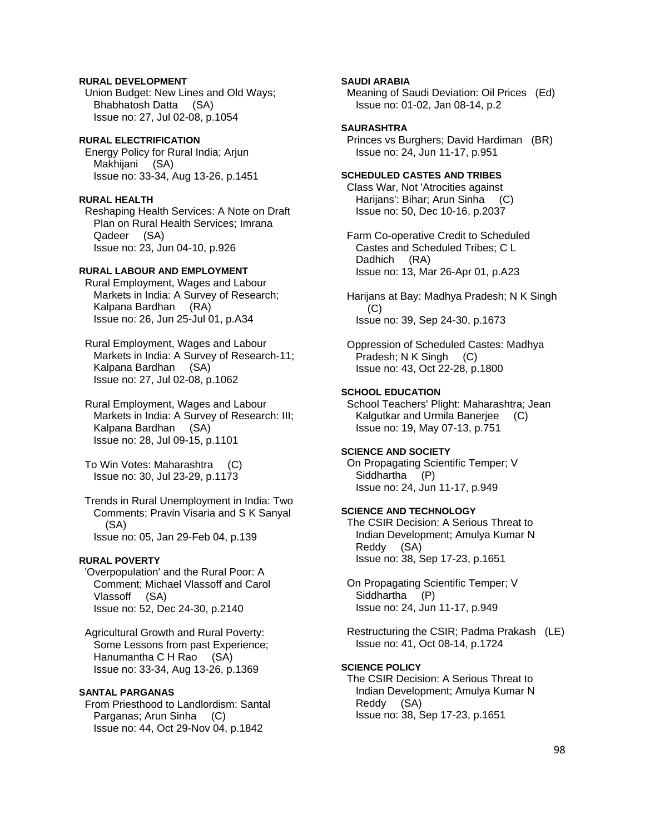# **RURAL DEVELOPMENT**

 Union Budget: New Lines and Old Ways; Bhabhatosh Datta (SA) Issue no: 27, Jul 02-08, p.1054

# **RURAL ELECTRIFICATION**

 Energy Policy for Rural India; Arjun Makhijani (SA) Issue no: 33-34, Aug 13-26, p.1451

# **RURAL HEALTH**

 Reshaping Health Services: A Note on Draft Plan on Rural Health Services; Imrana Qadeer (SA) Issue no: 23, Jun 04-10, p.926

# **RURAL LABOUR AND EMPLOYMENT**

 Rural Employment, Wages and Labour Markets in India: A Survey of Research; Kalpana Bardhan (RA) Issue no: 26, Jun 25-Jul 01, p.A34

 Rural Employment, Wages and Labour Markets in India: A Survey of Research-11; Kalpana Bardhan (SA) Issue no: 27, Jul 02-08, p.1062

 Rural Employment, Wages and Labour Markets in India: A Survey of Research: III; Kalpana Bardhan (SA) Issue no: 28, Jul 09-15, p.1101

 To Win Votes: Maharashtra (C) Issue no: 30, Jul 23-29, p.1173

 Trends in Rural Unemployment in India: Two Comments; Pravin Visaria and S K Sanyal (SA) Issue no: 05, Jan 29-Feb 04, p.139

### **RURAL POVERTY**

 'Overpopulation' and the Rural Poor: A Comment; Michael Vlassoff and Carol Vlassoff (SA) Issue no: 52, Dec 24-30, p.2140

 Agricultural Growth and Rural Poverty: Some Lessons from past Experience; Hanumantha C H Rao (SA) Issue no: 33-34, Aug 13-26, p.1369

# **SANTAL PARGANAS**

 From Priesthood to Landlordism: Santal Parganas; Arun Sinha (C) Issue no: 44, Oct 29-Nov 04, p.1842

# **SAUDI ARABIA**

 Meaning of Saudi Deviation: Oil Prices (Ed) Issue no: 01-02, Jan 08-14, p.2

# **SAURASHTRA**

 Princes vs Burghers; David Hardiman (BR) Issue no: 24, Jun 11-17, p.951

# **SCHEDULED CASTES AND TRIBES**

 Class War, Not 'Atrocities against Harijans': Bihar; Arun Sinha (C) Issue no: 50, Dec 10-16, p.2037

 Farm Co-operative Credit to Scheduled Castes and Scheduled Tribes; C L Dadhich (RA) Issue no: 13, Mar 26-Apr 01, p.A23

 Harijans at Bay: Madhya Pradesh; N K Singh (C) Issue no: 39, Sep 24-30, p.1673

 Oppression of Scheduled Castes: Madhya Pradesh; N K Singh (C) Issue no: 43, Oct 22-28, p.1800

#### **SCHOOL EDUCATION**

 School Teachers' Plight: Maharashtra; Jean Kalgutkar and Urmila Banerjee (C) Issue no: 19, May 07-13, p.751

# **SCIENCE AND SOCIETY**

 On Propagating Scientific Temper; V Siddhartha (P) Issue no: 24, Jun 11-17, p.949

# **SCIENCE AND TECHNOLOGY**

 The CSIR Decision: A Serious Threat to Indian Development; Amulya Kumar N Reddy (SA) Issue no: 38, Sep 17-23, p.1651

 On Propagating Scientific Temper; V Siddhartha (P) Issue no: 24, Jun 11-17, p.949

 Restructuring the CSIR; Padma Prakash (LE) Issue no: 41, Oct 08-14, p.1724

# **SCIENCE POLICY**

 The CSIR Decision: A Serious Threat to Indian Development; Amulya Kumar N Reddy (SA) Issue no: 38, Sep 17-23, p.1651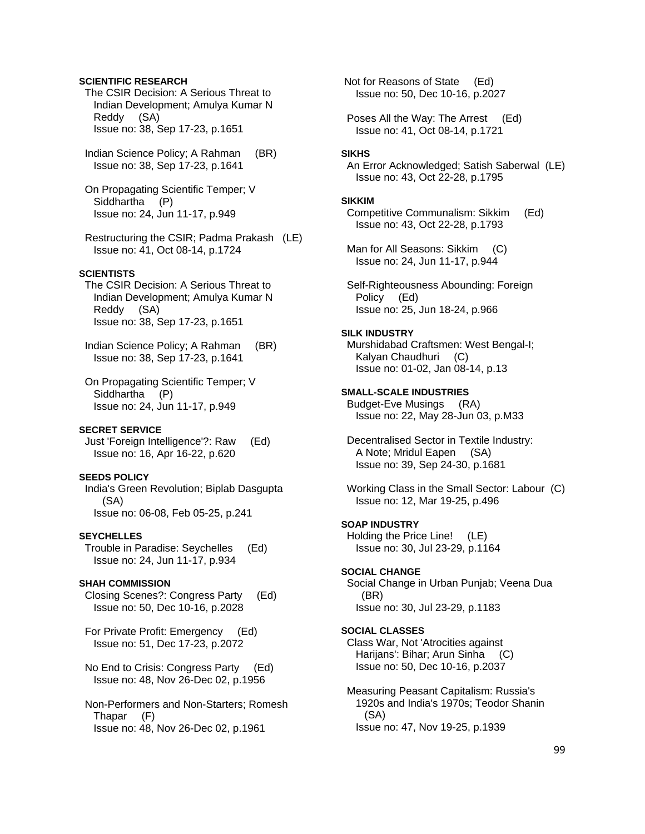### **SCIENTIFIC RESEARCH**

 The CSIR Decision: A Serious Threat to Indian Development; Amulya Kumar N Reddy (SA) Issue no: 38, Sep 17-23, p.1651

 Indian Science Policy; A Rahman (BR) Issue no: 38, Sep 17-23, p.1641

 On Propagating Scientific Temper; V Siddhartha (P) Issue no: 24, Jun 11-17, p.949

 Restructuring the CSIR; Padma Prakash (LE) Issue no: 41, Oct 08-14, p.1724

# **SCIENTISTS**

 The CSIR Decision: A Serious Threat to Indian Development; Amulya Kumar N Reddy (SA) Issue no: 38, Sep 17-23, p.1651

 Indian Science Policy; A Rahman (BR) Issue no: 38, Sep 17-23, p.1641

 On Propagating Scientific Temper; V Siddhartha (P) Issue no: 24, Jun 11-17, p.949

### **SECRET SERVICE**

 Just 'Foreign Intelligence'?: Raw (Ed) Issue no: 16, Apr 16-22, p.620

# **SEEDS POLICY**

 India's Green Revolution; Biplab Dasgupta (SA) Issue no: 06-08, Feb 05-25, p.241

#### **SEYCHELLES**

 Trouble in Paradise: Seychelles (Ed) Issue no: 24, Jun 11-17, p.934

#### **SHAH COMMISSION**

 Closing Scenes?: Congress Party (Ed) Issue no: 50, Dec 10-16, p.2028

 For Private Profit: Emergency (Ed) Issue no: 51, Dec 17-23, p.2072

 No End to Crisis: Congress Party (Ed) Issue no: 48, Nov 26-Dec 02, p.1956

 Non-Performers and Non-Starters; Romesh Thapar (F) Issue no: 48, Nov 26-Dec 02, p.1961

 Not for Reasons of State (Ed) Issue no: 50, Dec 10-16, p.2027

 Poses All the Way: The Arrest (Ed) Issue no: 41, Oct 08-14, p.1721

#### **SIKHS**

 An Error Acknowledged; Satish Saberwal (LE) Issue no: 43, Oct 22-28, p.1795

#### **SIKKIM**

 Competitive Communalism: Sikkim (Ed) Issue no: 43, Oct 22-28, p.1793

Man for All Seasons: Sikkim (C) Issue no: 24, Jun 11-17, p.944

 Self-Righteousness Abounding: Foreign Policy (Ed) Issue no: 25, Jun 18-24, p.966

#### **SILK INDUSTRY**

 Murshidabad Craftsmen: West Bengal-I; Kalyan Chaudhuri (C) Issue no: 01-02, Jan 08-14, p.13

# **SMALL-SCALE INDUSTRIES**

 Budget-Eve Musings (RA) Issue no: 22, May 28-Jun 03, p.M33

 Decentralised Sector in Textile Industry: A Note; Mridul Eapen (SA) Issue no: 39, Sep 24-30, p.1681

 Working Class in the Small Sector: Labour (C) Issue no: 12, Mar 19-25, p.496

# **SOAP INDUSTRY**

 Holding the Price Line! (LE) Issue no: 30, Jul 23-29, p.1164

#### **SOCIAL CHANGE**

 Social Change in Urban Punjab; Veena Dua (BR) Issue no: 30, Jul 23-29, p.1183

#### **SOCIAL CLASSES**

 Class War, Not 'Atrocities against Harijans': Bihar; Arun Sinha (C) Issue no: 50, Dec 10-16, p.2037

 Measuring Peasant Capitalism: Russia's 1920s and India's 1970s; Teodor Shanin (SA) Issue no: 47, Nov 19-25, p.1939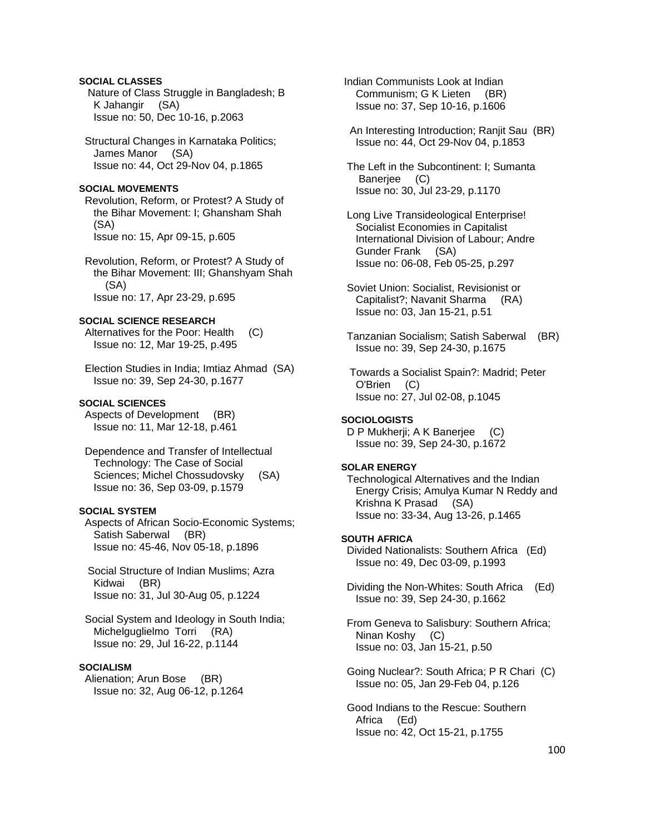# **SOCIAL CLASSES**

 Nature of Class Struggle in Bangladesh; B K Jahangir (SA) Issue no: 50, Dec 10-16, p.2063

 Structural Changes in Karnataka Politics; James Manor (SA) Issue no: 44, Oct 29-Nov 04, p.1865

#### **SOCIAL MOVEMENTS**

 Revolution, Reform, or Protest? A Study of the Bihar Movement: I; Ghansham Shah (SA) Issue no: 15, Apr 09-15, p.605

 Revolution, Reform, or Protest? A Study of the Bihar Movement: III; Ghanshyam Shah (SA) Issue no: 17, Apr 23-29, p.695

# **SOCIAL SCIENCE RESEARCH**

 Alternatives for the Poor: Health (C) Issue no: 12, Mar 19-25, p.495

 Election Studies in India; Imtiaz Ahmad (SA) Issue no: 39, Sep 24-30, p.1677

#### **SOCIAL SCIENCES**

 Aspects of Development (BR) Issue no: 11, Mar 12-18, p.461

 Dependence and Transfer of Intellectual Technology: The Case of Social Sciences; Michel Chossudovsky (SA) Issue no: 36, Sep 03-09, p.1579

#### **SOCIAL SYSTEM**

 Aspects of African Socio-Economic Systems; Satish Saberwal (BR) Issue no: 45-46, Nov 05-18, p.1896

 Social Structure of Indian Muslims; Azra Kidwai (BR) Issue no: 31, Jul 30-Aug 05, p.1224

 Social System and Ideology in South India; Michelguglielmo Torri (RA) Issue no: 29, Jul 16-22, p.1144

#### **SOCIALISM**

 Alienation; Arun Bose (BR) Issue no: 32, Aug 06-12, p.1264  Indian Communists Look at Indian Communism; G K Lieten (BR) Issue no: 37, Sep 10-16, p.1606

 An Interesting Introduction; Ranjit Sau (BR) Issue no: 44, Oct 29-Nov 04, p.1853

 The Left in the Subcontinent: I; Sumanta Banerjee (C) Issue no: 30, Jul 23-29, p.1170

 Long Live Transideological Enterprise! Socialist Economies in Capitalist International Division of Labour; Andre Gunder Frank (SA) Issue no: 06-08, Feb 05-25, p.297

 Soviet Union: Socialist, Revisionist or Capitalist?; Navanit Sharma (RA) Issue no: 03, Jan 15-21, p.51

 Tanzanian Socialism; Satish Saberwal (BR) Issue no: 39, Sep 24-30, p.1675

 Towards a Socialist Spain?: Madrid; Peter O'Brien (C) Issue no: 27, Jul 02-08, p.1045

#### **SOCIOLOGISTS**

D P Mukherji; A K Banerjee (C) Issue no: 39, Sep 24-30, p.1672

#### **SOLAR ENERGY**

 Technological Alternatives and the Indian Energy Crisis; Amulya Kumar N Reddy and Krishna K Prasad (SA) Issue no: 33-34, Aug 13-26, p.1465

#### **SOUTH AFRICA**

 Divided Nationalists: Southern Africa (Ed) Issue no: 49, Dec 03-09, p.1993

 Dividing the Non-Whites: South Africa (Ed) Issue no: 39, Sep 24-30, p.1662

 From Geneva to Salisbury: Southern Africa; Ninan Koshy (C) Issue no: 03, Jan 15-21, p.50

 Going Nuclear?: South Africa; P R Chari (C) Issue no: 05, Jan 29-Feb 04, p.126

 Good Indians to the Rescue: Southern Africa (Ed) Issue no: 42, Oct 15-21, p.1755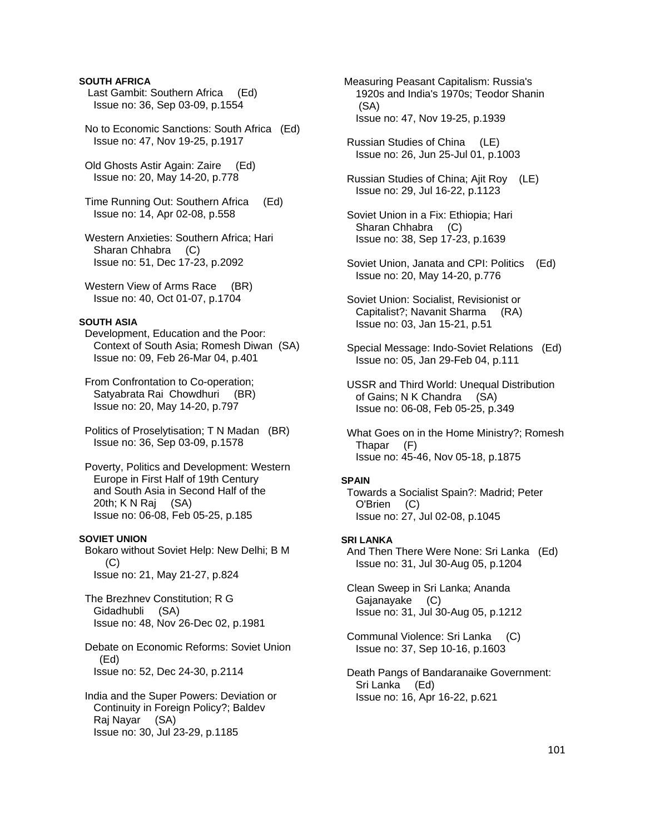# **SOUTH AFRICA**

- Last Gambit: Southern Africa (Ed) Issue no: 36, Sep 03-09, p.1554
- No to Economic Sanctions: South Africa (Ed) Issue no: 47, Nov 19-25, p.1917
- Old Ghosts Astir Again: Zaire (Ed) Issue no: 20, May 14-20, p.778
- Time Running Out: Southern Africa (Ed) Issue no: 14, Apr 02-08, p.558
- Western Anxieties: Southern Africa; Hari Sharan Chhabra (C) Issue no: 51, Dec 17-23, p.2092
- Western View of Arms Race (BR) Issue no: 40, Oct 01-07, p.1704

#### **SOUTH ASIA**

- Development, Education and the Poor: Context of South Asia; Romesh Diwan (SA) Issue no: 09, Feb 26-Mar 04, p.401
- From Confrontation to Co-operation; Satyabrata Rai Chowdhuri (BR) Issue no: 20, May 14-20, p.797
- Politics of Proselytisation; T N Madan (BR) Issue no: 36, Sep 03-09, p.1578
- Poverty, Politics and Development: Western Europe in First Half of 19th Century and South Asia in Second Half of the 20th; K N Raj (SA) Issue no: 06-08, Feb 05-25, p.185

#### **SOVIET UNION**

 Bokaro without Soviet Help: New Delhi; B M (C) Issue no: 21, May 21-27, p.824

 The Brezhnev Constitution; R G Gidadhubli (SA) Issue no: 48, Nov 26-Dec 02, p.1981

 Debate on Economic Reforms: Soviet Union (Ed) Issue no: 52, Dec 24-30, p.2114

 India and the Super Powers: Deviation or Continuity in Foreign Policy?; Baldev Raj Nayar (SA) Issue no: 30, Jul 23-29, p.1185

- Measuring Peasant Capitalism: Russia's 1920s and India's 1970s; Teodor Shanin (SA) Issue no: 47, Nov 19-25, p.1939
- Russian Studies of China (LE) Issue no: 26, Jun 25-Jul 01, p.1003
- Russian Studies of China; Ajit Roy (LE) Issue no: 29, Jul 16-22, p.1123
- Soviet Union in a Fix: Ethiopia; Hari Sharan Chhabra (C) Issue no: 38, Sep 17-23, p.1639
- Soviet Union, Janata and CPI: Politics (Ed) Issue no: 20, May 14-20, p.776
- Soviet Union: Socialist, Revisionist or Capitalist?; Navanit Sharma (RA) Issue no: 03, Jan 15-21, p.51
- Special Message: Indo-Soviet Relations (Ed) Issue no: 05, Jan 29-Feb 04, p.111
- USSR and Third World: Unequal Distribution of Gains; N K Chandra (SA) Issue no: 06-08, Feb 05-25, p.349
- What Goes on in the Home Ministry?; Romesh Thapar (F) Issue no: 45-46, Nov 05-18, p.1875

#### **SPAIN**

 Towards a Socialist Spain?: Madrid; Peter O'Brien (C) Issue no: 27, Jul 02-08, p.1045

# **SRI LANKA**

 And Then There Were None: Sri Lanka (Ed) Issue no: 31, Jul 30-Aug 05, p.1204

 Clean Sweep in Sri Lanka; Ananda Gajanayake (C) Issue no: 31, Jul 30-Aug 05, p.1212

- Communal Violence: Sri Lanka (C) Issue no: 37, Sep 10-16, p.1603
- Death Pangs of Bandaranaike Government: Sri Lanka (Ed) Issue no: 16, Apr 16-22, p.621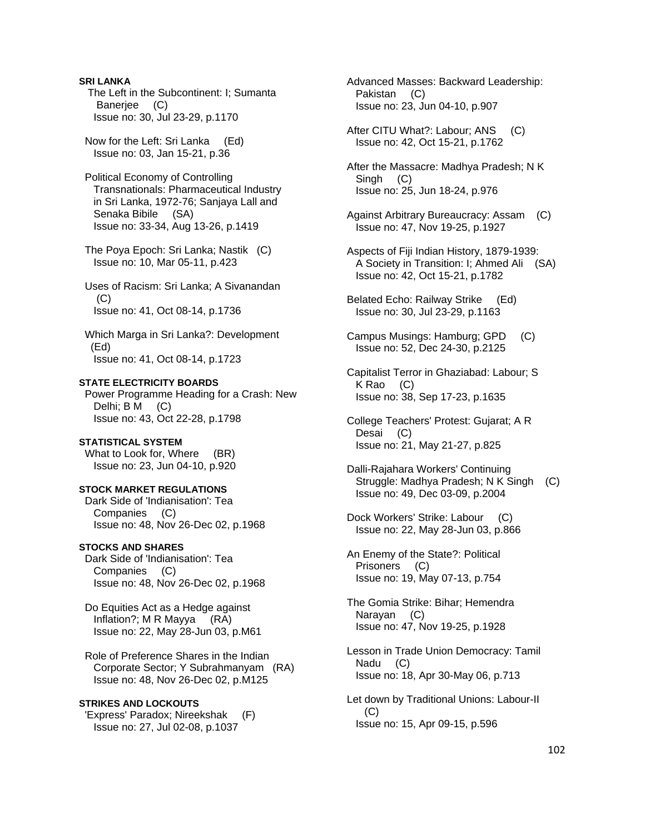**SRI LANKA**  The Left in the Subcontinent: I; Sumanta Banerjee (C) Issue no: 30, Jul 23-29, p.1170

 Now for the Left: Sri Lanka (Ed) Issue no: 03, Jan 15-21, p.36

 Political Economy of Controlling Transnationals: Pharmaceutical Industry in Sri Lanka, 1972-76; Sanjaya Lall and Senaka Bibile (SA) Issue no: 33-34, Aug 13-26, p.1419

 The Poya Epoch: Sri Lanka; Nastik (C) Issue no: 10, Mar 05-11, p.423

 Uses of Racism: Sri Lanka; A Sivanandan  $(C)$ Issue no: 41, Oct 08-14, p.1736

 Which Marga in Sri Lanka?: Development (Ed) Issue no: 41, Oct 08-14, p.1723

**STATE ELECTRICITY BOARDS** 

 Power Programme Heading for a Crash: New Delhi; B M (C) Issue no: 43, Oct 22-28, p.1798

#### **STATISTICAL SYSTEM**

What to Look for, Where (BR) Issue no: 23, Jun 04-10, p.920

#### **STOCK MARKET REGULATIONS**

 Dark Side of 'Indianisation': Tea Companies (C) Issue no: 48, Nov 26-Dec 02, p.1968

## **STOCKS AND SHARES**

 Dark Side of 'Indianisation': Tea Companies (C) Issue no: 48, Nov 26-Dec 02, p.1968

 Do Equities Act as a Hedge against Inflation?; M R Mayya (RA) Issue no: 22, May 28-Jun 03, p.M61

 Role of Preference Shares in the Indian Corporate Sector; Y Subrahmanyam (RA) Issue no: 48, Nov 26-Dec 02, p.M125

## **STRIKES AND LOCKOUTS**

 'Express' Paradox; Nireekshak (F) Issue no: 27, Jul 02-08, p.1037

 Advanced Masses: Backward Leadership: Pakistan (C) Issue no: 23, Jun 04-10, p.907

 After CITU What?: Labour; ANS (C) Issue no: 42, Oct 15-21, p.1762

 After the Massacre: Madhya Pradesh; N K Singh (C) Issue no: 25, Jun 18-24, p.976

- Against Arbitrary Bureaucracy: Assam (C) Issue no: 47, Nov 19-25, p.1927
- Aspects of Fiji Indian History, 1879-1939: A Society in Transition: I; Ahmed Ali (SA) Issue no: 42, Oct 15-21, p.1782
- Belated Echo: Railway Strike (Ed) Issue no: 30, Jul 23-29, p.1163
- Campus Musings: Hamburg; GPD (C) Issue no: 52, Dec 24-30, p.2125
- Capitalist Terror in Ghaziabad: Labour; S K Rao (C) Issue no: 38, Sep 17-23, p.1635
- College Teachers' Protest: Gujarat; A R Desai (C) Issue no: 21, May 21-27, p.825
- Dalli-Rajahara Workers' Continuing Struggle: Madhya Pradesh; N K Singh (C) Issue no: 49, Dec 03-09, p.2004
- Dock Workers' Strike: Labour (C) Issue no: 22, May 28-Jun 03, p.866

 An Enemy of the State?: Political Prisoners (C) Issue no: 19, May 07-13, p.754

 The Gomia Strike: Bihar; Hemendra Narayan (C) Issue no: 47, Nov 19-25, p.1928

 Lesson in Trade Union Democracy: Tamil Nadu (C) Issue no: 18, Apr 30-May 06, p.713

 Let down by Traditional Unions: Labour-II (C) Issue no: 15, Apr 09-15, p.596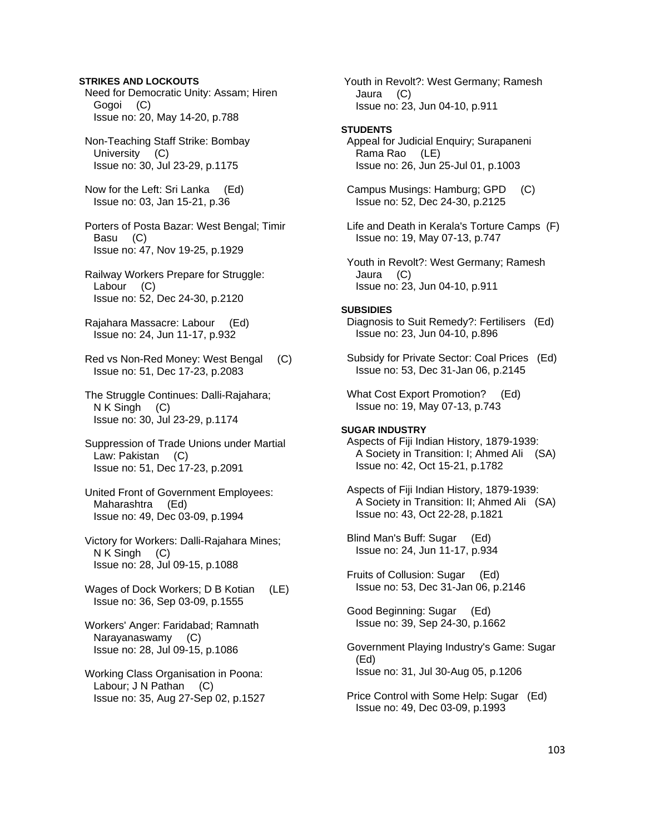# **STRIKES AND LOCKOUTS**

 Need for Democratic Unity: Assam; Hiren Gogoi (C) Issue no: 20, May 14-20, p.788

 Non-Teaching Staff Strike: Bombay University (C) Issue no: 30, Jul 23-29, p.1175

 Now for the Left: Sri Lanka (Ed) Issue no: 03, Jan 15-21, p.36

 Porters of Posta Bazar: West Bengal; Timir Basu (C) Issue no: 47, Nov 19-25, p.1929

 Railway Workers Prepare for Struggle: Labour (C) Issue no: 52, Dec 24-30, p.2120

 Rajahara Massacre: Labour (Ed) Issue no: 24, Jun 11-17, p.932

 Red vs Non-Red Money: West Bengal (C) Issue no: 51, Dec 17-23, p.2083

 The Struggle Continues: Dalli-Rajahara; N K Singh (C) Issue no: 30, Jul 23-29, p.1174

 Suppression of Trade Unions under Martial Law: Pakistan (C) Issue no: 51, Dec 17-23, p.2091

 United Front of Government Employees: Maharashtra (Ed) Issue no: 49, Dec 03-09, p.1994

 Victory for Workers: Dalli-Rajahara Mines; N K Singh (C) Issue no: 28, Jul 09-15, p.1088

 Wages of Dock Workers; D B Kotian (LE) Issue no: 36, Sep 03-09, p.1555

 Workers' Anger: Faridabad; Ramnath Narayanaswamy (C) Issue no: 28, Jul 09-15, p.1086

 Working Class Organisation in Poona: Labour; J N Pathan (C) Issue no: 35, Aug 27-Sep 02, p.1527  Youth in Revolt?: West Germany; Ramesh Jaura (C) Issue no: 23, Jun 04-10, p.911

#### **STUDENTS**

 Appeal for Judicial Enquiry; Surapaneni Rama Rao (LE) Issue no: 26, Jun 25-Jul 01, p.1003

 Campus Musings: Hamburg; GPD (C) Issue no: 52, Dec 24-30, p.2125

 Life and Death in Kerala's Torture Camps (F) Issue no: 19, May 07-13, p.747

 Youth in Revolt?: West Germany; Ramesh Jaura (C) Issue no: 23, Jun 04-10, p.911

#### **SUBSIDIES**

 Diagnosis to Suit Remedy?: Fertilisers (Ed) Issue no: 23, Jun 04-10, p.896

 Subsidy for Private Sector: Coal Prices (Ed) Issue no: 53, Dec 31-Jan 06, p.2145

 What Cost Export Promotion? (Ed) Issue no: 19, May 07-13, p.743

### **SUGAR INDUSTRY**

 Aspects of Fiji Indian History, 1879-1939: A Society in Transition: I; Ahmed Ali (SA) Issue no: 42, Oct 15-21, p.1782

 Aspects of Fiji Indian History, 1879-1939: A Society in Transition: II; Ahmed Ali (SA) Issue no: 43, Oct 22-28, p.1821

 Blind Man's Buff: Sugar (Ed) Issue no: 24, Jun 11-17, p.934

 Fruits of Collusion: Sugar (Ed) Issue no: 53, Dec 31-Jan 06, p.2146

 Good Beginning: Sugar (Ed) Issue no: 39, Sep 24-30, p.1662

 Government Playing Industry's Game: Sugar (Ed) Issue no: 31, Jul 30-Aug 05, p.1206

 Price Control with Some Help: Sugar (Ed) Issue no: 49, Dec 03-09, p.1993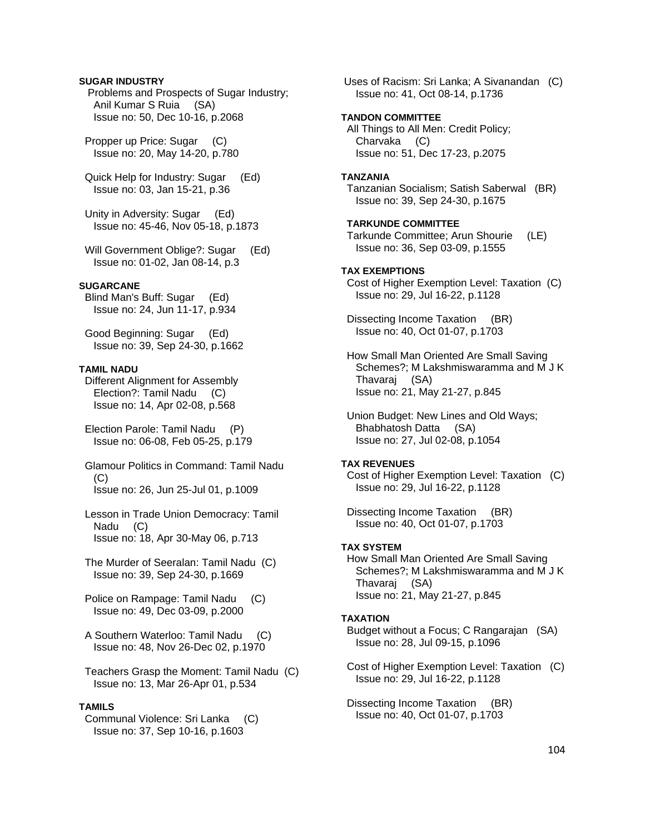# **SUGAR INDUSTRY**

 Problems and Prospects of Sugar Industry; Anil Kumar S Ruia (SA) Issue no: 50, Dec 10-16, p.2068

 Propper up Price: Sugar (C) Issue no: 20, May 14-20, p.780

 Quick Help for Industry: Sugar (Ed) Issue no: 03, Jan 15-21, p.36

 Unity in Adversity: Sugar (Ed) Issue no: 45-46, Nov 05-18, p.1873

Will Government Oblige?: Sugar (Ed) Issue no: 01-02, Jan 08-14, p.3

#### **SUGARCANE**

 Blind Man's Buff: Sugar (Ed) Issue no: 24, Jun 11-17, p.934

 Good Beginning: Sugar (Ed) Issue no: 39, Sep 24-30, p.1662

# **TAMIL NADU**

 Different Alignment for Assembly Election?: Tamil Nadu (C) Issue no: 14, Apr 02-08, p.568

 Election Parole: Tamil Nadu (P) Issue no: 06-08, Feb 05-25, p.179

 Glamour Politics in Command: Tamil Nadu (C) Issue no: 26, Jun 25-Jul 01, p.1009

 Lesson in Trade Union Democracy: Tamil Nadu (C) Issue no: 18, Apr 30-May 06, p.713

 The Murder of Seeralan: Tamil Nadu (C) Issue no: 39, Sep 24-30, p.1669

 Police on Rampage: Tamil Nadu (C) Issue no: 49, Dec 03-09, p.2000

- A Southern Waterloo: Tamil Nadu (C) Issue no: 48, Nov 26-Dec 02, p.1970
- Teachers Grasp the Moment: Tamil Nadu (C) Issue no: 13, Mar 26-Apr 01, p.534

# **TAMILS**

 Communal Violence: Sri Lanka (C) Issue no: 37, Sep 10-16, p.1603

 Uses of Racism: Sri Lanka; A Sivanandan (C) Issue no: 41, Oct 08-14, p.1736

#### **TANDON COMMITTEE**

 All Things to All Men: Credit Policy; Charvaka (C) Issue no: 51, Dec 17-23, p.2075

#### **TANZANIA**

 Tanzanian Socialism; Satish Saberwal (BR) Issue no: 39, Sep 24-30, p.1675

#### **TARKUNDE COMMITTEE**  Tarkunde Committee; Arun Shourie (LE)

Issue no: 36, Sep 03-09, p.1555

# **TAX EXEMPTIONS**

 Cost of Higher Exemption Level: Taxation (C) Issue no: 29, Jul 16-22, p.1128

 Dissecting Income Taxation (BR) Issue no: 40, Oct 01-07, p.1703

 How Small Man Oriented Are Small Saving Schemes?; M Lakshmiswaramma and M J K Thavaraj (SA) Issue no: 21, May 21-27, p.845

 Union Budget: New Lines and Old Ways; Bhabhatosh Datta (SA) Issue no: 27, Jul 02-08, p.1054

#### **TAX REVENUES**

 Cost of Higher Exemption Level: Taxation (C) Issue no: 29, Jul 16-22, p.1128

 Dissecting Income Taxation (BR) Issue no: 40, Oct 01-07, p.1703

## **TAX SYSTEM**

 How Small Man Oriented Are Small Saving Schemes?; M Lakshmiswaramma and M J K Thavaraj (SA) Issue no: 21, May 21-27, p.845

#### **TAXATION**

 Budget without a Focus; C Rangarajan (SA) Issue no: 28, Jul 09-15, p.1096

 Cost of Higher Exemption Level: Taxation (C) Issue no: 29, Jul 16-22, p.1128

 Dissecting Income Taxation (BR) Issue no: 40, Oct 01-07, p.1703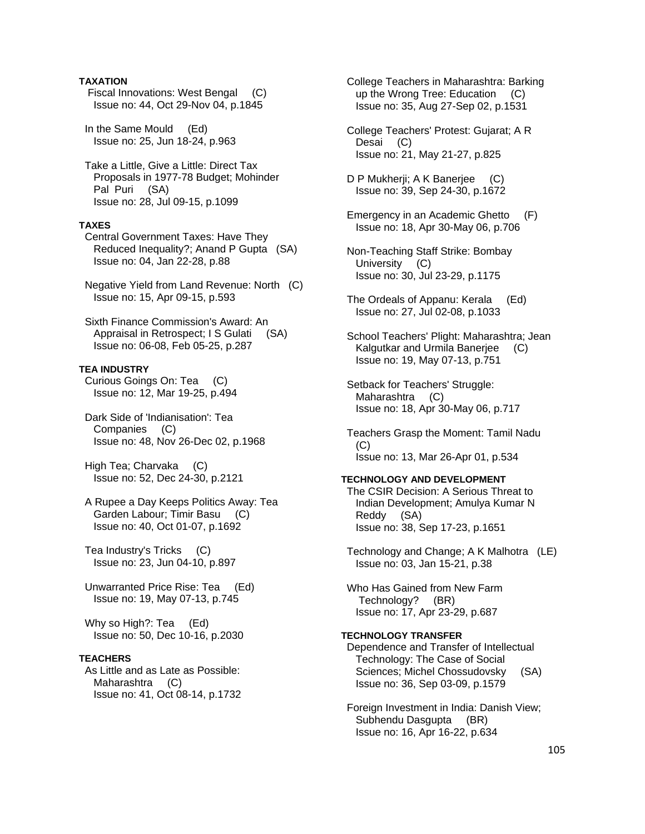# **TAXATION**

 Fiscal Innovations: West Bengal (C) Issue no: 44, Oct 29-Nov 04, p.1845

 In the Same Mould (Ed) Issue no: 25, Jun 18-24, p.963

 Take a Little, Give a Little: Direct Tax Proposals in 1977-78 Budget; Mohinder Pal Puri (SA) Issue no: 28, Jul 09-15, p.1099

# **TAXES**

 Central Government Taxes: Have They Reduced Inequality?; Anand P Gupta (SA) Issue no: 04, Jan 22-28, p.88

 Negative Yield from Land Revenue: North (C) Issue no: 15, Apr 09-15, p.593

 Sixth Finance Commission's Award: An Appraisal in Retrospect; I S Gulati (SA) Issue no: 06-08, Feb 05-25, p.287

# **TEA INDUSTRY**

 Curious Goings On: Tea (C) Issue no: 12, Mar 19-25, p.494

 Dark Side of 'Indianisation': Tea Companies (C) Issue no: 48, Nov 26-Dec 02, p.1968

 High Tea; Charvaka (C) Issue no: 52, Dec 24-30, p.2121

 A Rupee a Day Keeps Politics Away: Tea Garden Labour; Timir Basu (C) Issue no: 40, Oct 01-07, p.1692

 Tea Industry's Tricks (C) Issue no: 23, Jun 04-10, p.897

 Unwarranted Price Rise: Tea (Ed) Issue no: 19, May 07-13, p.745

 Why so High?: Tea (Ed) Issue no: 50, Dec 10-16, p.2030

# **TEACHERS**

 As Little and as Late as Possible: Maharashtra (C) Issue no: 41, Oct 08-14, p.1732  College Teachers in Maharashtra: Barking up the Wrong Tree: Education (C) Issue no: 35, Aug 27-Sep 02, p.1531

 College Teachers' Protest: Gujarat; A R Desai (C) Issue no: 21, May 21-27, p.825

D P Mukherji; A K Banerjee (C) Issue no: 39, Sep 24-30, p.1672

- Emergency in an Academic Ghetto (F) Issue no: 18, Apr 30-May 06, p.706
- Non-Teaching Staff Strike: Bombay University (C) Issue no: 30, Jul 23-29, p.1175
- The Ordeals of Appanu: Kerala (Ed) Issue no: 27, Jul 02-08, p.1033
- School Teachers' Plight: Maharashtra; Jean Kalgutkar and Urmila Banerjee (C) Issue no: 19, May 07-13, p.751
- Setback for Teachers' Struggle: Maharashtra (C) Issue no: 18, Apr 30-May 06, p.717
- Teachers Grasp the Moment: Tamil Nadu (C) Issue no: 13, Mar 26-Apr 01, p.534

#### **TECHNOLOGY AND DEVELOPMENT**

 The CSIR Decision: A Serious Threat to Indian Development; Amulya Kumar N Reddy (SA) Issue no: 38, Sep 17-23, p.1651

 Technology and Change; A K Malhotra (LE) Issue no: 03, Jan 15-21, p.38

 Who Has Gained from New Farm Technology? (BR) Issue no: 17, Apr 23-29, p.687

#### **TECHNOLOGY TRANSFER**  Dependence and Transfer of Intellectual

 Technology: The Case of Social Sciences; Michel Chossudovsky (SA) Issue no: 36, Sep 03-09, p.1579

 Foreign Investment in India: Danish View; Subhendu Dasgupta (BR) Issue no: 16, Apr 16-22, p.634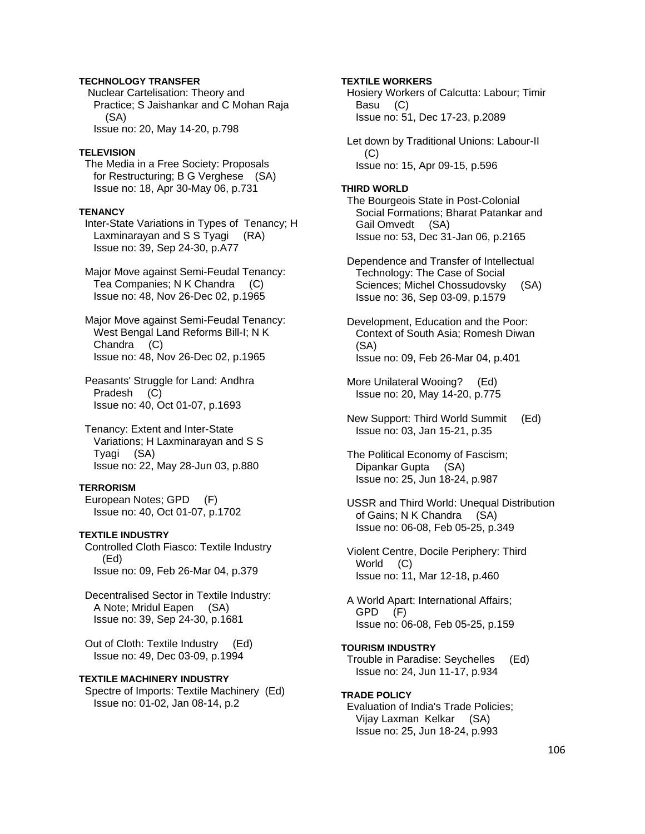# **TECHNOLOGY TRANSFER**

 Nuclear Cartelisation: Theory and Practice; S Jaishankar and C Mohan Raja (SA) Issue no: 20, May 14-20, p.798

#### **TELEVISION**

 The Media in a Free Society: Proposals for Restructuring; B G Verghese (SA) Issue no: 18, Apr 30-May 06, p.731

#### **TENANCY**

 Inter-State Variations in Types of Tenancy; H Laxminarayan and S S Tyagi (RA) Issue no: 39, Sep 24-30, p.A77

 Major Move against Semi-Feudal Tenancy: Tea Companies; N K Chandra (C) Issue no: 48, Nov 26-Dec 02, p.1965

 Major Move against Semi-Feudal Tenancy: West Bengal Land Reforms Bill-I; N K Chandra (C) Issue no: 48, Nov 26-Dec 02, p.1965

 Peasants' Struggle for Land: Andhra Pradesh (C) Issue no: 40, Oct 01-07, p.1693

 Tenancy: Extent and Inter-State Variations; H Laxminarayan and S S Tyagi (SA) Issue no: 22, May 28-Jun 03, p.880

#### **TERRORISM**

 European Notes; GPD (F) Issue no: 40, Oct 01-07, p.1702

# **TEXTILE INDUSTRY**

 Controlled Cloth Fiasco: Textile Industry (Ed) Issue no: 09, Feb 26-Mar 04, p.379

 Decentralised Sector in Textile Industry: A Note; Mridul Eapen (SA) Issue no: 39, Sep 24-30, p.1681

 Out of Cloth: Textile Industry (Ed) Issue no: 49, Dec 03-09, p.1994

## **TEXTILE MACHINERY INDUSTRY**

 Spectre of Imports: Textile Machinery (Ed) Issue no: 01-02, Jan 08-14, p.2

### **TEXTILE WORKERS**

 Hosiery Workers of Calcutta: Labour; Timir Basu (C) Issue no: 51, Dec 17-23, p.2089

 Let down by Traditional Unions: Labour-II (C) Issue no: 15, Apr 09-15, p.596

#### **THIRD WORLD**

 The Bourgeois State in Post-Colonial Social Formations; Bharat Patankar and Gail Omvedt (SA) Issue no: 53, Dec 31-Jan 06, p.2165

 Dependence and Transfer of Intellectual Technology: The Case of Social Sciences; Michel Chossudovsky (SA) Issue no: 36, Sep 03-09, p.1579

 Development, Education and the Poor: Context of South Asia; Romesh Diwan (SA) Issue no: 09, Feb 26-Mar 04, p.401

- More Unilateral Wooing? (Ed) Issue no: 20, May 14-20, p.775
- New Support: Third World Summit (Ed) Issue no: 03, Jan 15-21, p.35
- The Political Economy of Fascism; Dipankar Gupta (SA) Issue no: 25, Jun 18-24, p.987
- USSR and Third World: Unequal Distribution of Gains; N K Chandra (SA) Issue no: 06-08, Feb 05-25, p.349

 Violent Centre, Docile Periphery: Third World (C) Issue no: 11, Mar 12-18, p.460

 A World Apart: International Affairs; GPD (F) Issue no: 06-08, Feb 05-25, p.159

- **TOURISM INDUSTRY**  Trouble in Paradise: Seychelles (Ed) Issue no: 24, Jun 11-17, p.934
- **TRADE POLICY**  Evaluation of India's Trade Policies; Vijay Laxman Kelkar (SA) Issue no: 25, Jun 18-24, p.993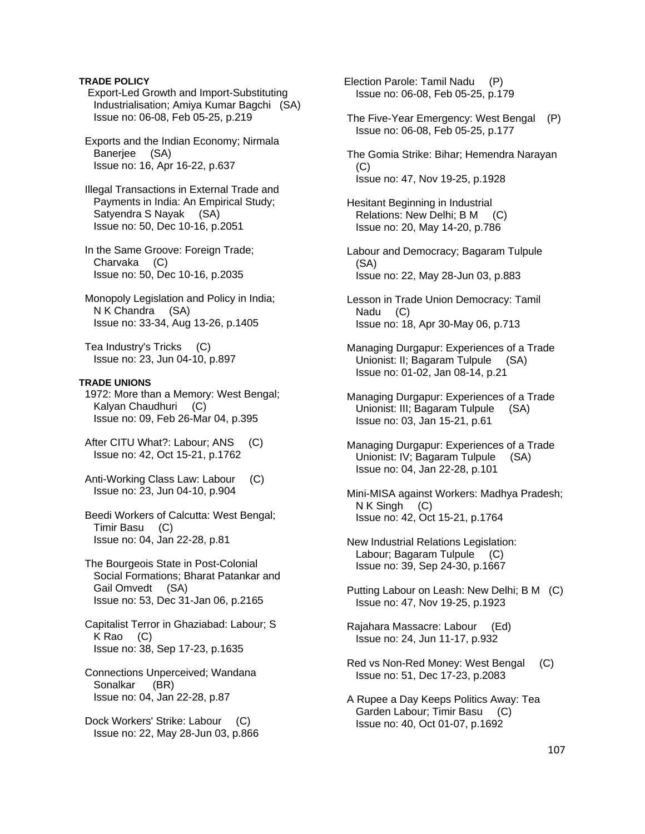# **TRADE POLICY**

 Export-Led Growth and Import-Substituting Industrialisation; Amiya Kumar Bagchi (SA) Issue no: 06-08, Feb 05-25, p.219

 Exports and the Indian Economy; Nirmala Baneriee (SA) Issue no: 16, Apr 16-22, p.637

 Illegal Transactions in External Trade and Payments in India: An Empirical Study; Satyendra S Nayak (SA) Issue no: 50, Dec 10-16, p.2051

 In the Same Groove: Foreign Trade; Charvaka (C) Issue no: 50, Dec 10-16, p.2035

 Monopoly Legislation and Policy in India; N K Chandra (SA) Issue no: 33-34, Aug 13-26, p.1405

 Tea Industry's Tricks (C) Issue no: 23, Jun 04-10, p.897

# **TRADE UNIONS**

 1972: More than a Memory: West Bengal; Kalyan Chaudhuri (C) Issue no: 09, Feb 26-Mar 04, p.395

- After CITU What?: Labour; ANS (C) Issue no: 42, Oct 15-21, p.1762
- Anti-Working Class Law: Labour (C) Issue no: 23, Jun 04-10, p.904
- Beedi Workers of Calcutta: West Bengal; Timir Basu (C) Issue no: 04, Jan 22-28, p.81

 The Bourgeois State in Post-Colonial Social Formations; Bharat Patankar and Gail Omvedt (SA) Issue no: 53, Dec 31-Jan 06, p.2165

 Capitalist Terror in Ghaziabad: Labour; S K Rao (C) Issue no: 38, Sep 17-23, p.1635

 Connections Unperceived; Wandana Sonalkar (BR) Issue no: 04, Jan 22-28, p.87

Dock Workers' Strike: Labour (C) Issue no: 22, May 28-Jun 03, p.866  Election Parole: Tamil Nadu (P) Issue no: 06-08, Feb 05-25, p.179

 The Five-Year Emergency: West Bengal (P) Issue no: 06-08, Feb 05-25, p.177

 The Gomia Strike: Bihar; Hemendra Narayan (C) Issue no: 47, Nov 19-25, p.1928

 Hesitant Beginning in Industrial Relations: New Delhi; B M (C) Issue no: 20, May 14-20, p.786

 Labour and Democracy; Bagaram Tulpule (SA) Issue no: 22, May 28-Jun 03, p.883

- Lesson in Trade Union Democracy: Tamil Nadu (C) Issue no: 18, Apr 30-May 06, p.713
- Managing Durgapur: Experiences of a Trade Unionist: II; Bagaram Tulpule (SA) Issue no: 01-02, Jan 08-14, p.21
- Managing Durgapur: Experiences of a Trade Unionist: III; Bagaram Tulpule (SA) Issue no: 03, Jan 15-21, p.61
- Managing Durgapur: Experiences of a Trade Unionist: IV; Bagaram Tulpule (SA) Issue no: 04, Jan 22-28, p.101

 Mini-MISA against Workers: Madhya Pradesh; N K Singh (C) Issue no: 42, Oct 15-21, p.1764

- New Industrial Relations Legislation: Labour; Bagaram Tulpule (C) Issue no: 39, Sep 24-30, p.1667
- Putting Labour on Leash: New Delhi; B M (C) Issue no: 47, Nov 19-25, p.1923
- Rajahara Massacre: Labour (Ed) Issue no: 24, Jun 11-17, p.932
- Red vs Non-Red Money: West Bengal (C) Issue no: 51, Dec 17-23, p.2083
- A Rupee a Day Keeps Politics Away: Tea Garden Labour; Timir Basu (C) Issue no: 40, Oct 01-07, p.1692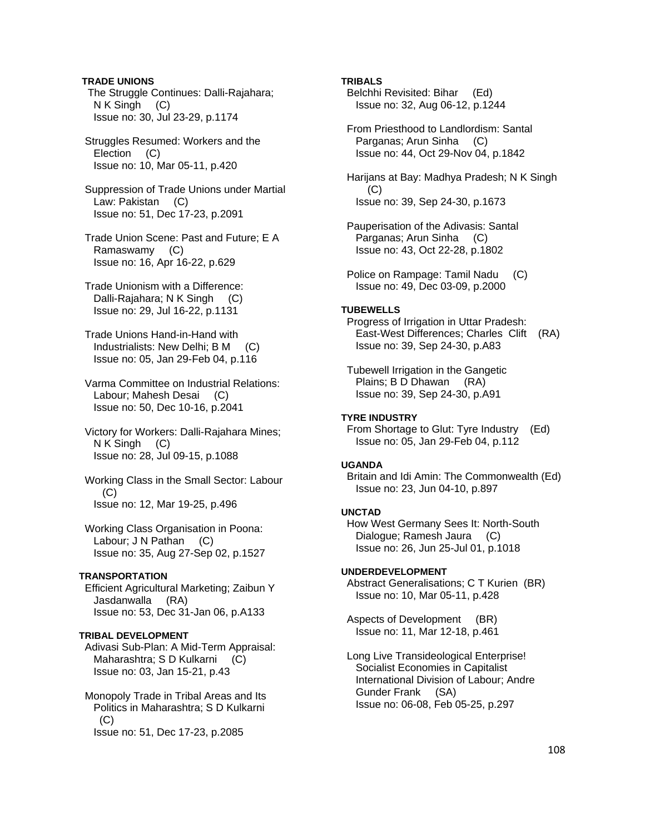**TRADE UNIONS**  The Struggle Continues: Dalli-Rajahara; N K Singh (C) Issue no: 30, Jul 23-29, p.1174

 Struggles Resumed: Workers and the Election (C) Issue no: 10, Mar 05-11, p.420

 Suppression of Trade Unions under Martial Law: Pakistan (C) Issue no: 51, Dec 17-23, p.2091

 Trade Union Scene: Past and Future; E A Ramaswamy (C) Issue no: 16, Apr 16-22, p.629

 Trade Unionism with a Difference: Dalli-Rajahara; N K Singh (C) Issue no: 29, Jul 16-22, p.1131

 Trade Unions Hand-in-Hand with Industrialists: New Delhi; B M (C) Issue no: 05, Jan 29-Feb 04, p.116

 Varma Committee on Industrial Relations: Labour; Mahesh Desai (C) Issue no: 50, Dec 10-16, p.2041

 Victory for Workers: Dalli-Rajahara Mines; N K Singh (C) Issue no: 28, Jul 09-15, p.1088

 Working Class in the Small Sector: Labour  $(C)$ Issue no: 12, Mar 19-25, p.496

 Working Class Organisation in Poona: Labour; J N Pathan (C) Issue no: 35, Aug 27-Sep 02, p.1527

#### **TRANSPORTATION**

 Efficient Agricultural Marketing; Zaibun Y Jasdanwalla (RA) Issue no: 53, Dec 31-Jan 06, p.A133

#### **TRIBAL DEVELOPMENT**

 Adivasi Sub-Plan: A Mid-Term Appraisal: Maharashtra; S D Kulkarni (C) Issue no: 03, Jan 15-21, p.43

 Monopoly Trade in Tribal Areas and Its Politics in Maharashtra; S D Kulkarni  $(C)$ Issue no: 51, Dec 17-23, p.2085

## **TRIBALS**

 Belchhi Revisited: Bihar (Ed) Issue no: 32, Aug 06-12, p.1244

 From Priesthood to Landlordism: Santal Parganas; Arun Sinha (C) Issue no: 44, Oct 29-Nov 04, p.1842

 Harijans at Bay: Madhya Pradesh; N K Singh (C) Issue no: 39, Sep 24-30, p.1673

- Pauperisation of the Adivasis: Santal Parganas; Arun Sinha (C) Issue no: 43, Oct 22-28, p.1802
- Police on Rampage: Tamil Nadu (C) Issue no: 49, Dec 03-09, p.2000

# **TUBEWELLS**

 Progress of Irrigation in Uttar Pradesh: East-West Differences; Charles Clift (RA) Issue no: 39, Sep 24-30, p.A83

 Tubewell Irrigation in the Gangetic Plains; B D Dhawan (RA) Issue no: 39, Sep 24-30, p.A91

# **TYRE INDUSTRY**

 From Shortage to Glut: Tyre Industry (Ed) Issue no: 05, Jan 29-Feb 04, p.112

#### **UGANDA**

 Britain and Idi Amin: The Commonwealth (Ed) Issue no: 23, Jun 04-10, p.897

#### **UNCTAD**

 How West Germany Sees It: North-South Dialogue; Ramesh Jaura (C) Issue no: 26, Jun 25-Jul 01, p.1018

#### **UNDERDEVELOPMENT**

 Abstract Generalisations; C T Kurien (BR) Issue no: 10, Mar 05-11, p.428

 Aspects of Development (BR) Issue no: 11, Mar 12-18, p.461

 Long Live Transideological Enterprise! Socialist Economies in Capitalist International Division of Labour; Andre Gunder Frank (SA) Issue no: 06-08, Feb 05-25, p.297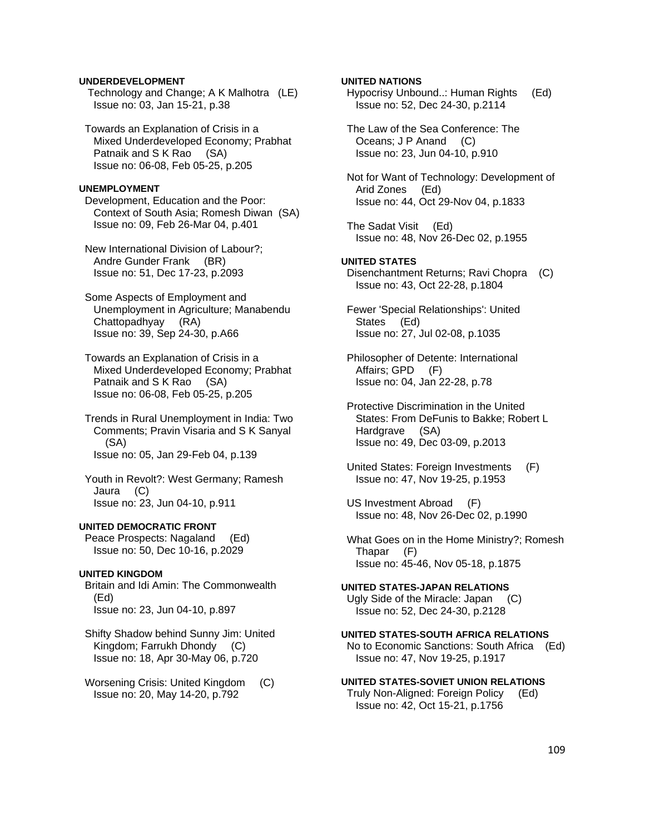### **UNDERDEVELOPMENT**

 Technology and Change; A K Malhotra (LE) Issue no: 03, Jan 15-21, p.38

 Towards an Explanation of Crisis in a Mixed Underdeveloped Economy; Prabhat Patnaik and S K Rao (SA) Issue no: 06-08, Feb 05-25, p.205

#### **UNEMPLOYMENT**

 Development, Education and the Poor: Context of South Asia; Romesh Diwan (SA) Issue no: 09, Feb 26-Mar 04, p.401

 New International Division of Labour?; Andre Gunder Frank (BR) Issue no: 51, Dec 17-23, p.2093

 Some Aspects of Employment and Unemployment in Agriculture; Manabendu Chattopadhyay (RA) Issue no: 39, Sep 24-30, p.A66

 Towards an Explanation of Crisis in a Mixed Underdeveloped Economy; Prabhat Patnaik and S K Rao (SA) Issue no: 06-08, Feb 05-25, p.205

 Trends in Rural Unemployment in India: Two Comments; Pravin Visaria and S K Sanyal (SA) Issue no: 05, Jan 29-Feb 04, p.139

 Youth in Revolt?: West Germany; Ramesh Jaura (C) Issue no: 23, Jun 04-10, p.911

#### **UNITED DEMOCRATIC FRONT**

 Peace Prospects: Nagaland (Ed) Issue no: 50, Dec 10-16, p.2029

### **UNITED KINGDOM**

 Britain and Idi Amin: The Commonwealth (Ed) Issue no: 23, Jun 04-10, p.897

 Shifty Shadow behind Sunny Jim: United Kingdom; Farrukh Dhondy (C) Issue no: 18, Apr 30-May 06, p.720

 Worsening Crisis: United Kingdom (C) Issue no: 20, May 14-20, p.792

### **UNITED NATIONS**

 Hypocrisy Unbound..: Human Rights (Ed) Issue no: 52, Dec 24-30, p.2114

 The Law of the Sea Conference: The Oceans; J P Anand (C) Issue no: 23, Jun 04-10, p.910

 Not for Want of Technology: Development of Arid Zones (Ed) Issue no: 44, Oct 29-Nov 04, p.1833

 The Sadat Visit (Ed) Issue no: 48, Nov 26-Dec 02, p.1955

### **UNITED STATES**

 Disenchantment Returns; Ravi Chopra (C) Issue no: 43, Oct 22-28, p.1804

 Fewer 'Special Relationships': United States (Ed) Issue no: 27, Jul 02-08, p.1035

 Philosopher of Detente: International Affairs; GPD (F) Issue no: 04, Jan 22-28, p.78

 Protective Discrimination in the United States: From DeFunis to Bakke; Robert L Hardgrave (SA) Issue no: 49, Dec 03-09, p.2013

 United States: Foreign Investments (F) Issue no: 47, Nov 19-25, p.1953

 US Investment Abroad (F) Issue no: 48, Nov 26-Dec 02, p.1990

 What Goes on in the Home Ministry?; Romesh Thapar (F) Issue no: 45-46, Nov 05-18, p.1875

#### **UNITED STATES-JAPAN RELATIONS**  Ugly Side of the Miracle: Japan (C) Issue no: 52, Dec 24-30, p.2128

#### **UNITED STATES-SOUTH AFRICA RELATIONS**  No to Economic Sanctions: South Africa (Ed) Issue no: 47, Nov 19-25, p.1917

#### **UNITED STATES-SOVIET UNION RELATIONS**

 Truly Non-Aligned: Foreign Policy (Ed) Issue no: 42, Oct 15-21, p.1756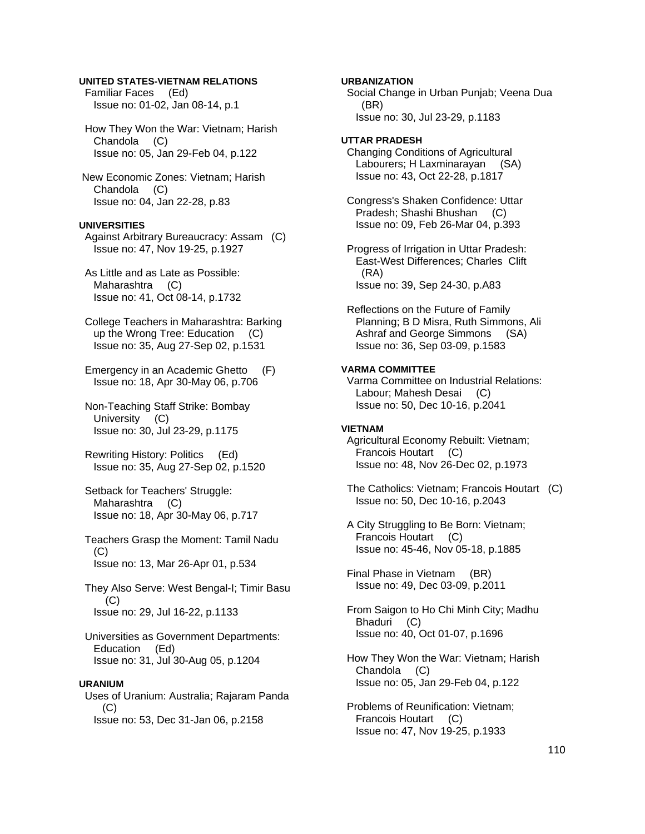### **UNITED STATES-VIETNAM RELATIONS**

 Familiar Faces (Ed) Issue no: 01-02, Jan 08-14, p.1

 How They Won the War: Vietnam; Harish Chandola (C) Issue no: 05, Jan 29-Feb 04, p.122

 New Economic Zones: Vietnam; Harish Chandola (C) Issue no: 04, Jan 22-28, p.83

## **UNIVERSITIES**

 Against Arbitrary Bureaucracy: Assam (C) Issue no: 47, Nov 19-25, p.1927

 As Little and as Late as Possible: Maharashtra (C) Issue no: 41, Oct 08-14, p.1732

 College Teachers in Maharashtra: Barking up the Wrong Tree: Education (C) Issue no: 35, Aug 27-Sep 02, p.1531

 Emergency in an Academic Ghetto (F) Issue no: 18, Apr 30-May 06, p.706

 Non-Teaching Staff Strike: Bombay University (C) Issue no: 30, Jul 23-29, p.1175

 Rewriting History: Politics (Ed) Issue no: 35, Aug 27-Sep 02, p.1520

 Setback for Teachers' Struggle: Maharashtra (C) Issue no: 18, Apr 30-May 06, p.717

 Teachers Grasp the Moment: Tamil Nadu (C) Issue no: 13, Mar 26-Apr 01, p.534

 They Also Serve: West Bengal-I; Timir Basu (C) Issue no: 29, Jul 16-22, p.1133

 Universities as Government Departments: Education (Ed) Issue no: 31, Jul 30-Aug 05, p.1204

#### **URANIUM**

 Uses of Uranium: Australia; Rajaram Panda (C) Issue no: 53, Dec 31-Jan 06, p.2158

**URBANIZATION**  Social Change in Urban Punjab; Veena Dua (BR) Issue no: 30, Jul 23-29, p.1183 **UTTAR PRADESH** 

 Changing Conditions of Agricultural Labourers; H Laxminarayan (SA) Issue no: 43, Oct 22-28, p.1817

 Congress's Shaken Confidence: Uttar Pradesh; Shashi Bhushan (C) Issue no: 09, Feb 26-Mar 04, p.393

 Progress of Irrigation in Uttar Pradesh: East-West Differences; Charles Clift (RA) Issue no: 39, Sep 24-30, p.A83

 Reflections on the Future of Family Planning; B D Misra, Ruth Simmons, Ali Ashraf and George Simmons (SA) Issue no: 36, Sep 03-09, p.1583

#### **VARMA COMMITTEE**

 Varma Committee on Industrial Relations: Labour; Mahesh Desai (C) Issue no: 50, Dec 10-16, p.2041

#### **VIETNAM**

 Agricultural Economy Rebuilt: Vietnam; Francois Houtart (C) Issue no: 48, Nov 26-Dec 02, p.1973

 The Catholics: Vietnam; Francois Houtart (C) Issue no: 50, Dec 10-16, p.2043

 A City Struggling to Be Born: Vietnam; Francois Houtart (C) Issue no: 45-46, Nov 05-18, p.1885

 Final Phase in Vietnam (BR) Issue no: 49, Dec 03-09, p.2011

 From Saigon to Ho Chi Minh City; Madhu Bhaduri (C) Issue no: 40, Oct 01-07, p.1696

 How They Won the War: Vietnam; Harish Chandola (C) Issue no: 05, Jan 29-Feb 04, p.122

 Problems of Reunification: Vietnam; Francois Houtart (C) Issue no: 47, Nov 19-25, p.1933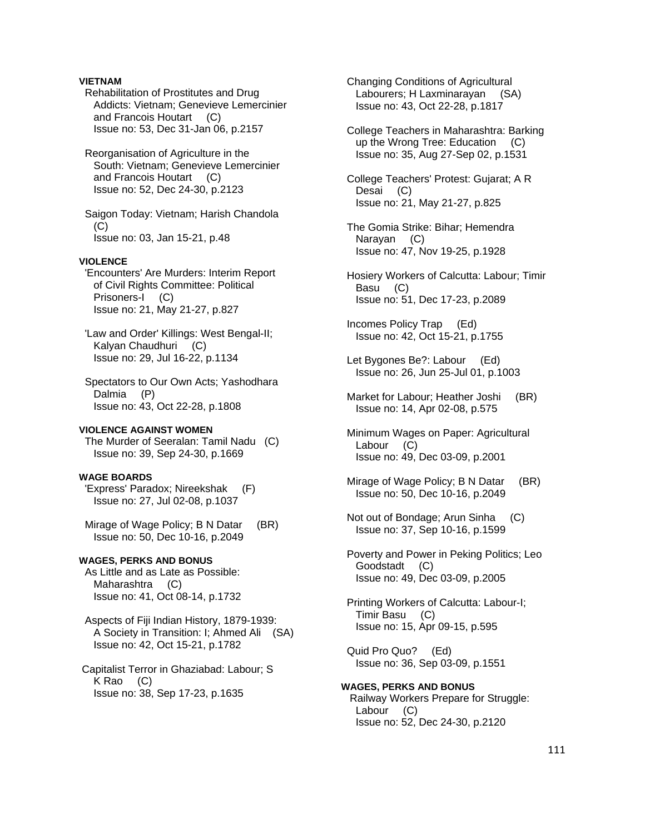# **VIETNAM**

 Rehabilitation of Prostitutes and Drug Addicts: Vietnam; Genevieve Lemercinier and Francois Houtart (C) Issue no: 53, Dec 31-Jan 06, p.2157

 Reorganisation of Agriculture in the South: Vietnam; Genevieve Lemercinier and Francois Houtart (C) Issue no: 52, Dec 24-30, p.2123

 Saigon Today: Vietnam; Harish Chandola (C) Issue no: 03, Jan 15-21, p.48

### **VIOLENCE**

 'Encounters' Are Murders: Interim Report of Civil Rights Committee: Political Prisoners-I (C) Issue no: 21, May 21-27, p.827

 'Law and Order' Killings: West Bengal-II; Kalyan Chaudhuri (C) Issue no: 29, Jul 16-22, p.1134

 Spectators to Our Own Acts; Yashodhara Dalmia (P) Issue no: 43, Oct 22-28, p.1808

# **VIOLENCE AGAINST WOMEN**

 The Murder of Seeralan: Tamil Nadu (C) Issue no: 39, Sep 24-30, p.1669

# **WAGE BOARDS**

 'Express' Paradox; Nireekshak (F) Issue no: 27, Jul 02-08, p.1037

 Mirage of Wage Policy; B N Datar (BR) Issue no: 50, Dec 10-16, p.2049

#### **WAGES, PERKS AND BONUS**

 As Little and as Late as Possible: Maharashtra (C) Issue no: 41, Oct 08-14, p.1732

 Aspects of Fiji Indian History, 1879-1939: A Society in Transition: I; Ahmed Ali (SA) Issue no: 42, Oct 15-21, p.1782

 Capitalist Terror in Ghaziabad: Labour; S K Rao (C) Issue no: 38, Sep 17-23, p.1635

 Changing Conditions of Agricultural Labourers; H Laxminarayan (SA) Issue no: 43, Oct 22-28, p.1817

 College Teachers in Maharashtra: Barking up the Wrong Tree: Education (C) Issue no: 35, Aug 27-Sep 02, p.1531

 College Teachers' Protest: Gujarat; A R Desai (C) Issue no: 21, May 21-27, p.825

- The Gomia Strike: Bihar; Hemendra Narayan (C) Issue no: 47, Nov 19-25, p.1928
- Hosiery Workers of Calcutta: Labour; Timir Basu (C) Issue no: 51, Dec 17-23, p.2089

 Incomes Policy Trap (Ed) Issue no: 42, Oct 15-21, p.1755

- Let Bygones Be?: Labour (Ed) Issue no: 26, Jun 25-Jul 01, p.1003
- Market for Labour; Heather Joshi (BR) Issue no: 14, Apr 02-08, p.575
- Minimum Wages on Paper: Agricultural Labour (C) Issue no: 49, Dec 03-09, p.2001
- Mirage of Wage Policy; B N Datar (BR) Issue no: 50, Dec 10-16, p.2049
- Not out of Bondage; Arun Sinha (C) Issue no: 37, Sep 10-16, p.1599
- Poverty and Power in Peking Politics; Leo Goodstadt (C) Issue no: 49, Dec 03-09, p.2005

 Printing Workers of Calcutta: Labour-I; Timir Basu (C) Issue no: 15, Apr 09-15, p.595

 Quid Pro Quo? (Ed) Issue no: 36, Sep 03-09, p.1551

**WAGES, PERKS AND BONUS**  Railway Workers Prepare for Struggle: Labour (C) Issue no: 52, Dec 24-30, p.2120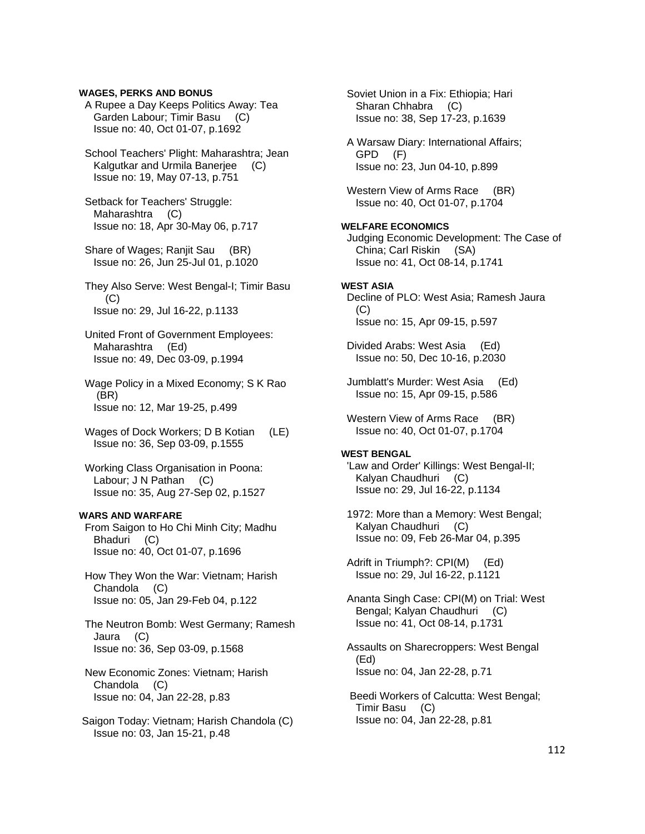## **WAGES, PERKS AND BONUS**

 A Rupee a Day Keeps Politics Away: Tea Garden Labour; Timir Basu (C) Issue no: 40, Oct 01-07, p.1692

 School Teachers' Plight: Maharashtra; Jean Kalgutkar and Urmila Banerjee (C) Issue no: 19, May 07-13, p.751

 Setback for Teachers' Struggle: Maharashtra (C) Issue no: 18, Apr 30-May 06, p.717

 Share of Wages; Ranjit Sau (BR) Issue no: 26, Jun 25-Jul 01, p.1020

 They Also Serve: West Bengal-I; Timir Basu (C) Issue no: 29, Jul 16-22, p.1133

 United Front of Government Employees: Maharashtra (Ed) Issue no: 49, Dec 03-09, p.1994

 Wage Policy in a Mixed Economy; S K Rao (BR) Issue no: 12, Mar 19-25, p.499

Wages of Dock Workers; D B Kotian (LE) Issue no: 36, Sep 03-09, p.1555

 Working Class Organisation in Poona: Labour; J N Pathan (C) Issue no: 35, Aug 27-Sep 02, p.1527

# **WARS AND WARFARE**

 From Saigon to Ho Chi Minh City; Madhu Bhaduri (C) Issue no: 40, Oct 01-07, p.1696

 How They Won the War: Vietnam; Harish Chandola (C) Issue no: 05, Jan 29-Feb 04, p.122

 The Neutron Bomb: West Germany; Ramesh Jaura (C) Issue no: 36, Sep 03-09, p.1568

 New Economic Zones: Vietnam; Harish Chandola (C) Issue no: 04, Jan 22-28, p.83

 Saigon Today: Vietnam; Harish Chandola (C) Issue no: 03, Jan 15-21, p.48

 Soviet Union in a Fix: Ethiopia; Hari Sharan Chhabra (C) Issue no: 38, Sep 17-23, p.1639

 A Warsaw Diary: International Affairs; GPD (F) Issue no: 23, Jun 04-10, p.899

Western View of Arms Race (BR) Issue no: 40, Oct 01-07, p.1704

## **WELFARE ECONOMICS**

 Judging Economic Development: The Case of China; Carl Riskin (SA) Issue no: 41, Oct 08-14, p.1741

#### **WEST ASIA**

 Decline of PLO: West Asia; Ramesh Jaura (C) Issue no: 15, Apr 09-15, p.597

 Divided Arabs: West Asia (Ed) Issue no: 50, Dec 10-16, p.2030

 Jumblatt's Murder: West Asia (Ed) Issue no: 15, Apr 09-15, p.586

Western View of Arms Race (BR) Issue no: 40, Oct 01-07, p.1704

## **WEST BENGAL**

 'Law and Order' Killings: West Bengal-II; Kalyan Chaudhuri (C) Issue no: 29, Jul 16-22, p.1134

 1972: More than a Memory: West Bengal; Kalyan Chaudhuri (C) Issue no: 09, Feb 26-Mar 04, p.395

 Adrift in Triumph?: CPI(M) (Ed) Issue no: 29, Jul 16-22, p.1121

 Ananta Singh Case: CPI(M) on Trial: West Bengal; Kalyan Chaudhuri (C) Issue no: 41, Oct 08-14, p.1731

 Assaults on Sharecroppers: West Bengal (Ed) Issue no: 04, Jan 22-28, p.71

 Beedi Workers of Calcutta: West Bengal; Timir Basu (C) Issue no: 04, Jan 22-28, p.81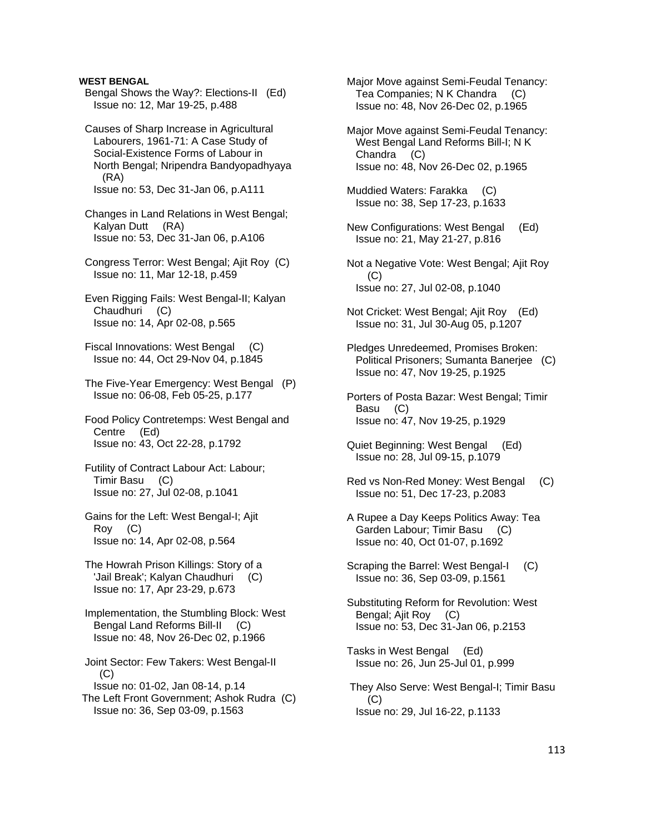### **WEST BENGAL**

 Bengal Shows the Way?: Elections-II (Ed) Issue no: 12, Mar 19-25, p.488

 Causes of Sharp Increase in Agricultural Labourers, 1961-71: A Case Study of Social-Existence Forms of Labour in North Bengal; Nripendra Bandyopadhyaya (RA) Issue no: 53, Dec 31-Jan 06, p.A111

 Changes in Land Relations in West Bengal; Kalyan Dutt (RA) Issue no: 53, Dec 31-Jan 06, p.A106

- Congress Terror: West Bengal; Ajit Roy (C) Issue no: 11, Mar 12-18, p.459
- Even Rigging Fails: West Bengal-II; Kalyan Chaudhuri (C) Issue no: 14, Apr 02-08, p.565
- Fiscal Innovations: West Bengal (C) Issue no: 44, Oct 29-Nov 04, p.1845
- The Five-Year Emergency: West Bengal (P) Issue no: 06-08, Feb 05-25, p.177
- Food Policy Contretemps: West Bengal and Centre (Ed) Issue no: 43, Oct 22-28, p.1792
- Futility of Contract Labour Act: Labour; Timir Basu (C) Issue no: 27, Jul 02-08, p.1041
- Gains for the Left: West Bengal-I; Ajit Roy (C) Issue no: 14, Apr 02-08, p.564
- The Howrah Prison Killings: Story of a 'Jail Break'; Kalyan Chaudhuri (C) Issue no: 17, Apr 23-29, p.673
- Implementation, the Stumbling Block: West Bengal Land Reforms Bill-II (C) Issue no: 48, Nov 26-Dec 02, p.1966

 Joint Sector: Few Takers: West Bengal-II  $(C)$  Issue no: 01-02, Jan 08-14, p.14 The Left Front Government; Ashok Rudra (C) Issue no: 36, Sep 03-09, p.1563

 Major Move against Semi-Feudal Tenancy: Tea Companies; N K Chandra (C) Issue no: 48, Nov 26-Dec 02, p.1965

- Major Move against Semi-Feudal Tenancy: West Bengal Land Reforms Bill-I; N K Chandra (C) Issue no: 48, Nov 26-Dec 02, p.1965
- Muddied Waters: Farakka (C) Issue no: 38, Sep 17-23, p.1633
- New Configurations: West Bengal (Ed) Issue no: 21, May 21-27, p.816
- Not a Negative Vote: West Bengal; Ajit Roy (C) Issue no: 27, Jul 02-08, p.1040
- Not Cricket: West Bengal; Ajit Roy (Ed) Issue no: 31, Jul 30-Aug 05, p.1207
- Pledges Unredeemed, Promises Broken: Political Prisoners; Sumanta Banerjee (C) Issue no: 47, Nov 19-25, p.1925
- Porters of Posta Bazar: West Bengal; Timir Basu (C) Issue no: 47, Nov 19-25, p.1929
- Quiet Beginning: West Bengal (Ed) Issue no: 28, Jul 09-15, p.1079
- Red vs Non-Red Money: West Bengal (C) Issue no: 51, Dec 17-23, p.2083
- A Rupee a Day Keeps Politics Away: Tea Garden Labour; Timir Basu (C) Issue no: 40, Oct 01-07, p.1692
- Scraping the Barrel: West Bengal-I (C) Issue no: 36, Sep 03-09, p.1561
- Substituting Reform for Revolution: West Bengal; Ajit Roy (C) Issue no: 53, Dec 31-Jan 06, p.2153
- Tasks in West Bengal (Ed) Issue no: 26, Jun 25-Jul 01, p.999
- They Also Serve: West Bengal-I; Timir Basu (C) Issue no: 29, Jul 16-22, p.1133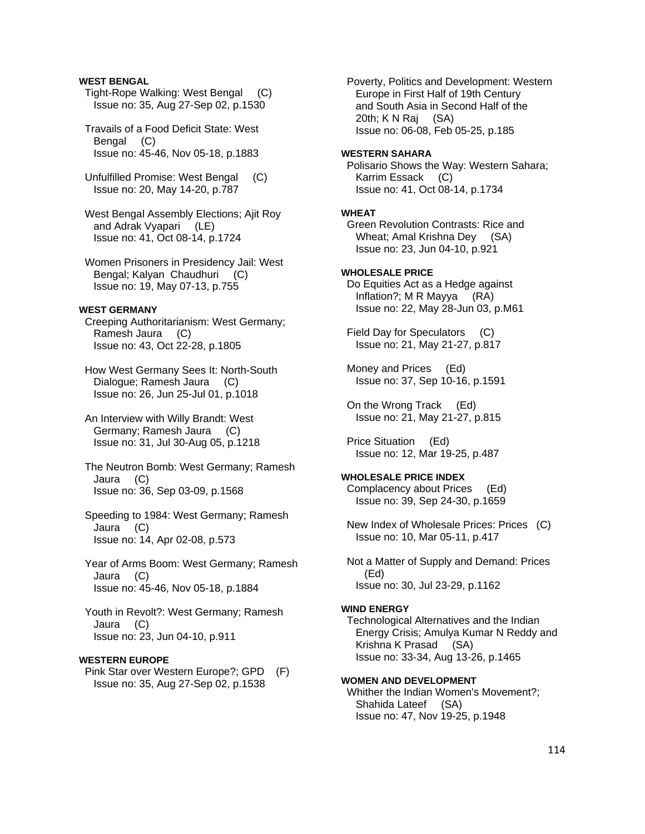### **WEST BENGAL**

- Tight-Rope Walking: West Bengal (C) Issue no: 35, Aug 27-Sep 02, p.1530
- Travails of a Food Deficit State: West Bengal (C) Issue no: 45-46, Nov 05-18, p.1883
- Unfulfilled Promise: West Bengal (C) Issue no: 20, May 14-20, p.787
- West Bengal Assembly Elections; Ajit Roy and Adrak Vyapari (LE) Issue no: 41, Oct 08-14, p.1724
- Women Prisoners in Presidency Jail: West Bengal; Kalyan Chaudhuri (C) Issue no: 19, May 07-13, p.755

#### **WEST GERMANY**

- Creeping Authoritarianism: West Germany; Ramesh Jaura (C) Issue no: 43, Oct 22-28, p.1805
- How West Germany Sees It: North-South Dialogue; Ramesh Jaura (C) Issue no: 26, Jun 25-Jul 01, p.1018
- An Interview with Willy Brandt: West Germany; Ramesh Jaura (C) Issue no: 31, Jul 30-Aug 05, p.1218
- The Neutron Bomb: West Germany; Ramesh Jaura (C) Issue no: 36, Sep 03-09, p.1568
- Speeding to 1984: West Germany; Ramesh Jaura (C) Issue no: 14, Apr 02-08, p.573
- Year of Arms Boom: West Germany; Ramesh Jaura (C) Issue no: 45-46, Nov 05-18, p.1884
- Youth in Revolt?: West Germany; Ramesh Jaura (C) Issue no: 23, Jun 04-10, p.911

### **WESTERN EUROPE**

 Pink Star over Western Europe?; GPD (F) Issue no: 35, Aug 27-Sep 02, p.1538

 Poverty, Politics and Development: Western Europe in First Half of 19th Century and South Asia in Second Half of the 20th; K N Raj (SA) Issue no: 06-08, Feb 05-25, p.185

#### **WESTERN SAHARA**

 Polisario Shows the Way: Western Sahara; Karrim Essack (C) Issue no: 41, Oct 08-14, p.1734

### **WHEAT**

 Green Revolution Contrasts: Rice and Wheat; Amal Krishna Dey (SA) Issue no: 23, Jun 04-10, p.921

### **WHOLESALE PRICE**

 Do Equities Act as a Hedge against Inflation?; M R Mayya (RA) Issue no: 22, May 28-Jun 03, p.M61

 Field Day for Speculators (C) Issue no: 21, May 21-27, p.817

 Money and Prices (Ed) Issue no: 37, Sep 10-16, p.1591

 On the Wrong Track (Ed) Issue no: 21, May 21-27, p.815

 Price Situation (Ed) Issue no: 12, Mar 19-25, p.487

## **WHOLESALE PRICE INDEX**

 Complacency about Prices (Ed) Issue no: 39, Sep 24-30, p.1659

 New Index of Wholesale Prices: Prices (C) Issue no: 10, Mar 05-11, p.417

 Not a Matter of Supply and Demand: Prices (Ed) Issue no: 30, Jul 23-29, p.1162

#### **WIND ENERGY**

 Technological Alternatives and the Indian Energy Crisis; Amulya Kumar N Reddy and Krishna K Prasad (SA) Issue no: 33-34, Aug 13-26, p.1465

#### **WOMEN AND DEVELOPMENT**

 Whither the Indian Women's Movement?; Shahida Lateef (SA) Issue no: 47, Nov 19-25, p.1948